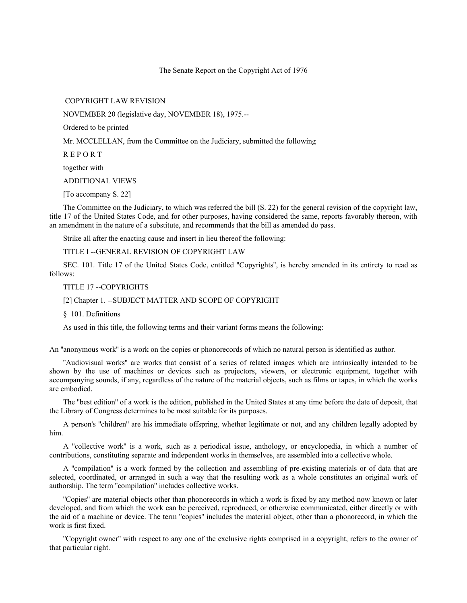### The Senate Report on the Copyright Act of 1976

COPYRIGHT LAW REVISION

NOVEMBER 20 (legislative day, NOVEMBER 18), 1975.--

Ordered to be printed

Mr. MCCLELLAN, from the Committee on the Judiciary, submitted the following

R E P O R T

together with

ADDITIONAL VIEWS

[To accompany S. 22]

The Committee on the Judiciary, to which was referred the bill (S. 22) for the general revision of the copyright law, title 17 of the United States Code, and for other purposes, having considered the same, reports favorably thereon, with an amendment in the nature of a substitute, and recommends that the bill as amended do pass.

Strike all after the enacting cause and insert in lieu thereof the following:

TITLE I --GENERAL REVISION OF COPYRIGHT LAW

SEC. 101. Title 17 of the United States Code, entitled ''Copyrights'', is hereby amended in its entirety to read as follows:

#### TITLE 17 --COPYRIGHTS

## [2] Chapter 1. --SUBJECT MATTER AND SCOPE OF COPYRIGHT

§ 101. Definitions

As used in this title, the following terms and their variant forms means the following:

An ''anonymous work'' is a work on the copies or phonorecords of which no natural person is identified as author.

''Audiovisual works'' are works that consist of a series of related images which are intrinsically intended to be shown by the use of machines or devices such as projectors, viewers, or electronic equipment, together with accompanying sounds, if any, regardless of the nature of the material objects, such as films or tapes, in which the works are embodied.

The ''best edition'' of a work is the edition, published in the United States at any time before the date of deposit, that the Library of Congress determines to be most suitable for its purposes.

A person's ''children'' are his immediate offspring, whether legitimate or not, and any children legally adopted by him.

A ''collective work'' is a work, such as a periodical issue, anthology, or encyclopedia, in which a number of contributions, constituting separate and independent works in themselves, are assembled into a collective whole.

A ''compilation'' is a work formed by the collection and assembling of pre-existing materials or of data that are selected, coordinated, or arranged in such a way that the resulting work as a whole constitutes an original work of authorship. The term ''compilation'' includes collective works.

''Copies'' are material objects other than phonorecords in which a work is fixed by any method now known or later developed, and from which the work can be perceived, reproduced, or otherwise communicated, either directly or with the aid of a machine or device. The term ''copies'' includes the material object, other than a phonorecord, in which the work is first fixed.

''Copyright owner'' with respect to any one of the exclusive rights comprised in a copyright, refers to the owner of that particular right.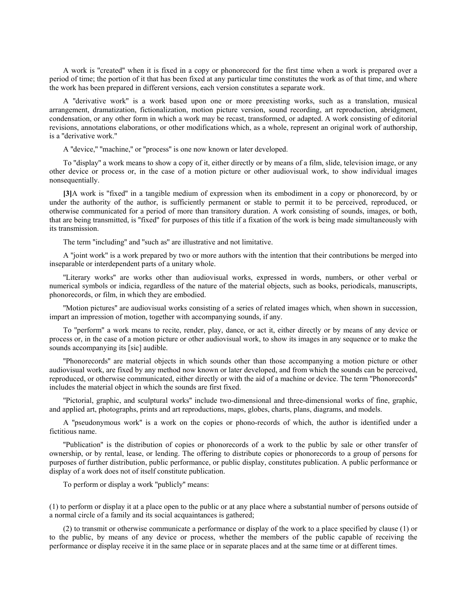A work is ''created'' when it is fixed in a copy or phonorecord for the first time when a work is prepared over a period of time; the portion of it that has been fixed at any particular time constitutes the work as of that time, and where the work has been prepared in different versions, each version constitutes a separate work.

A ''derivative work'' is a work based upon one or more preexisting works, such as a translation, musical arrangement, dramatization, fictionalization, motion picture version, sound recording, art reproduction, abridgment, condensation, or any other form in which a work may be recast, transformed, or adapted. A work consisting of editorial revisions, annotations elaborations, or other modifications which, as a whole, represent an original work of authorship, is a ''derivative work.''

A ''device,'' ''machine,'' or ''process'' is one now known or later developed.

To ''display'' a work means to show a copy of it, either directly or by means of a film, slide, television image, or any other device or process or, in the case of a motion picture or other audiovisual work, to show individual images nonsequentially.

**[3]**A work is ''fixed'' in a tangible medium of expression when its embodiment in a copy or phonorecord, by or under the authority of the author, is sufficiently permanent or stable to permit it to be perceived, reproduced, or otherwise communicated for a period of more than transitory duration. A work consisting of sounds, images, or both, that are being transmitted, is ''fixed'' for purposes of this title if a fixation of the work is being made simultaneously with its transmission.

The term ''including'' and ''such as'' are illustrative and not limitative.

A ''joint work'' is a work prepared by two or more authors with the intention that their contributions be merged into inseparable or interdependent parts of a unitary whole.

''Literary works'' are works other than audiovisual works, expressed in words, numbers, or other verbal or numerical symbols or indicia, regardless of the nature of the material objects, such as books, periodicals, manuscripts, phonorecords, or film, in which they are embodied.

''Motion pictures'' are audiovisual works consisting of a series of related images which, when shown in succession, impart an impression of motion, together with accompanying sounds, if any.

To "perform" a work means to recite, render, play, dance, or act it, either directly or by means of any device or process or, in the case of a motion picture or other audiovisual work, to show its images in any sequence or to make the sounds accompanying its [sic] audible.

''Phonorecords'' are material objects in which sounds other than those accompanying a motion picture or other audiovisual work, are fixed by any method now known or later developed, and from which the sounds can be perceived, reproduced, or otherwise communicated, either directly or with the aid of a machine or device. The term ''Phonorecords'' includes the material object in which the sounds are first fixed.

''Pictorial, graphic, and sculptural works'' include two-dimensional and three-dimensional works of fine, graphic, and applied art, photographs, prints and art reproductions, maps, globes, charts, plans, diagrams, and models.

A ''pseudonymous work'' is a work on the copies or phono-records of which, the author is identified under a fictitious name.

''Publication'' is the distribution of copies or phonorecords of a work to the public by sale or other transfer of ownership, or by rental, lease, or lending. The offering to distribute copies or phonorecords to a group of persons for purposes of further distribution, public performance, or public display, constitutes publication. A public performance or display of a work does not of itself constitute publication.

To perform or display a work ''publicly'' means:

(1) to perform or display it at a place open to the public or at any place where a substantial number of persons outside of a normal circle of a family and its social acquaintances is gathered;

(2) to transmit or otherwise communicate a performance or display of the work to a place specified by clause (1) or to the public, by means of any device or process, whether the members of the public capable of receiving the performance or display receive it in the same place or in separate places and at the same time or at different times.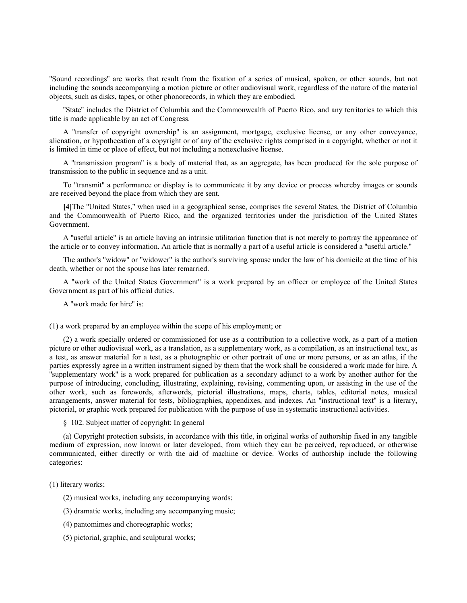''Sound recordings'' are works that result from the fixation of a series of musical, spoken, or other sounds, but not including the sounds accompanying a motion picture or other audiovisual work, regardless of the nature of the material objects, such as disks, tapes, or other phonorecords, in which they are embodied.

''State'' includes the District of Columbia and the Commonwealth of Puerto Rico, and any territories to which this title is made applicable by an act of Congress.

A ''transfer of copyright ownership'' is an assignment, mortgage, exclusive license, or any other conveyance, alienation, or hypothecation of a copyright or of any of the exclusive rights comprised in a copyright, whether or not it is limited in time or place of effect, but not including a nonexclusive license.

A ''transmission program'' is a body of material that, as an aggregate, has been produced for the sole purpose of transmission to the public in sequence and as a unit.

To ''transmit'' a performance or display is to communicate it by any device or process whereby images or sounds are received beyond the place from which they are sent.

**[4]**The ''United States,'' when used in a geographical sense, comprises the several States, the District of Columbia and the Commonwealth of Puerto Rico, and the organized territories under the jurisdiction of the United States Government.

A ''useful article'' is an article having an intrinsic utilitarian function that is not merely to portray the appearance of the article or to convey information. An article that is normally a part of a useful article is considered a ''useful article.''

The author's "widow" or "widower" is the author's surviving spouse under the law of his domicile at the time of his death, whether or not the spouse has later remarried.

A ''work of the United States Government'' is a work prepared by an officer or employee of the United States Government as part of his official duties.

A ''work made for hire'' is:

(1) a work prepared by an employee within the scope of his employment; or

(2) a work specially ordered or commissioned for use as a contribution to a collective work, as a part of a motion picture or other audiovisual work, as a translation, as a supplementary work, as a compilation, as an instructional text, as a test, as answer material for a test, as a photographic or other portrait of one or more persons, or as an atlas, if the parties expressly agree in a written instrument signed by them that the work shall be considered a work made for hire. A ''supplementary work'' is a work prepared for publication as a secondary adjunct to a work by another author for the purpose of introducing, concluding, illustrating, explaining, revising, commenting upon, or assisting in the use of the other work, such as forewords, afterwords, pictorial illustrations, maps, charts, tables, editorial notes, musical arrangements, answer material for tests, bibliographies, appendixes, and indexes. An ''instructional text'' is a literary, pictorial, or graphic work prepared for publication with the purpose of use in systematic instructional activities.

§ 102. Subject matter of copyright: In general

(a) Copyright protection subsists, in accordance with this title, in original works of authorship fixed in any tangible medium of expression, now known or later developed, from which they can be perceived, reproduced, or otherwise communicated, either directly or with the aid of machine or device. Works of authorship include the following categories:

(1) literary works;

(2) musical works, including any accompanying words;

(3) dramatic works, including any accompanying music;

(4) pantomimes and choreographic works;

(5) pictorial, graphic, and sculptural works;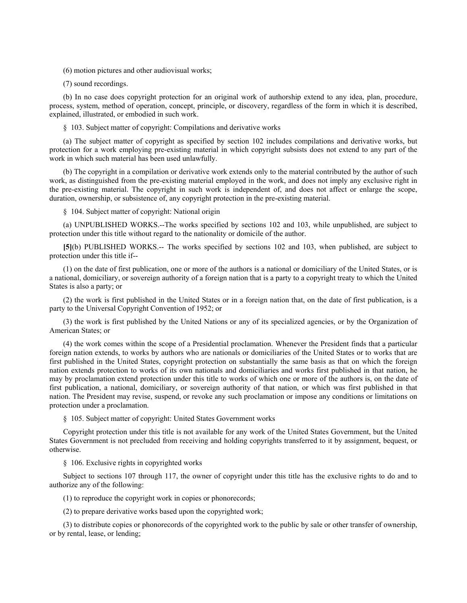(6) motion pictures and other audiovisual works;

(7) sound recordings.

(b) In no case does copyright protection for an original work of authorship extend to any idea, plan, procedure, process, system, method of operation, concept, principle, or discovery, regardless of the form in which it is described, explained, illustrated, or embodied in such work.

§ 103. Subject matter of copyright: Compilations and derivative works

(a) The subject matter of copyright as specified by section 102 includes compilations and derivative works, but protection for a work employing pre-existing material in which copyright subsists does not extend to any part of the work in which such material has been used unlawfully.

(b) The copyright in a compilation or derivative work extends only to the material contributed by the author of such work, as distinguished from the pre-existing material employed in the work, and does not imply any exclusive right in the pre-existing material. The copyright in such work is independent of, and does not affect or enlarge the scope, duration, ownership, or subsistence of, any copyright protection in the pre-existing material.

§ 104. Subject matter of copyright: National origin

(a) UNPUBLISHED WORKS.--The works specified by sections 102 and 103, while unpublished, are subject to protection under this title without regard to the nationality or domicile of the author.

**[5]**(b) PUBLISHED WORKS.-- The works specified by sections 102 and 103, when published, are subject to protection under this title if--

(1) on the date of first publication, one or more of the authors is a national or domiciliary of the United States, or is a national, domiciliary, or sovereign authority of a foreign nation that is a party to a copyright treaty to which the United States is also a party; or

(2) the work is first published in the United States or in a foreign nation that, on the date of first publication, is a party to the Universal Copyright Convention of 1952; or

(3) the work is first published by the United Nations or any of its specialized agencies, or by the Organization of American States; or

(4) the work comes within the scope of a Presidential proclamation. Whenever the President finds that a particular foreign nation extends, to works by authors who are nationals or domiciliaries of the United States or to works that are first published in the United States, copyright protection on substantially the same basis as that on which the foreign nation extends protection to works of its own nationals and domiciliaries and works first published in that nation, he may by proclamation extend protection under this title to works of which one or more of the authors is, on the date of first publication, a national, domiciliary, or sovereign authority of that nation, or which was first published in that nation. The President may revise, suspend, or revoke any such proclamation or impose any conditions or limitations on protection under a proclamation.

§ 105. Subject matter of copyright: United States Government works

Copyright protection under this title is not available for any work of the United States Government, but the United States Government is not precluded from receiving and holding copyrights transferred to it by assignment, bequest, or otherwise.

§ 106. Exclusive rights in copyrighted works

Subject to sections 107 through 117, the owner of copyright under this title has the exclusive rights to do and to authorize any of the following:

(1) to reproduce the copyright work in copies or phonorecords;

(2) to prepare derivative works based upon the copyrighted work;

(3) to distribute copies or phonorecords of the copyrighted work to the public by sale or other transfer of ownership, or by rental, lease, or lending;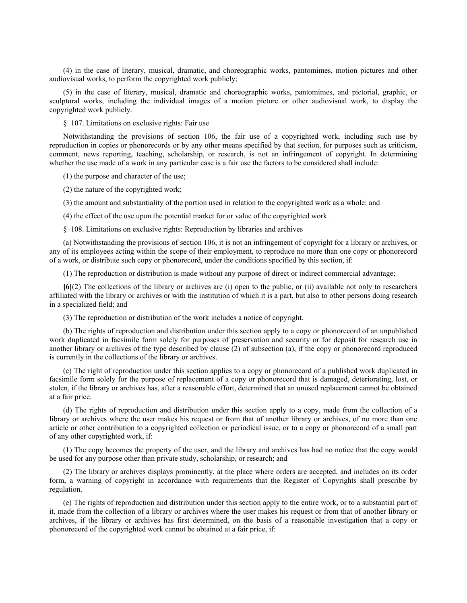(4) in the case of literary, musical, dramatic, and choreographic works, pantomimes, motion pictures and other audiovisual works, to perform the copyrighted work publicly;

(5) in the case of literary, musical, dramatic and choreographic works, pantomimes, and pictorial, graphic, or sculptural works, including the individual images of a motion picture or other audiovisual work, to display the copyrighted work publicly.

§ 107. Limitations on exclusive rights: Fair use

Notwithstanding the provisions of section 106, the fair use of a copyrighted work, including such use by reproduction in copies or phonorecords or by any other means specified by that section, for purposes such as criticism, comment, news reporting, teaching, scholarship, or research, is not an infringement of copyright. In determining whether the use made of a work in any particular case is a fair use the factors to be considered shall include:

(1) the purpose and character of the use;

(2) the nature of the copyrighted work;

(3) the amount and substantiality of the portion used in relation to the copyrighted work as a whole; and

(4) the effect of the use upon the potential market for or value of the copyrighted work.

§ 108. Limitations on exclusive rights: Reproduction by libraries and archives

(a) Notwithstanding the provisions of section 106, it is not an infringement of copyright for a library or archives, or any of its employees acting within the scope of their employment, to reproduce no more than one copy or phonorecord of a work, or distribute such copy or phonorecord, under the conditions specified by this section, if:

(1) The reproduction or distribution is made without any purpose of direct or indirect commercial advantage;

**[6]**(2) The collections of the library or archives are (i) open to the public, or (ii) available not only to researchers affiliated with the library or archives or with the institution of which it is a part, but also to other persons doing research in a specialized field; and

(3) The reproduction or distribution of the work includes a notice of copyright.

(b) The rights of reproduction and distribution under this section apply to a copy or phonorecord of an unpublished work duplicated in facsimile form solely for purposes of preservation and security or for deposit for research use in another library or archives of the type described by clause (2) of subsection (a), if the copy or phonorecord reproduced is currently in the collections of the library or archives.

(c) The right of reproduction under this section applies to a copy or phonorecord of a published work duplicated in facsimile form solely for the purpose of replacement of a copy or phonorecord that is damaged, deteriorating, lost, or stolen, if the library or archives has, after a reasonable effort, determined that an unused replacement cannot be obtained at a fair price.

(d) The rights of reproduction and distribution under this section apply to a copy, made from the collection of a library or archives where the user makes his request or from that of another library or archives, of no more than one article or other contribution to a copyrighted collection or periodical issue, or to a copy or phonorecord of a small part of any other copyrighted work, if:

(1) The copy becomes the property of the user, and the library and archives has had no notice that the copy would be used for any purpose other than private study, scholarship, or research; and

(2) The library or archives displays prominently, at the place where orders are accepted, and includes on its order form, a warning of copyright in accordance with requirements that the Register of Copyrights shall prescribe by regulation.

(e) The rights of reproduction and distribution under this section apply to the entire work, or to a substantial part of it, made from the collection of a library or archives where the user makes his request or from that of another library or archives, if the library or archives has first determined, on the basis of a reasonable investigation that a copy or phonorecord of the copyrighted work cannot be obtained at a fair price, if: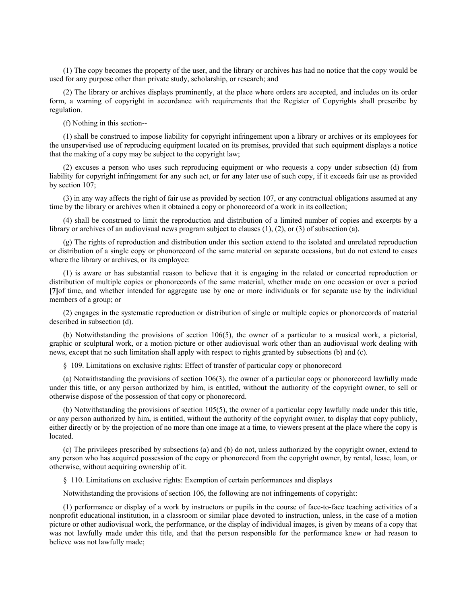(1) The copy becomes the property of the user, and the library or archives has had no notice that the copy would be used for any purpose other than private study, scholarship, or research; and

(2) The library or archives displays prominently, at the place where orders are accepted, and includes on its order form, a warning of copyright in accordance with requirements that the Register of Copyrights shall prescribe by regulation.

(f) Nothing in this section--

(1) shall be construed to impose liability for copyright infringement upon a library or archives or its employees for the unsupervised use of reproducing equipment located on its premises, provided that such equipment displays a notice that the making of a copy may be subject to the copyright law;

(2) excuses a person who uses such reproducing equipment or who requests a copy under subsection (d) from liability for copyright infringement for any such act, or for any later use of such copy, if it exceeds fair use as provided by section 107;

(3) in any way affects the right of fair use as provided by section 107, or any contractual obligations assumed at any time by the library or archives when it obtained a copy or phonorecord of a work in its collection;

(4) shall be construed to limit the reproduction and distribution of a limited number of copies and excerpts by a library or archives of an audiovisual news program subject to clauses (1), (2), or (3) of subsection (a).

(g) The rights of reproduction and distribution under this section extend to the isolated and unrelated reproduction or distribution of a single copy or phonorecord of the same material on separate occasions, but do not extend to cases where the library or archives, or its employee:

(1) is aware or has substantial reason to believe that it is engaging in the related or concerted reproduction or distribution of multiple copies or phonorecords of the same material, whether made on one occasion or over a period **[7]**of time, and whether intended for aggregate use by one or more individuals or for separate use by the individual members of a group; or

(2) engages in the systematic reproduction or distribution of single or multiple copies or phonorecords of material described in subsection (d).

(b) Notwithstanding the provisions of section 106(5), the owner of a particular to a musical work, a pictorial, graphic or sculptural work, or a motion picture or other audiovisual work other than an audiovisual work dealing with news, except that no such limitation shall apply with respect to rights granted by subsections (b) and (c).

§ 109. Limitations on exclusive rights: Effect of transfer of particular copy or phonorecord

(a) Notwithstanding the provisions of section 106(3), the owner of a particular copy or phonorecord lawfully made under this title, or any person authorized by him, is entitled, without the authority of the copyright owner, to sell or otherwise dispose of the possession of that copy or phonorecord.

(b) Notwithstanding the provisions of section 105(5), the owner of a particular copy lawfully made under this title, or any person authorized by him, is entitled, without the authority of the copyright owner, to display that copy publicly, either directly or by the projection of no more than one image at a time, to viewers present at the place where the copy is located.

(c) The privileges prescribed by subsections (a) and (b) do not, unless authorized by the copyright owner, extend to any person who has acquired possession of the copy or phonorecord from the copyright owner, by rental, lease, loan, or otherwise, without acquiring ownership of it.

§ 110. Limitations on exclusive rights: Exemption of certain performances and displays

Notwithstanding the provisions of section 106, the following are not infringements of copyright:

(1) performance or display of a work by instructors or pupils in the course of face-to-face teaching activities of a nonprofit educational institution, in a classroom or similar place devoted to instruction, unless, in the case of a motion picture or other audiovisual work, the performance, or the display of individual images, is given by means of a copy that was not lawfully made under this title, and that the person responsible for the performance knew or had reason to believe was not lawfully made;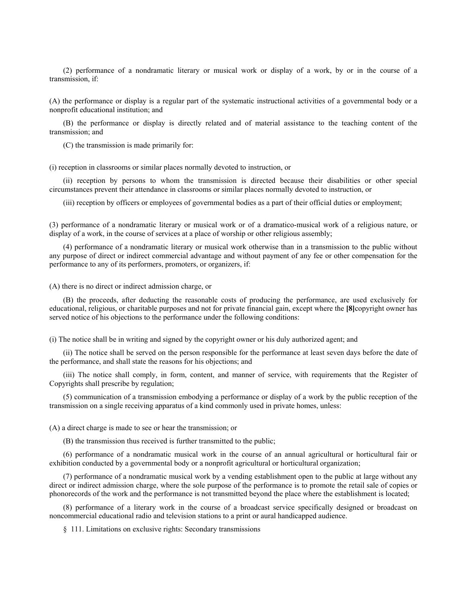(2) performance of a nondramatic literary or musical work or display of a work, by or in the course of a transmission, if:

(A) the performance or display is a regular part of the systematic instructional activities of a governmental body or a nonprofit educational institution; and

(B) the performance or display is directly related and of material assistance to the teaching content of the transmission; and

(C) the transmission is made primarily for:

(i) reception in classrooms or similar places normally devoted to instruction, or

(ii) reception by persons to whom the transmission is directed because their disabilities or other special circumstances prevent their attendance in classrooms or similar places normally devoted to instruction, or

(iii) reception by officers or employees of governmental bodies as a part of their official duties or employment;

(3) performance of a nondramatic literary or musical work or of a dramatico-musical work of a religious nature, or display of a work, in the course of services at a place of worship or other religious assembly;

(4) performance of a nondramatic literary or musical work otherwise than in a transmission to the public without any purpose of direct or indirect commercial advantage and without payment of any fee or other compensation for the performance to any of its performers, promoters, or organizers, if:

(A) there is no direct or indirect admission charge, or

(B) the proceeds, after deducting the reasonable costs of producing the performance, are used exclusively for educational, religious, or charitable purposes and not for private financial gain, except where the **[8]**copyright owner has served notice of his objections to the performance under the following conditions:

(i) The notice shall be in writing and signed by the copyright owner or his duly authorized agent; and

(ii) The notice shall be served on the person responsible for the performance at least seven days before the date of the performance, and shall state the reasons for his objections; and

(iii) The notice shall comply, in form, content, and manner of service, with requirements that the Register of Copyrights shall prescribe by regulation;

(5) communication of a transmission embodying a performance or display of a work by the public reception of the transmission on a single receiving apparatus of a kind commonly used in private homes, unless:

(A) a direct charge is made to see or hear the transmission; or

(B) the transmission thus received is further transmitted to the public;

(6) performance of a nondramatic musical work in the course of an annual agricultural or horticultural fair or exhibition conducted by a governmental body or a nonprofit agricultural or horticultural organization;

(7) performance of a nondramatic musical work by a vending establishment open to the public at large without any direct or indirect admission charge, where the sole purpose of the performance is to promote the retail sale of copies or phonorecords of the work and the performance is not transmitted beyond the place where the establishment is located;

(8) performance of a literary work in the course of a broadcast service specifically designed or broadcast on noncommercial educational radio and television stations to a print or aural handicapped audience.

§ 111. Limitations on exclusive rights: Secondary transmissions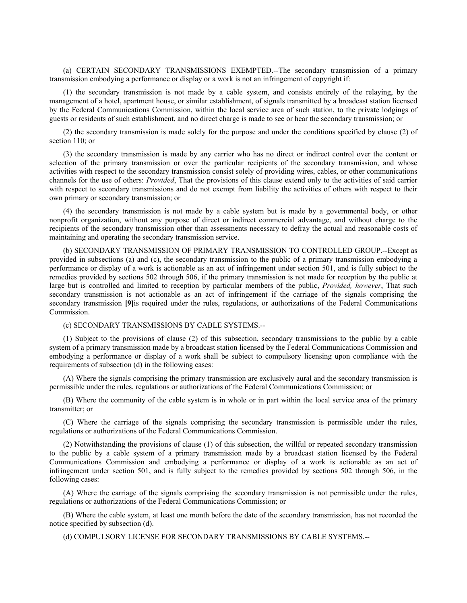(a) CERTAIN SECONDARY TRANSMISSIONS EXEMPTED.--The secondary transmission of a primary transmission embodying a performance or display or a work is not an infringement of copyright if:

(1) the secondary transmission is not made by a cable system, and consists entirely of the relaying, by the management of a hotel, apartment house, or similar establishment, of signals transmitted by a broadcast station licensed by the Federal Communications Commission, within the local service area of such station, to the private lodgings of guests or residents of such establishment, and no direct charge is made to see or hear the secondary transmission; or

(2) the secondary transmission is made solely for the purpose and under the conditions specified by clause (2) of section 110; or

(3) the secondary transmission is made by any carrier who has no direct or indirect control over the content or selection of the primary transmission or over the particular recipients of the secondary transmission, and whose activities with respect to the secondary transmission consist solely of providing wires, cables, or other communications channels for the use of others: *Provided*, That the provisions of this clause extend only to the activities of said carrier with respect to secondary transmissions and do not exempt from liability the activities of others with respect to their own primary or secondary transmission; or

(4) the secondary transmission is not made by a cable system but is made by a governmental body, or other nonprofit organization, without any purpose of direct or indirect commercial advantage, and without charge to the recipients of the secondary transmission other than assessments necessary to defray the actual and reasonable costs of maintaining and operating the secondary transmission service.

(b) SECONDARY TRANSMISSION OF PRIMARY TRANSMISSION TO CONTROLLED GROUP.--Except as provided in subsections (a) and (c), the secondary transmission to the public of a primary transmission embodying a performance or display of a work is actionable as an act of infringement under section 501, and is fully subject to the remedies provided by sections 502 through 506, if the primary transmission is not made for reception by the public at large but is controlled and limited to reception by particular members of the public, *Provided, however*, That such secondary transmission is not actionable as an act of infringement if the carriage of the signals comprising the secondary transmission **[9]**is required under the rules, regulations, or authorizations of the Federal Communications Commission.

(c) SECONDARY TRANSMISSIONS BY CABLE SYSTEMS.--

(1) Subject to the provisions of clause (2) of this subsection, secondary transmissions to the public by a cable system of a primary transmission made by a broadcast station licensed by the Federal Communications Commission and embodying a performance or display of a work shall be subject to compulsory licensing upon compliance with the requirements of subsection (d) in the following cases:

(A) Where the signals comprising the primary transmission are exclusively aural and the secondary transmission is permissible under the rules, regulations or authorizations of the Federal Communications Commission; or

(B) Where the community of the cable system is in whole or in part within the local service area of the primary transmitter; or

(C) Where the carriage of the signals comprising the secondary transmission is permissible under the rules, regulations or authorizations of the Federal Communications Commission.

(2) Notwithstanding the provisions of clause (1) of this subsection, the willful or repeated secondary transmission to the public by a cable system of a primary transmission made by a broadcast station licensed by the Federal Communications Commission and embodying a performance or display of a work is actionable as an act of infringement under section 501, and is fully subject to the remedies provided by sections 502 through 506, in the following cases:

(A) Where the carriage of the signals comprising the secondary transmission is not permissible under the rules, regulations or authorizations of the Federal Communications Commission; or

(B) Where the cable system, at least one month before the date of the secondary transmission, has not recorded the notice specified by subsection (d).

(d) COMPULSORY LICENSE FOR SECONDARY TRANSMISSIONS BY CABLE SYSTEMS.--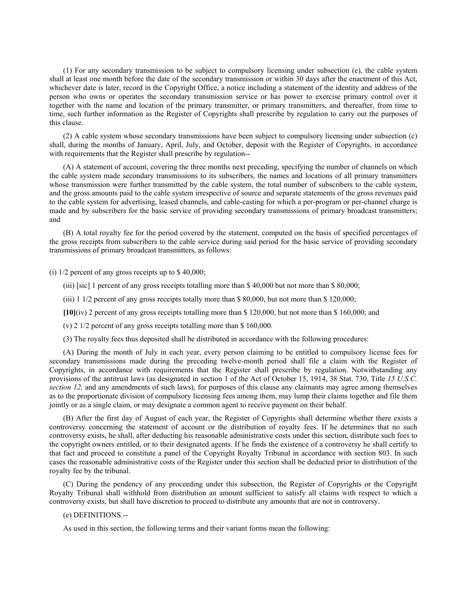(1) For any secondary transmission to be subject to compulsory licensing under subsection (e), the cable system shall at least one month before the date of the secondary transmission or within 30 days after the enactment of this Act, whichever date is later, record in the Copyright Office, a notice including a statement of the identity and address of the person who owns or operates the secondary transmission service or has power to exercise primary control over it together with the name and location of the primary transmitter, or primary transmitters, and thereafter, from time to time, such further information as the Register of Copyrights shall prescribe by regulation to carry out the purposes of this clause.

(2) A cable system whose secondary transmissions have been subject to compulsory licensing under subsection (c) shall, during the months of January, April, July, and October, deposit with the Register of Copyrights, in accordance with requirements that the Register shall prescribe by regulation--

(A) A statement of account, covering the three months next preceding, specifying the number of channels on which the cable system made secondary transmissions to its subscribers, the names and locations of all primary transmitters whose transmission were further transmitted by the cable system, the total number of subscribers to the cable system, and the gross amounts paid to the cable system irrespective of source and separate statements of the gross revenues paid to the cable system for advertising, leased channels, and cable-casting for which a per-program or per-channel charge is made and by subscribers for the basic service of providing secondary transmissions of primary broadcast transmitters; and

(B) A total royalty fee for the period covered by the statement, computed on the basis of specified percentages of the gross receipts from subscribers to the cable service during said period for the basic service of providing secondary transmissions of primary broadcast transmitters, as follows:

(i)  $1/2$  percent of any gross receipts up to \$40,000;

(iii) [sic] 1 percent of any gross receipts totalling more than \$ 40,000 but not more than \$ 80,000;

(iii) 1 1/2 percent of any gross receipts totally more than \$ 80,000, but not more than \$ 120,000;

**[10]**(iv) 2 percent of any gross receipts totalling more than \$ 120,000, but not more than \$ 160,000; and

(v) 2 1/2 percent of any gross receipts totalling more than \$ 160,000.

(3) The royalty fees thus deposited shall be distributed in accordance with the following procedures:

(A) During the month of July in each year, every person claiming to be entitled to compulsory license fees for secondary transmissions made during the preceding twelve-month period shall file a claim with the Register of Copyrights, in accordance with requirements that the Register shall prescribe by regulation. Notwithstanding any provisions of the antitrust laws (as designated in section 1 of the Act of October 15, 1914, 38 Stat. 730, Title *15 U.S.C. section 12,* and any amendments of such laws), for purposes of this clause any claimants may agree among themselves as to the proportionate division of compulsory licensing fees among them, may lump their claims together and file them jointly or as a single claim, or may designate a common agent to receive payment on their behalf.

(B) After the first day of August of each year, the Register of Copyrights shall determine whether there exists a controversy concerning the statement of account or the distribution of royalty fees. If he determines that no such controversy exists, he shall, after deducting his reasonable administrative costs under this section, distribute such fees to the copyright owners entitled, or to their designated agents. If he finds the existence of a controversy he shall certify to that fact and proceed to constitute a panel of the Copyright Royalty Tribunal in accordance with section 803. In such cases the reasonable administrative costs of the Register under this section shall be deducted prior to distribution of the royalty fee by the tribunal.

(C) During the pendency of any proceeding under this subsection, the Register of Copyrights or the Copyright Royalty Tribunal shall withhold from distribution an amount sufficient to satisfy all claims with respect to which a controversy exists, but shall have discretion to proceed to distribute any amounts that are not in controversy.

# (e) DEFINITIONS.--

As used in this section, the following terms and their variant forms mean the following: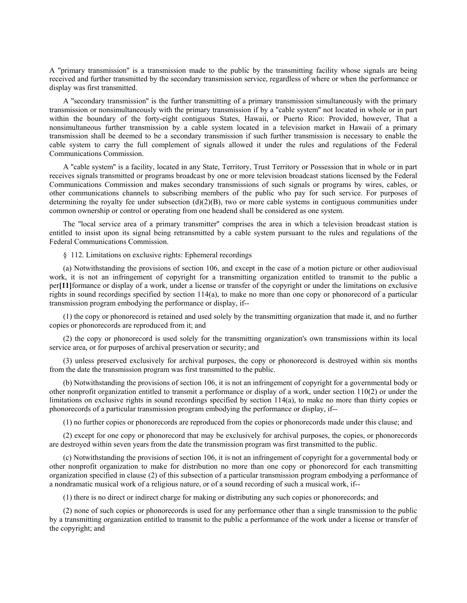A ''primary transmission'' is a transmission made to the public by the transmitting facility whose signals are being received and further transmitted by the secondary transmission service, regardless of where or when the performance or display was first transmitted.

A ''secondary transmission'' is the further transmitting of a primary transmission simultaneously with the primary transmission or nonsimultaneously with the primary transmission if by a ''cable system'' not located in whole or in part within the boundary of the forty-eight contiguous States, Hawaii, or Puerto Rico: Provided, however, That a nonsimultaneous further transmission by a cable system located in a television market in Hawaii of a primary transmission shall be deemed to be a secondary transmission if such further transmission is necessary to enable the cable system to carry the full complement of signals allowed it under the rules and regulations of the Federal Communications Commission.

A ''cable system'' is a facility, located in any State, Territory, Trust Territory or Possession that in whole or in part receives signals transmitted or programs broadcast by one or more television broadcast stations licensed by the Federal Communications Commission and makes secondary transmissions of such signals or programs by wires, cables, or other communications channels to subscribing members of the public who pay for such service. For purposes of determining the royalty fee under subsection  $(d)(2)(B)$ , two or more cable systems in contiguous communities under common ownership or control or operating from one headend shall be considered as one system.

The ''local service area of a primary transmitter'' comprises the area in which a television broadcast station is entitled to insist upon its signal being retransmitted by a cable system pursuant to the rules and regulations of the Federal Communications Commission.

§ 112. Limitations on exclusive rights: Ephemeral recordings

(a) Notwithstanding the provisions of section 106, and except in the case of a motion picture or other audiovisual work, it is not an infringement of copyright for a transmitting organization entitled to transmit to the public a per**[11]**formance or display of a work, under a license or transfer of the copyright or under the limitations on exclusive rights in sound recordings specified by section 114(a), to make no more than one copy or phonorecord of a particular transmission program embodying the performance or display, if--

(1) the copy or phonorecord is retained and used solely by the transmitting organization that made it, and no further copies or phonorecords are reproduced from it; and

(2) the copy or phonorecord is used solely for the transmitting organization's own transmissions within its local service area, or for purposes of archival preservation or security; and

(3) unless preserved exclusively for archival purposes, the copy or phonorecord is destroyed within six months from the date the transmission program was first transmitted to the public.

(b) Notwithstanding the provisions of section 106, it is not an infringement of copyright for a governmental body or other nonprofit organization entitled to transmit a performance or display of a work, under section 110(2) or under the limitations on exclusive rights in sound recordings specified by section 114(a), to make no more than thirty copies or phonorecords of a particular transmission program embodying the performance or display, if--

(1) no further copies or phonorecords are reproduced from the copies or phonorecords made under this clause; and

(2) except for one copy or phonorecord that may be exclusively for archival purposes, the copies, or phonorecords are destroyed within seven years from the date the transmission program was first transmitted to the public.

(c) Notwithstanding the provisions of section 106, it is not an infringement of copyright for a governmental body or other nonprofit organization to make for distribution no more than one copy or phonorecord for each transmitting organization specified in clause (2) of this subsection of a particular transmission program embodying a performance of a nondramatic musical work of a religious nature, or of a sound recording of such a musical work, if--

(1) there is no direct or indirect charge for making or distributing any such copies or phonorecords; and

(2) none of such copies or phonorecords is used for any performance other than a single transmission to the public by a transmitting organization entitled to transmit to the public a performance of the work under a license or transfer of the copyright; and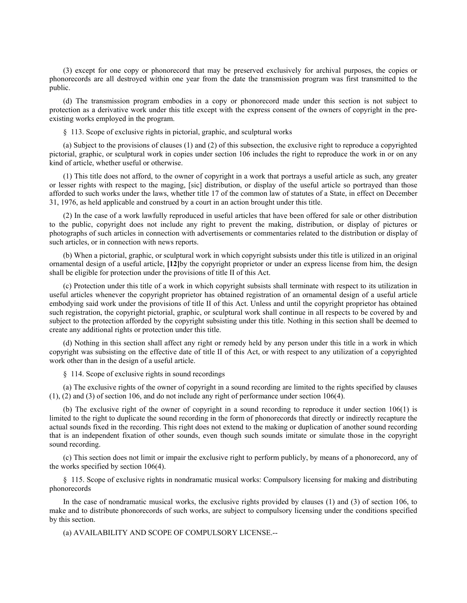(3) except for one copy or phonorecord that may be preserved exclusively for archival purposes, the copies or phonorecords are all destroyed within one year from the date the transmission program was first transmitted to the public.

(d) The transmission program embodies in a copy or phonorecord made under this section is not subject to protection as a derivative work under this title except with the express consent of the owners of copyright in the preexisting works employed in the program.

§ 113. Scope of exclusive rights in pictorial, graphic, and sculptural works

(a) Subject to the provisions of clauses (1) and (2) of this subsection, the exclusive right to reproduce a copyrighted pictorial, graphic, or sculptural work in copies under section 106 includes the right to reproduce the work in or on any kind of article, whether useful or otherwise.

(1) This title does not afford, to the owner of copyright in a work that portrays a useful article as such, any greater or lesser rights with respect to the maging, [sic] distribution, or display of the useful article so portrayed than those afforded to such works under the laws, whether title 17 of the common law of statutes of a State, in effect on December 31, 1976, as held applicable and construed by a court in an action brought under this title.

(2) In the case of a work lawfully reproduced in useful articles that have been offered for sale or other distribution to the public, copyright does not include any right to prevent the making, distribution, or display of pictures or photographs of such articles in connection with advertisements or commentaries related to the distribution or display of such articles, or in connection with news reports.

(b) When a pictorial, graphic, or sculptural work in which copyright subsists under this title is utilized in an original ornamental design of a useful article, **[12]**by the copyright proprietor or under an express license from him, the design shall be eligible for protection under the provisions of title II of this Act.

(c) Protection under this title of a work in which copyright subsists shall terminate with respect to its utilization in useful articles whenever the copyright proprietor has obtained registration of an ornamental design of a useful article embodying said work under the provisions of title II of this Act. Unless and until the copyright proprietor has obtained such registration, the copyright pictorial, graphic, or sculptural work shall continue in all respects to be covered by and subject to the protection afforded by the copyright subsisting under this title. Nothing in this section shall be deemed to create any additional rights or protection under this title.

(d) Nothing in this section shall affect any right or remedy held by any person under this title in a work in which copyright was subsisting on the effective date of title II of this Act, or with respect to any utilization of a copyrighted work other than in the design of a useful article.

§ 114. Scope of exclusive rights in sound recordings

(a) The exclusive rights of the owner of copyright in a sound recording are limited to the rights specified by clauses (1), (2) and (3) of section 106, and do not include any right of performance under section 106(4).

(b) The exclusive right of the owner of copyright in a sound recording to reproduce it under section 106(1) is limited to the right to duplicate the sound recording in the form of phonorecords that directly or indirectly recapture the actual sounds fixed in the recording. This right does not extend to the making or duplication of another sound recording that is an independent fixation of other sounds, even though such sounds imitate or simulate those in the copyright sound recording.

(c) This section does not limit or impair the exclusive right to perform publicly, by means of a phonorecord, any of the works specified by section 106(4).

§ 115. Scope of exclusive rights in nondramatic musical works: Compulsory licensing for making and distributing phonorecords

In the case of nondramatic musical works, the exclusive rights provided by clauses (1) and (3) of section 106, to make and to distribute phonorecords of such works, are subject to compulsory licensing under the conditions specified by this section.

(a) AVAILABILITY AND SCOPE OF COMPULSORY LICENSE.--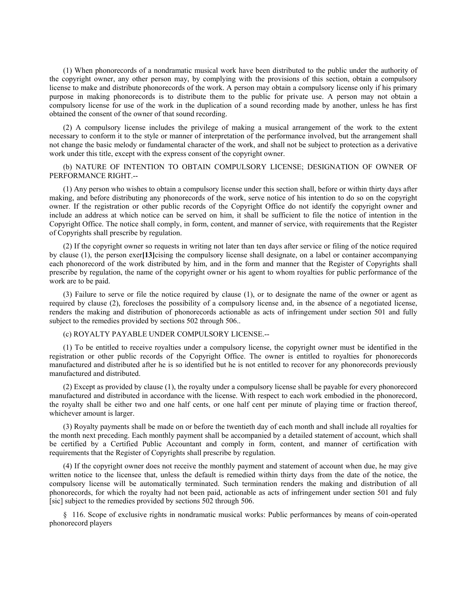(1) When phonorecords of a nondramatic musical work have been distributed to the public under the authority of the copyright owner, any other person may, by complying with the provisions of this section, obtain a compulsory license to make and distribute phonorecords of the work. A person may obtain a compulsory license only if his primary purpose in making phonorecords is to distribute them to the public for private use. A person may not obtain a compulsory license for use of the work in the duplication of a sound recording made by another, unless he has first obtained the consent of the owner of that sound recording.

(2) A compulsory license includes the privilege of making a musical arrangement of the work to the extent necessary to conform it to the style or manner of interpretation of the performance involved, but the arrangement shall not change the basic melody or fundamental character of the work, and shall not be subject to protection as a derivative work under this title, except with the express consent of the copyright owner.

(b) NATURE OF INTENTION TO OBTAIN COMPULSORY LICENSE; DESIGNATION OF OWNER OF PERFORMANCE RIGHT.--

(1) Any person who wishes to obtain a compulsory license under this section shall, before or within thirty days after making, and before distributing any phonorecords of the work, serve notice of his intention to do so on the copyright owner. If the registration or other public records of the Copyright Office do not identify the copyright owner and include an address at which notice can be served on him, it shall be sufficient to file the notice of intention in the Copyright Office. The notice shall comply, in form, content, and manner of service, with requirements that the Register of Copyrights shall prescribe by regulation.

(2) If the copyright owner so requests in writing not later than ten days after service or filing of the notice required by clause (1), the person exer**[13]**cising the compulsory license shall designate, on a label or container accompanying each phonorecord of the work distributed by him, and in the form and manner that the Register of Copyrights shall prescribe by regulation, the name of the copyright owner or his agent to whom royalties for public performance of the work are to be paid.

(3) Failure to serve or file the notice required by clause (1), or to designate the name of the owner or agent as required by clause (2), forecloses the possibility of a compulsory license and, in the absence of a negotiated license, renders the making and distribution of phonorecords actionable as acts of infringement under section 501 and fully subject to the remedies provided by sections 502 through 506..

### (c) ROYALTY PAYABLE UNDER COMPULSORY LICENSE.--

(1) To be entitled to receive royalties under a compulsory license, the copyright owner must be identified in the registration or other public records of the Copyright Office. The owner is entitled to royalties for phonorecords manufactured and distributed after he is so identified but he is not entitled to recover for any phonorecords previously manufactured and distributed.

(2) Except as provided by clause (1), the royalty under a compulsory license shall be payable for every phonorecord manufactured and distributed in accordance with the license. With respect to each work embodied in the phonorecord, the royalty shall be either two and one half cents, or one half cent per minute of playing time or fraction thereof, whichever amount is larger.

(3) Royalty payments shall be made on or before the twentieth day of each month and shall include all royalties for the month next preceding. Each monthly payment shall be accompanied by a detailed statement of account, which shall be certified by a Certified Public Accountant and comply in form, content, and manner of certification with requirements that the Register of Copyrights shall prescribe by regulation.

(4) If the copyright owner does not receive the monthly payment and statement of account when due, he may give written notice to the licensee that, unless the default is remedied within thirty days from the date of the notice, the compulsory license will be automatically terminated. Such termination renders the making and distribution of all phonorecords, for which the royalty had not been paid, actionable as acts of infringement under section 501 and fuly [sic] subject to the remedies provided by sections 502 through 506.

§ 116. Scope of exclusive rights in nondramatic musical works: Public performances by means of coin-operated phonorecord players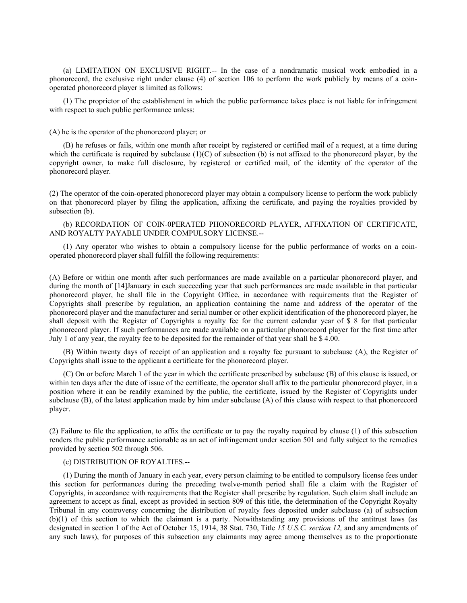(a) LIMITATION ON EXCLUSIVE RIGHT.-- In the case of a nondramatic musical work embodied in a phonorecord, the exclusive right under clause (4) of section 106 to perform the work publicly by means of a coinoperated phonorecord player is limited as follows:

(1) The proprietor of the establishment in which the public performance takes place is not liable for infringement with respect to such public performance unless:

(A) he is the operator of the phonorecord player; or

(B) he refuses or fails, within one month after receipt by registered or certified mail of a request, at a time during which the certificate is required by subclause  $(1)(C)$  of subsection (b) is not affixed to the phonorecord player, by the copyright owner, to make full disclosure, by registered or certified mail, of the identity of the operator of the phonorecord player.

(2) The operator of the coin-operated phonorecord player may obtain a compulsory license to perform the work publicly on that phonorecord player by filing the application, affixing the certificate, and paying the royalties provided by subsection (b).

(b) RECORDATION OF COIN-0PERATED PHONORECORD PLAYER, AFFIXATION OF CERTIFICATE, AND ROYALTY PAYABLE UNDER COMPULSORY LICENSE.--

(1) Any operator who wishes to obtain a compulsory license for the public performance of works on a coinoperated phonorecord player shall fulfill the following requirements:

(A) Before or within one month after such performances are made available on a particular phonorecord player, and during the month of [14]January in each succeeding year that such performances are made available in that particular phonorecord player, he shall file in the Copyright Office, in accordance with requirements that the Register of Copyrights shall prescribe by regulation, an application containing the name and address of the operator of the phonorecord player and the manufacturer and serial number or other explicit identification of the phonorecord player, he shall deposit with the Register of Copyrights a royalty fee for the current calendar year of \$ 8 for that particular phonorecord player. If such performances are made available on a particular phonorecord player for the first time after July 1 of any year, the royalty fee to be deposited for the remainder of that year shall be \$ 4.00.

(B) Within twenty days of receipt of an application and a royalty fee pursuant to subclause (A), the Register of Copyrights shall issue to the applicant a certificate for the phonorecord player.

(C) On or before March 1 of the year in which the certificate prescribed by subclause (B) of this clause is issued, or within ten days after the date of issue of the certificate, the operator shall affix to the particular phonorecord player, in a position where it can be readily examined by the public, the certificate, issued by the Register of Copyrights under subclause (B), of the latest application made by him under subclause (A) of this clause with respect to that phonorecord player.

(2) Failure to file the application, to affix the certificate or to pay the royalty required by clause (1) of this subsection renders the public performance actionable as an act of infringement under section 501 and fully subject to the remedies provided by section 502 through 506.

(c) DISTRIBUTION OF ROYALTIES.--

(1) During the month of January in each year, every person claiming to be entitled to compulsory license fees under this section for performances during the preceding twelve-month period shall file a claim with the Register of Copyrights, in accordance with requirements that the Register shall prescribe by regulation. Such claim shall include an agreement to accept as final, except as provided in section 809 of this title, the determination of the Copyright Royalty Tribunal in any controversy concerning the distribution of royalty fees deposited under subclause (a) of subsection (b)(1) of this section to which the claimant is a party. Notwithstanding any provisions of the antitrust laws (as designated in section 1 of the Act of October 15, 1914, 38 Stat. 730, Title *15 U.S.C. section 12,* and any amendments of any such laws), for purposes of this subsection any claimants may agree among themselves as to the proportionate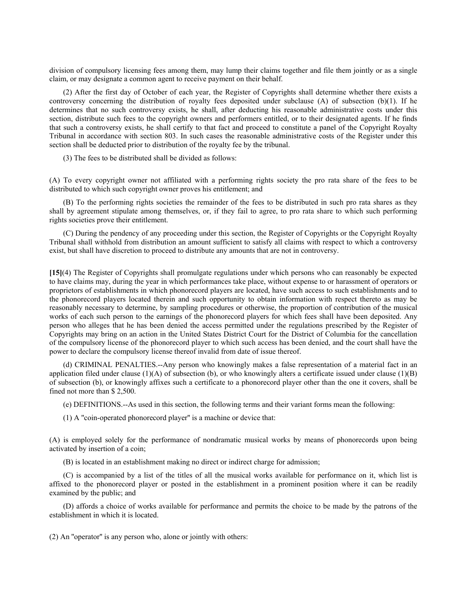division of compulsory licensing fees among them, may lump their claims together and file them jointly or as a single claim, or may designate a common agent to receive payment on their behalf.

(2) After the first day of October of each year, the Register of Copyrights shall determine whether there exists a controversy concerning the distribution of royalty fees deposited under subclause  $(A)$  of subsection  $(b)(1)$ . If he determines that no such controversy exists, he shall, after deducting his reasonable administrative costs under this section, distribute such fees to the copyright owners and performers entitled, or to their designated agents. If he finds that such a controversy exists, he shall certify to that fact and proceed to constitute a panel of the Copyright Royalty Tribunal in accordance with section 803. In such cases the reasonable administrative costs of the Register under this section shall be deducted prior to distribution of the royalty fee by the tribunal.

(3) The fees to be distributed shall be divided as follows:

(A) To every copyright owner not affiliated with a performing rights society the pro rata share of the fees to be distributed to which such copyright owner proves his entitlement; and

(B) To the performing rights societies the remainder of the fees to be distributed in such pro rata shares as they shall by agreement stipulate among themselves, or, if they fail to agree, to pro rata share to which such performing rights societies prove their entitlement.

(C) During the pendency of any proceeding under this section, the Register of Copyrights or the Copyright Royalty Tribunal shall withhold from distribution an amount sufficient to satisfy all claims with respect to which a controversy exist, but shall have discretion to proceed to distribute any amounts that are not in controversy.

**[15]**(4) The Register of Copyrights shall promulgate regulations under which persons who can reasonably be expected to have claims may, during the year in which performances take place, without expense to or harassment of operators or proprietors of establishments in which phonorecord players are located, have such access to such establishments and to the phonorecord players located therein and such opportunity to obtain information with respect thereto as may be reasonably necessary to determine, by sampling procedures or otherwise, the proportion of contribution of the musical works of each such person to the earnings of the phonorecord players for which fees shall have been deposited. Any person who alleges that he has been denied the access permitted under the regulations prescribed by the Register of Copyrights may bring on an action in the United States District Court for the District of Columbia for the cancellation of the compulsory license of the phonorecord player to which such access has been denied, and the court shall have the power to declare the compulsory license thereof invalid from date of issue thereof.

(d) CRIMINAL PENALTIES.--Any person who knowingly makes a false representation of a material fact in an application filed under clause  $(1)(A)$  of subsection (b), or who knowingly alters a certificate issued under clause  $(1)(B)$ of subsection (b), or knowingly affixes such a certificate to a phonorecord player other than the one it covers, shall be fined not more than \$ 2,500.

(e) DEFINITIONS.--As used in this section, the following terms and their variant forms mean the following:

(1) A ''coin-operated phonorecord player'' is a machine or device that:

(A) is employed solely for the performance of nondramatic musical works by means of phonorecords upon being activated by insertion of a coin;

(B) is located in an establishment making no direct or indirect charge for admission;

(C) is accompanied by a list of the titles of all the musical works available for performance on it, which list is affixed to the phonorecord player or posted in the establishment in a prominent position where it can be readily examined by the public; and

(D) affords a choice of works available for performance and permits the choice to be made by the patrons of the establishment in which it is located.

(2) An ''operator'' is any person who, alone or jointly with others: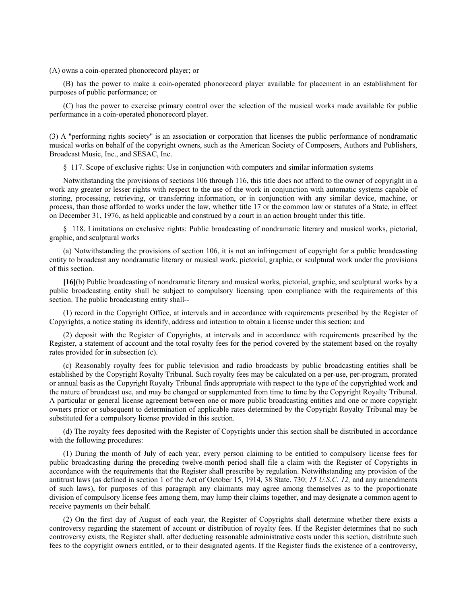(A) owns a coin-operated phonorecord player; or

(B) has the power to make a coin-operated phonorecord player available for placement in an establishment for purposes of public performance; or

(C) has the power to exercise primary control over the selection of the musical works made available for public performance in a coin-operated phonorecord player.

(3) A ''performing rights society'' is an association or corporation that licenses the public performance of nondramatic musical works on behalf of the copyright owners, such as the American Society of Composers, Authors and Publishers, Broadcast Music, Inc., and SESAC, Inc.

§ 117. Scope of exclusive rights: Use in conjunction with computers and similar information systems

Notwithstanding the provisions of sections 106 through 116, this title does not afford to the owner of copyright in a work any greater or lesser rights with respect to the use of the work in conjunction with automatic systems capable of storing, processing, retrieving, or transferring information, or in conjunction with any similar device, machine, or process, than those afforded to works under the law, whether title 17 or the common law or statutes of a State, in effect on December 31, 1976, as held applicable and construed by a court in an action brought under this title.

§ 118. Limitations on exclusive rights: Public broadcasting of nondramatic literary and musical works, pictorial, graphic, and sculptural works

(a) Notwithstanding the provisions of section 106, it is not an infringement of copyright for a public broadcasting entity to broadcast any nondramatic literary or musical work, pictorial, graphic, or sculptural work under the provisions of this section.

**[16]**(b) Public broadcasting of nondramatic literary and musical works, pictorial, graphic, and sculptural works by a public broadcasting entity shall be subject to compulsory licensing upon compliance with the requirements of this section. The public broadcasting entity shall--

(1) record in the Copyright Office, at intervals and in accordance with requirements prescribed by the Register of Copyrights, a notice stating its identify, address and intention to obtain a license under this section; and

(2) deposit with the Register of Copyrights, at intervals and in accordance with requirements prescribed by the Register, a statement of account and the total royalty fees for the period covered by the statement based on the royalty rates provided for in subsection (c).

(c) Reasonably royalty fees for public television and radio broadcasts by public broadcasting entities shall be established by the Copyright Royalty Tribunal. Such royalty fees may be calculated on a per-use, per-program, prorated or annual basis as the Copyright Royalty Tribunal finds appropriate with respect to the type of the copyrighted work and the nature of broadcast use, and may be changed or supplemented from time to time by the Copyright Royalty Tribunal. A particular or general license agreement between one or more public broadcasting entities and one or more copyright owners prior or subsequent to determination of applicable rates determined by the Copyright Royalty Tribunal may be substituted for a compulsory license provided in this section.

(d) The royalty fees deposited with the Register of Copyrights under this section shall be distributed in accordance with the following procedures:

(1) During the month of July of each year, every person claiming to be entitled to compulsory license fees for public broadcasting during the preceding twelve-month period shall file a claim with the Register of Copyrights in accordance with the requirements that the Register shall prescribe by regulation. Notwithstanding any provision of the antitrust laws (as defined in section 1 of the Act of October 15, 1914, 38 State. 730; *15 U.S.C. 12,* and any amendments of such laws), for purposes of this paragraph any claimants may agree among themselves as to the proportionate division of compulsory license fees among them, may lump their claims together, and may designate a common agent to receive payments on their behalf.

(2) On the first day of August of each year, the Register of Copyrights shall determine whether there exists a controversy regarding the statement of account or distribution of royalty fees. If the Register determines that no such controversy exists, the Register shall, after deducting reasonable administrative costs under this section, distribute such fees to the copyright owners entitled, or to their designated agents. If the Register finds the existence of a controversy,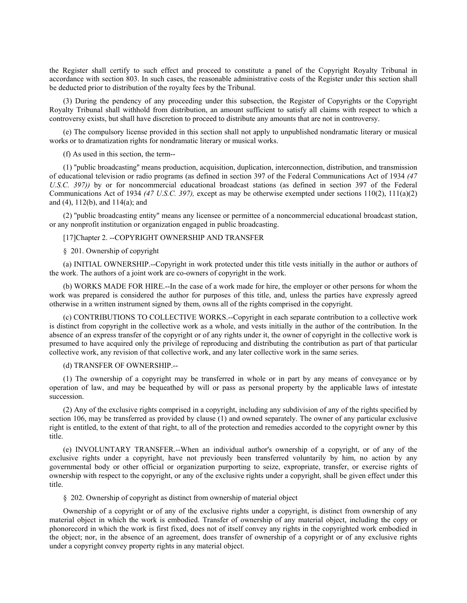the Register shall certify to such effect and proceed to constitute a panel of the Copyright Royalty Tribunal in accordance with section 803. In such cases, the reasonable administrative costs of the Register under this section shall be deducted prior to distribution of the royalty fees by the Tribunal.

(3) During the pendency of any proceeding under this subsection, the Register of Copyrights or the Copyright Royalty Tribunal shall withhold from distribution, an amount sufficient to satisfy all claims with respect to which a controversy exists, but shall have discretion to proceed to distribute any amounts that are not in controversy.

(e) The compulsory license provided in this section shall not apply to unpublished nondramatic literary or musical works or to dramatization rights for nondramatic literary or musical works.

(f) As used in this section, the term--

(1) ''public broadcasting'' means production, acquisition, duplication, interconnection, distribution, and transmission of educational television or radio programs (as defined in section 397 of the Federal Communications Act of 1934 *(47 U.S.C. 397))* by or for noncommercial educational broadcast stations (as defined in section 397 of the Federal Communications Act of 1934 *(47 U.S.C. 397),* except as may be otherwise exempted under sections 110(2), 111(a)(2) and (4), 112(b), and 114(a); and

(2) ''public broadcasting entity'' means any licensee or permittee of a noncommercial educational broadcast station, or any nonprofit institution or organization engaged in public broadcasting.

[17]Chapter 2. --COPYRIGHT OWNERSHIP AND TRANSFER

§ 201. Ownership of copyright

(a) INITIAL OWNERSHIP.--Copyright in work protected under this title vests initially in the author or authors of the work. The authors of a joint work are co-owners of copyright in the work.

(b) WORKS MADE FOR HIRE.--In the case of a work made for hire, the employer or other persons for whom the work was prepared is considered the author for purposes of this title, and, unless the parties have expressly agreed otherwise in a written instrument signed by them, owns all of the rights comprised in the copyright.

(c) CONTRIBUTIONS TO COLLECTIVE WORKS.--Copyright in each separate contribution to a collective work is distinct from copyright in the collective work as a whole, and vests initially in the author of the contribution. In the absence of an express transfer of the copyright or of any rights under it, the owner of copyright in the collective work is presumed to have acquired only the privilege of reproducing and distributing the contribution as part of that particular collective work, any revision of that collective work, and any later collective work in the same series.

(d) TRANSFER OF OWNERSHIP.--

(1) The ownership of a copyright may be transferred in whole or in part by any means of conveyance or by operation of law, and may be bequeathed by will or pass as personal property by the applicable laws of intestate succession.

(2) Any of the exclusive rights comprised in a copyright, including any subdivision of any of the rights specified by section 106, may be transferred as provided by clause (1) and owned separately. The owner of any particular exclusive right is entitled, to the extent of that right, to all of the protection and remedies accorded to the copyright owner by this title.

(e) INVOLUNTARY TRANSFER.--When an individual author's ownership of a copyright, or of any of the exclusive rights under a copyright, have not previously been transferred voluntarily by him, no action by any governmental body or other official or organization purporting to seize, expropriate, transfer, or exercise rights of ownership with respect to the copyright, or any of the exclusive rights under a copyright, shall be given effect under this title.

§ 202. Ownership of copyright as distinct from ownership of material object

Ownership of a copyright or of any of the exclusive rights under a copyright, is distinct from ownership of any material object in which the work is embodied. Transfer of ownership of any material object, including the copy or phonorecord in which the work is first fixed, does not of itself convey any rights in the copyrighted work embodied in the object; nor, in the absence of an agreement, does transfer of ownership of a copyright or of any exclusive rights under a copyright convey property rights in any material object.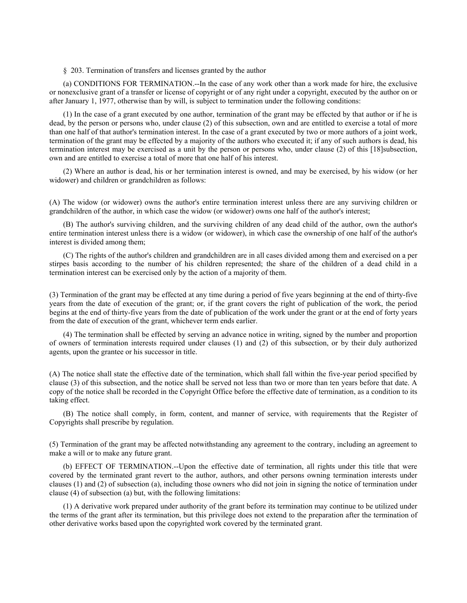§ 203. Termination of transfers and licenses granted by the author

(a) CONDITIONS FOR TERMINATION.--In the case of any work other than a work made for hire, the exclusive or nonexclusive grant of a transfer or license of copyright or of any right under a copyright, executed by the author on or after January 1, 1977, otherwise than by will, is subject to termination under the following conditions:

(1) In the case of a grant executed by one author, termination of the grant may be effected by that author or if he is dead, by the person or persons who, under clause (2) of this subsection, own and are entitled to exercise a total of more than one half of that author's termination interest. In the case of a grant executed by two or more authors of a joint work, termination of the grant may be effected by a majority of the authors who executed it; if any of such authors is dead, his termination interest may be exercised as a unit by the person or persons who, under clause (2) of this [18]subsection, own and are entitled to exercise a total of more that one half of his interest.

(2) Where an author is dead, his or her termination interest is owned, and may be exercised, by his widow (or her widower) and children or grandchildren as follows:

(A) The widow (or widower) owns the author's entire termination interest unless there are any surviving children or grandchildren of the author, in which case the widow (or widower) owns one half of the author's interest;

(B) The author's surviving children, and the surviving children of any dead child of the author, own the author's entire termination interest unless there is a widow (or widower), in which case the ownership of one half of the author's interest is divided among them;

(C) The rights of the author's children and grandchildren are in all cases divided among them and exercised on a per stirpes basis according to the number of his children represented; the share of the children of a dead child in a termination interest can be exercised only by the action of a majority of them.

(3) Termination of the grant may be effected at any time during a period of five years beginning at the end of thirty-five years from the date of execution of the grant; or, if the grant covers the right of publication of the work, the period begins at the end of thirty-five years from the date of publication of the work under the grant or at the end of forty years from the date of execution of the grant, whichever term ends earlier.

(4) The termination shall be effected by serving an advance notice in writing, signed by the number and proportion of owners of termination interests required under clauses (1) and (2) of this subsection, or by their duly authorized agents, upon the grantee or his successor in title.

(A) The notice shall state the effective date of the termination, which shall fall within the five-year period specified by clause (3) of this subsection, and the notice shall be served not less than two or more than ten years before that date. A copy of the notice shall be recorded in the Copyright Office before the effective date of termination, as a condition to its taking effect.

(B) The notice shall comply, in form, content, and manner of service, with requirements that the Register of Copyrights shall prescribe by regulation.

(5) Termination of the grant may be affected notwithstanding any agreement to the contrary, including an agreement to make a will or to make any future grant.

(b) EFFECT OF TERMINATION.--Upon the effective date of termination, all rights under this title that were covered by the terminated grant revert to the author, authors, and other persons owning termination interests under clauses (1) and (2) of subsection (a), including those owners who did not join in signing the notice of termination under clause (4) of subsection (a) but, with the following limitations:

(1) A derivative work prepared under authority of the grant before its termination may continue to be utilized under the terms of the grant after its termination, but this privilege does not extend to the preparation after the termination of other derivative works based upon the copyrighted work covered by the terminated grant.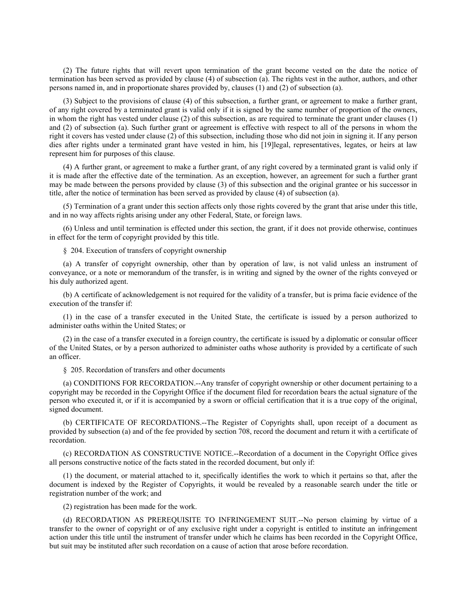(2) The future rights that will revert upon termination of the grant become vested on the date the notice of termination has been served as provided by clause (4) of subsection (a). The rights vest in the author, authors, and other persons named in, and in proportionate shares provided by, clauses (1) and (2) of subsection (a).

(3) Subject to the provisions of clause (4) of this subsection, a further grant, or agreement to make a further grant, of any right covered by a terminated grant is valid only if it is signed by the same number of proportion of the owners, in whom the right has vested under clause (2) of this subsection, as are required to terminate the grant under clauses (1) and (2) of subsection (a). Such further grant or agreement is effective with respect to all of the persons in whom the right it covers has vested under clause (2) of this subsection, including those who did not join in signing it. If any person dies after rights under a terminated grant have vested in him, his [19]legal, representatives, legates, or heirs at law represent him for purposes of this clause.

(4) A further grant, or agreement to make a further grant, of any right covered by a terminated grant is valid only if it is made after the effective date of the termination. As an exception, however, an agreement for such a further grant may be made between the persons provided by clause (3) of this subsection and the original grantee or his successor in title, after the notice of termination has been served as provided by clause (4) of subsection (a).

(5) Termination of a grant under this section affects only those rights covered by the grant that arise under this title, and in no way affects rights arising under any other Federal, State, or foreign laws.

(6) Unless and until termination is effected under this section, the grant, if it does not provide otherwise, continues in effect for the term of copyright provided by this title.

§ 204. Execution of transfers of copyright ownership

(a) A transfer of copyright ownership, other than by operation of law, is not valid unless an instrument of conveyance, or a note or memorandum of the transfer, is in writing and signed by the owner of the rights conveyed or his duly authorized agent.

(b) A certificate of acknowledgement is not required for the validity of a transfer, but is prima facie evidence of the execution of the transfer if:

(1) in the case of a transfer executed in the United State, the certificate is issued by a person authorized to administer oaths within the United States; or

(2) in the case of a transfer executed in a foreign country, the certificate is issued by a diplomatic or consular officer of the United States, or by a person authorized to administer oaths whose authority is provided by a certificate of such an officer.

§ 205. Recordation of transfers and other documents

(a) CONDITIONS FOR RECORDATION.--Any transfer of copyright ownership or other document pertaining to a copyright may be recorded in the Copyright Office if the document filed for recordation bears the actual signature of the person who executed it, or if it is accompanied by a sworn or official certification that it is a true copy of the original, signed document.

(b) CERTIFICATE OF RECORDATIONS.--The Register of Copyrights shall, upon receipt of a document as provided by subsection (a) and of the fee provided by section 708, record the document and return it with a certificate of recordation.

(c) RECORDATION AS CONSTRUCTIVE NOTICE.--Recordation of a document in the Copyright Office gives all persons constructive notice of the facts stated in the recorded document, but only if:

(1) the document, or material attached to it, specifically identifies the work to which it pertains so that, after the document is indexed by the Register of Copyrights, it would be revealed by a reasonable search under the title or registration number of the work; and

(2) registration has been made for the work.

(d) RECORDATION AS PREREQUISITE TO INFRINGEMENT SUIT.--No person claiming by virtue of a transfer to the owner of copyright or of any exclusive right under a copyright is entitled to institute an infringement action under this title until the instrument of transfer under which he claims has been recorded in the Copyright Office, but suit may be instituted after such recordation on a cause of action that arose before recordation.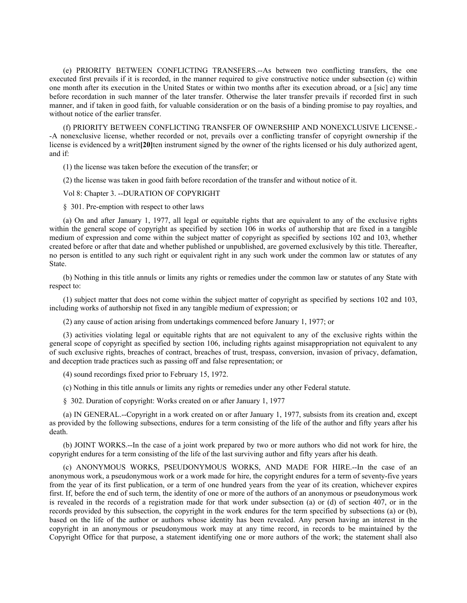(e) PRIORITY BETWEEN CONFLICTING TRANSFERS.--As between two conflicting transfers, the one executed first prevails if it is recorded, in the manner required to give constructive notice under subsection (c) within one month after its execution in the United States or within two months after its execution abroad, or a [sic] any time before recordation in such manner of the later transfer. Otherwise the later transfer prevails if recorded first in such manner, and if taken in good faith, for valuable consideration or on the basis of a binding promise to pay royalties, and without notice of the earlier transfer.

(f) PRIORITY BETWEEN CONFLICTING TRANSFER OF OWNERSHIP AND NONEXCLUSIVE LICENSE.- -A nonexclusive license, whether recorded or not, prevails over a conflicting transfer of copyright ownership if the license is evidenced by a writ**[20]**ten instrument signed by the owner of the rights licensed or his duly authorized agent, and if:

(1) the license was taken before the execution of the transfer; or

(2) the license was taken in good faith before recordation of the transfer and without notice of it.

Vol 8: Chapter 3. --DURATION OF COPYRIGHT

§ 301. Pre-emption with respect to other laws

(a) On and after January 1, 1977, all legal or equitable rights that are equivalent to any of the exclusive rights within the general scope of copyright as specified by section 106 in works of authorship that are fixed in a tangible medium of expression and come within the subject matter of copyright as specified by sections 102 and 103, whether created before or after that date and whether published or unpublished, are governed exclusively by this title. Thereafter, no person is entitled to any such right or equivalent right in any such work under the common law or statutes of any State.

(b) Nothing in this title annuls or limits any rights or remedies under the common law or statutes of any State with respect to:

(1) subject matter that does not come within the subject matter of copyright as specified by sections 102 and 103, including works of authorship not fixed in any tangible medium of expression; or

(2) any cause of action arising from undertakings commenced before January 1, 1977; or

(3) activities violating legal or equitable rights that are not equivalent to any of the exclusive rights within the general scope of copyright as specified by section 106, including rights against misappropriation not equivalent to any of such exclusive rights, breaches of contract, breaches of trust, trespass, conversion, invasion of privacy, defamation, and deception trade practices such as passing off and false representation; or

(4) sound recordings fixed prior to February 15, 1972.

(c) Nothing in this title annuls or limits any rights or remedies under any other Federal statute.

§ 302. Duration of copyright: Works created on or after January 1, 1977

(a) IN GENERAL.--Copyright in a work created on or after January 1, 1977, subsists from its creation and, except as provided by the following subsections, endures for a term consisting of the life of the author and fifty years after his death.

(b) JOINT WORKS.--In the case of a joint work prepared by two or more authors who did not work for hire, the copyright endures for a term consisting of the life of the last surviving author and fifty years after his death.

(c) ANONYMOUS WORKS, PSEUDONYMOUS WORKS, AND MADE FOR HIRE.--In the case of an anonymous work, a pseudonymous work or a work made for hire, the copyright endures for a term of seventy-five years from the year of its first publication, or a term of one hundred years from the year of its creation, whichever expires first. If, before the end of such term, the identity of one or more of the authors of an anonymous or pseudonymous work is revealed in the records of a registration made for that work under subsection (a) or (d) of section 407, or in the records provided by this subsection, the copyright in the work endures for the term specified by subsections (a) or (b), based on the life of the author or authors whose identity has been revealed. Any person having an interest in the copyright in an anonymous or pseudonymous work may at any time record, in records to be maintained by the Copyright Office for that purpose, a statement identifying one or more authors of the work; the statement shall also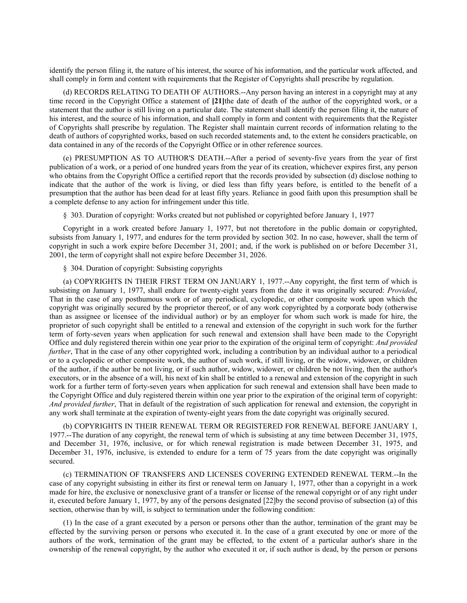identify the person filing it, the nature of his interest, the source of his information, and the particular work affected, and shall comply in form and content with requirements that the Register of Copyrights shall prescribe by regulation.

(d) RECORDS RELATING TO DEATH OF AUTHORS.--Any person having an interest in a copyright may at any time record in the Copyright Office a statement of **[21]**the date of death of the author of the copyrighted work, or a statement that the author is still living on a particular date. The statement shall identify the person filing it, the nature of his interest, and the source of his information, and shall comply in form and content with requirements that the Register of Copyrights shall prescribe by regulation. The Register shall maintain current records of information relating to the death of authors of copyrighted works, based on such recorded statements and, to the extent he considers practicable, on data contained in any of the records of the Copyright Office or in other reference sources.

(e) PRESUMPTION AS TO AUTHOR'S DEATH.--After a period of seventy-five years from the year of first publication of a work, or a period of one hundred years from the year of its creation, whichever expires first, any person who obtains from the Copyright Office a certified report that the records provided by subsection (d) disclose nothing to indicate that the author of the work is living, or died less than fifty years before, is entitled to the benefit of a presumption that the author has been dead for at least fifty years. Reliance in good faith upon this presumption shall be a complete defense to any action for infringement under this title.

§ 303. Duration of copyright: Works created but not published or copyrighted before January 1, 1977

Copyright in a work created before January 1, 1977, but not theretofore in the public domain or copyrighted, subsists from January 1, 1977, and endures for the term provided by section 302. In no case, however, shall the term of copyright in such a work expire before December 31, 2001; and, if the work is published on or before December 31, 2001, the term of copyright shall not expire before December 31, 2026.

§ 304. Duration of copyright: Subsisting copyrights

(a) COPYRIGHTS IN THEIR FIRST TERM ON JANUARY 1, 1977.--Any copyright, the first term of which is subsisting on January 1, 1977, shall endure for twenty-eight years from the date it was originally secured: *Provided*, That in the case of any posthumous work or of any periodical, cyclopedic, or other composite work upon which the copyright was originally secured by the proprietor thereof, or of any work copyrighted by a corporate body (otherwise than as assignee or licensee of the individual author) or by an employer for whom such work is made for hire, the proprietor of such copyright shall be entitled to a renewal and extension of the copyright in such work for the further term of forty-seven years when application for such renewal and extension shall have been made to the Copyright Office and duly registered therein within one year prior to the expiration of the original term of copyright: *And provided further*, That in the case of any other copyrighted work, including a contribution by an individual author to a periodical or to a cyclopedic or other composite work, the author of such work, if still living, or the widow, widower, or children of the author, if the author be not living, or if such author, widow, widower, or children be not living, then the author's executors, or in the absence of a will, his next of kin shall be entitled to a renewal and extension of the copyright in such work for a further term of forty-seven years when application for such renewal and extension shall have been made to the Copyright Office and duly registered therein within one year prior to the expiration of the original term of copyright: *And provided further*, That in default of the registration of such application for renewal and extension, the copyright in any work shall terminate at the expiration of twenty-eight years from the date copyright was originally secured.

(b) COPYRIGHTS IN THEIR RENEWAL TERM OR REGISTERED FOR RENEWAL BEFORE JANUARY 1, 1977.--The duration of any copyright, the renewal term of which is subsisting at any time between December 31, 1975, and December 31, 1976, inclusive, or for which renewal registration is made between December 31, 1975, and December 31, 1976, inclusive, is extended to endure for a term of 75 years from the date copyright was originally secured.

(c) TERMINATION OF TRANSFERS AND LICENSES COVERING EXTENDED RENEWAL TERM.--In the case of any copyright subsisting in either its first or renewal term on January 1, 1977, other than a copyright in a work made for hire, the exclusive or nonexclusive grant of a transfer or license of the renewal copyright or of any right under it, executed before January 1, 1977, by any of the persons designated [22]by the second proviso of subsection (a) of this section, otherwise than by will, is subject to termination under the following condition:

(1) In the case of a grant executed by a person or persons other than the author, termination of the grant may be effected by the surviving person or persons who executed it. In the case of a grant executed by one or more of the authors of the work, termination of the grant may be effected, to the extent of a particular author's share in the ownership of the renewal copyright, by the author who executed it or, if such author is dead, by the person or persons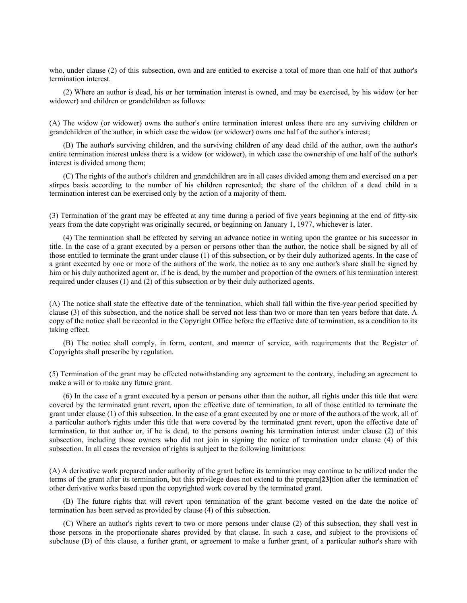who, under clause (2) of this subsection, own and are entitled to exercise a total of more than one half of that author's termination interest.

(2) Where an author is dead, his or her termination interest is owned, and may be exercised, by his widow (or her widower) and children or grandchildren as follows:

(A) The widow (or widower) owns the author's entire termination interest unless there are any surviving children or grandchildren of the author, in which case the widow (or widower) owns one half of the author's interest;

(B) The author's surviving children, and the surviving children of any dead child of the author, own the author's entire termination interest unless there is a widow (or widower), in which case the ownership of one half of the author's interest is divided among them;

(C) The rights of the author's children and grandchildren are in all cases divided among them and exercised on a per stirpes basis according to the number of his children represented; the share of the children of a dead child in a termination interest can be exercised only by the action of a majority of them.

(3) Termination of the grant may be effected at any time during a period of five years beginning at the end of fifty-six years from the date copyright was originally secured, or beginning on January 1, 1977, whichever is later.

(4) The termination shall be effected by serving an advance notice in writing upon the grantee or his successor in title. In the case of a grant executed by a person or persons other than the author, the notice shall be signed by all of those entitled to terminate the grant under clause (1) of this subsection, or by their duly authorized agents. In the case of a grant executed by one or more of the authors of the work, the notice as to any one author's share shall be signed by him or his duly authorized agent or, if he is dead, by the number and proportion of the owners of his termination interest required under clauses (1) and (2) of this subsection or by their duly authorized agents.

(A) The notice shall state the effective date of the termination, which shall fall within the five-year period specified by clause (3) of this subsection, and the notice shall be served not less than two or more than ten years before that date. A copy of the notice shall be recorded in the Copyright Office before the effective date of termination, as a condition to its taking effect.

(B) The notice shall comply, in form, content, and manner of service, with requirements that the Register of Copyrights shall prescribe by regulation.

(5) Termination of the grant may be effected notwithstanding any agreement to the contrary, including an agreement to make a will or to make any future grant.

(6) In the case of a grant executed by a person or persons other than the author, all rights under this title that were covered by the terminated grant revert, upon the effective date of termination, to all of those entitled to terminate the grant under clause (1) of this subsection. In the case of a grant executed by one or more of the authors of the work, all of a particular author's rights under this title that were covered by the terminated grant revert, upon the effective date of termination, to that author or, if he is dead, to the persons owning his termination interest under clause (2) of this subsection, including those owners who did not join in signing the notice of termination under clause (4) of this subsection. In all cases the reversion of rights is subject to the following limitations:

(A) A derivative work prepared under authority of the grant before its termination may continue to be utilized under the terms of the grant after its termination, but this privilege does not extend to the prepara**[23]**tion after the termination of other derivative works based upon the copyrighted work covered by the terminated grant.

(B) The future rights that will revert upon termination of the grant become vested on the date the notice of termination has been served as provided by clause (4) of this subsection.

(C) Where an author's rights revert to two or more persons under clause (2) of this subsection, they shall vest in those persons in the proportionate shares provided by that clause. In such a case, and subject to the provisions of subclause (D) of this clause, a further grant, or agreement to make a further grant, of a particular author's share with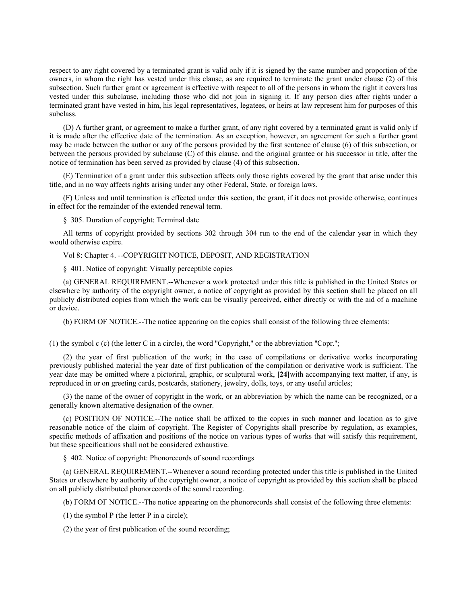respect to any right covered by a terminated grant is valid only if it is signed by the same number and proportion of the owners, in whom the right has vested under this clause, as are required to terminate the grant under clause (2) of this subsection. Such further grant or agreement is effective with respect to all of the persons in whom the right it covers has vested under this subclause, including those who did not join in signing it. If any person dies after rights under a terminated grant have vested in him, his legal representatives, legatees, or heirs at law represent him for purposes of this subclass.

(D) A further grant, or agreement to make a further grant, of any right covered by a terminated grant is valid only if it is made after the effective date of the termination. As an exception, however, an agreement for such a further grant may be made between the author or any of the persons provided by the first sentence of clause (6) of this subsection, or between the persons provided by subclause (C) of this clause, and the original grantee or his successor in title, after the notice of termination has been served as provided by clause (4) of this subsection.

(E) Termination of a grant under this subsection affects only those rights covered by the grant that arise under this title, and in no way affects rights arising under any other Federal, State, or foreign laws.

(F) Unless and until termination is effected under this section, the grant, if it does not provide otherwise, continues in effect for the remainder of the extended renewal term.

§ 305. Duration of copyright: Terminal date

All terms of copyright provided by sections 302 through 304 run to the end of the calendar year in which they would otherwise expire.

Vol 8: Chapter 4. --COPYRIGHT NOTICE, DEPOSIT, AND REGISTRATION

§ 401. Notice of copyright: Visually perceptible copies

(a) GENERAL REQUIREMENT.--Whenever a work protected under this title is published in the United States or elsewhere by authority of the copyright owner, a notice of copyright as provided by this section shall be placed on all publicly distributed copies from which the work can be visually perceived, either directly or with the aid of a machine or device.

(b) FORM OF NOTICE.--The notice appearing on the copies shall consist of the following three elements:

(1) the symbol c (c) (the letter C in a circle), the word ''Copyright,'' or the abbreviation ''Copr.'';

(2) the year of first publication of the work; in the case of compilations or derivative works incorporating previously published material the year date of first publication of the compilation or derivative work is sufficient. The year date may be omitted where a pictoriral, graphic, or sculptural work, **[24]**with accompanying text matter, if any, is reproduced in or on greeting cards, postcards, stationery, jewelry, dolls, toys, or any useful articles;

(3) the name of the owner of copyright in the work, or an abbreviation by which the name can be recognized, or a generally known alternative designation of the owner.

(c) POSITION OF NOTICE.--The notice shall be affixed to the copies in such manner and location as to give reasonable notice of the claim of copyright. The Register of Copyrights shall prescribe by regulation, as examples, specific methods of affixation and positions of the notice on various types of works that will satisfy this requirement, but these specifications shall not be considered exhaustive.

§ 402. Notice of copyright: Phonorecords of sound recordings

(a) GENERAL REQUIREMENT.--Whenever a sound recording protected under this title is published in the United States or elsewhere by authority of the copyright owner, a notice of copyright as provided by this section shall be placed on all publicly distributed phonorecords of the sound recording.

(b) FORM OF NOTICE.--The notice appearing on the phonorecords shall consist of the following three elements:

(1) the symbol P (the letter P in a circle);

(2) the year of first publication of the sound recording;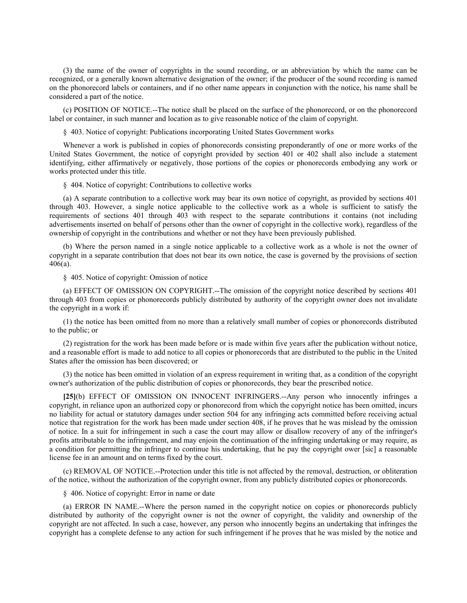(3) the name of the owner of copyrights in the sound recording, or an abbreviation by which the name can be recognized, or a generally known alternative designation of the owner; if the producer of the sound recording is named on the phonorecord labels or containers, and if no other name appears in conjunction with the notice, his name shall be considered a part of the notice.

(c) POSITION OF NOTICE.--The notice shall be placed on the surface of the phonorecord, or on the phonorecord label or container, in such manner and location as to give reasonable notice of the claim of copyright.

§ 403. Notice of copyright: Publications incorporating United States Government works

Whenever a work is published in copies of phonorecords consisting preponderantly of one or more works of the United States Government, the notice of copyright provided by section 401 or 402 shall also include a statement identifying, either affirmatively or negatively, those portions of the copies or phonorecords embodying any work or works protected under this title.

§ 404. Notice of copyright: Contributions to collective works

(a) A separate contribution to a collective work may bear its own notice of copyright, as provided by sections 401 through 403. However, a single notice applicable to the collective work as a whole is sufficient to satisfy the requirements of sections 401 through 403 with respect to the separate contributions it contains (not including advertisements inserted on behalf of persons other than the owner of copyright in the collective work), regardless of the ownership of copyright in the contributions and whether or not they have been previously published.

(b) Where the person named in a single notice applicable to a collective work as a whole is not the owner of copyright in a separate contribution that does not bear its own notice, the case is governed by the provisions of section 406(a).

§ 405. Notice of copyright: Omission of notice

(a) EFFECT OF OMISSION ON COPYRIGHT.--The omission of the copyright notice described by sections 401 through 403 from copies or phonorecords publicly distributed by authority of the copyright owner does not invalidate the copyright in a work if:

(1) the notice has been omitted from no more than a relatively small number of copies or phonorecords distributed to the public; or

(2) registration for the work has been made before or is made within five years after the publication without notice, and a reasonable effort is made to add notice to all copies or phonorecords that are distributed to the public in the United States after the omission has been discovered; or

(3) the notice has been omitted in violation of an express requirement in writing that, as a condition of the copyright owner's authorization of the public distribution of copies or phonorecords, they bear the prescribed notice.

**[25]**(b) EFFECT OF OMISSION ON INNOCENT INFRINGERS.--Any person who innocently infringes a copyright, in reliance upon an authorized copy or phonorecord from which the copyright notice has been omitted, incurs no liability for actual or statutory damages under section 504 for any infringing acts committed before receiving actual notice that registration for the work has been made under section 408, if he proves that he was mislead by the omission of notice. In a suit for infringement in such a case the court may allow or disallow recovery of any of the infringer's profits attributable to the infringement, and may enjoin the continuation of the infringing undertaking or may require, as a condition for permitting the infringer to continue his undertaking, that he pay the copyright ower [sic] a reasonable license fee in an amount and on terms fixed by the court.

(c) REMOVAL OF NOTICE.--Protection under this title is not affected by the removal, destruction, or obliteration of the notice, without the authorization of the copyright owner, from any publicly distributed copies or phonorecords.

§ 406. Notice of copyright: Error in name or date

(a) ERROR IN NAME.--Where the person named in the copyright notice on copies or phonorecords publicly distributed by authority of the copyright owner is not the owner of copyright, the validity and ownership of the copyright are not affected. In such a case, however, any person who innocently begins an undertaking that infringes the copyright has a complete defense to any action for such infringement if he proves that he was misled by the notice and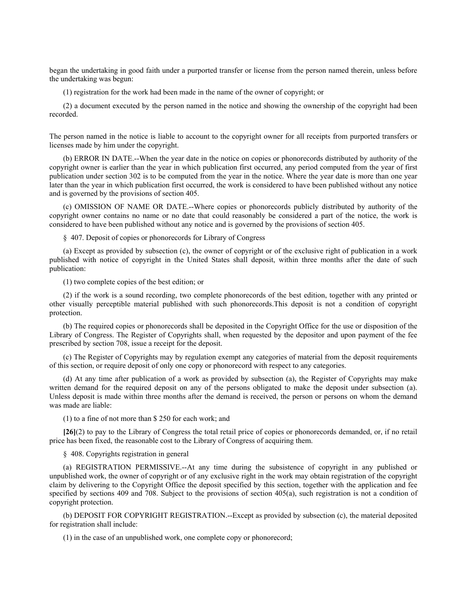began the undertaking in good faith under a purported transfer or license from the person named therein, unless before the undertaking was begun:

(1) registration for the work had been made in the name of the owner of copyright; or

(2) a document executed by the person named in the notice and showing the ownership of the copyright had been recorded.

The person named in the notice is liable to account to the copyright owner for all receipts from purported transfers or licenses made by him under the copyright.

(b) ERROR IN DATE.--When the year date in the notice on copies or phonorecords distributed by authority of the copyright owner is earlier than the year in which publication first occurred, any period computed from the year of first publication under section 302 is to be computed from the year in the notice. Where the year date is more than one year later than the year in which publication first occurred, the work is considered to have been published without any notice and is governed by the provisions of section 405.

(c) OMISSION OF NAME OR DATE.--Where copies or phonorecords publicly distributed by authority of the copyright owner contains no name or no date that could reasonably be considered a part of the notice, the work is considered to have been published without any notice and is governed by the provisions of section 405.

§ 407. Deposit of copies or phonorecords for Library of Congress

(a) Except as provided by subsection (c), the owner of copyright or of the exclusive right of publication in a work published with notice of copyright in the United States shall deposit, within three months after the date of such publication:

(1) two complete copies of the best edition; or

(2) if the work is a sound recording, two complete phonorecords of the best edition, together with any printed or other visually perceptible material published with such phonorecords.This deposit is not a condition of copyright protection.

(b) The required copies or phonorecords shall be deposited in the Copyright Office for the use or disposition of the Library of Congress. The Register of Copyrights shall, when requested by the depositor and upon payment of the fee prescribed by section 708, issue a receipt for the deposit.

(c) The Register of Copyrights may by regulation exempt any categories of material from the deposit requirements of this section, or require deposit of only one copy or phonorecord with respect to any categories.

(d) At any time after publication of a work as provided by subsection (a), the Register of Copyrights may make written demand for the required deposit on any of the persons obligated to make the deposit under subsection (a). Unless deposit is made within three months after the demand is received, the person or persons on whom the demand was made are liable:

(1) to a fine of not more than \$ 250 for each work; and

**[26]**(2) to pay to the Library of Congress the total retail price of copies or phonorecords demanded, or, if no retail price has been fixed, the reasonable cost to the Library of Congress of acquiring them.

§ 408. Copyrights registration in general

(a) REGISTRATION PERMISSIVE.--At any time during the subsistence of copyright in any published or unpublished work, the owner of copyright or of any exclusive right in the work may obtain registration of the copyright claim by delivering to the Copyright Office the deposit specified by this section, together with the application and fee specified by sections 409 and 708. Subject to the provisions of section 405(a), such registration is not a condition of copyright protection.

(b) DEPOSIT FOR COPYRIGHT REGISTRATION.--Except as provided by subsection (c), the material deposited for registration shall include:

(1) in the case of an unpublished work, one complete copy or phonorecord;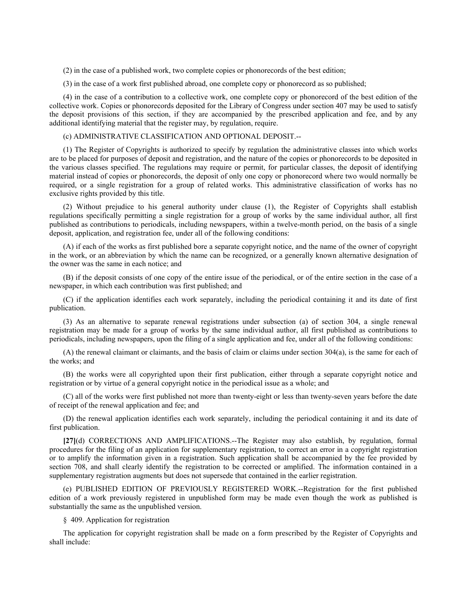(2) in the case of a published work, two complete copies or phonorecords of the best edition;

(3) in the case of a work first published abroad, one complete copy or phonorecord as so published;

(4) in the case of a contribution to a collective work, one complete copy or phonorecord of the best edition of the collective work. Copies or phonorecords deposited for the Library of Congress under section 407 may be used to satisfy the deposit provisions of this section, if they are accompanied by the prescribed application and fee, and by any additional identifying material that the register may, by regulation, require.

#### (c) ADMINISTRATIVE CLASSIFICATION AND OPTIONAL DEPOSIT.--

(1) The Register of Copyrights is authorized to specify by regulation the administrative classes into which works are to be placed for purposes of deposit and registration, and the nature of the copies or phonorecords to be deposited in the various classes specified. The regulations may require or permit, for particular classes, the deposit of identifying material instead of copies or phonorecords, the deposit of only one copy or phonorecord where two would normally be required, or a single registration for a group of related works. This administrative classification of works has no exclusive rights provided by this title.

(2) Without prejudice to his general authority under clause (1), the Register of Copyrights shall establish regulations specifically permitting a single registration for a group of works by the same individual author, all first published as contributions to periodicals, including newspapers, within a twelve-month period, on the basis of a single deposit, application, and registration fee, under all of the following conditions:

(A) if each of the works as first published bore a separate copyright notice, and the name of the owner of copyright in the work, or an abbreviation by which the name can be recognized, or a generally known alternative designation of the owner was the same in each notice; and

(B) if the deposit consists of one copy of the entire issue of the periodical, or of the entire section in the case of a newspaper, in which each contribution was first published; and

(C) if the application identifies each work separately, including the periodical containing it and its date of first publication.

(3) As an alternative to separate renewal registrations under subsection (a) of section 304, a single renewal registration may be made for a group of works by the same individual author, all first published as contributions to periodicals, including newspapers, upon the filing of a single application and fee, under all of the following conditions:

(A) the renewal claimant or claimants, and the basis of claim or claims under section 304(a), is the same for each of the works; and

(B) the works were all copyrighted upon their first publication, either through a separate copyright notice and registration or by virtue of a general copyright notice in the periodical issue as a whole; and

(C) all of the works were first published not more than twenty-eight or less than twenty-seven years before the date of receipt of the renewal application and fee; and

(D) the renewal application identifies each work separately, including the periodical containing it and its date of first publication.

**[27]**(d) CORRECTIONS AND AMPLIFICATIONS.--The Register may also establish, by regulation, formal procedures for the filing of an application for supplementary registration, to correct an error in a copyright registration or to amplify the information given in a registration. Such application shall be accompanied by the fee provided by section 708, and shall clearly identify the registration to be corrected or amplified. The information contained in a supplementary registration augments but does not supersede that contained in the earlier registration.

(e) PUBLISHED EDITION OF PREVIOUSLY REGISTERED WORK.--Registration for the first published edition of a work previously registered in unpublished form may be made even though the work as published is substantially the same as the unpublished version.

### § 409. Application for registration

The application for copyright registration shall be made on a form prescribed by the Register of Copyrights and shall include: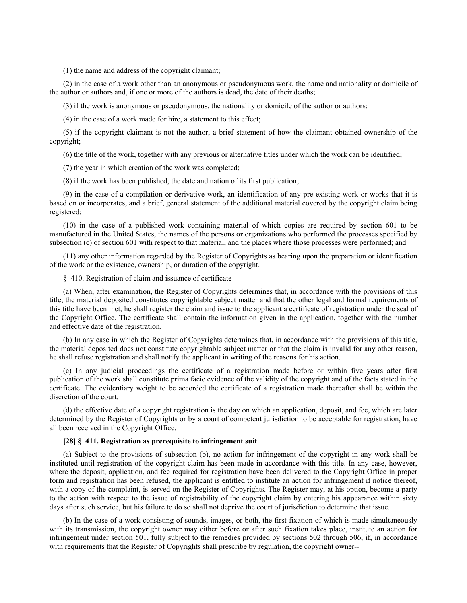(1) the name and address of the copyright claimant;

(2) in the case of a work other than an anonymous or pseudonymous work, the name and nationality or domicile of the author or authors and, if one or more of the authors is dead, the date of their deaths;

(3) if the work is anonymous or pseudonymous, the nationality or domicile of the author or authors;

(4) in the case of a work made for hire, a statement to this effect;

(5) if the copyright claimant is not the author, a brief statement of how the claimant obtained ownership of the copyright;

(6) the title of the work, together with any previous or alternative titles under which the work can be identified;

(7) the year in which creation of the work was completed;

(8) if the work has been published, the date and nation of its first publication;

(9) in the case of a compilation or derivative work, an identification of any pre-existing work or works that it is based on or incorporates, and a brief, general statement of the additional material covered by the copyright claim being registered;

(10) in the case of a published work containing material of which copies are required by section 601 to be manufactured in the United States, the names of the persons or organizations who performed the processes specified by subsection (c) of section 601 with respect to that material, and the places where those processes were performed; and

(11) any other information regarded by the Register of Copyrights as bearing upon the preparation or identification of the work or the existence, ownership, or duration of the copyright.

§ 410. Registration of claim and issuance of certificate

(a) When, after examination, the Register of Copyrights determines that, in accordance with the provisions of this title, the material deposited constitutes copyrightable subject matter and that the other legal and formal requirements of this title have been met, he shall register the claim and issue to the applicant a certificate of registration under the seal of the Copyright Office. The certificate shall contain the information given in the application, together with the number and effective date of the registration.

(b) In any case in which the Register of Copyrights determines that, in accordance with the provisions of this title, the material deposited does not constitute copyrightable subject matter or that the claim is invalid for any other reason, he shall refuse registration and shall notify the applicant in writing of the reasons for his action.

(c) In any judicial proceedings the certificate of a registration made before or within five years after first publication of the work shall constitute prima facie evidence of the validity of the copyright and of the facts stated in the certificate. The evidentiary weight to be accorded the certificate of a registration made thereafter shall be within the discretion of the court.

(d) the effective date of a copyright registration is the day on which an application, deposit, and fee, which are later determined by the Register of Copyrights or by a court of competent jurisdiction to be acceptable for registration, have all been received in the Copyright Office.

## **[28] § 411. Registration as prerequisite to infringement suit**

(a) Subject to the provisions of subsection (b), no action for infringement of the copyright in any work shall be instituted until registration of the copyright claim has been made in accordance with this title. In any case, however, where the deposit, application, and fee required for registration have been delivered to the Copyright Office in proper form and registration has been refused, the applicant is entitled to institute an action for infringement if notice thereof, with a copy of the complaint, is served on the Register of Copyrights. The Register may, at his option, become a party to the action with respect to the issue of registrability of the copyright claim by entering his appearance within sixty days after such service, but his failure to do so shall not deprive the court of jurisdiction to determine that issue.

(b) In the case of a work consisting of sounds, images, or both, the first fixation of which is made simultaneously with its transmission, the copyright owner may either before or after such fixation takes place, institute an action for infringement under section 501, fully subject to the remedies provided by sections 502 through 506, if, in accordance with requirements that the Register of Copyrights shall prescribe by regulation, the copyright owner--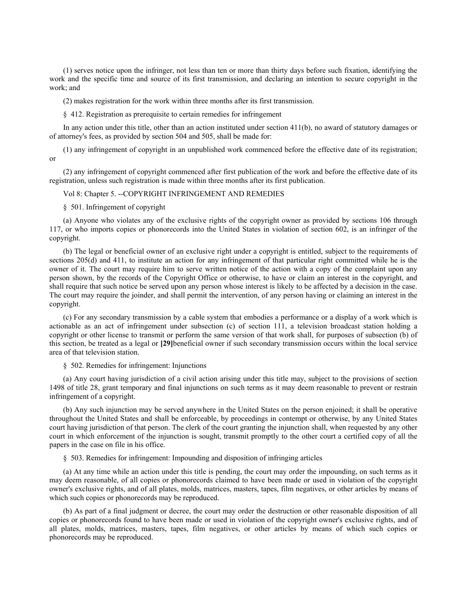(1) serves notice upon the infringer, not less than ten or more than thirty days before such fixation, identifying the work and the specific time and source of its first transmission, and declaring an intention to secure copyright in the work; and

(2) makes registration for the work within three months after its first transmission.

§ 412. Registration as prerequisite to certain remedies for infringement

In any action under this title, other than an action instituted under section 411(b), no award of statutory damages or of attorney's fees, as provided by section 504 and 505, shall be made for:

(1) any infringement of copyright in an unpublished work commenced before the effective date of its registration; or

(2) any infringement of copyright commenced after first publication of the work and before the effective date of its registration, unless such registration is made within three months after its first publication.

## Vol 8: Chapter 5. --COPYRIGHT INFRINGEMENT AND REMEDIES

§ 501. Infringement of copyright

(a) Anyone who violates any of the exclusive rights of the copyright owner as provided by sections 106 through 117, or who imports copies or phonorecords into the United States in violation of section 602, is an infringer of the copyright.

(b) The legal or beneficial owner of an exclusive right under a copyright is entitled, subject to the requirements of sections 205(d) and 411, to institute an action for any infringement of that particular right committed while he is the owner of it. The court may require him to serve written notice of the action with a copy of the complaint upon any person shown, by the records of the Copyright Office or otherwise, to have or claim an interest in the copyright, and shall require that such notice be served upon any person whose interest is likely to be affected by a decision in the case. The court may require the joinder, and shall permit the intervention, of any person having or claiming an interest in the copyright.

(c) For any secondary transmission by a cable system that embodies a performance or a display of a work which is actionable as an act of infringement under subsection (c) of section 111, a television broadcast station holding a copyright or other license to transmit or perform the same version of that work shall, for purposes of subsection (b) of this section, be treated as a legal or **[29]**beneficial owner if such secondary transmission occurs within the local service area of that television station.

§ 502. Remedies for infringement: Injunctions

(a) Any court having jurisdiction of a civil action arising under this title may, subject to the provisions of section 1498 of title 28, grant temporary and final injunctions on such terms as it may deem reasonable to prevent or restrain infringement of a copyright.

(b) Any such injunction may be served anywhere in the United States on the person enjoined; it shall be operative throughout the United States and shall be enforceable, by proceedings in contempt or otherwise, by any United States court having jurisdiction of that person. The clerk of the court granting the injunction shall, when requested by any other court in which enforcement of the injunction is sought, transmit promptly to the other court a certified copy of all the papers in the case on file in his office.

§ 503. Remedies for infringement: Impounding and disposition of infringing articles

(a) At any time while an action under this title is pending, the court may order the impounding, on such terms as it may deem reasonable, of all copies or phonorecords claimed to have been made or used in violation of the copyright owner's exclusive rights, and of all plates, molds, matrices, masters, tapes, film negatives, or other articles by means of which such copies or phonorecords may be reproduced.

(b) As part of a final judgment or decree, the court may order the destruction or other reasonable disposition of all copies or phonorecords found to have been made or used in violation of the copyright owner's exclusive rights, and of all plates, molds, matrices, masters, tapes, film negatives, or other articles by means of which such copies or phonorecords may be reproduced.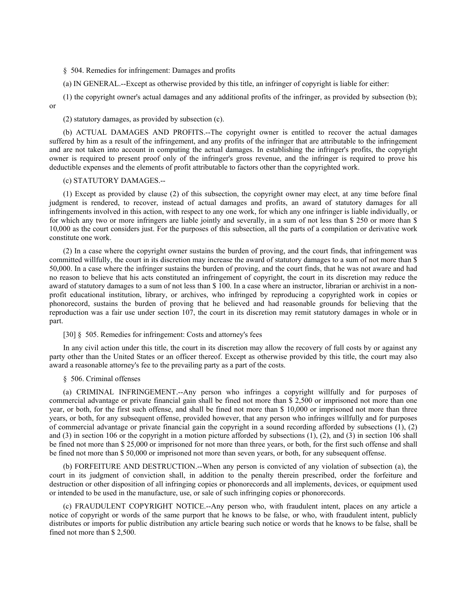- § 504. Remedies for infringement: Damages and profits
- (a) IN GENERAL.--Except as otherwise provided by this title, an infringer of copyright is liable for either:

(1) the copyright owner's actual damages and any additional profits of the infringer, as provided by subsection (b); or

(2) statutory damages, as provided by subsection (c).

(b) ACTUAL DAMAGES AND PROFITS.--The copyright owner is entitled to recover the actual damages suffered by him as a result of the infringement, and any profits of the infringer that are attributable to the infringement and are not taken into account in computing the actual damages. In establishing the infringer's profits, the copyright owner is required to present proof only of the infringer's gross revenue, and the infringer is required to prove his deductible expenses and the elements of profit attributable to factors other than the copyrighted work.

### (c) STATUTORY DAMAGES.--

(1) Except as provided by clause (2) of this subsection, the copyright owner may elect, at any time before final judgment is rendered, to recover, instead of actual damages and profits, an award of statutory damages for all infringements involved in this action, with respect to any one work, for which any one infringer is liable individually, or for which any two or more infringers are liable jointly and severally, in a sum of not less than \$ 250 or more than \$ 10,000 as the court considers just. For the purposes of this subsection, all the parts of a compilation or derivative work constitute one work.

(2) In a case where the copyright owner sustains the burden of proving, and the court finds, that infringement was committed willfully, the court in its discretion may increase the award of statutory damages to a sum of not more than \$ 50,000. In a case where the infringer sustains the burden of proving, and the court finds, that he was not aware and had no reason to believe that his acts constituted an infringement of copyright, the court in its discretion may reduce the award of statutory damages to a sum of not less than \$ 100. In a case where an instructor, librarian or archivist in a nonprofit educational institution, library, or archives, who infringed by reproducing a copyrighted work in copies or phonorecord, sustains the burden of proving that he believed and had reasonable grounds for believing that the reproduction was a fair use under section 107, the court in its discretion may remit statutory damages in whole or in part.

[30] § 505. Remedies for infringement: Costs and attorney's fees

In any civil action under this title, the court in its discretion may allow the recovery of full costs by or against any party other than the United States or an officer thereof. Except as otherwise provided by this title, the court may also award a reasonable attorney's fee to the prevailing party as a part of the costs.

## § 506. Criminal offenses

(a) CRIMINAL INFRINGEMENT.--Any person who infringes a copyright willfully and for purposes of commercial advantage or private financial gain shall be fined not more than \$ 2,500 or imprisoned not more than one year, or both, for the first such offense, and shall be fined not more than \$ 10,000 or imprisoned not more than three years, or both, for any subsequent offense, provided however, that any person who infringes willfully and for purposes of commercial advantage or private financial gain the copyright in a sound recording afforded by subsections (1), (2) and (3) in section 106 or the copyright in a motion picture afforded by subsections (1), (2), and (3) in section 106 shall be fined not more than \$ 25,000 or imprisoned for not more than three years, or both, for the first such offense and shall be fined not more than \$ 50,000 or imprisoned not more than seven years, or both, for any subsequent offense.

(b) FORFEITURE AND DESTRUCTION.--When any person is convicted of any violation of subsection (a), the court in its judgment of conviction shall, in addition to the penalty therein prescribed, order the forfeiture and destruction or other disposition of all infringing copies or phonorecords and all implements, devices, or equipment used or intended to be used in the manufacture, use, or sale of such infringing copies or phonorecords.

(c) FRAUDULENT COPYRIGHT NOTICE.--Any person who, with fraudulent intent, places on any article a notice of copyright or words of the same purport that he knows to be false, or who, with fraudulent intent, publicly distributes or imports for public distribution any article bearing such notice or words that he knows to be false, shall be fined not more than \$ 2,500.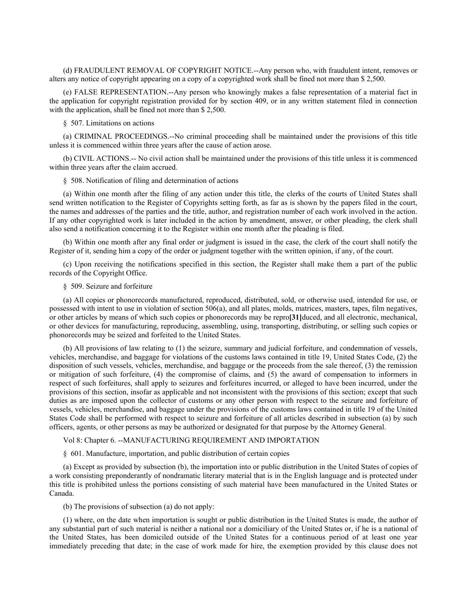(d) FRAUDULENT REMOVAL OF COPYRIGHT NOTICE.--Any person who, with fraudulent intent, removes or alters any notice of copyright appearing on a copy of a copyrighted work shall be fined not more than \$ 2,500.

(e) FALSE REPRESENTATION.--Any person who knowingly makes a false representation of a material fact in the application for copyright registration provided for by section 409, or in any written statement filed in connection with the application, shall be fined not more than \$2,500.

§ 507. Limitations on actions

(a) CRIMINAL PROCEEDINGS.--No criminal proceeding shall be maintained under the provisions of this title unless it is commenced within three years after the cause of action arose.

(b) CIVIL ACTIONS.-- No civil action shall be maintained under the provisions of this title unless it is commenced within three years after the claim accrued.

§ 508. Notification of filing and determination of actions

(a) Within one month after the filing of any action under this title, the clerks of the courts of United States shall send written notification to the Register of Copyrights setting forth, as far as is shown by the papers filed in the court, the names and addresses of the parties and the title, author, and registration number of each work involved in the action. If any other copyrighted work is later included in the action by amendment, answer, or other pleading, the clerk shall also send a notification concerning it to the Register within one month after the pleading is filed.

(b) Within one month after any final order or judgment is issued in the case, the clerk of the court shall notify the Register of it, sending him a copy of the order or judgment together with the written opinion, if any, of the court.

(c) Upon receiving the notifications specified in this section, the Register shall make them a part of the public records of the Copyright Office.

§ 509. Seizure and forfeiture

(a) All copies or phonorecords manufactured, reproduced, distributed, sold, or otherwise used, intended for use, or possessed with intent to use in violation of section 506(a), and all plates, molds, matrices, masters, tapes, film negatives, or other articles by means of which such copies or phonorecords may be repro**[31]**duced, and all electronic, mechanical, or other devices for manufacturing, reproducing, assembling, using, transporting, distributing, or selling such copies or phonorecords may be seized and forfeited to the United States.

(b) All provisions of law relating to (1) the seizure, summary and judicial forfeiture, and condemnation of vessels, vehicles, merchandise, and baggage for violations of the customs laws contained in title 19, United States Code, (2) the disposition of such vessels, vehicles, merchandise, and baggage or the proceeds from the sale thereof, (3) the remission or mitigation of such forfeiture, (4) the compromise of claims, and (5) the award of compensation to informers in respect of such forfeitures, shall apply to seizures and forfeitures incurred, or alleged to have been incurred, under the provisions of this section, insofar as applicable and not inconsistent with the provisions of this section; except that such duties as are imposed upon the collector of customs or any other person with respect to the seizure and forfeiture of vessels, vehicles, merchandise, and baggage under the provisions of the customs laws contained in title 19 of the United States Code shall be performed with respect to seizure and forfeiture of all articles described in subsection (a) by such officers, agents, or other persons as may be authorized or designated for that purpose by the Attorney General.

Vol 8: Chapter 6. --MANUFACTURING REQUIREMENT AND IMPORTATION

§ 601. Manufacture, importation, and public distribution of certain copies

(a) Except as provided by subsection (b), the importation into or public distribution in the United States of copies of a work consisting preponderantly of nondramatic literary material that is in the English language and is protected under this title is prohibited unless the portions consisting of such material have been manufactured in the United States or Canada.

(b) The provisions of subsection (a) do not apply:

(1) where, on the date when importation is sought or public distribution in the United States is made, the author of any substantial part of such material is neither a national nor a domiciliary of the United States or, if he is a national of the United States, has been domiciled outside of the United States for a continuous period of at least one year immediately preceding that date; in the case of work made for hire, the exemption provided by this clause does not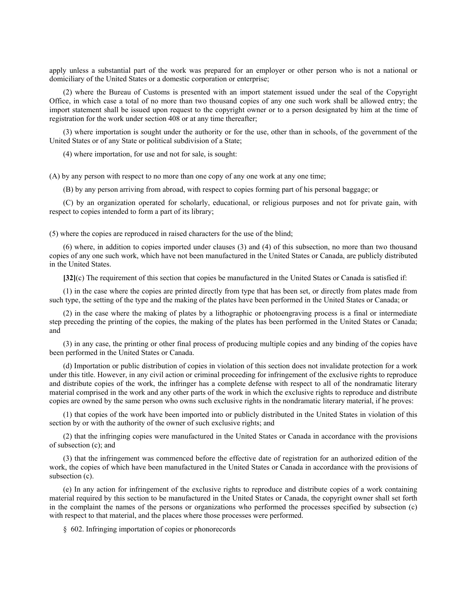apply unless a substantial part of the work was prepared for an employer or other person who is not a national or domiciliary of the United States or a domestic corporation or enterprise;

(2) where the Bureau of Customs is presented with an import statement issued under the seal of the Copyright Office, in which case a total of no more than two thousand copies of any one such work shall be allowed entry; the import statement shall be issued upon request to the copyright owner or to a person designated by him at the time of registration for the work under section 408 or at any time thereafter;

(3) where importation is sought under the authority or for the use, other than in schools, of the government of the United States or of any State or political subdivision of a State;

(4) where importation, for use and not for sale, is sought:

(A) by any person with respect to no more than one copy of any one work at any one time;

(B) by any person arriving from abroad, with respect to copies forming part of his personal baggage; or

(C) by an organization operated for scholarly, educational, or religious purposes and not for private gain, with respect to copies intended to form a part of its library;

(5) where the copies are reproduced in raised characters for the use of the blind;

(6) where, in addition to copies imported under clauses (3) and (4) of this subsection, no more than two thousand copies of any one such work, which have not been manufactured in the United States or Canada, are publicly distributed in the United States.

**[32]**(c) The requirement of this section that copies be manufactured in the United States or Canada is satisfied if:

(1) in the case where the copies are printed directly from type that has been set, or directly from plates made from such type, the setting of the type and the making of the plates have been performed in the United States or Canada; or

(2) in the case where the making of plates by a lithographic or photoengraving process is a final or intermediate step preceding the printing of the copies, the making of the plates has been performed in the United States or Canada; and

(3) in any case, the printing or other final process of producing multiple copies and any binding of the copies have been performed in the United States or Canada.

(d) Importation or public distribution of copies in violation of this section does not invalidate protection for a work under this title. However, in any civil action or criminal proceeding for infringement of the exclusive rights to reproduce and distribute copies of the work, the infringer has a complete defense with respect to all of the nondramatic literary material comprised in the work and any other parts of the work in which the exclusive rights to reproduce and distribute copies are owned by the same person who owns such exclusive rights in the nondramatic literary material, if he proves:

(1) that copies of the work have been imported into or publicly distributed in the United States in violation of this section by or with the authority of the owner of such exclusive rights; and

(2) that the infringing copies were manufactured in the United States or Canada in accordance with the provisions of subsection (c); and

(3) that the infringement was commenced before the effective date of registration for an authorized edition of the work, the copies of which have been manufactured in the United States or Canada in accordance with the provisions of subsection (c).

(e) In any action for infringement of the exclusive rights to reproduce and distribute copies of a work containing material required by this section to be manufactured in the United States or Canada, the copyright owner shall set forth in the complaint the names of the persons or organizations who performed the processes specified by subsection (c) with respect to that material, and the places where those processes were performed.

§ 602. Infringing importation of copies or phonorecords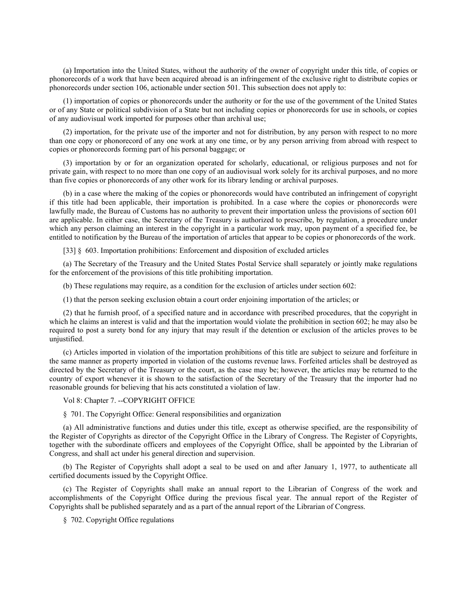(a) Importation into the United States, without the authority of the owner of copyright under this title, of copies or phonorecords of a work that have been acquired abroad is an infringement of the exclusive right to distribute copies or phonorecords under section 106, actionable under section 501. This subsection does not apply to:

(1) importation of copies or phonorecords under the authority or for the use of the government of the United States or of any State or political subdivision of a State but not including copies or phonorecords for use in schools, or copies of any audiovisual work imported for purposes other than archival use;

(2) importation, for the private use of the importer and not for distribution, by any person with respect to no more than one copy or phonorecord of any one work at any one time, or by any person arriving from abroad with respect to copies or phonorecords forming part of his personal baggage; or

(3) importation by or for an organization operated for scholarly, educational, or religious purposes and not for private gain, with respect to no more than one copy of an audiovisual work solely for its archival purposes, and no more than five copies or phonorecords of any other work for its library lending or archival purposes.

(b) in a case where the making of the copies or phonorecords would have contributed an infringement of copyright if this title had been applicable, their importation is prohibited. In a case where the copies or phonorecords were lawfully made, the Bureau of Customs has no authority to prevent their importation unless the provisions of section 601 are applicable. In either case, the Secretary of the Treasury is authorized to prescribe, by regulation, a procedure under which any person claiming an interest in the copyright in a particular work may, upon payment of a specified fee, be entitled to notification by the Bureau of the importation of articles that appear to be copies or phonorecords of the work.

[33] § 603. Importation prohibitions: Enforcement and disposition of excluded articles

(a) The Secretary of the Treasury and the United States Postal Service shall separately or jointly make regulations for the enforcement of the provisions of this title prohibiting importation.

(b) These regulations may require, as a condition for the exclusion of articles under section 602:

(1) that the person seeking exclusion obtain a court order enjoining importation of the articles; or

(2) that he furnish proof, of a specified nature and in accordance with prescribed procedures, that the copyright in which he claims an interest is valid and that the importation would violate the prohibition in section 602; he may also be required to post a surety bond for any injury that may result if the detention or exclusion of the articles proves to be unjustified.

(c) Articles imported in violation of the importation prohibitions of this title are subject to seizure and forfeiture in the same manner as property imported in violation of the customs revenue laws. Forfeited articles shall be destroyed as directed by the Secretary of the Treasury or the court, as the case may be; however, the articles may be returned to the country of export whenever it is shown to the satisfaction of the Secretary of the Treasury that the importer had no reasonable grounds for believing that his acts constituted a violation of law.

### Vol 8: Chapter 7. --COPYRIGHT OFFICE

§ 701. The Copyright Office: General responsibilities and organization

(a) All administrative functions and duties under this title, except as otherwise specified, are the responsibility of the Register of Copyrights as director of the Copyright Office in the Library of Congress. The Register of Copyrights, together with the subordinate officers and employees of the Copyright Office, shall be appointed by the Librarian of Congress, and shall act under his general direction and supervision.

(b) The Register of Copyrights shall adopt a seal to be used on and after January 1, 1977, to authenticate all certified documents issued by the Copyright Office.

(c) The Register of Copyrights shall make an annual report to the Librarian of Congress of the work and accomplishments of the Copyright Office during the previous fiscal year. The annual report of the Register of Copyrights shall be published separately and as a part of the annual report of the Librarian of Congress.

§ 702. Copyright Office regulations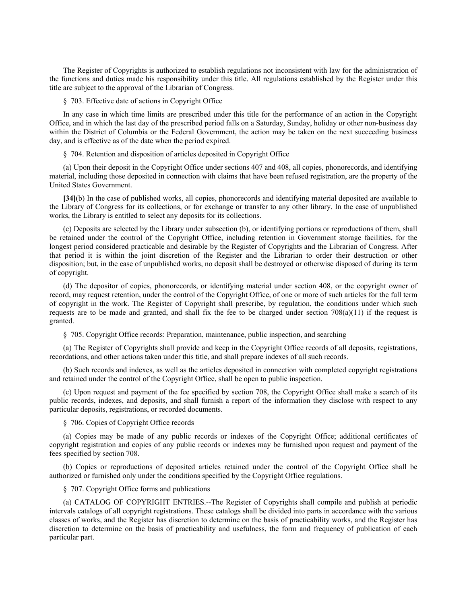The Register of Copyrights is authorized to establish regulations not inconsistent with law for the administration of the functions and duties made his responsibility under this title. All regulations established by the Register under this title are subject to the approval of the Librarian of Congress.

§ 703. Effective date of actions in Copyright Office

In any case in which time limits are prescribed under this title for the performance of an action in the Copyright Office, and in which the last day of the prescribed period falls on a Saturday, Sunday, holiday or other non-business day within the District of Columbia or the Federal Government, the action may be taken on the next succeeding business day, and is effective as of the date when the period expired.

§ 704. Retention and disposition of articles deposited in Copyright Office

(a) Upon their deposit in the Copyright Office under sections 407 and 408, all copies, phonorecords, and identifying material, including those deposited in connection with claims that have been refused registration, are the property of the United States Government.

**[34]**(b) In the case of published works, all copies, phonorecords and identifying material deposited are available to the Library of Congress for its collections, or for exchange or transfer to any other library. In the case of unpublished works, the Library is entitled to select any deposits for its collections.

(c) Deposits are selected by the Library under subsection (b), or identifying portions or reproductions of them, shall be retained under the control of the Copyright Office, including retention in Government storage facilities, for the longest period considered practicable and desirable by the Register of Copyrights and the Librarian of Congress. After that period it is within the joint discretion of the Register and the Librarian to order their destruction or other disposition; but, in the case of unpublished works, no deposit shall be destroyed or otherwise disposed of during its term of copyright.

(d) The depositor of copies, phonorecords, or identifying material under section 408, or the copyright owner of record, may request retention, under the control of the Copyright Office, of one or more of such articles for the full term of copyright in the work. The Register of Copyright shall prescribe, by regulation, the conditions under which such requests are to be made and granted, and shall fix the fee to be charged under section  $708(a)(11)$  if the request is granted.

§ 705. Copyright Office records: Preparation, maintenance, public inspection, and searching

(a) The Register of Copyrights shall provide and keep in the Copyright Office records of all deposits, registrations, recordations, and other actions taken under this title, and shall prepare indexes of all such records.

(b) Such records and indexes, as well as the articles deposited in connection with completed copyright registrations and retained under the control of the Copyright Office, shall be open to public inspection.

(c) Upon request and payment of the fee specified by section 708, the Copyright Office shall make a search of its public records, indexes, and deposits, and shall furnish a report of the information they disclose with respect to any particular deposits, registrations, or recorded documents.

§ 706. Copies of Copyright Office records

(a) Copies may be made of any public records or indexes of the Copyright Office; additional certificates of copyright registration and copies of any public records or indexes may be furnished upon request and payment of the fees specified by section 708.

(b) Copies or reproductions of deposited articles retained under the control of the Copyright Office shall be authorized or furnished only under the conditions specified by the Copyright Office regulations.

§ 707. Copyright Office forms and publications

(a) CATALOG OF COPYRIGHT ENTRIES.--The Register of Copyrights shall compile and publish at periodic intervals catalogs of all copyright registrations. These catalogs shall be divided into parts in accordance with the various classes of works, and the Register has discretion to determine on the basis of practicability works, and the Register has discretion to determine on the basis of practicability and usefulness, the form and frequency of publication of each particular part.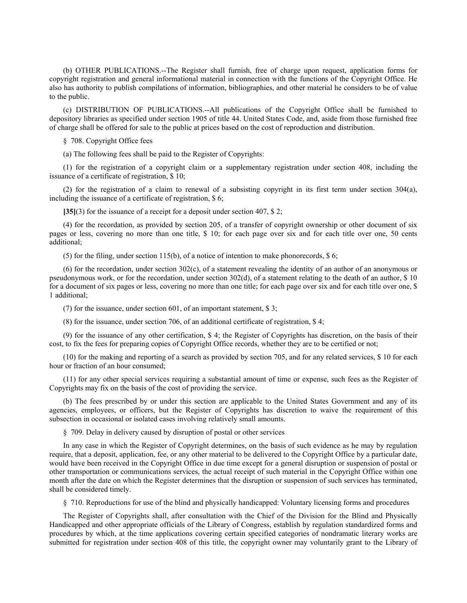(b) OTHER PUBLICATIONS.--The Register shall furnish, free of charge upon request, application forms for copyright registration and general informational material in connection with the functions of the Copyright Office. He also has authority to publish compilations of information, bibliographies, and other material he considers to be of value to the public.

(c) DISTRIBUTION OF PUBLICATIONS.--All publications of the Copyright Office shall be furnished to depository libraries as specified under section 1905 of title 44. United States Code, and, aside from those furnished free of charge shall be offered for sale to the public at prices based on the cost of reproduction and distribution.

§ 708. Copyright Office fees

(a) The following fees shall be paid to the Register of Copyrights:

(1) for the registration of a copyright claim or a supplementary registration under section 408, including the issuance of a certificate of registration, \$ 10;

(2) for the registration of a claim to renewal of a subsisting copyright in its first term under section 304(a), including the issuance of a certificate of registration, \$ 6;

**[35]**(3) for the issuance of a receipt for a deposit under section 407, \$ 2;

(4) for the recordation, as provided by section 205, of a transfer of copyright ownership or other document of six pages or less, covering no more than one title, \$ 10; for each page over six and for each title over one, 50 cents additional;

(5) for the filing, under section 115(b), of a notice of intention to make phonorecords, \$ 6;

(6) for the recordation, under section 302(c), of a statement revealing the identity of an author of an anonymous or pseudonymous work, or for the recordation, under section 302(d), of a statement relating to the death of an author, \$ 10 for a document of six pages or less, covering no more than one title; for each page over six and for each title over one, \$ 1 additional;

(7) for the issuance, under section 601, of an important statement, \$ 3;

(8) for the issuance, under section 706, of an additional certificate of registration, \$ 4;

(9) for the issuance of any other certification, \$ 4; the Register of Copyrights has discretion, on the basis of their cost, to fix the fees for preparing copies of Copyright Office records, whether they are to be certified or not;

(10) for the making and reporting of a search as provided by section 705, and for any related services, \$ 10 for each hour or fraction of an hour consumed;

(11) for any other special services requiring a substantial amount of time or expense, such fees as the Register of Copyrights may fix on the basis of the cost of providing the service.

(b) The fees prescribed by or under this section are applicable to the United States Government and any of its agencies, employees, or officers, but the Register of Copyrights has discretion to waive the requirement of this subsection in occasional or isolated cases involving relatively small amounts.

§ 709. Delay in delivery caused by disruption of postal or other services

In any case in which the Register of Copyright determines, on the basis of such evidence as he may by regulation require, that a deposit, application, fee, or any other material to be delivered to the Copyright Office by a particular date, would have been received in the Copyright Office in due time except for a general disruption or suspension of postal or other transportation or communications services, the actual receipt of such material in the Copyright Office within one month after the date on which the Register determines that the disruption or suspension of such services has terminated, shall be considered timely.

§ 710. Reproductions for use of the blind and physically handicapped: Voluntary licensing forms and procedures

The Register of Copyrights shall, after consultation with the Chief of the Division for the Blind and Physically Handicapped and other appropriate officials of the Library of Congress, establish by regulation standardized forms and procedures by which, at the time applications covering certain specified categories of nondramatic literary works are submitted for registration under section 408 of this title, the copyright owner may voluntarily grant to the Library of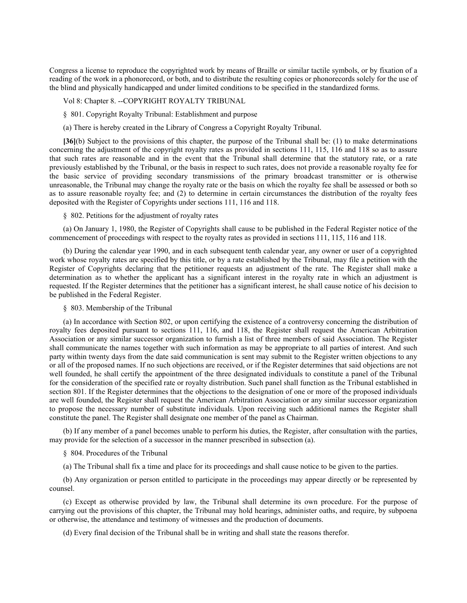Congress a license to reproduce the copyrighted work by means of Braille or similar tactile symbols, or by fixation of a reading of the work in a phonorecord, or both, and to distribute the resulting copies or phonorecords solely for the use of the blind and physically handicapped and under limited conditions to be specified in the standardized forms.

## Vol 8: Chapter 8. --COPYRIGHT ROYALTY TRIBUNAL

§ 801. Copyright Royalty Tribunal: Establishment and purpose

(a) There is hereby created in the Library of Congress a Copyright Royalty Tribunal.

**[36]**(b) Subject to the provisions of this chapter, the purpose of the Tribunal shall be: (1) to make determinations concerning the adjustment of the copyright royalty rates as provided in sections 111, 115, 116 and 118 so as to assure that such rates are reasonable and in the event that the Tribunal shall determine that the statutory rate, or a rate previously established by the Tribunal, or the basis in respect to such rates, does not provide a reasonable royalty fee for the basic service of providing secondary transmissions of the primary broadcast transmitter or is otherwise unreasonable, the Tribunal may change the royalty rate or the basis on which the royalty fee shall be assessed or both so as to assure reasonable royalty fee; and (2) to determine in certain circumstances the distribution of the royalty fees deposited with the Register of Copyrights under sections 111, 116 and 118.

§ 802. Petitions for the adjustment of royalty rates

(a) On January 1, 1980, the Register of Copyrights shall cause to be published in the Federal Register notice of the commencement of proceedings with respect to the royalty rates as provided in sections 111, 115, 116 and 118.

(b) During the calendar year 1990, and in each subsequent tenth calendar year, any owner or user of a copyrighted work whose royalty rates are specified by this title, or by a rate established by the Tribunal, may file a petition with the Register of Copyrights declaring that the petitioner requests an adjustment of the rate. The Register shall make a determination as to whether the applicant has a significant interest in the royalty rate in which an adjustment is requested. If the Register determines that the petitioner has a significant interest, he shall cause notice of his decision to be published in the Federal Register.

§ 803. Membership of the Tribunal

(a) In accordance with Section 802, or upon certifying the existence of a controversy concerning the distribution of royalty fees deposited pursuant to sections 111, 116, and 118, the Register shall request the American Arbitration Association or any similar successor organization to furnish a list of three members of said Association. The Register shall communicate the names together with such information as may be appropriate to all parties of interest. And such party within twenty days from the date said communication is sent may submit to the Register written objections to any or all of the proposed names. If no such objections are received, or if the Register determines that said objections are not well founded, he shall certify the appointment of the three designated individuals to constitute a panel of the Tribunal for the consideration of the specified rate or royalty distribution. Such panel shall function as the Tribunal established in section 801. If the Register determines that the objections to the designation of one or more of the proposed individuals are well founded, the Register shall request the American Arbitration Association or any similar successor organization to propose the necessary number of substitute individuals. Upon receiving such additional names the Register shall constitute the panel. The Register shall designate one member of the panel as Chairman.

(b) If any member of a panel becomes unable to perform his duties, the Register, after consultation with the parties, may provide for the selection of a successor in the manner prescribed in subsection (a).

§ 804. Procedures of the Tribunal

(a) The Tribunal shall fix a time and place for its proceedings and shall cause notice to be given to the parties.

(b) Any organization or person entitled to participate in the proceedings may appear directly or be represented by counsel.

(c) Except as otherwise provided by law, the Tribunal shall determine its own procedure. For the purpose of carrying out the provisions of this chapter, the Tribunal may hold hearings, administer oaths, and require, by subpoena or otherwise, the attendance and testimony of witnesses and the production of documents.

(d) Every final decision of the Tribunal shall be in writing and shall state the reasons therefor.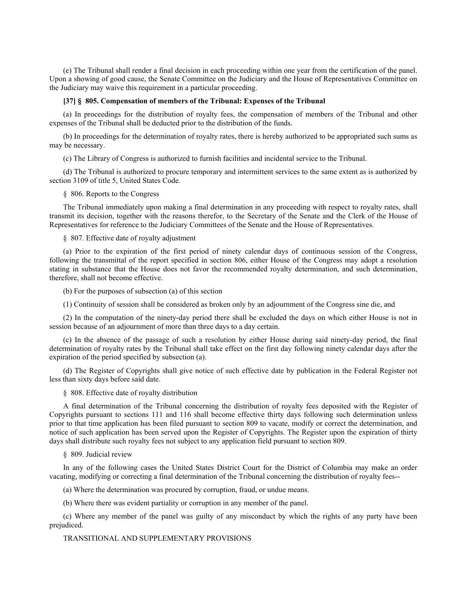(e) The Tribunal shall render a final decision in each proceeding within one year from the certification of the panel. Upon a showing of good cause, the Senate Committee on the Judiciary and the House of Representatives Committee on the Judiciary may waive this requirement in a particular proceeding.

## **[37] § 805. Compensation of members of the Tribunal: Expenses of the Tribunal**

(a) In proceedings for the distribution of royalty fees, the compensation of members of the Tribunal and other expenses of the Tribunal shall be deducted prior to the distribution of the funds.

(b) In proceedings for the determination of royalty rates, there is hereby authorized to be appropriated such sums as may be necessary.

(c) The Library of Congress is authorized to furnish facilities and incidental service to the Tribunal.

(d) The Tribunal is authorized to procure temporary and intermittent services to the same extent as is authorized by section 3109 of title 5, United States Code.

§ 806. Reports to the Congress

The Tribunal immediately upon making a final determination in any proceeding with respect to royalty rates, shall transmit its decision, together with the reasons therefor, to the Secretary of the Senate and the Clerk of the House of Representatives for reference to the Judiciary Committees of the Senate and the House of Representatives.

§ 807. Effective date of royalty adjustment

(a) Prior to the expiration of the first period of ninety calendar days of continuous session of the Congress, following the transmittal of the report specified in section 806, either House of the Congress may adopt a resolution stating in substance that the House does not favor the recommended royalty determination, and such determination, therefore, shall not become effective.

(b) For the purposes of subsection (a) of this section

(1) Continuity of session shall be considered as broken only by an adjournment of the Congress sine die, and

(2) In the computation of the ninety-day period there shall be excluded the days on which either House is not in session because of an adjournment of more than three days to a day certain.

(c) In the absence of the passage of such a resolution by either House during said ninety-day period, the final determination of royalty rates by the Tribunal shall take effect on the first day following ninety calendar days after the expiration of the period specified by subsection (a).

(d) The Register of Copyrights shall give notice of such effective date by publication in the Federal Register not less than sixty days before said date.

§ 808. Effective date of royalty distribution

A final determination of the Tribunal concerning the distribution of royalty fees deposited with the Register of Copyrights pursuant to sections 111 and 116 shall become effective thirty days following such determination unless prior to that time application has been filed pursuant to section 809 to vacate, modify or correct the determination, and notice of such application has been served upon the Register of Copyrights. The Register upon the expiration of thirty days shall distribute such royalty fees not subject to any application field pursuant to section 809.

§ 809. Judicial review

In any of the following cases the United States District Court for the District of Columbia may make an order vacating, modifying or correcting a final determination of the Tribunal concerning the distribution of royalty fees--

(a) Where the determination was procured by corruption, fraud, or undue means.

(b) Where there was evident partiality or corruption in any member of the panel.

(c) Where any member of the panel was guilty of any misconduct by which the rights of any party have been prejudiced.

### TRANSITIONAL AND SUPPLEMENTARY PROVISIONS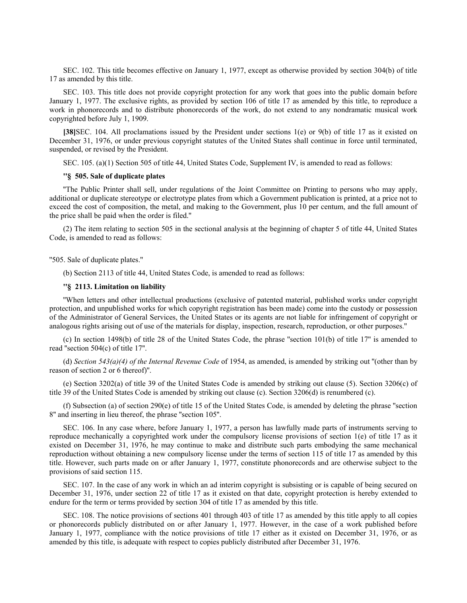SEC. 102. This title becomes effective on January 1, 1977, except as otherwise provided by section 304(b) of title 17 as amended by this title.

SEC. 103. This title does not provide copyright protection for any work that goes into the public domain before January 1, 1977. The exclusive rights, as provided by section 106 of title 17 as amended by this title, to reproduce a work in phonorecords and to distribute phonorecords of the work, do not extend to any nondramatic musical work copyrighted before July 1, 1909.

**[38]**SEC. 104. All proclamations issued by the President under sections 1(e) or 9(b) of title 17 as it existed on December 31, 1976, or under previous copyright statutes of the United States shall continue in force until terminated, suspended, or revised by the President.

SEC. 105. (a)(1) Section 505 of title 44, United States Code, Supplement IV, is amended to read as follows:

# **''§ 505. Sale of duplicate plates**

''The Public Printer shall sell, under regulations of the Joint Committee on Printing to persons who may apply, additional or duplicate stereotype or electrotype plates from which a Government publication is printed, at a price not to exceed the cost of composition, the metal, and making to the Government, plus 10 per centum, and the full amount of the price shall be paid when the order is filed.''

(2) The item relating to section 505 in the sectional analysis at the beginning of chapter 5 of title 44, United States Code, is amended to read as follows:

''505. Sale of duplicate plates.''

(b) Section 2113 of title 44, United States Code, is amended to read as follows:

#### **''§ 2113. Limitation on liability**

''When letters and other intellectual productions (exclusive of patented material, published works under copyright protection, and unpublished works for which copyright registration has been made) come into the custody or possession of the Administrator of General Services, the United States or its agents are not liable for infringement of copyright or analogous rights arising out of use of the materials for display, inspection, research, reproduction, or other purposes.''

(c) In section 1498(b) of title 28 of the United States Code, the phrase ''section 101(b) of title 17'' is amended to read ''section 504(c) of title 17''.

(d) *Section 543(a)(4) of the Internal Revenue Code* of 1954, as amended, is amended by striking out ''(other than by reason of section 2 or 6 thereof)''.

(e) Section 3202(a) of title 39 of the United States Code is amended by striking out clause (5). Section 3206(c) of title 39 of the United States Code is amended by striking out clause (c). Section 3206(d) is renumbered (c).

(f) Subsection (a) of section 290(e) of title 15 of the United States Code, is amended by deleting the phrase ''section 8'' and inserting in lieu thereof, the phrase ''section 105''.

SEC. 106. In any case where, before January 1, 1977, a person has lawfully made parts of instruments serving to reproduce mechanically a copyrighted work under the compulsory license provisions of section 1(e) of title 17 as it existed on December 31, 1976, he may continue to make and distribute such parts embodying the same mechanical reproduction without obtaining a new compulsory license under the terms of section 115 of title 17 as amended by this title. However, such parts made on or after January 1, 1977, constitute phonorecords and are otherwise subject to the provisions of said section 115.

SEC. 107. In the case of any work in which an ad interim copyright is subsisting or is capable of being secured on December 31, 1976, under section 22 of title 17 as it existed on that date, copyright protection is hereby extended to endure for the term or terms provided by section 304 of title 17 as amended by this title.

SEC. 108. The notice provisions of sections 401 through 403 of title 17 as amended by this title apply to all copies or phonorecords publicly distributed on or after January 1, 1977. However, in the case of a work published before January 1, 1977, compliance with the notice provisions of title 17 either as it existed on December 31, 1976, or as amended by this title, is adequate with respect to copies publicly distributed after December 31, 1976.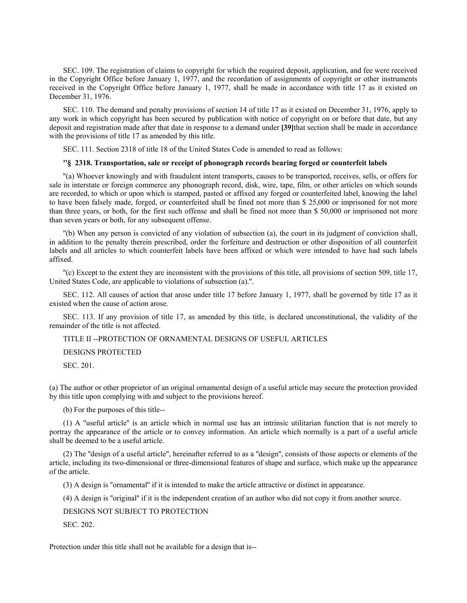SEC. 109. The registration of claims to copyright for which the required deposit, application, and fee were received in the Copyright Office before January 1, 1977, and the recordation of assignments of copyright or other instruments received in the Copyright Office before January 1, 1977, shall be made in accordance with title 17 as it existed on December 31, 1976.

SEC. 110. The demand and penalty provisions of section 14 of title 17 as it existed on December 31, 1976, apply to any work in which copyright has been secured by publication with notice of copyright on or before that date, but any deposit and registration made after that date in response to a demand under **[39]**that section shall be made in accordance with the provisions of title 17 as amended by this title.

SEC. 111. Section 2318 of title 18 of the United States Code is amended to read as follows:

## **''§ 2318. Transportation, sale or receipt of phonograph records bearing forged or counterfeit labels**

''(a) Whoever knowingly and with fraudulent intent transports, causes to be transported, receives, sells, or offers for sale in interstate or foreign commerce any phonograph record, disk, wire, tape, film, or other articles on which sounds are recorded, to which or upon which is stamped, pasted or affixed any forged or counterfeited label, knowing the label to have been falsely made, forged, or counterfeited shall be fined not more than \$ 25,000 or imprisoned for not more than three years, or both, for the first such offense and shall be fined not more than \$ 50,000 or imprisoned not more than seven years or both, for any subsequent offense.

''(b) When any person is convicted of any violation of subsection (a), the court in its judgment of conviction shall, in addition to the penalty therein prescribed, order the forfeiture and destruction or other disposition of all counterfeit labels and all articles to which counterfeit labels have been affixed or which were intended to have had such labels affixed.

''(c) Except to the extent they are inconsistent with the provisions of this title, all provisions of section 509, title 17, United States Code, are applicable to violations of subsection (a).''.

SEC. 112. All causes of action that arose under title 17 before January 1, 1977, shall be governed by title 17 as it existed when the cause of action arose.

SEC. 113. If any provision of title 17, as amended by this title, is declared unconstitutional, the validity of the remainder of the title is not affected.

TITLE II --PROTECTION OF ORNAMENTAL DESIGNS OF USEFUL ARTICLES

DESIGNS PROTECTED

SEC. 201.

(a) The author or other proprietor of an original ornamental design of a useful article may secure the protection provided by this title upon complying with and subject to the provisions hereof.

(b) For the purposes of this title--

(1) A ''useful article'' is an article which in normal use has an intrinsic utilitarian function that is not merely to portray the appearance of the article or to convey information. An article which normally is a part of a useful article shall be deemed to be a useful article.

(2) The ''design of a useful article'', hereinafter referred to as a ''design'', consists of those aspects or elements of the article, including its two-dimensional or three-dimensional features of shape and surface, which make up the appearance of the article.

(3) A design is ''ornamental'' if it is intended to make the article attractive or distinct in appearance.

(4) A design is ''original'' if it is the independent creation of an author who did not copy it from another source.

DESIGNS NOT SUBJECT TO PROTECTION

SEC. 202.

Protection under this title shall not be available for a design that is--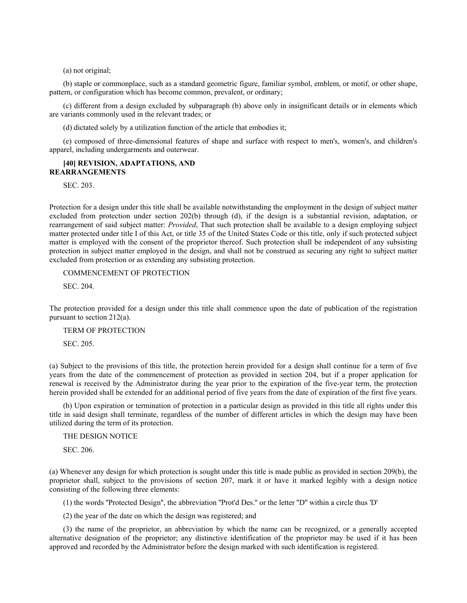(a) not original;

(b) staple or commonplace, such as a standard geometric figure, familiar symbol, emblem, or motif, or other shape, pattern, or configuration which has become common, prevalent, or ordinary;

(c) different from a design excluded by subparagraph (b) above only in insignificant details or in elements which are variants commonly used in the relevant trades; or

(d) dictated solely by a utilization function of the article that embodies it;

(e) composed of three-dimensional features of shape and surface with respect to men's, women's, and children's apparel, including undergarments and outerwear.

# **[40] REVISION, ADAPTATIONS, AND REARRANGEMENTS**

SEC. 203.

Protection for a design under this title shall be available notwithstanding the employment in the design of subject matter excluded from protection under section 202(b) through (d), if the design is a substantial revision, adaptation, or rearrangement of said subject matter: *Provided*, That such protection shall be available to a design employing subject matter protected under title I of this Act, or title 35 of the United States Code or this title, only if such protected subject matter is employed with the consent of the proprietor thereof. Such protection shall be independent of any subsisting protection in subject matter employed in the design, and shall not be construed as securing any right to subject matter excluded from protection or as extending any subsisting protection.

## COMMENCEMENT OF PROTECTION

SEC. 204.

The protection provided for a design under this title shall commence upon the date of publication of the registration pursuant to section 212(a).

TERM OF PROTECTION

SEC. 205.

(a) Subject to the provisions of this title, the protection herein provided for a design shall continue for a term of five years from the date of the commencement of protection as provided in section 204, but if a proper application for renewal is received by the Administrator during the year prior to the expiration of the five-year term, the protection herein provided shall be extended for an additional period of five years from the date of expiration of the first five years.

(b) Upon expiration or termination of protection in a particular design as provided in this title all rights under this title in said design shall terminate, regardless of the number of different articles in which the design may have been utilized during the term of its protection.

# THE DESIGN NOTICE

SEC. 206.

(a) Whenever any design for which protection is sought under this title is made public as provided in section 209(b), the proprietor shall, subject to the provisions of section 207, mark it or have it marked legibly with a design notice consisting of the following three elements:

(1) the words ''Protected Design'', the abbreviation ''Prot'd Des.'' or the letter ''D'' within a circle thus 'D'

(2) the year of the date on which the design was registered; and

(3) the name of the proprietor, an abbreviation by which the name can be recognized, or a generally accepted alternative designation of the proprietor; any distinctive identification of the proprietor may be used if it has been approved and recorded by the Administrator before the design marked with such identification is registered.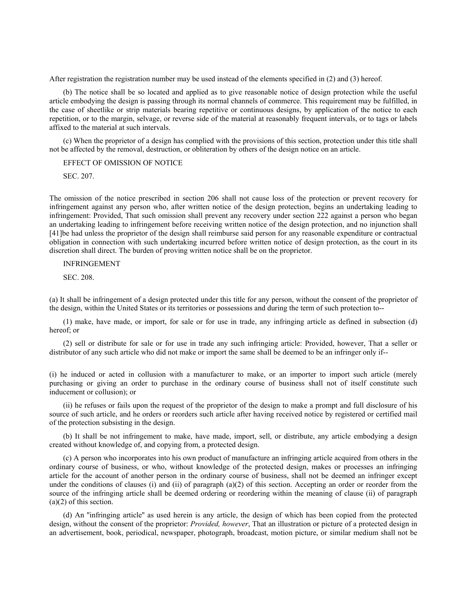After registration the registration number may be used instead of the elements specified in (2) and (3) hereof.

(b) The notice shall be so located and applied as to give reasonable notice of design protection while the useful article embodying the design is passing through its normal channels of commerce. This requirement may be fulfilled, in the case of sheetlike or strip materials bearing repetitive or continuous designs, by application of the notice to each repetition, or to the margin, selvage, or reverse side of the material at reasonably frequent intervals, or to tags or labels affixed to the material at such intervals.

(c) When the proprietor of a design has complied with the provisions of this section, protection under this title shall not be affected by the removal, destruction, or obliteration by others of the design notice on an article.

EFFECT OF OMISSION OF NOTICE

SEC. 207.

The omission of the notice prescribed in section 206 shall not cause loss of the protection or prevent recovery for infringement against any person who, after written notice of the design protection, begins an undertaking leading to infringement: Provided, That such omission shall prevent any recovery under section 222 against a person who began an undertaking leading to infringement before receiving written notice of the design protection, and no injunction shall [41]be had unless the proprietor of the design shall reimburse said person for any reasonable expenditure or contractual obligation in connection with such undertaking incurred before written notice of design protection, as the court in its discretion shall direct. The burden of proving written notice shall be on the proprietor.

INFRINGEMENT

SEC. 208.

(a) It shall be infringement of a design protected under this title for any person, without the consent of the proprietor of the design, within the United States or its territories or possessions and during the term of such protection to--

(1) make, have made, or import, for sale or for use in trade, any infringing article as defined in subsection (d) hereof; or

(2) sell or distribute for sale or for use in trade any such infringing article: Provided, however, That a seller or distributor of any such article who did not make or import the same shall be deemed to be an infringer only if--

(i) he induced or acted in collusion with a manufacturer to make, or an importer to import such article (merely purchasing or giving an order to purchase in the ordinary course of business shall not of itself constitute such inducement or collusion); or

(ii) he refuses or fails upon the request of the proprietor of the design to make a prompt and full disclosure of his source of such article, and he orders or reorders such article after having received notice by registered or certified mail of the protection subsisting in the design.

(b) It shall be not infringement to make, have made, import, sell, or distribute, any article embodying a design created without knowledge of, and copying from, a protected design.

(c) A person who incorporates into his own product of manufacture an infringing article acquired from others in the ordinary course of business, or who, without knowledge of the protected design, makes or processes an infringing article for the account of another person in the ordinary course of business, shall not be deemed an infringer except under the conditions of clauses (i) and (ii) of paragraph  $(a)(2)$  of this section. Accepting an order or reorder from the source of the infringing article shall be deemed ordering or reordering within the meaning of clause (ii) of paragraph (a)(2) of this section.

(d) An ''infringing article'' as used herein is any article, the design of which has been copied from the protected design, without the consent of the proprietor: *Provided, however*, That an illustration or picture of a protected design in an advertisement, book, periodical, newspaper, photograph, broadcast, motion picture, or similar medium shall not be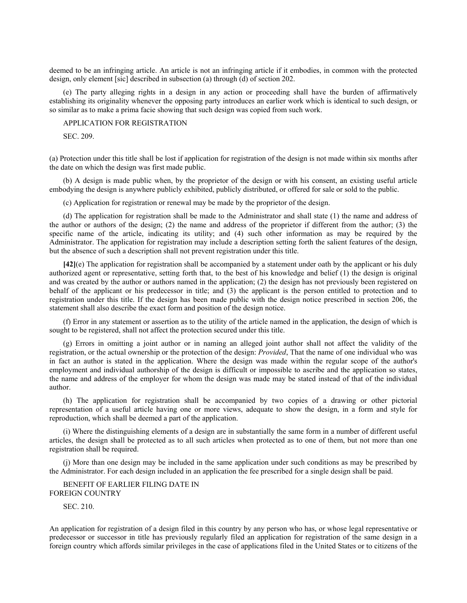deemed to be an infringing article. An article is not an infringing article if it embodies, in common with the protected design, only element [sic] described in subsection (a) through (d) of section 202.

(e) The party alleging rights in a design in any action or proceeding shall have the burden of affirmatively establishing its originality whenever the opposing party introduces an earlier work which is identical to such design, or so similar as to make a prima facie showing that such design was copied from such work.

# APPLICATION FOR REGISTRATION

SEC. 209.

(a) Protection under this title shall be lost if application for registration of the design is not made within six months after the date on which the design was first made public.

(b) A design is made public when, by the proprietor of the design or with his consent, an existing useful article embodying the design is anywhere publicly exhibited, publicly distributed, or offered for sale or sold to the public.

(c) Application for registration or renewal may be made by the proprietor of the design.

(d) The application for registration shall be made to the Administrator and shall state (1) the name and address of the author or authors of the design; (2) the name and address of the proprietor if different from the author; (3) the specific name of the article, indicating its utility; and (4) such other information as may be required by the Administrator. The application for registration may include a description setting forth the salient features of the design, but the absence of such a description shall not prevent registration under this title.

**[42]**(e) The application for registration shall be accompanied by a statement under oath by the applicant or his duly authorized agent or representative, setting forth that, to the best of his knowledge and belief (1) the design is original and was created by the author or authors named in the application; (2) the design has not previously been registered on behalf of the applicant or his predecessor in title; and (3) the applicant is the person entitled to protection and to registration under this title. If the design has been made public with the design notice prescribed in section 206, the statement shall also describe the exact form and position of the design notice.

(f) Error in any statement or assertion as to the utility of the article named in the application, the design of which is sought to be registered, shall not affect the protection secured under this title.

(g) Errors in omitting a joint author or in naming an alleged joint author shall not affect the validity of the registration, or the actual ownership or the protection of the design: *Provided*, That the name of one individual who was in fact an author is stated in the application. Where the design was made within the regular scope of the author's employment and individual authorship of the design is difficult or impossible to ascribe and the application so states, the name and address of the employer for whom the design was made may be stated instead of that of the individual author.

(h) The application for registration shall be accompanied by two copies of a drawing or other pictorial representation of a useful article having one or more views, adequate to show the design, in a form and style for reproduction, which shall be deemed a part of the application.

(i) Where the distinguishing elements of a design are in substantially the same form in a number of different useful articles, the design shall be protected as to all such articles when protected as to one of them, but not more than one registration shall be required.

(j) More than one design may be included in the same application under such conditions as may be prescribed by the Administrator. For each design included in an application the fee prescribed for a single design shall be paid.

BENEFIT OF EARLIER FILING DATE IN FOREIGN COUNTRY

SEC. 210.

An application for registration of a design filed in this country by any person who has, or whose legal representative or predecessor or successor in title has previously regularly filed an application for registration of the same design in a foreign country which affords similar privileges in the case of applications filed in the United States or to citizens of the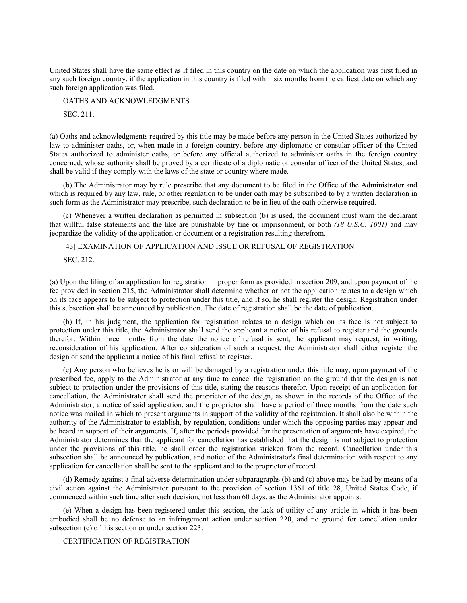United States shall have the same effect as if filed in this country on the date on which the application was first filed in any such foreign country, if the application in this country is filed within six months from the earliest date on which any such foreign application was filed.

OATHS AND ACKNOWLEDGMENTS

SEC. 211.

(a) Oaths and acknowledgments required by this title may be made before any person in the United States authorized by law to administer oaths, or, when made in a foreign country, before any diplomatic or consular officer of the United States authorized to administer oaths, or before any official authorized to administer oaths in the foreign country concerned, whose authority shall be proved by a certificate of a diplomatic or consular officer of the United States, and shall be valid if they comply with the laws of the state or country where made.

(b) The Administrator may by rule prescribe that any document to be filed in the Office of the Administrator and which is required by any law, rule, or other regulation to be under oath may be subscribed to by a written declaration in such form as the Administrator may prescribe, such declaration to be in lieu of the oath otherwise required.

(c) Whenever a written declaration as permitted in subsection (b) is used, the document must warn the declarant that willful false statements and the like are punishable by fine or imprisonment, or both *(18 U.S.C. 1001)* and may jeopardize the validity of the application or document or a registration resulting therefrom.

[43] EXAMINATION OF APPLICATION AND ISSUE OR REFUSAL OF REGISTRATION

SEC. 212.

(a) Upon the filing of an application for registration in proper form as provided in section 209, and upon payment of the fee provided in section 215, the Administrator shall determine whether or not the application relates to a design which on its face appears to be subject to protection under this title, and if so, he shall register the design. Registration under this subsection shall be announced by publication. The date of registration shall be the date of publication.

(b) If, in his judgment, the application for registration relates to a design which on its face is not subject to protection under this title, the Administrator shall send the applicant a notice of his refusal to register and the grounds therefor. Within three months from the date the notice of refusal is sent, the applicant may request, in writing, reconsideration of his application. After consideration of such a request, the Administrator shall either register the design or send the applicant a notice of his final refusal to register.

(c) Any person who believes he is or will be damaged by a registration under this title may, upon payment of the prescribed fee, apply to the Administrator at any time to cancel the registration on the ground that the design is not subject to protection under the provisions of this title, stating the reasons therefor. Upon receipt of an application for cancellation, the Administrator shall send the proprietor of the design, as shown in the records of the Office of the Administrator, a notice of said application, and the proprietor shall have a period of three months from the date such notice was mailed in which to present arguments in support of the validity of the registration. It shall also be within the authority of the Administrator to establish, by regulation, conditions under which the opposing parties may appear and be heard in support of their arguments. If, after the periods provided for the presentation of arguments have expired, the Administrator determines that the applicant for cancellation has established that the design is not subject to protection under the provisions of this title, he shall order the registration stricken from the record. Cancellation under this subsection shall be announced by publication, and notice of the Administrator's final determination with respect to any application for cancellation shall be sent to the applicant and to the proprietor of record.

(d) Remedy against a final adverse determination under subparagraphs (b) and (c) above may be had by means of a civil action against the Administrator pursuant to the provision of section 1361 of title 28, United States Code, if commenced within such time after such decision, not less than 60 days, as the Administrator appoints.

(e) When a design has been registered under this section, the lack of utility of any article in which it has been embodied shall be no defense to an infringement action under section 220, and no ground for cancellation under subsection (c) of this section or under section 223.

CERTIFICATION OF REGISTRATION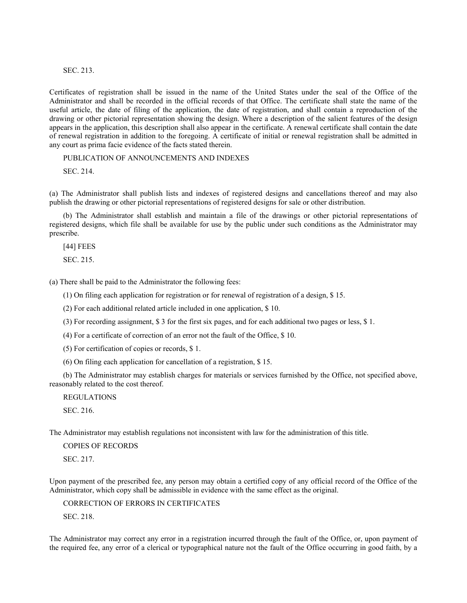SEC. 213.

Certificates of registration shall be issued in the name of the United States under the seal of the Office of the Administrator and shall be recorded in the official records of that Office. The certificate shall state the name of the useful article, the date of filing of the application, the date of registration, and shall contain a reproduction of the drawing or other pictorial representation showing the design. Where a description of the salient features of the design appears in the application, this description shall also appear in the certificate. A renewal certificate shall contain the date of renewal registration in addition to the foregoing. A certificate of initial or renewal registration shall be admitted in any court as prima facie evidence of the facts stated therein.

### PUBLICATION OF ANNOUNCEMENTS AND INDEXES

SEC. 214.

(a) The Administrator shall publish lists and indexes of registered designs and cancellations thereof and may also publish the drawing or other pictorial representations of registered designs for sale or other distribution.

(b) The Administrator shall establish and maintain a file of the drawings or other pictorial representations of registered designs, which file shall be available for use by the public under such conditions as the Administrator may prescribe.

[44] FEES

SEC. 215.

(a) There shall be paid to the Administrator the following fees:

(1) On filing each application for registration or for renewal of registration of a design, \$ 15.

(2) For each additional related article included in one application, \$ 10.

(3) For recording assignment, \$ 3 for the first six pages, and for each additional two pages or less, \$ 1.

(4) For a certificate of correction of an error not the fault of the Office, \$ 10.

(5) For certification of copies or records, \$ 1.

(6) On filing each application for cancellation of a registration, \$ 15.

(b) The Administrator may establish charges for materials or services furnished by the Office, not specified above, reasonably related to the cost thereof.

REGULATIONS

SEC. 216.

The Administrator may establish regulations not inconsistent with law for the administration of this title.

COPIES OF RECORDS

SEC. 217.

Upon payment of the prescribed fee, any person may obtain a certified copy of any official record of the Office of the Administrator, which copy shall be admissible in evidence with the same effect as the original.

CORRECTION OF ERRORS IN CERTIFICATES

SEC. 218.

The Administrator may correct any error in a registration incurred through the fault of the Office, or, upon payment of the required fee, any error of a clerical or typographical nature not the fault of the Office occurring in good faith, by a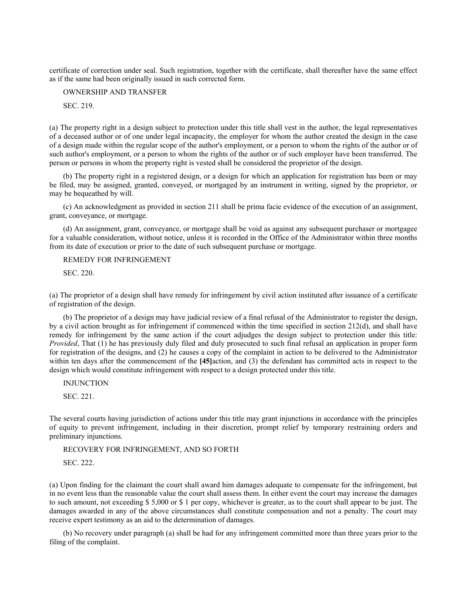certificate of correction under seal. Such registration, together with the certificate, shall thereafter have the same effect as if the same had been originally issued in such corrected form.

OWNERSHIP AND TRANSFER

SEC. 219.

(a) The property right in a design subject to protection under this title shall vest in the author, the legal representatives of a deceased author or of one under legal incapacity, the employer for whom the author created the design in the case of a design made within the regular scope of the author's employment, or a person to whom the rights of the author or of such author's employment, or a person to whom the rights of the author or of such employer have been transferred. The person or persons in whom the property right is vested shall be considered the proprietor of the design.

(b) The property right in a registered design, or a design for which an application for registration has been or may be filed, may be assigned, granted, conveyed, or mortgaged by an instrument in writing, signed by the proprietor, or may be bequeathed by will.

(c) An acknowledgment as provided in section 211 shall be prima facie evidence of the execution of an assignment, grant, conveyance, or mortgage.

(d) An assignment, grant, conveyance, or mortgage shall be void as against any subsequent purchaser or mortgagee for a valuable consideration, without notice, unless it is recorded in the Office of the Administrator within three months from its date of execution or prior to the date of such subsequent purchase or mortgage.

REMEDY FOR INFRINGEMENT

SEC. 220.

(a) The proprietor of a design shall have remedy for infringement by civil action instituted after issuance of a certificate of registration of the design.

(b) The proprietor of a design may have judicial review of a final refusal of the Administrator to register the design, by a civil action brought as for infringement if commenced within the time specified in section 212(d), and shall have remedy for infringement by the same action if the court adjudges the design subject to protection under this title: *Provided*, That (1) he has previously duly filed and duly prosecuted to such final refusal an application in proper form for registration of the designs, and (2) he causes a copy of the complaint in action to be delivered to the Administrator within ten days after the commencement of the **[45]**action, and (3) the defendant has committed acts in respect to the design which would constitute infringement with respect to a design protected under this title.

INJUNCTION

SEC. 221.

The several courts having jurisdiction of actions under this title may grant injunctions in accordance with the principles of equity to prevent infringement, including in their discretion, prompt relief by temporary restraining orders and preliminary injunctions.

RECOVERY FOR INFRINGEMENT, AND SO FORTH

SEC. 222.

(a) Upon finding for the claimant the court shall award him damages adequate to compensate for the infringement, but in no event less than the reasonable value the court shall assess them. In either event the court may increase the damages to such amount, not exceeding \$ 5,000 or \$ 1 per copy, whichever is greater, as to the court shall appear to be just. The damages awarded in any of the above circumstances shall constitute compensation and not a penalty. The court may receive expert testimony as an aid to the determination of damages.

(b) No recovery under paragraph (a) shall be had for any infringement committed more than three years prior to the filing of the complaint.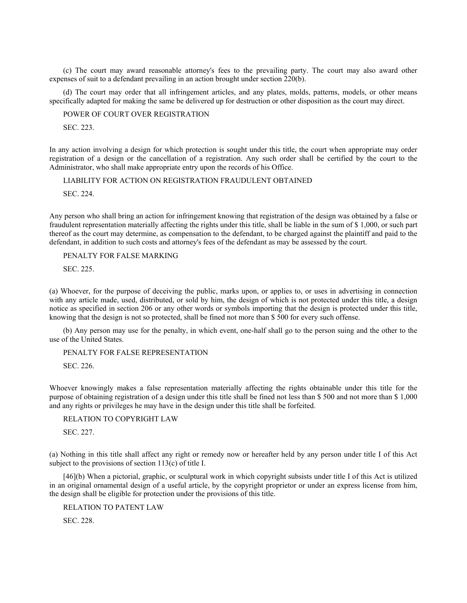(c) The court may award reasonable attorney's fees to the prevailing party. The court may also award other expenses of suit to a defendant prevailing in an action brought under section 220(b).

(d) The court may order that all infringement articles, and any plates, molds, patterns, models, or other means specifically adapted for making the same be delivered up for destruction or other disposition as the court may direct.

POWER OF COURT OVER REGISTRATION

SEC. 223.

In any action involving a design for which protection is sought under this title, the court when appropriate may order registration of a design or the cancellation of a registration. Any such order shall be certified by the court to the Administrator, who shall make appropriate entry upon the records of his Office.

LIABILITY FOR ACTION ON REGISTRATION FRAUDULENT OBTAINED

SEC. 224.

Any person who shall bring an action for infringement knowing that registration of the design was obtained by a false or fraudulent representation materially affecting the rights under this title, shall be liable in the sum of \$ 1,000, or such part thereof as the court may determine, as compensation to the defendant, to be charged against the plaintiff and paid to the defendant, in addition to such costs and attorney's fees of the defendant as may be assessed by the court.

PENALTY FOR FALSE MARKING

SEC. 225.

(a) Whoever, for the purpose of deceiving the public, marks upon, or applies to, or uses in advertising in connection with any article made, used, distributed, or sold by him, the design of which is not protected under this title, a design notice as specified in section 206 or any other words or symbols importing that the design is protected under this title, knowing that the design is not so protected, shall be fined not more than \$ 500 for every such offense.

(b) Any person may use for the penalty, in which event, one-half shall go to the person suing and the other to the use of the United States.

PENALTY FOR FALSE REPRESENTATION

SEC. 226.

Whoever knowingly makes a false representation materially affecting the rights obtainable under this title for the purpose of obtaining registration of a design under this title shall be fined not less than \$ 500 and not more than \$ 1,000 and any rights or privileges he may have in the design under this title shall be forfeited.

RELATION TO COPYRIGHT LAW

SEC. 227.

(a) Nothing in this title shall affect any right or remedy now or hereafter held by any person under title I of this Act subject to the provisions of section 113(c) of title I.

[46](b) When a pictorial, graphic, or sculptural work in which copyright subsists under title I of this Act is utilized in an original ornamental design of a useful article, by the copyright proprietor or under an express license from him, the design shall be eligible for protection under the provisions of this title.

RELATION TO PATENT LAW

SEC. 228.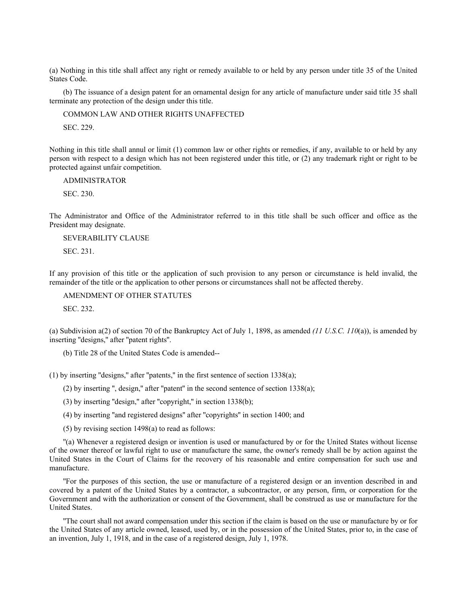(a) Nothing in this title shall affect any right or remedy available to or held by any person under title 35 of the United States Code.

(b) The issuance of a design patent for an ornamental design for any article of manufacture under said title 35 shall terminate any protection of the design under this title.

COMMON LAW AND OTHER RIGHTS UNAFFECTED

SEC. 229.

Nothing in this title shall annul or limit (1) common law or other rights or remedies, if any, available to or held by any person with respect to a design which has not been registered under this title, or (2) any trademark right or right to be protected against unfair competition.

ADMINISTRATOR

SEC. 230.

The Administrator and Office of the Administrator referred to in this title shall be such officer and office as the President may designate.

SEVERABILITY CLAUSE

SEC. 231.

If any provision of this title or the application of such provision to any person or circumstance is held invalid, the remainder of the title or the application to other persons or circumstances shall not be affected thereby.

AMENDMENT OF OTHER STATUTES SEC. 232.

(a) Subdivision a(2) of section 70 of the Bankruptcy Act of July 1, 1898, as amended *(11 U.S.C. 110*(a)), is amended by inserting ''designs,'' after ''patent rights''.

(b) Title 28 of the United States Code is amended--

(1) by inserting ''designs,'' after ''patents,'' in the first sentence of section 1338(a);

(2) by inserting '', design,'' after ''patent'' in the second sentence of section 1338(a);

(3) by inserting ''design,'' after ''copyright,'' in section 1338(b);

(4) by inserting ''and registered designs'' after ''copyrights'' in section 1400; and

(5) by revising section 1498(a) to read as follows:

''(a) Whenever a registered design or invention is used or manufactured by or for the United States without license of the owner thereof or lawful right to use or manufacture the same, the owner's remedy shall be by action against the United States in the Court of Claims for the recovery of his reasonable and entire compensation for such use and manufacture.

''For the purposes of this section, the use or manufacture of a registered design or an invention described in and covered by a patent of the United States by a contractor, a subcontractor, or any person, firm, or corporation for the Government and with the authorization or consent of the Government, shall be construed as use or manufacture for the United States.

''The court shall not award compensation under this section if the claim is based on the use or manufacture by or for the United States of any article owned, leased, used by, or in the possession of the United States, prior to, in the case of an invention, July 1, 1918, and in the case of a registered design, July 1, 1978.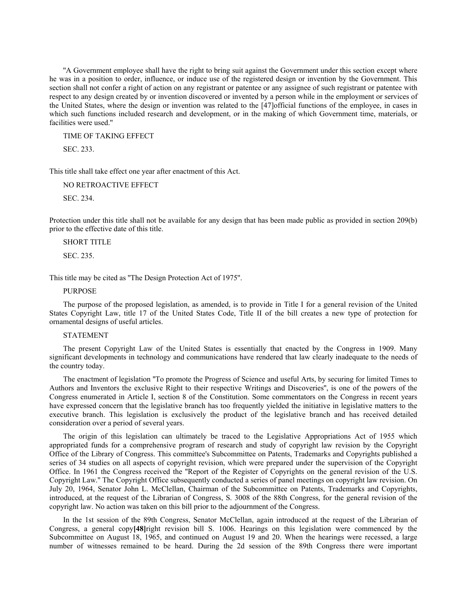''A Government employee shall have the right to bring suit against the Government under this section except where he was in a position to order, influence, or induce use of the registered design or invention by the Government. This section shall not confer a right of action on any registrant or patentee or any assignee of such registrant or patentee with respect to any design created by or invention discovered or invented by a person while in the employment or services of the United States, where the design or invention was related to the [47]official functions of the employee, in cases in which such functions included research and development, or in the making of which Government time, materials, or facilities were used.''

TIME OF TAKING EFFECT

SEC. 233.

This title shall take effect one year after enactment of this Act.

NO RETROACTIVE EFFECT

SEC. 234.

Protection under this title shall not be available for any design that has been made public as provided in section 209(b) prior to the effective date of this title.

SHORT TITLE

SEC. 235.

This title may be cited as ''The Design Protection Act of 1975''.

#### PURPOSE

The purpose of the proposed legislation, as amended, is to provide in Title I for a general revision of the United States Copyright Law, title 17 of the United States Code, Title II of the bill creates a new type of protection for ornamental designs of useful articles.

## STATEMENT

The present Copyright Law of the United States is essentially that enacted by the Congress in 1909. Many significant developments in technology and communications have rendered that law clearly inadequate to the needs of the country today.

The enactment of legislation ''To promote the Progress of Science and useful Arts, by securing for limited Times to Authors and Inventors the exclusive Right to their respective Writings and Discoveries'', is one of the powers of the Congress enumerated in Article I, section 8 of the Constitution. Some commentators on the Congress in recent years have expressed concern that the legislative branch has too frequently yielded the initiative in legislative matters to the executive branch. This legislation is exclusively the product of the legislative branch and has received detailed consideration over a period of several years.

The origin of this legislation can ultimately be traced to the Legislative Appropriations Act of 1955 which appropriated funds for a comprehensive program of research and study of copyright law revision by the Copyright Office of the Library of Congress. This committee's Subcommittee on Patents, Trademarks and Copyrights published a series of 34 studies on all aspects of copyright revision, which were prepared under the supervision of the Copyright Office. In 1961 the Congress received the ''Report of the Register of Copyrights on the general revision of the U.S. Copyright Law.'' The Copyright Office subsequently conducted a series of panel meetings on copyright law revision. On July 20, 1964, Senator John L. McClellan, Chairman of the Subcommittee on Patents, Trademarks and Copyrights, introduced, at the request of the Librarian of Congress, S. 3008 of the 88th Congress, for the general revision of the copyright law. No action was taken on this bill prior to the adjournment of the Congress.

In the 1st session of the 89th Congress, Senator McClellan, again introduced at the request of the Librarian of Congress, a general copy**[48]**right revision bill S. 1006. Hearings on this legislation were commenced by the Subcommittee on August 18, 1965, and continued on August 19 and 20. When the hearings were recessed, a large number of witnesses remained to be heard. During the 2d session of the 89th Congress there were important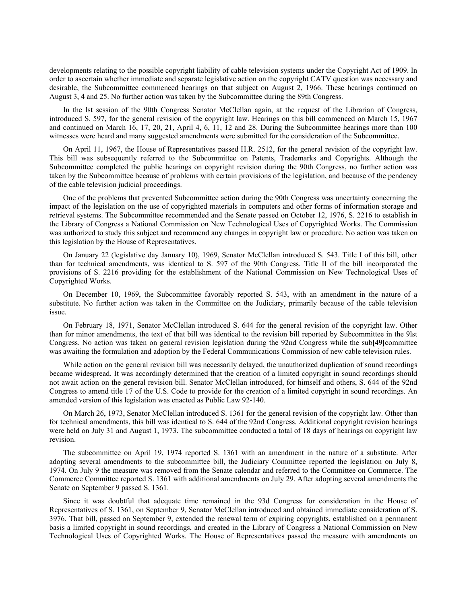developments relating to the possible copyright liability of cable television systems under the Copyright Act of 1909. In order to ascertain whether immediate and separate legislative action on the copyright CATV question was necessary and desirable, the Subcommittee commenced hearings on that subject on August 2, 1966. These hearings continued on August 3, 4 and 25. No further action was taken by the Subcommittee during the 89th Congress.

In the lst session of the 90th Congress Senator McClellan again, at the request of the Librarian of Congress, introduced S. 597, for the general revision of the copyright law. Hearings on this bill commenced on March 15, 1967 and continued on March 16, 17, 20, 21, April 4, 6, 11, 12 and 28. During the Subcommittee hearings more than 100 witnesses were heard and many suggested amendments were submitted for the consideration of the Subcommittee.

On April 11, 1967, the House of Representatives passed H.R. 2512, for the general revision of the copyright law. This bill was subsequently referred to the Subcommittee on Patents, Trademarks and Copyrights. Although the Subcommittee completed the public hearings on copyright revision during the 90th Congress, no further action was taken by the Subcommittee because of problems with certain provisions of the legislation, and because of the pendency of the cable television judicial proceedings.

One of the problems that prevented Subcommittee action during the 90th Congress was uncertainty concerning the impact of the legislation on the use of copyrighted materials in computers and other forms of information storage and retrieval systems. The Subcommittee recommended and the Senate passed on October 12, 1976, S. 2216 to establish in the Library of Congress a National Commission on New Technological Uses of Copyrighted Works. The Commission was authorized to study this subject and recommend any changes in copyright law or procedure. No action was taken on this legislation by the House of Representatives.

On January 22 (legislative day January 10), 1969, Senator McClellan introduced S. 543. Title I of this bill, other than for technical amendments, was identical to S. 597 of the 90th Congress. Title II of the bill incorporated the provisions of S. 2216 providing for the establishment of the National Commission on New Technological Uses of Copyrighted Works.

On December 10, 1969, the Subcommittee favorably reported S. 543, with an amendment in the nature of a substitute. No further action was taken in the Committee on the Judiciary, primarily because of the cable television issue.

On February 18, 1971, Senator McClellan introduced S. 644 for the general revision of the copyright law. Other than for minor amendments, the text of that bill was identical to the revision bill reported by Subcommittee in the 9lst Congress. No action was taken on general revision legislation during the 92nd Congress while the sub**[49]**committee was awaiting the formulation and adoption by the Federal Communications Commission of new cable television rules.

While action on the general revision bill was necessarily delayed, the unauthorized duplication of sound recordings became widespread. It was accordingly determined that the creation of a limited copyright in sound recordings should not await action on the general revision bill. Senator McClellan introduced, for himself and others, S. 644 of the 92nd Congress to amend title 17 of the U.S. Code to provide for the creation of a limited copyright in sound recordings. An amended version of this legislation was enacted as Public Law 92-140.

On March 26, 1973, Senator McClellan introduced S. 1361 for the general revision of the copyright law. Other than for technical amendments, this bill was identical to S. 644 of the 92nd Congress. Additional copyright revision hearings were held on July 31 and August 1, 1973. The subcommittee conducted a total of 18 days of hearings on copyright law revision.

The subcommittee on April 19, 1974 reported S. 1361 with an amendment in the nature of a substitute. After adopting several amendments to the subcommittee bill, the Judiciary Committee reported the legislation on July 8, 1974. On July 9 the measure was removed from the Senate calendar and referred to the Committee on Commerce. The Commerce Committee reported S. 1361 with additional amendments on July 29. After adopting several amendments the Senate on September 9 passed S. 1361.

Since it was doubtful that adequate time remained in the 93d Congress for consideration in the House of Representatives of S. 1361, on September 9, Senator McClellan introduced and obtained immediate consideration of S. 3976. That bill, passed on September 9, extended the renewal term of expiring copyrights, established on a permanent basis a limited copyright in sound recordings, and created in the Library of Congress a National Commission on New Technological Uses of Copyrighted Works. The House of Representatives passed the measure with amendments on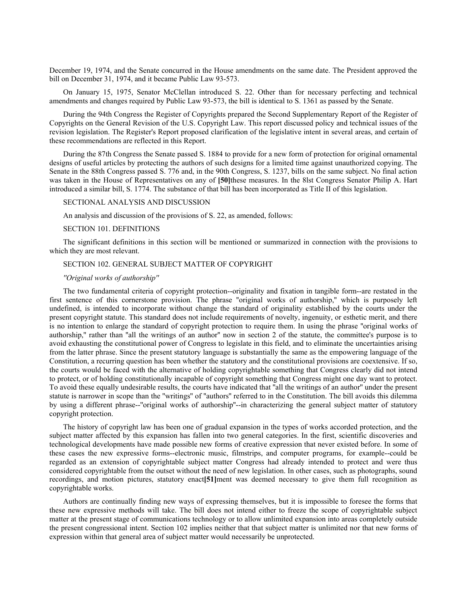December 19, 1974, and the Senate concurred in the House amendments on the same date. The President approved the bill on December 31, 1974, and it became Public Law 93-573.

On January 15, 1975, Senator McClellan introduced S. 22. Other than for necessary perfecting and technical amendments and changes required by Public Law 93-573, the bill is identical to S. 1361 as passed by the Senate.

During the 94th Congress the Register of Copyrights prepared the Second Supplementary Report of the Register of Copyrights on the General Revision of the U.S. Copyright Law. This report discussed policy and technical issues of the revision legislation. The Register's Report proposed clarification of the legislative intent in several areas, and certain of these recommendations are reflected in this Report.

During the 87th Congress the Senate passed S. 1884 to provide for a new form of protection for original ornamental designs of useful articles by protecting the authors of such designs for a limited time against unauthorized copying. The Senate in the 88th Congress passed S. 776 and, in the 90th Congress, S. 1237, bills on the same subject. No final action was taken in the House of Representatives on any of **[50]**these measures. In the 8lst Congress Senator Philip A. Hart introduced a similar bill, S. 1774. The substance of that bill has been incorporated as Title II of this legislation.

### SECTIONAL ANALYSIS AND DISCUSSION

An analysis and discussion of the provisions of S. 22, as amended, follows:

#### SECTION 101. DEFINITIONS

The significant definitions in this section will be mentioned or summarized in connection with the provisions to which they are most relevant.

## SECTION 102. GENERAL SUBJECT MATTER OF COPYRIGHT

### *''Original works of authorship''*

The two fundamental criteria of copyright protection--originality and fixation in tangible form--are restated in the first sentence of this cornerstone provision. The phrase ''original works of authorship,'' which is purposely left undefined, is intended to incorporate without change the standard of originality established by the courts under the present copyright statute. This standard does not include requirements of novelty, ingenuity, or esthetic merit, and there is no intention to enlarge the standard of copyright protection to require them. In using the phrase ''original works of authorship," rather than "all the writings of an author" now in section 2 of the statute, the committee's purpose is to avoid exhausting the constitutional power of Congress to legislate in this field, and to eliminate the uncertainties arising from the latter phrase. Since the present statutory language is substantially the same as the empowering language of the Constitution, a recurring question has been whether the statutory and the constitutional provisions are coextensive. If so, the courts would be faced with the alternative of holding copyrightable something that Congress clearly did not intend to protect, or of holding constitutionally incapable of copyright something that Congress might one day want to protect. To avoid these equally undesirable results, the courts have indicated that ''all the writings of an author'' under the present statute is narrower in scope than the ''writings'' of ''authors'' referred to in the Constitution. The bill avoids this dilemma by using a different phrase--''original works of authorship''--in characterizing the general subject matter of statutory copyright protection.

The history of copyright law has been one of gradual expansion in the types of works accorded protection, and the subject matter affected by this expansion has fallen into two general categories. In the first, scientific discoveries and technological developments have made possible new forms of creative expression that never existed before. In some of these cases the new expressive forms--electronic music, filmstrips, and computer programs, for example--could be regarded as an extension of copyrightable subject matter Congress had already intended to protect and were thus considered copyrightable from the outset without the need of new legislation. In other cases, such as photographs, sound recordings, and motion pictures, statutory enact**[51]**ment was deemed necessary to give them full recognition as copyrightable works.

Authors are continually finding new ways of expressing themselves, but it is impossible to foresee the forms that these new expressive methods will take. The bill does not intend either to freeze the scope of copyrightable subject matter at the present stage of communications technology or to allow unlimited expansion into areas completely outside the present congressional intent. Section 102 implies neither that that subject matter is unlimited nor that new forms of expression within that general area of subject matter would necessarily be unprotected.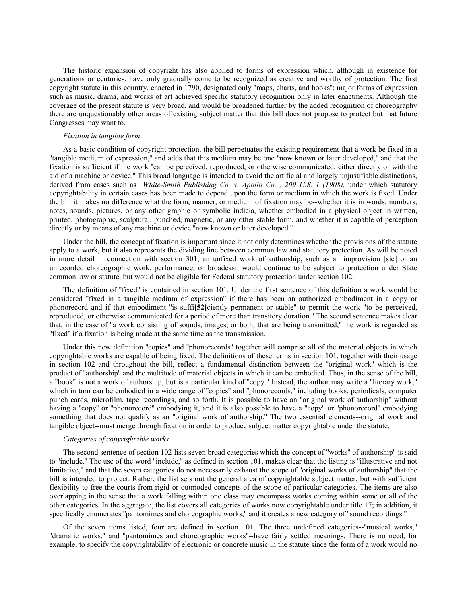The historic expansion of copyright has also applied to forms of expression which, although in existence for generations or centuries, have only gradually come to be recognized as creative and worthy of protection. The first copyright statute in this country, enacted in 1790, designated only ''maps, charts, and books''; major forms of expression such as music, drama, and works of art achieved specific statutory recognition only in later enactments. Although the coverage of the present statute is very broad, and would be broadened further by the added recognition of choreography there are unquestionably other areas of existing subject matter that this bill does not propose to protect but that future Congresses may want to.

#### *Fixation in tangible form*

As a basic condition of copyright protection, the bill perpetuates the existing requirement that a work be fixed in a ''tangible medium of expression,'' and adds that this medium may be one ''now known or later developed,'' and that the fixation is sufficient if the work ''can be perceived, reproduced, or otherwise communicated, either directly or with the aid of a machine or device.'' This broad language is intended to avoid the artificial and largely unjustifiable distinctions, derived from cases such as *White-Smith Publishing Co. v. Apollo Co. , 209 U.S. 1 (1908),* under which statutory copyrightability in certain cases has been made to depend upon the form or medium in which the work is fixed. Under the bill it makes no difference what the form, manner, or medium of fixation may be--whether it is in words, numbers, notes, sounds, pictures, or any other graphic or symbolic indicia, whether embodied in a physical object in written, printed, photographic, sculptural, punched, magnetic, or any other stable form, and whether it is capable of perception directly or by means of any machine or device ''now known or later developed.''

Under the bill, the concept of fixation is important since it not only determines whether the provisions of the statute apply to a work, but it also represents the dividing line between common law and statutory protection. As will be noted in more detail in connection with section 301, an unfixed work of authorship, such as an improvision [sic] or an unrecorded choreographic work, performance, or broadcast, would continue to be subject to protection under State common law or statute, but would not be eligible for Federal statutory protection under section 102.

The definition of ''fixed'' is contained in section 101. Under the first sentence of this definition a work would be considered ''fixed in a tangible medium of expression'' if there has been an authorized embodiment in a copy or phonorecord and if that embodiment ''is suffi**[52]**ciently permanent or stable'' to permit the work ''to be perceived, reproduced, or otherwise communicated for a period of more than transitory duration.'' The second sentence makes clear that, in the case of ''a work consisting of sounds, images, or both, that are being transmitted,'' the work is regarded as ''fixed'' if a fixation is being made at the same time as the transmission.

Under this new definition "copies" and "phonorecords" together will comprise all of the material objects in which copyrightable works are capable of being fixed. The definitions of these terms in section 101, together with their usage in section 102 and throughout the bill, reflect a fundamental distinction between the ''original work'' which is the product of ''authorship'' and the multitude of material objects in which it can be embodied. Thus, in the sense of the bill, a ''book'' is not a work of authorship, but is a particular kind of ''copy.'' Instead, the author may write a ''literary work,'' which in turn can be embodied in a wide range of ''copies'' and ''phonorecords,'' including books, periodicals, computer punch cards, microfilm, tape recordings, and so forth. It is possible to have an ''original work of authorship'' without having a "copy" or "phonorecord" embodying it, and it is also possible to have a "copy" or "phonorecord" embodying something that does not qualify as an ''original work of authorship.'' The two essential elements--original work and tangible object--must merge through fixation in order to produce subject matter copyrightable under the statute.

### *Categories of copyrightable works*

The second sentence of section 102 lists seven broad categories which the concept of ''works'' of authorship'' is said to "include." The use of the word "include," as defined in section 101, makes clear that the listing is "illustrative and not limitative,'' and that the seven categories do not necessarily exhaust the scope of ''original works of authorship'' that the bill is intended to protect. Rather, the list sets out the general area of copyrightable subject matter, but with sufficient flexibility to free the courts from rigid or outmoded concepts of the scope of particular categories. The items are also overlapping in the sense that a work falling within one class may encompass works coming within some or all of the other categories. In the aggregate, the list covers all categories of works now copyrightable under title 17; in addition, it specifically enumerates ''pantomimes and choreographic works,'' and it creates a new category of ''sound recordings.''

Of the seven items listed, four are defined in section 101. The three undefined categories--''musical works,'' "dramatic works," and "pantomimes and choreographic works"--have fairly settled meanings. There is no need, for example, to specify the copyrightability of electronic or concrete music in the statute since the form of a work would no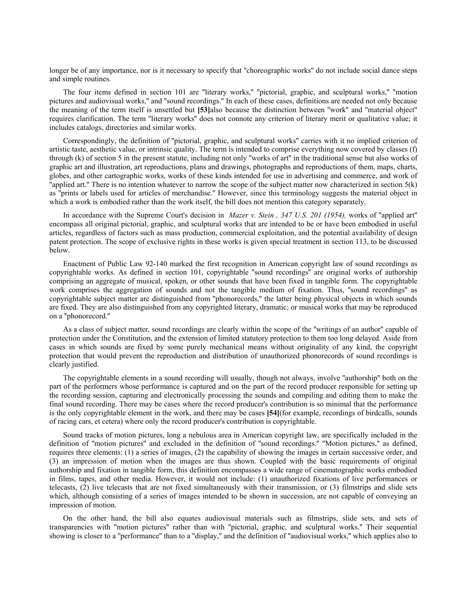longer be of any importance, nor is it necessary to specify that ''choreographic works'' do not include social dance steps and simple routines.

The four items defined in section 101 are ''literary works,'' ''pictorial, graphic, and sculptural works,'' ''motion pictures and audiovisual works,'' and ''sound recordings.'' In each of these cases, definitions are needed not only because the meaning of the term itself is unsettled but **[53]**also because the distinction between ''work'' and ''material object'' requires clarification. The term ''literary works'' does not connote any criterion of literary merit or qualitative value; it includes catalogs, directories and similar works.

Correspondingly, the definition of ''pictorial, graphic, and sculptural works'' carries with it no implied criterion of artistic taste, aesthetic value, or intrinsic quality. The term is intended to comprise everything now covered by classes (f) through (k) of section 5 in the present statute, including not only ''works of art'' in the traditional sense but also works of graphic art and illustration, art reproductions, plans and drawings, photographs and reproductions of them, maps, charts, globes, and other cartographic works, works of these kinds intended for use in advertising and commerce, and work of "applied art." There is no intention whatever to narrow the scope of the subject matter now characterized in section  $5(k)$ as ''prints or labels used for articles of merchandise.'' However, since this terminology suggests the material object in which a work is embodied rather than the work itself, the bill does not mention this category separately.

In accordance with the Supreme Court's decision in *Mazer v. Stein , 347 U.S. 201 (1954),* works of ''applied art'' encompass all original pictorial, graphic, and sculptural works that are intended to be or have been embodied in useful articles, regardless of factors such as mass production, commercial exploitation, and the potential availability of design patent protection. The scope of exclusive rights in these works is given special treatment in section 113, to be discussed below.

Enactment of Public Law 92-140 marked the first recognition in American copyright law of sound recordings as copyrightable works. As defined in section 101, copyrightable ''sound recordings'' are original works of authorship comprising an aggregate of musical, spoken, or other sounds that have been fixed in tangible form. The copyrightable work comprises the aggregation of sounds and not the tangible medium of fixation. Thus, ''sound recordings'' as copyrightable subject matter are distinguished from ''phonorecords,'' the latter being physical objects in which sounds are fixed. They are also distinguished from any copyrighted literary, dramatic; or musical works that may be reproduced on a ''phonorecord.''

As a class of subject matter, sound recordings are clearly within the scope of the ''writings of an author'' capable of protection under the Constitution, and the extension of limited statutory protection to them too long delayed. Aside from cases in which sounds are fixed by some purely mechanical means without originality of any kind, the copyright protection that would prevent the reproduction and distribution of unauthorized phonorecords of sound recordings is clearly justified.

The copyrightable elements in a sound recording will usually, though not always, involve ''authorship'' both on the part of the performers whose performance is captured and on the part of the record producer responsible for setting up the recording session, capturing and electronically processing the sounds and compiling and editing them to make the final sound recording. There may be cases where the record producer's contribution is so minimal that the performance is the only copyrightable element in the work, and there may be cases **[54]**(for example, recordings of birdcalls, sounds of racing cars, et cetera) where only the record producer's contribution is copyrightable.

Sound tracks of motion pictures, long a nebulous area in American copyright law, are specifically included in the definition of ''motion pictures'' and excluded in the definition of ''sound recordings.'' ''Motion pictures,'' as defined, requires three elements: (1) a series of images, (2) the capability of showing the images in certain successive order, and (3) an impression of motion when the images are thus shown. Coupled with the basic requirements of original authorship and fixation in tangible form, this definition encompasses a wide range of cinematographic works embodied in films, tapes, and other media. However, it would not include: (1) unauthorized fixations of live performances or telecasts, (2) live telecasts that are not fixed simultaneously with their transmission, or (3) filmstrips and slide sets which, although consisting of a series of images intended to be shown in succession, are not capable of conveying an impression of motion.

On the other hand, the bill also equates audiovisual materials such as filmstrips, slide sets, and sets of transparencies with ''motion pictures'' rather than with ''pictorial, graphic, and sculptural works.'' Their sequential showing is closer to a ''performance'' than to a ''display,'' and the definition of ''audiovisual works,'' which applies also to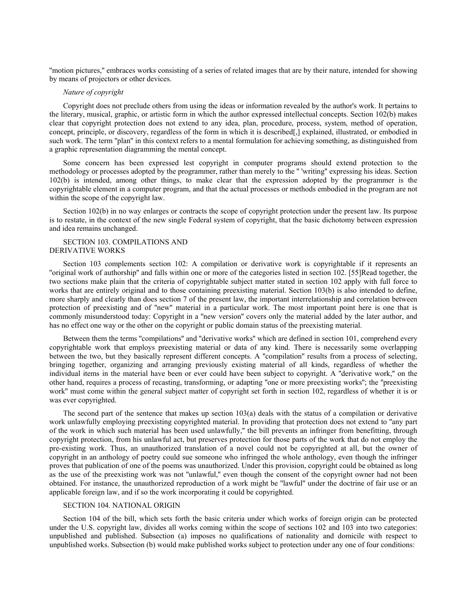''motion pictures,'' embraces works consisting of a series of related images that are by their nature, intended for showing by means of projectors or other devices.

## *Nature of copyright*

Copyright does not preclude others from using the ideas or information revealed by the author's work. It pertains to the literary, musical, graphic, or artistic form in which the author expressed intellectual concepts. Section 102(b) makes clear that copyright protection does not extend to any idea, plan, procedure, process, system, method of operation, concept, principle, or discovery, regardless of the form in which it is described[,] explained, illustrated, or embodied in such work. The term ''plan'' in this context refers to a mental formulation for achieving something, as distinguished from a graphic representation diagramming the mental concept.

Some concern has been expressed lest copyright in computer programs should extend protection to the methodology or processes adopted by the programmer, rather than merely to the '' 'writing'' expressing his ideas. Section 102(b) is intended, among other things, to make clear that the expression adopted by the programmer is the copyrightable element in a computer program, and that the actual processes or methods embodied in the program are not within the scope of the copyright law.

Section 102(b) in no way enlarges or contracts the scope of copyright protection under the present law. Its purpose is to restate, in the context of the new single Federal system of copyright, that the basic dichotomy between expression and idea remains unchanged.

### SECTION 103. COMPILATIONS AND DERIVATIVE WORKS

Section 103 complements section 102: A compilation or derivative work is copyrightable if it represents an ''original work of authorship'' and falls within one or more of the categories listed in section 102. [55]Read together, the two sections make plain that the criteria of copyrightable subject matter stated in section 102 apply with full force to works that are entirely original and to those containing preexisting material. Section 103(b) is also intended to define, more sharply and clearly than does section 7 of the present law, the important interrelationship and correlation between protection of preexisting and of ''new'' material in a particular work. The most important point here is one that is commonly misunderstood today: Copyright in a ''new version'' covers only the material added by the later author, and has no effect one way or the other on the copyright or public domain status of the preexisting material.

Between them the terms ''compilations'' and ''derivative works'' which are defined in section 101, comprehend every copyrightable work that employs preexisting material or data of any kind. There is necessarily some overlapping between the two, but they basically represent different concepts. A ''compilation'' results from a process of selecting, bringing together, organizing and arranging previously existing material of all kinds, regardless of whether the individual items in the material have been or ever could have been subject to copyright. A ''derivative work,'' on the other hand, requires a process of recasting, transforming, or adapting ''one or more preexisting works''; the ''preexisting work'' must come within the general subject matter of copyright set forth in section 102, regardless of whether it is or was ever copyrighted.

The second part of the sentence that makes up section 103(a) deals with the status of a compilation or derivative work unlawfully employing preexisting copyrighted material. In providing that protection does not extend to ''any part of the work in which such material has been used unlawfully,'' the bill prevents an infringer from benefitting, through copyright protection, from his unlawful act, but preserves protection for those parts of the work that do not employ the pre-existing work. Thus, an unauthorized translation of a novel could not be copyrighted at all, but the owner of copyright in an anthology of poetry could sue someone who infringed the whole anthology, even though the infringer proves that publication of one of the poems was unauthorized. Under this provision, copyright could be obtained as long as the use of the preexisting work was not "unlawful," even though the consent of the copyright owner had not been obtained. For instance, the unauthorized reproduction of a work might be ''lawful'' under the doctrine of fair use or an applicable foreign law, and if so the work incorporating it could be copyrighted.

### SECTION 104. NATIONAL ORIGIN

Section 104 of the bill, which sets forth the basic criteria under which works of foreign origin can be protected under the U.S. copyright law, divides all works coming within the scope of sections 102 and 103 into two categories: unpublished and published. Subsection (a) imposes no qualifications of nationality and domicile with respect to unpublished works. Subsection (b) would make published works subject to protection under any one of four conditions: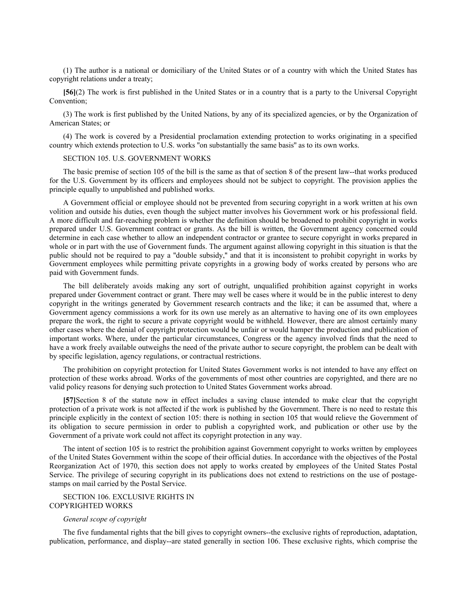(1) The author is a national or domiciliary of the United States or of a country with which the United States has copyright relations under a treaty;

**[56]**(2) The work is first published in the United States or in a country that is a party to the Universal Copyright Convention;

(3) The work is first published by the United Nations, by any of its specialized agencies, or by the Organization of American States; or

(4) The work is covered by a Presidential proclamation extending protection to works originating in a specified country which extends protection to U.S. works ''on substantially the same basis'' as to its own works.

#### SECTION 105. U.S. GOVERNMENT WORKS

The basic premise of section 105 of the bill is the same as that of section 8 of the present law--that works produced for the U.S. Government by its officers and employees should not be subject to copyright. The provision applies the principle equally to unpublished and published works.

A Government official or employee should not be prevented from securing copyright in a work written at his own volition and outside his duties, even though the subject matter involves his Government work or his professional field. A more difficult and far-reaching problem is whether the definition should be broadened to prohibit copyright in works prepared under U.S. Government contract or grants. As the bill is written, the Government agency concerned could determine in each case whether to allow an independent contractor or grantee to secure copyright in works prepared in whole or in part with the use of Government funds. The argument against allowing copyright in this situation is that the public should not be required to pay a ''double subsidy,'' and that it is inconsistent to prohibit copyright in works by Government employees while permitting private copyrights in a growing body of works created by persons who are paid with Government funds.

The bill deliberately avoids making any sort of outright, unqualified prohibition against copyright in works prepared under Government contract or grant. There may well be cases where it would be in the public interest to deny copyright in the writings generated by Government research contracts and the like; it can be assumed that, where a Government agency commissions a work for its own use merely as an alternative to having one of its own employees prepare the work, the right to secure a private copyright would be withheld. However, there are almost certainly many other cases where the denial of copyright protection would be unfair or would hamper the production and publication of important works. Where, under the particular circumstances, Congress or the agency involved finds that the need to have a work freely available outweighs the need of the private author to secure copyright, the problem can be dealt with by specific legislation, agency regulations, or contractual restrictions.

The prohibition on copyright protection for United States Government works is not intended to have any effect on protection of these works abroad. Works of the governments of most other countries are copyrighted, and there are no valid policy reasons for denying such protection to United States Government works abroad.

**[57]**Section 8 of the statute now in effect includes a saving clause intended to make clear that the copyright protection of a private work is not affected if the work is published by the Government. There is no need to restate this principle explicitly in the context of section 105: there is nothing in section 105 that would relieve the Government of its obligation to secure permission in order to publish a copyrighted work, and publication or other use by the Government of a private work could not affect its copyright protection in any way.

The intent of section 105 is to restrict the prohibition against Government copyright to works written by employees of the United States Government within the scope of their official duties. In accordance with the objectives of the Postal Reorganization Act of 1970, this section does not apply to works created by employees of the United States Postal Service. The privilege of securing copyright in its publications does not extend to restrictions on the use of postagestamps on mail carried by the Postal Service.

## SECTION 106. EXCLUSIVE RIGHTS IN COPYRIGHTED WORKS

# *General scope of copyright*

The five fundamental rights that the bill gives to copyright owners--the exclusive rights of reproduction, adaptation, publication, performance, and display--are stated generally in section 106. These exclusive rights, which comprise the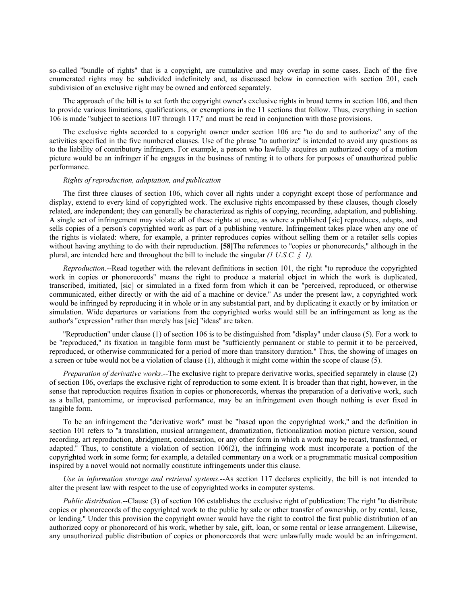so-called ''bundle of rights'' that is a copyright, are cumulative and may overlap in some cases. Each of the five enumerated rights may be subdivided indefinitely and, as discussed below in connection with section 201, each subdivision of an exclusive right may be owned and enforced separately.

The approach of the bill is to set forth the copyright owner's exclusive rights in broad terms in section 106, and then to provide various limitations, qualifications, or exemptions in the 11 sections that follow. Thus, everything in section 106 is made ''subject to sections 107 through 117,'' and must be read in conjunction with those provisions.

The exclusive rights accorded to a copyright owner under section 106 are ''to do and to authorize'' any of the activities specified in the five numbered clauses. Use of the phrase ''to authorize'' is intended to avoid any questions as to the liability of contributory infringers. For example, a person who lawfully acquires an authorized copy of a motion picture would be an infringer if he engages in the business of renting it to others for purposes of unauthorized public performance.

#### *Rights of reproduction, adaptation, and publication*

The first three clauses of section 106, which cover all rights under a copyright except those of performance and display, extend to every kind of copyrighted work. The exclusive rights encompassed by these clauses, though closely related, are independent; they can generally be characterized as rights of copying, recording, adaptation, and publishing. A single act of infringement may violate all of these rights at once, as where a published [sic] reproduces, adapts, and sells copies of a person's copyrighted work as part of a publishing venture. Infringement takes place when any one of the rights is violated: where, for example, a printer reproduces copies without selling them or a retailer sells copies without having anything to do with their reproduction. **[58]**The references to "copies or phonorecords," although in the plural, are intended here and throughout the bill to include the singular *(1 U.S.C. § 1).*

*Reproduction*.--Read together with the relevant definitions in section 101, the right ''to reproduce the copyrighted work in copies or phonorecords'' means the right to produce a material object in which the work is duplicated, transcribed, imitiated, [sic] or simulated in a fixed form from which it can be ''perceived, reproduced, or otherwise communicated, either directly or with the aid of a machine or device.'' As under the present law, a copyrighted work would be infringed by reproducing it in whole or in any substantial part, and by duplicating it exactly or by imitation or simulation. Wide departures or variations from the copyrighted works would still be an infringement as long as the author's ''expression'' rather than merely has [sic] ''ideas'' are taken.

''Reproduction'' under clause (1) of section 106 is to be distinguished from ''display'' under clause (5). For a work to be "reproduced," its fixation in tangible form must be "sufficiently permanent or stable to permit it to be perceived, reproduced, or otherwise communicated for a period of more than transitory duration.'' Thus, the showing of images on a screen or tube would not be a violation of clause (1), although it might come within the scope of clause (5).

*Preparation of derivative works*.--The exclusive right to prepare derivative works, specified separately in clause (2) of section 106, overlaps the exclusive right of reproduction to some extent. It is broader than that right, however, in the sense that reproduction requires fixation in copies or phonorecords, whereas the preparation of a derivative work, such as a ballet, pantomime, or improvised performance, may be an infringement even though nothing is ever fixed in tangible form.

To be an infringement the ''derivative work'' must be ''based upon the copyrighted work,'' and the definition in section 101 refers to ''a translation, musical arrangement, dramatization, fictionalization motion picture version, sound recording, art reproduction, abridgment, condensation, or any other form in which a work may be recast, transformed, or adapted.'' Thus, to constitute a violation of section 106(2), the infringing work must incorporate a portion of the copyrighted work in some form; for example, a detailed commentary on a work or a programmatic musical composition inspired by a novel would not normally constitute infringements under this clause.

*Use in information storage and retrieval systems*.--As section 117 declares explicitly, the bill is not intended to alter the present law with respect to the use of copyrighted works in computer systems.

*Public distribution*.--Clause (3) of section 106 establishes the exclusive right of publication: The right "to distribute copies or phonorecords of the copyrighted work to the public by sale or other transfer of ownership, or by rental, lease, or lending.'' Under this provision the copyright owner would have the right to control the first public distribution of an authorized copy or phonorecord of his work, whether by sale, gift, loan, or some rental or lease arrangement. Likewise, any unauthorized public distribution of copies or phonorecords that were unlawfully made would be an infringement.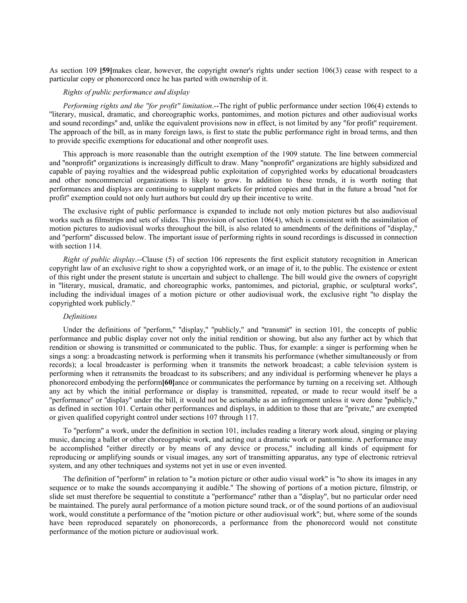As section 109 **[59]**makes clear, however, the copyright owner's rights under section 106(3) cease with respect to a particular copy or phonorecord once he has parted with ownership of it.

# *Rights of public performance and display*

*Performing rights and the ''for profit'' limitation*.--The right of public performance under section 106(4) extends to ''literary, musical, dramatic, and choreographic works, pantomimes, and motion pictures and other audiovisual works and sound recordings'' and, unlike the equivalent provisions now in effect, is not limited by any ''for profit'' requirement. The approach of the bill, as in many foreign laws, is first to state the public performance right in broad terms, and then to provide specific exemptions for educational and other nonprofit uses.

This approach is more reasonable than the outright exemption of the 1909 statute. The line between commercial and ''nonprofit'' organizations is increasingly difficult to draw. Many ''nonprofit'' organizations are highly subsidized and capable of paying royalties and the widespread public exploitation of copyrighted works by educational broadcasters and other noncommercial organizations is likely to grow. In addition to these trends, it is worth noting that performances and displays are continuing to supplant markets for printed copies and that in the future a broad ''not for profit'' exemption could not only hurt authors but could dry up their incentive to write.

The exclusive right of public performance is expanded to include not only motion pictures but also audiovisual works such as filmstrips and sets of slides. This provision of section 106(4), which is consistent with the assimilation of motion pictures to audiovisual works throughout the bill, is also related to amendments of the definitions of ''display,'' and ''perform'' discussed below. The important issue of performing rights in sound recordings is discussed in connection with section 114.

*Right of public display*.--Clause (5) of section 106 represents the first explicit statutory recognition in American copyright law of an exclusive right to show a copyrighted work, or an image of it, to the public. The existence or extent of this right under the present statute is uncertain and subject to challenge. The bill would give the owners of copyright in ''literary, musical, dramatic, and choreographic works, pantomimes, and pictorial, graphic, or sculptural works'', including the individual images of a motion picture or other audiovisual work, the exclusive right ''to display the copyrighted work publicly.''

### *Definitions*

Under the definitions of "perform," "display," "publicly," and "transmit" in section 101, the concepts of public performance and public display cover not only the initial rendition or showing, but also any further act by which that rendition or showing is transmitted or communicated to the public. Thus, for example: a singer is performing when he sings a song: a broadcasting network is performing when it transmits his performance (whether simultaneously or from records); a local broadcaster is performing when it transmits the network broadcast; a cable television system is performing when it retransmits the broadcast to its subscribers; and any individual is performing whenever he plays a phonorecord embodying the perform**[60]**ance or communicates the performance by turning on a receiving set. Although any act by which the initial performance or display is transmitted, repeated, or made to recur would itself be a ''performance'' or ''display'' under the bill, it would not be actionable as an infringement unless it were done ''publicly,'' as defined in section 101. Certain other performances and displays, in addition to those that are ''private,'' are exempted or given qualified copyright control under sections 107 through 117.

To ''perform'' a work, under the definition in section 101, includes reading a literary work aloud, singing or playing music, dancing a ballet or other choreographic work, and acting out a dramatic work or pantomime. A performance may be accomplished ''either directly or by means of any device or process,'' including all kinds of equipment for reproducing or amplifying sounds or visual images, any sort of transmitting apparatus, any type of electronic retrieval system, and any other techniques and systems not yet in use or even invented.

The definition of "perform" in relation to "a motion picture or other audio visual work" is "to show its images in any sequence or to make the sounds accompanying it audible.'' The showing of portions of a motion picture, filmstrip, or slide set must therefore be sequential to constitute a ''performance'' rather than a ''display'', but no particular order need be maintained. The purely aural performance of a motion picture sound track, or of the sound portions of an audiovisual work, would constitute a performance of the ''motion picture or other audiovisual work''; but, where some of the sounds have been reproduced separately on phonorecords, a performance from the phonorecord would not constitute performance of the motion picture or audiovisual work.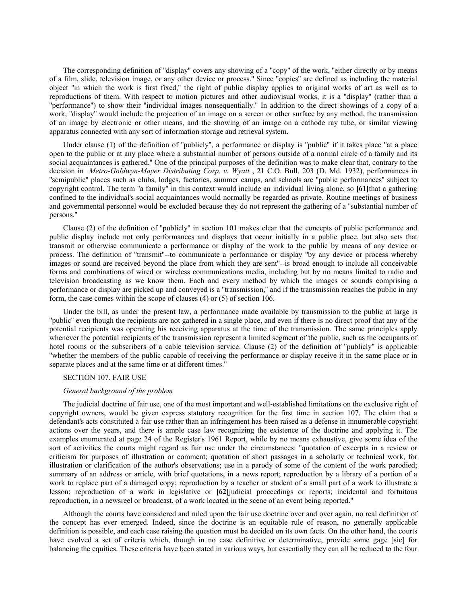The corresponding definition of "display" covers any showing of a "copy" of the work, "either directly or by means of a film, slide, television image, or any other device or process.'' Since ''copies'' are defined as including the material object ''in which the work is first fixed,'' the right of public display applies to original works of art as well as to reproductions of them. With respect to motion pictures and other audiovisual works, it is a ''display'' (rather than a "performance") to show their "individual images nonsequentially." In addition to the direct showings of a copy of a work, "display" would include the projection of an image on a screen or other surface by any method, the transmission of an image by electronic or other means, and the showing of an image on a cathode ray tube, or similar viewing apparatus connected with any sort of information storage and retrieval system.

Under clause (1) of the definition of "publicly", a performance or display is "public" if it takes place "at a place open to the public or at any place where a substantial number of persons outside of a normal circle of a family and its social acquaintances is gathered.'' One of the principal purposes of the definition was to make clear that, contrary to the decision in *Metro-Goldwyn-Mayer Distributing Corp. v. Wyatt* , 21 C.O. Bull. 203 (D. Md. 1932), performances in ''semipublic'' places such as clubs, lodges, factories, summer camps, and schools are ''public performances'' subject to copyright control. The term ''a family'' in this context would include an individual living alone, so **[61]**that a gathering confined to the individual's social acquaintances would normally be regarded as private. Routine meetings of business and governmental personnel would be excluded because they do not represent the gathering of a ''substantial number of persons.''

Clause (2) of the definition of ''publicly'' in section 101 makes clear that the concepts of public performance and public display include not only performances and displays that occur initially in a public place, but also acts that transmit or otherwise communicate a performance or display of the work to the public by means of any device or process. The definition of ''transmit''--to communicate a performance or display ''by any device or process whereby images or sound are received beyond the place from which they are sent''--is broad enough to include all conceivable forms and combinations of wired or wireless communications media, including but by no means limited to radio and television broadcasting as we know them. Each and every method by which the images or sounds comprising a performance or display are picked up and conveyed is a ''transmission,'' and if the transmission reaches the public in any form, the case comes within the scope of clauses (4) or (5) of section 106.

Under the bill, as under the present law, a performance made available by transmission to the public at large is ''public'' even though the recipients are not gathered in a single place, and even if there is no direct proof that any of the potential recipients was operating his receiving apparatus at the time of the transmission. The same principles apply whenever the potential recipients of the transmission represent a limited segment of the public, such as the occupants of hotel rooms or the subscribers of a cable television service. Clause (2) of the definition of ''publicly'' is applicable ''whether the members of the public capable of receiving the performance or display receive it in the same place or in separate places and at the same time or at different times.''

## SECTION 107. FAIR USE

### *General background of the problem*

The judicial doctrine of fair use, one of the most important and well-established limitations on the exclusive right of copyright owners, would be given express statutory recognition for the first time in section 107. The claim that a defendant's acts constituted a fair use rather than an infringement has been raised as a defense in innumerable copyright actions over the years, and there is ample case law recognizing the existence of the doctrine and applying it. The examples enumerated at page 24 of the Register's 1961 Report, while by no means exhaustive, give some idea of the sort of activities the courts might regard as fair use under the circumstances: ''quotation of excerpts in a review or criticism for purposes of illustration or comment; quotation of short passages in a scholarly or technical work, for illustration or clarification of the author's observations; use in a parody of some of the content of the work parodied; summary of an address or article, with brief quotations, in a news report; reproduction by a library of a portion of a work to replace part of a damaged copy; reproduction by a teacher or student of a small part of a work to illustrate a lesson; reproduction of a work in legislative or **[62]**judicial proceedings or reports; incidental and fortuitous reproduction, in a newsreel or broadcast, of a work located in the scene of an event being reported.''

Although the courts have considered and ruled upon the fair use doctrine over and over again, no real definition of the concept has ever emerged. Indeed, since the doctrine is an equitable rule of reason, no generally applicable definition is possible, and each case raising the question must be decided on its own facts. On the other hand, the courts have evolved a set of criteria which, though in no case definitive or determinative, provide some gage [sic] for balancing the equities. These criteria have been stated in various ways, but essentially they can all be reduced to the four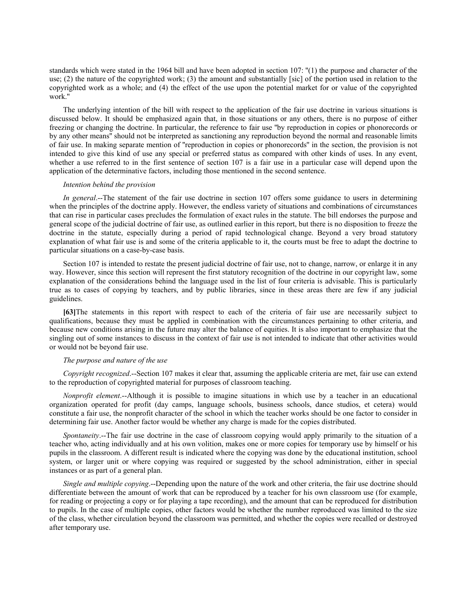standards which were stated in the 1964 bill and have been adopted in section 107: ''(1) the purpose and character of the use; (2) the nature of the copyrighted work; (3) the amount and substantially [sic] of the portion used in relation to the copyrighted work as a whole; and (4) the effect of the use upon the potential market for or value of the copyrighted work.''

The underlying intention of the bill with respect to the application of the fair use doctrine in various situations is discussed below. It should be emphasized again that, in those situations or any others, there is no purpose of either freezing or changing the doctrine. In particular, the reference to fair use ''by reproduction in copies or phonorecords or by any other means'' should not be interpreted as sanctioning any reproduction beyond the normal and reasonable limits of fair use. In making separate mention of ''reproduction in copies or phonorecords'' in the section, the provision is not intended to give this kind of use any special or preferred status as compared with other kinds of uses. In any event, whether a use referred to in the first sentence of section 107 is a fair use in a particular case will depend upon the application of the determinative factors, including those mentioned in the second sentence.

#### *Intention behind the provision*

*In general*.--The statement of the fair use doctrine in section 107 offers some guidance to users in determining when the principles of the doctrine apply. However, the endless variety of situations and combinations of circumstances that can rise in particular cases precludes the formulation of exact rules in the statute. The bill endorses the purpose and general scope of the judicial doctrine of fair use, as outlined earlier in this report, but there is no disposition to freeze the doctrine in the statute, especially during a period of rapid technological change. Beyond a very broad statutory explanation of what fair use is and some of the criteria applicable to it, the courts must be free to adapt the doctrine to particular situations on a case-by-case basis.

Section 107 is intended to restate the present judicial doctrine of fair use, not to change, narrow, or enlarge it in any way. However, since this section will represent the first statutory recognition of the doctrine in our copyright law, some explanation of the considerations behind the language used in the list of four criteria is advisable. This is particularly true as to cases of copying by teachers, and by public libraries, since in these areas there are few if any judicial guidelines.

**[63]**The statements in this report with respect to each of the criteria of fair use are necessarily subject to qualifications, because they must be applied in combination with the circumstances pertaining to other criteria, and because new conditions arising in the future may alter the balance of equities. It is also important to emphasize that the singling out of some instances to discuss in the context of fair use is not intended to indicate that other activities would or would not be beyond fair use.

## *The purpose and nature of the use*

*Copyright recognized*.--Section 107 makes it clear that, assuming the applicable criteria are met, fair use can extend to the reproduction of copyrighted material for purposes of classroom teaching.

*Nonprofit element*.--Although it is possible to imagine situations in which use by a teacher in an educational organization operated for profit (day camps, language schools, business schools, dance studios, et cetera) would constitute a fair use, the nonprofit character of the school in which the teacher works should be one factor to consider in determining fair use. Another factor would be whether any charge is made for the copies distributed.

*Spontaneity*.--The fair use doctrine in the case of classroom copying would apply primarily to the situation of a teacher who, acting individually and at his own volition, makes one or more copies for temporary use by himself or his pupils in the classroom. A different result is indicated where the copying was done by the educational institution, school system, or larger unit or where copying was required or suggested by the school administration, either in special instances or as part of a general plan.

*Single and multiple copying*.--Depending upon the nature of the work and other criteria, the fair use doctrine should differentiate between the amount of work that can be reproduced by a teacher for his own classroom use (for example, for reading or projecting a copy or for playing a tape recording), and the amount that can be reproduced for distribution to pupils. In the case of multiple copies, other factors would be whether the number reproduced was limited to the size of the class, whether circulation beyond the classroom was permitted, and whether the copies were recalled or destroyed after temporary use.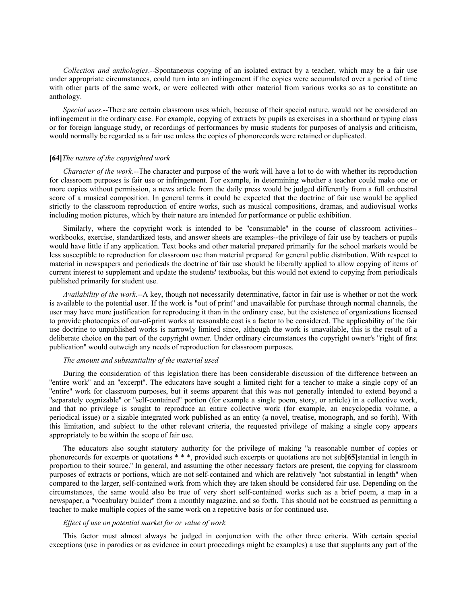*Collection and anthologies*.--Spontaneous copying of an isolated extract by a teacher, which may be a fair use under appropriate circumstances, could turn into an infringement if the copies were accumulated over a period of time with other parts of the same work, or were collected with other material from various works so as to constitute an anthology.

*Special uses*.--There are certain classroom uses which, because of their special nature, would not be considered an infringement in the ordinary case. For example, copying of extracts by pupils as exercises in a shorthand or typing class or for foreign language study, or recordings of performances by music students for purposes of analysis and criticism, would normally be regarded as a fair use unless the copies of phonorecords were retained or duplicated.

#### **[64]***The nature of the copyrighted work*

*Character of the work*.--The character and purpose of the work will have a lot to do with whether its reproduction for classroom purposes is fair use or infringement. For example, in determining whether a teacher could make one or more copies without permission, a news article from the daily press would be judged differently from a full orchestral score of a musical composition. In general terms it could be expected that the doctrine of fair use would be applied strictly to the classroom reproduction of entire works, such as musical compositions, dramas, and audiovisual works including motion pictures, which by their nature are intended for performance or public exhibition.

Similarly, where the copyright work is intended to be ''consumable'' in the course of classroom activities- workbooks, exercise, standardized tests, and answer sheets are examples--the privilege of fair use by teachers or pupils would have little if any application. Text books and other material prepared primarily for the school markets would be less susceptible to reproduction for classroom use than material prepared for general public distribution. With respect to material in newspapers and periodicals the doctrine of fair use should be liberally applied to allow copying of items of current interest to supplement and update the students' textbooks, but this would not extend to copying from periodicals published primarily for student use.

*Availability of the work*.--A key, though not necessarily determinative, factor in fair use is whether or not the work is available to the potential user. If the work is ''out of print'' and unavailable for purchase through normal channels, the user may have more justification for reproducing it than in the ordinary case, but the existence of organizations licensed to provide photocopies of out-of-print works at reasonable cost is a factor to be considered. The applicability of the fair use doctrine to unpublished works is narrowly limited since, although the work is unavailable, this is the result of a deliberate choice on the part of the copyright owner. Under ordinary circumstances the copyright owner's ''right of first publication'' would outweigh any needs of reproduction for classroom purposes.

## *The amount and substantiality of the material used*

During the consideration of this legislation there has been considerable discussion of the difference between an ''entire work'' and an ''excerpt''. The educators have sought a limited right for a teacher to make a single copy of an ''entire'' work for classroom purposes, but it seems apparent that this was not generally intended to extend beyond a ''separately cognizable'' or ''self-contained'' portion (for example a single poem, story, or article) in a collective work, and that no privilege is sought to reproduce an entire collective work (for example, an encyclopedia volume, a periodical issue) or a sizable integrated work published as an entity (a novel, treatise, monograph, and so forth). With this limitation, and subject to the other relevant criteria, the requested privilege of making a single copy appears appropriately to be within the scope of fair use.

The educators also sought statutory authority for the privilege of making ''a reasonable number of copies or phonorecords for excerpts or quotations \* \* \*, provided such excerpts or quotations are not sub**[65]**stantial in length in proportion to their source.'' In general, and assuming the other necessary factors are present, the copying for classroom purposes of extracts or portions, which are not self-contained and which are relatively ''not substantial in length'' when compared to the larger, self-contained work from which they are taken should be considered fair use. Depending on the circumstances, the same would also be true of very short self-contained works such as a brief poem, a map in a newspaper, a ''vocabulary builder'' from a monthly magazine, and so forth. This should not be construed as permitting a teacher to make multiple copies of the same work on a repetitive basis or for continued use.

### *Effect of use on potential market for or value of work*

This factor must almost always be judged in conjunction with the other three criteria. With certain special exceptions (use in parodies or as evidence in court proceedings might be examples) a use that supplants any part of the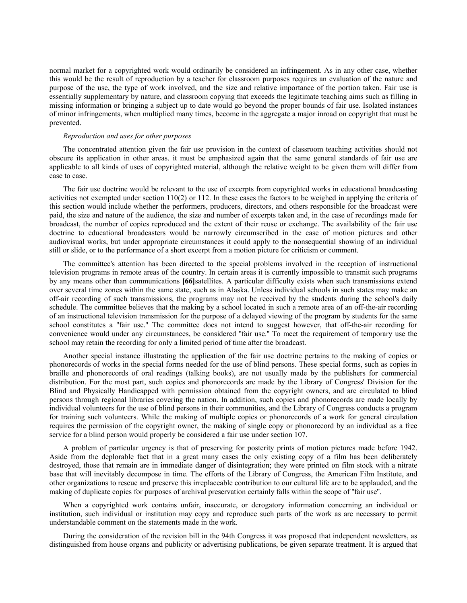normal market for a copyrighted work would ordinarily be considered an infringement. As in any other case, whether this would be the result of reproduction by a teacher for classroom purposes requires an evaluation of the nature and purpose of the use, the type of work involved, and the size and relative importance of the portion taken. Fair use is essentially supplementary by nature, and classroom copying that exceeds the legitimate teaching aims such as filling in missing information or bringing a subject up to date would go beyond the proper bounds of fair use. Isolated instances of minor infringements, when multiplied many times, become in the aggregate a major inroad on copyright that must be prevented.

### *Reproduction and uses for other purposes*

The concentrated attention given the fair use provision in the context of classroom teaching activities should not obscure its application in other areas. it must be emphasized again that the same general standards of fair use are applicable to all kinds of uses of copyrighted material, although the relative weight to be given them will differ from case to case.

The fair use doctrine would be relevant to the use of excerpts from copyrighted works in educational broadcasting activities not exempted under section 110(2) or 112. In these cases the factors to be weighed in applying the criteria of this section would include whether the performers, producers, directors, and others responsible for the broadcast were paid, the size and nature of the audience, the size and number of excerpts taken and, in the case of recordings made for broadcast, the number of copies reproduced and the extent of their reuse or exchange. The availability of the fair use doctrine to educational broadcasters would be narrowly circumscribed in the case of motion pictures and other audiovisual works, but under appropriate circumstances it could apply to the nonsequential showing of an individual still or slide, or to the performance of a short excerpt from a motion picture for criticism or comment.

The committee's attention has been directed to the special problems involved in the reception of instructional television programs in remote areas of the country. In certain areas it is currently impossible to transmit such programs by any means other than communications **[66]**satellites. A particular difficulty exists when such transmissions extend over several time zones within the same state, such as in Alaska. Unless individual schools in such states may make an off-air recording of such transmissions, the programs may not be received by the students during the school's daily schedule. The committee believes that the making by a school located in such a remote area of an off-the-air recording of an instructional television transmission for the purpose of a delayed viewing of the program by students for the same school constitutes a "fair use." The committee does not intend to suggest however, that off-the-air recording for convenience would under any circumstances, be considered ''fair use.'' To meet the requirement of temporary use the school may retain the recording for only a limited period of time after the broadcast.

Another special instance illustrating the application of the fair use doctrine pertains to the making of copies or phonorecords of works in the special forms needed for the use of blind persons. These special forms, such as copies in braille and phonorecords of oral readings (talking books), are not usually made by the publishers for commercial distribution. For the most part, such copies and phonorecords are made by the Library of Congress' Division for the Blind and Physically Handicapped with permission obtained from the copyright owners, and are circulated to blind persons through regional libraries covering the nation. In addition, such copies and phonorecords are made locally by individual volunteers for the use of blind persons in their communities, and the Library of Congress conducts a program for training such volunteers. While the making of multiple copies or phonorecords of a work for general circulation requires the permission of the copyright owner, the making of single copy or phonorecord by an individual as a free service for a blind person would properly be considered a fair use under section 107.

A problem of particular urgency is that of preserving for posterity prints of motion pictures made before 1942. Aside from the deplorable fact that in a great many cases the only existing copy of a film has been deliberately destroyed, those that remain are in immediate danger of disintegration; they were printed on film stock with a nitrate base that will inevitably decompose in time. The efforts of the Library of Congress, the American Film Institute, and other organizations to rescue and preserve this irreplaceable contribution to our cultural life are to be applauded, and the making of duplicate copies for purposes of archival preservation certainly falls within the scope of ''fair use''.

When a copyrighted work contains unfair, inaccurate, or derogatory information concerning an individual or institution, such individual or institution may copy and reproduce such parts of the work as are necessary to permit understandable comment on the statements made in the work.

During the consideration of the revision bill in the 94th Congress it was proposed that independent newsletters, as distinguished from house organs and publicity or advertising publications, be given separate treatment. It is argued that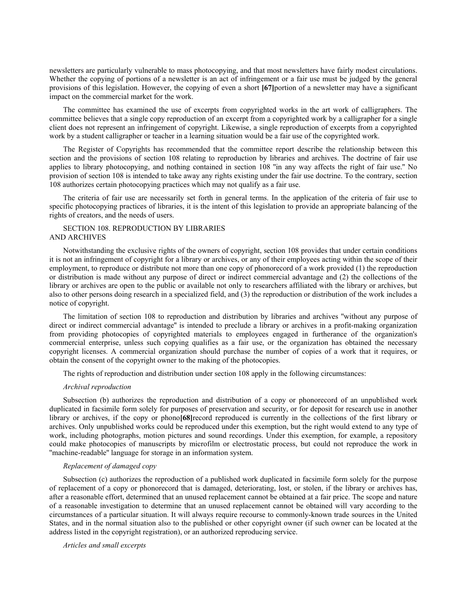newsletters are particularly vulnerable to mass photocopying, and that most newsletters have fairly modest circulations. Whether the copying of portions of a newsletter is an act of infringement or a fair use must be judged by the general provisions of this legislation. However, the copying of even a short **[67]**portion of a newsletter may have a significant impact on the commercial market for the work.

The committee has examined the use of excerpts from copyrighted works in the art work of calligraphers. The committee believes that a single copy reproduction of an excerpt from a copyrighted work by a calligrapher for a single client does not represent an infringement of copyright. Likewise, a single reproduction of excerpts from a copyrighted work by a student calligrapher or teacher in a learning situation would be a fair use of the copyrighted work.

The Register of Copyrights has recommended that the committee report describe the relationship between this section and the provisions of section 108 relating to reproduction by libraries and archives. The doctrine of fair use applies to library photocopying, and nothing contained in section 108 ''in any way affects the right of fair use.'' No provision of section 108 is intended to take away any rights existing under the fair use doctrine. To the contrary, section 108 authorizes certain photocopying practices which may not qualify as a fair use.

The criteria of fair use are necessarily set forth in general terms. In the application of the criteria of fair use to specific photocopying practices of libraries, it is the intent of this legislation to provide an appropriate balancing of the rights of creators, and the needs of users.

### SECTION 108. REPRODUCTION BY LIBRARIES AND ARCHIVES

Notwithstanding the exclusive rights of the owners of copyright, section 108 provides that under certain conditions it is not an infringement of copyright for a library or archives, or any of their employees acting within the scope of their employment, to reproduce or distribute not more than one copy of phonorecord of a work provided (1) the reproduction or distribution is made without any purpose of direct or indirect commercial advantage and (2) the collections of the library or archives are open to the public or available not only to researchers affiliated with the library or archives, but also to other persons doing research in a specialized field, and (3) the reproduction or distribution of the work includes a notice of copyright.

The limitation of section 108 to reproduction and distribution by libraries and archives ''without any purpose of direct or indirect commercial advantage'' is intended to preclude a library or archives in a profit-making organization from providing photocopies of copyrighted materials to employees engaged in furtherance of the organization's commercial enterprise, unless such copying qualifies as a fair use, or the organization has obtained the necessary copyright licenses. A commercial organization should purchase the number of copies of a work that it requires, or obtain the consent of the copyright owner to the making of the photocopies.

The rights of reproduction and distribution under section 108 apply in the following circumstances:

#### *Archival reproduction*

Subsection (b) authorizes the reproduction and distribution of a copy or phonorecord of an unpublished work duplicated in facsimile form solely for purposes of preservation and security, or for deposit for research use in another library or archives, if the copy or phono**[68]**record reproduced is currently in the collections of the first library or archives. Only unpublished works could be reproduced under this exemption, but the right would extend to any type of work, including photographs, motion pictures and sound recordings. Under this exemption, for example, a repository could make photocopies of manuscripts by microfilm or electrostatic process, but could not reproduce the work in ''machine-readable'' language for storage in an information system.

### *Replacement of damaged copy*

Subsection (c) authorizes the reproduction of a published work duplicated in facsimile form solely for the purpose of replacement of a copy or phonorecord that is damaged, deteriorating, lost, or stolen, if the library or archives has, after a reasonable effort, determined that an unused replacement cannot be obtained at a fair price. The scope and nature of a reasonable investigation to determine that an unused replacement cannot be obtained will vary according to the circumstances of a particular situation. It will always require recourse to commonly-known trade sources in the United States, and in the normal situation also to the published or other copyright owner (if such owner can be located at the address listed in the copyright registration), or an authorized reproducing service.

*Articles and small excerpts*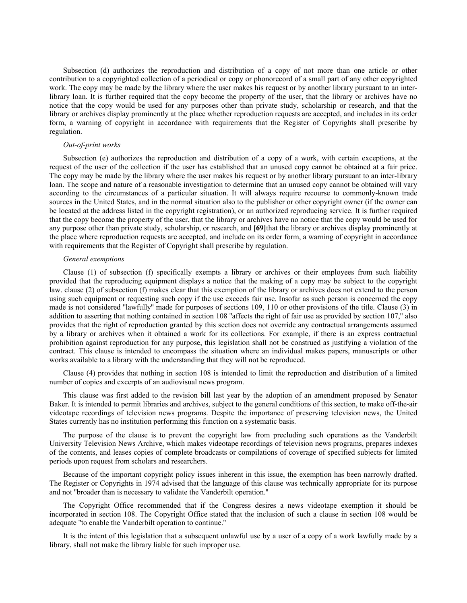Subsection (d) authorizes the reproduction and distribution of a copy of not more than one article or other contribution to a copyrighted collection of a periodical or copy or phonorecord of a small part of any other copyrighted work. The copy may be made by the library where the user makes his request or by another library pursuant to an interlibrary loan. It is further required that the copy become the property of the user, that the library or archives have no notice that the copy would be used for any purposes other than private study, scholarship or research, and that the library or archives display prominently at the place whether reproduction requests are accepted, and includes in its order form, a warning of copyright in accordance with requirements that the Register of Copyrights shall prescribe by regulation.

#### *Out-of-print works*

Subsection (e) authorizes the reproduction and distribution of a copy of a work, with certain exceptions, at the request of the user of the collection if the user has established that an unused copy cannot be obtained at a fair price. The copy may be made by the library where the user makes his request or by another library pursuant to an inter-library loan. The scope and nature of a reasonable investigation to determine that an unused copy cannot be obtained will vary according to the circumstances of a particular situation. It will always require recourse to commonly-known trade sources in the United States, and in the normal situation also to the publisher or other copyright owner (if the owner can be located at the address listed in the copyright registration), or an authorized reproducing service. It is further required that the copy become the property of the user, that the library or archives have no notice that the copy would be used for any purpose other than private study, scholarship, or research, and **[69]**that the library or archives display prominently at the place where reproduction requests are accepted, and include on its order form, a warning of copyright in accordance with requirements that the Register of Copyright shall prescribe by regulation.

### *General exemptions*

Clause (1) of subsection (f) specifically exempts a library or archives or their employees from such liability provided that the reproducing equipment displays a notice that the making of a copy may be subject to the copyright law. clause (2) of subsection (f) makes clear that this exemption of the library or archives does not extend to the person using such equipment or requesting such copy if the use exceeds fair use. Insofar as such person is concerned the copy made is not considered ''lawfully'' made for purposes of sections 109, 110 or other provisions of the title. Clause (3) in addition to asserting that nothing contained in section 108 "affects the right of fair use as provided by section 107," also provides that the right of reproduction granted by this section does not override any contractual arrangements assumed by a library or archives when it obtained a work for its collections. For example, if there is an express contractual prohibition against reproduction for any purpose, this legislation shall not be construed as justifying a violation of the contract. This clause is intended to encompass the situation where an individual makes papers, manuscripts or other works available to a library with the understanding that they will not be reproduced.

Clause (4) provides that nothing in section 108 is intended to limit the reproduction and distribution of a limited number of copies and excerpts of an audiovisual news program.

This clause was first added to the revision bill last year by the adoption of an amendment proposed by Senator Baker. It is intended to permit libraries and archives, subject to the general conditions of this section, to make off-the-air videotape recordings of television news programs. Despite the importance of preserving television news, the United States currently has no institution performing this function on a systematic basis.

The purpose of the clause is to prevent the copyright law from precluding such operations as the Vanderbilt University Television News Archive, which makes videotape recordings of television news programs, prepares indexes of the contents, and leases copies of complete broadcasts or compilations of coverage of specified subjects for limited periods upon request from scholars and researchers.

Because of the important copyright policy issues inherent in this issue, the exemption has been narrowly drafted. The Register or Copyrights in 1974 advised that the language of this clause was technically appropriate for its purpose and not ''broader than is necessary to validate the Vanderbilt operation.''

The Copyright Office recommended that if the Congress desires a news videotape exemption it should be incorporated in section 108. The Copyright Office stated that the inclusion of such a clause in section 108 would be adequate ''to enable the Vanderbilt operation to continue.''

It is the intent of this legislation that a subsequent unlawful use by a user of a copy of a work lawfully made by a library, shall not make the library liable for such improper use.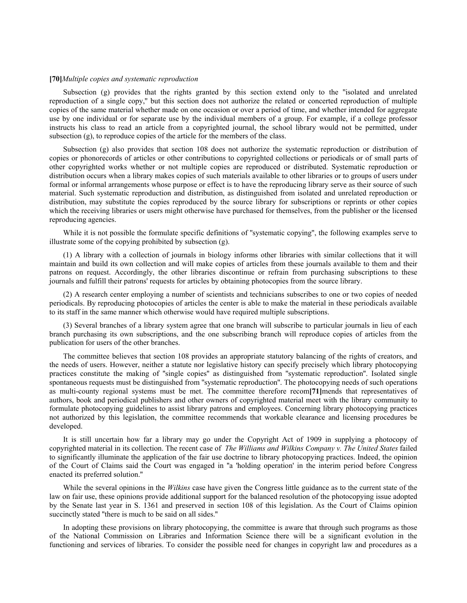### **[70]***Multiple copies and systematic reproduction*

Subsection (g) provides that the rights granted by this section extend only to the ''isolated and unrelated reproduction of a single copy,'' but this section does not authorize the related or concerted reproduction of multiple copies of the same material whether made on one occasion or over a period of time, and whether intended for aggregate use by one individual or for separate use by the individual members of a group. For example, if a college professor instructs his class to read an article from a copyrighted journal, the school library would not be permitted, under subsection (g), to reproduce copies of the article for the members of the class.

Subsection (g) also provides that section 108 does not authorize the systematic reproduction or distribution of copies or phonorecords of articles or other contributions to copyrighted collections or periodicals or of small parts of other copyrighted works whether or not multiple copies are reproduced or distributed. Systematic reproduction or distribution occurs when a library makes copies of such materials available to other libraries or to groups of users under formal or informal arrangements whose purpose or effect is to have the reproducing library serve as their source of such material. Such systematic reproduction and distribution, as distinguished from isolated and unrelated reproduction or distribution, may substitute the copies reproduced by the source library for subscriptions or reprints or other copies which the receiving libraries or users might otherwise have purchased for themselves, from the publisher or the licensed reproducing agencies.

While it is not possible the formulate specific definitions of ''systematic copying'', the following examples serve to illustrate some of the copying prohibited by subsection (g).

(1) A library with a collection of journals in biology informs other libraries with similar collections that it will maintain and build its own collection and will make copies of articles from these journals available to them and their patrons on request. Accordingly, the other libraries discontinue or refrain from purchasing subscriptions to these journals and fulfill their patrons' requests for articles by obtaining photocopies from the source library.

(2) A research center employing a number of scientists and technicians subscribes to one or two copies of needed periodicals. By reproducing photocopies of articles the center is able to make the material in these periodicals available to its staff in the same manner which otherwise would have required multiple subscriptions.

(3) Several branches of a library system agree that one branch will subscribe to particular journals in lieu of each branch purchasing its own subscriptions, and the one subscribing branch will reproduce copies of articles from the publication for users of the other branches.

The committee believes that section 108 provides an appropriate statutory balancing of the rights of creators, and the needs of users. However, neither a statute nor legislative history can specify precisely which library photocopying practices constitute the making of ''single copies'' as distinguished from ''systematic reproduction''. Isolated single spontaneous requests must be distinguished from ''systematic reproduction''. The photocopying needs of such operations as multi-county regional systems must be met. The committee therefore recom**[71]**mends that representatives of authors, book and periodical publishers and other owners of copyrighted material meet with the library community to formulate photocopying guidelines to assist library patrons and employees. Concerning library photocopying practices not authorized by this legislation, the committee recommends that workable clearance and licensing procedures be developed.

It is still uncertain how far a library may go under the Copyright Act of 1909 in supplying a photocopy of copyrighted material in its collection. The recent case of *The Williams and Wilkins Company v. The United States* failed to significantly illuminate the application of the fair use doctrine to library photocopying practices. Indeed, the opinion of the Court of Claims said the Court was engaged in ''a 'holding operation' in the interim period before Congress enacted its preferred solution.''

While the several opinions in the *Wilkins* case have given the Congress little guidance as to the current state of the law on fair use, these opinions provide additional support for the balanced resolution of the photocopying issue adopted by the Senate last year in S. 1361 and preserved in section 108 of this legislation. As the Court of Claims opinion succinctly stated "there is much to be said on all sides."

In adopting these provisions on library photocopying, the committee is aware that through such programs as those of the National Commission on Libraries and Information Science there will be a significant evolution in the functioning and services of libraries. To consider the possible need for changes in copyright law and procedures as a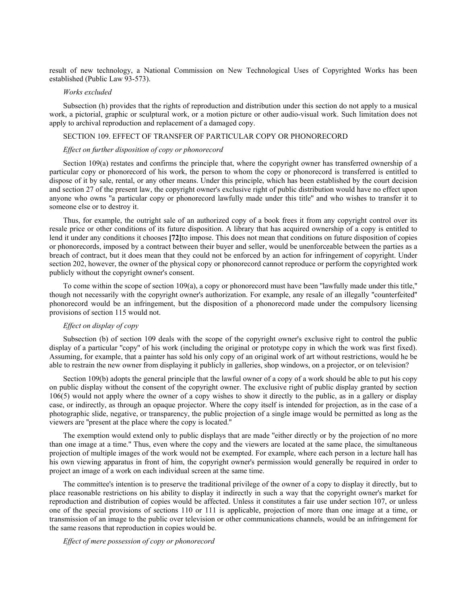result of new technology, a National Commission on New Technological Uses of Copyrighted Works has been established (Public Law 93-573).

## *Works excluded*

Subsection (h) provides that the rights of reproduction and distribution under this section do not apply to a musical work, a pictorial, graphic or sculptural work, or a motion picture or other audio-visual work. Such limitation does not apply to archival reproduction and replacement of a damaged copy.

### SECTION 109. EFFECT OF TRANSFER OF PARTICULAR COPY OR PHONORECORD

### *Effect on further disposition of copy or phonorecord*

Section 109(a) restates and confirms the principle that, where the copyright owner has transferred ownership of a particular copy or phonorecord of his work, the person to whom the copy or phonorecord is transferred is entitled to dispose of it by sale, rental, or any other means. Under this principle, which has been established by the court decision and section 27 of the present law, the copyright owner's exclusive right of public distribution would have no effect upon anyone who owns ''a particular copy or phonorecord lawfully made under this title'' and who wishes to transfer it to someone else or to destroy it.

Thus, for example, the outright sale of an authorized copy of a book frees it from any copyright control over its resale price or other conditions of its future disposition. A library that has acquired ownership of a copy is entitled to lend it under any conditions it chooses **[72]**to impose. This does not mean that conditions on future disposition of copies or phonorecords, imposed by a contract between their buyer and seller, would be unenforceable between the parties as a breach of contract, but it does mean that they could not be enforced by an action for infringement of copyright. Under section 202, however, the owner of the physical copy or phonorecord cannot reproduce or perform the copyrighted work publicly without the copyright owner's consent.

To come within the scope of section 109(a), a copy or phonorecord must have been ''lawfully made under this title,'' though not necessarily with the copyright owner's authorization. For example, any resale of an illegally ''counterfeited'' phonorecord would be an infringement, but the disposition of a phonorecord made under the compulsory licensing provisions of section 115 would not.

## *Effect on display of copy*

Subsection (b) of section 109 deals with the scope of the copyright owner's exclusive right to control the public display of a particular ''copy'' of his work (including the original or prototype copy in which the work was first fixed). Assuming, for example, that a painter has sold his only copy of an original work of art without restrictions, would he be able to restrain the new owner from displaying it publicly in galleries, shop windows, on a projector, or on television?

Section 109(b) adopts the general principle that the lawful owner of a copy of a work should be able to put his copy on public display without the consent of the copyright owner. The exclusive right of public display granted by section 106(5) would not apply where the owner of a copy wishes to show it directly to the public, as in a gallery or display case, or indirectly, as through an opaque projector. Where the copy itself is intended for projection, as in the case of a photographic slide, negative, or transparency, the public projection of a single image would be permitted as long as the viewers are ''present at the place where the copy is located.''

The exemption would extend only to public displays that are made ''either directly or by the projection of no more than one image at a time.'' Thus, even where the copy and the viewers are located at the same place, the simultaneous projection of multiple images of the work would not be exempted. For example, where each person in a lecture hall has his own viewing apparatus in front of him, the copyright owner's permission would generally be required in order to project an image of a work on each individual screen at the same time.

The committee's intention is to preserve the traditional privilege of the owner of a copy to display it directly, but to place reasonable restrictions on his ability to display it indirectly in such a way that the copyright owner's market for reproduction and distribution of copies would be affected. Unless it constitutes a fair use under section 107, or unless one of the special provisions of sections 110 or 111 is applicable, projection of more than one image at a time, or transmission of an image to the public over television or other communications channels, would be an infringement for the same reasons that reproduction in copies would be.

## *Effect of mere possession of copy or phonorecord*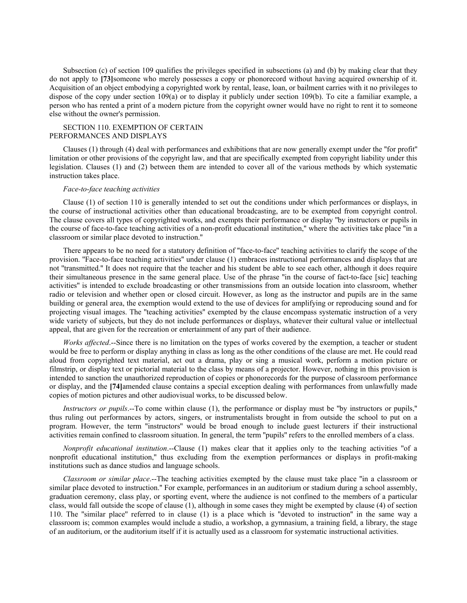Subsection (c) of section 109 qualifies the privileges specified in subsections (a) and (b) by making clear that they do not apply to **[73]**someone who merely possesses a copy or phonorecord without having acquired ownership of it. Acquisition of an object embodying a copyrighted work by rental, lease, loan, or bailment carries with it no privileges to dispose of the copy under section 109(a) or to display it publicly under section 109(b). To cite a familiar example, a person who has rented a print of a modern picture from the copyright owner would have no right to rent it to someone else without the owner's permission.

# SECTION 110. EXEMPTION OF CERTAIN PERFORMANCES AND DISPLAYS

Clauses (1) through (4) deal with performances and exhibitions that are now generally exempt under the ''for profit'' limitation or other provisions of the copyright law, and that are specifically exempted from copyright liability under this legislation. Clauses (1) and (2) between them are intended to cover all of the various methods by which systematic instruction takes place.

## *Face-to-face teaching activities*

Clause (1) of section 110 is generally intended to set out the conditions under which performances or displays, in the course of instructional activities other than educational broadcasting, are to be exempted from copyright control. The clause covers all types of copyrighted works, and exempts their performance or display ''by instructors or pupils in the course of face-to-face teaching activities of a non-profit educational institution,'' where the activities take place ''in a classroom or similar place devoted to instruction.''

There appears to be no need for a statutory definition of ''face-to-face'' teaching activities to clarify the scope of the provision. ''Face-to-face teaching activities'' under clause (1) embraces instructional performances and displays that are not ''transmitted.'' It does not require that the teacher and his student be able to see each other, although it does require their simultaneous presence in the same general place. Use of the phrase ''in the course of fact-to-face [sic] teaching activities'' is intended to exclude broadcasting or other transmissions from an outside location into classroom, whether radio or television and whether open or closed circuit. However, as long as the instructor and pupils are in the same building or general area, the exemption would extend to the use of devices for amplifying or reproducing sound and for projecting visual images. The ''teaching activities'' exempted by the clause encompass systematic instruction of a very wide variety of subjects, but they do not include performances or displays, whatever their cultural value or intellectual appeal, that are given for the recreation or entertainment of any part of their audience.

*Works affected*.--Since there is no limitation on the types of works covered by the exemption, a teacher or student would be free to perform or display anything in class as long as the other conditions of the clause are met. He could read aloud from copyrighted text material, act out a drama, play or sing a musical work, perform a motion picture or filmstrip, or display text or pictorial material to the class by means of a projector. However, nothing in this provision is intended to sanction the unauthorized reproduction of copies or phonorecords for the purpose of classroom performance or display, and the **[74]**amended clause contains a special exception dealing with performances from unlawfully made copies of motion pictures and other audiovisual works, to be discussed below.

*Instructors or pupils*.--To come within clause (1), the performance or display must be ''by instructors or pupils,'' thus ruling out performances by actors, singers, or instrumentalists brought in from outside the school to put on a program. However, the term ''instructors'' would be broad enough to include guest lecturers if their instructional activities remain confined to classroom situation. In general, the term ''pupils'' refers to the enrolled members of a class.

*Nonprofit educational institution*.--Clause (1) makes clear that it applies only to the teaching activities ''of a nonprofit educational institution,'' thus excluding from the exemption performances or displays in profit-making institutions such as dance studios and language schools.

*Classroom or similar place*.--The teaching activities exempted by the clause must take place ''in a classroom or similar place devoted to instruction." For example, performances in an auditorium or stadium during a school assembly, graduation ceremony, class play, or sporting event, where the audience is not confined to the members of a particular class, would fall outside the scope of clause (1), although in some cases they might be exempted by clause (4) of section 110. The ''similar place'' referred to in clause (1) is a place which is ''devoted to instruction'' in the same way a classroom is; common examples would include a studio, a workshop, a gymnasium, a training field, a library, the stage of an auditorium, or the auditorium itself if it is actually used as a classroom for systematic instructional activities.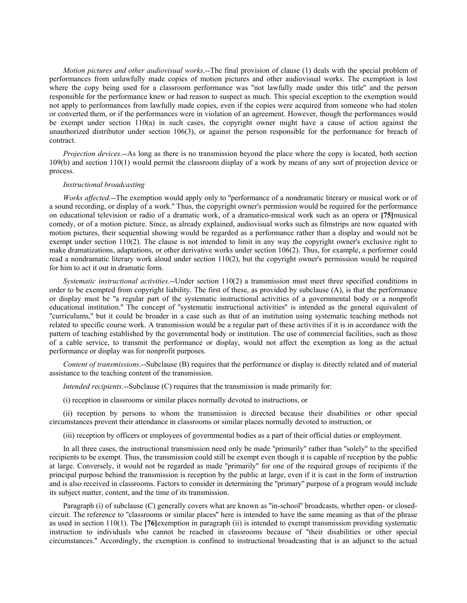*Motion pictures and other audiovisual works*.--The final provision of clause (1) deals with the special problem of performances from unlawfully made copies of motion pictures and other audiovisual works. The exemption is lost where the copy being used for a classroom performance was "not lawfully made under this title" and the person responsible for the performance knew or had reason to suspect as much. This special exception to the exemption would not apply to performances from lawfully made copies, even if the copies were acquired from someone who had stolen or converted them, or if the performances were in violation of an agreement. However, though the performances would be exempt under section 110(a) in such cases, the copyright owner might have a cause of action against the unauthorized distributor under section 106(3), or against the person responsible for the performance for breach of contract.

*Projection devices*.--As long as there is no transmission beyond the place where the copy is located, both section 109(b) and section 110(1) would permit the classroom display of a work by means of any sort of projection device or process.

#### *Instructional broadcasting*

*Works affected*.--The exemption would apply only to ''performance of a nondramatic literary or musical work or of a sound recording, or display of a work.'' Thus, the copyright owner's permission would be required for the performance on educational television or radio of a dramatic work, of a dramatico-musical work such as an opera or **[75]**musical comedy, or of a motion picture. Since, as already explained, audiovisual works such as filmstrips are now equated with motion pictures, their sequential showing would be regarded as a performance rather than a display and would not be exempt under section 110(2). The clause is not intended to limit in any way the copyright owner's exclusive right to make dramatizations, adaptations, or other derivative works under section 106(2). Thus, for example, a performer could read a nondramatic literary work aloud under section 110(2), but the copyright owner's permission would be required for him to act it out in dramatic form.

*Systematic instructional activities*.--Under section 110(2) a transmission must meet three specified conditions in order to be exempted from copyright liability. The first of these, as provided by subclause (A), is that the performance or display must be ''a regular part of the systematic instructional activities of a governmental body or a nonprofit educational institution.'' The concept of ''systematic instructional activities'' is intended as the general equivalent of ''curriculums,'' but it could be broader in a case such as that of an institution using systematic teaching methods not related to specific course work. A transmission would be a regular part of these activities if it is in accordance with the pattern of teaching established by the governmental body or institution. The use of commercial facilities, such as those of a cable service, to transmit the performance or display, would not affect the exemption as long as the actual performance or display was for nonprofit purposes.

*Content of transmissions*.--Subclause (B) requires that the performance or display is directly related and of material assistance to the teaching content of the transmission.

*Intended recipients*.--Subclause (C) requires that the transmission is made primarily for:

(i) reception in classrooms or similar places normally devoted to instructions, or

(ii) reception by persons to whom the transmission is directed because their disabilities or other special circumstances prevent their attendance in classrooms or similar places normally devoted to instruction, or

(iii) reception by officers or employees of governmental bodies as a part of their official duties or employment.

In all three cases, the instructional transmission need only be made ''primarily'' rather than ''solely'' to the specified recipients to be exempt. Thus, the transmission could still be exempt even though it is capable of reception by the public at large. Conversely, it would not be regarded as made ''primarily'' for one of the required groups of recipients if the principal purpose behind the transmission is reception by the public at large, even if it is cast in the form of instruction and is also received in classrooms. Factors to consider in determining the ''primary'' purpose of a program would include its subject matter, content, and the time of its transmission.

Paragraph (i) of subclause (C) generally covers what are known as "in-school" broadcasts, whether open- or closedcircuit. The reference to ''classrooms or similar places'' here is intended to have the same meaning as that of the phrase as used in section 110(1). The **[76]**exemption in paragraph (ii) is intended to exempt transmission providing systematic instruction to individuals who cannot be reached in classrooms because of ''their disabilities or other special circumstances.'' Accordingly, the exemption is confined to instructional broadcasting that is an adjunct to the actual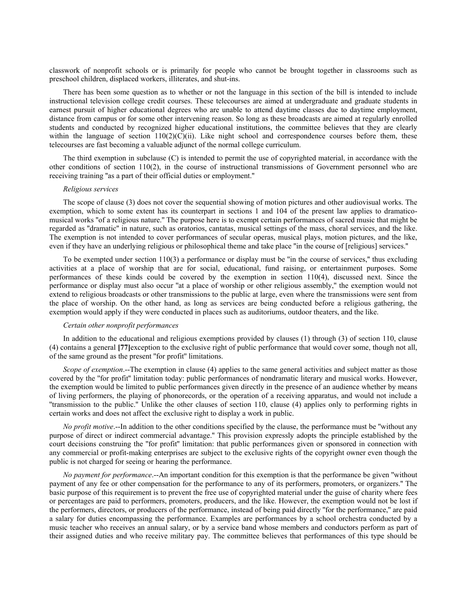classwork of nonprofit schools or is primarily for people who cannot be brought together in classrooms such as preschool children, displaced workers, illiterates, and shut-ins.

There has been some question as to whether or not the language in this section of the bill is intended to include instructional television college credit courses. These telecourses are aimed at undergraduate and graduate students in earnest pursuit of higher educational degrees who are unable to attend daytime classes due to daytime employment, distance from campus or for some other intervening reason. So long as these broadcasts are aimed at regularly enrolled students and conducted by recognized higher educational institutions, the committee believes that they are clearly within the language of section  $110(2)(C)(ii)$ . Like night school and correspondence courses before them, these telecourses are fast becoming a valuable adjunct of the normal college curriculum.

The third exemption in subclause (C) is intended to permit the use of copyrighted material, in accordance with the other conditions of section 110(2), in the course of instructional transmissions of Government personnel who are receiving training ''as a part of their official duties or employment.''

## *Religious services*

The scope of clause (3) does not cover the sequential showing of motion pictures and other audiovisual works. The exemption, which to some extent has its counterpart in sections 1 and 104 of the present law applies to dramaticomusical works "of a religious nature." The purpose here is to exempt certain performances of sacred music that might be regarded as ''dramatic'' in nature, such as oratorios, cantatas, musical settings of the mass, choral services, and the like. The exemption is not intended to cover performances of secular operas, musical plays, motion pictures, and the like, even if they have an underlying religious or philosophical theme and take place ''in the course of [religious] services.''

To be exempted under section 110(3) a performance or display must be ''in the course of services,'' thus excluding activities at a place of worship that are for social, educational, fund raising, or entertainment purposes. Some performances of these kinds could be covered by the exemption in section 110(4), discussed next. Since the performance or display must also occur ''at a place of worship or other religious assembly,'' the exemption would not extend to religious broadcasts or other transmissions to the public at large, even where the transmissions were sent from the place of worship. On the other hand, as long as services are being conducted before a religious gathering, the exemption would apply if they were conducted in places such as auditoriums, outdoor theaters, and the like.

### *Certain other nonprofit performances*

In addition to the educational and religious exemptions provided by clauses (1) through (3) of section 110, clause (4) contains a general **[77]**exception to the exclusive right of public performance that would cover some, though not all, of the same ground as the present ''for profit'' limitations.

*Scope of exemption*.--The exemption in clause (4) applies to the same general activities and subject matter as those covered by the ''for profit'' limitation today: public performances of nondramatic literary and musical works. However, the exemption would be limited to public performances given directly in the presence of an audience whether by means of living performers, the playing of phonorecords, or the operation of a receiving apparatus, and would not include a ''transmission to the public.'' Unlike the other clauses of section 110, clause (4) applies only to performing rights in certain works and does not affect the exclusive right to display a work in public.

*No profit motive*.--In addition to the other conditions specified by the clause, the performance must be ''without any purpose of direct or indirect commercial advantage.'' This provision expressly adopts the principle established by the court decisions construing the ''for profit'' limitation: that public performances given or sponsored in connection with any commercial or profit-making enterprises are subject to the exclusive rights of the copyright owner even though the public is not charged for seeing or hearing the performance.

*No payment for performance*.--An important condition for this exemption is that the performance be given ''without payment of any fee or other compensation for the performance to any of its performers, promoters, or organizers.'' The basic purpose of this requirement is to prevent the free use of copyrighted material under the guise of charity where fees or percentages are paid to performers, promoters, producers, and the like. However, the exemption would not be lost if the performers, directors, or producers of the performance, instead of being paid directly ''for the performance,'' are paid a salary for duties encompassing the performance. Examples are performances by a school orchestra conducted by a music teacher who receives an annual salary, or by a service band whose members and conductors perform as part of their assigned duties and who receive military pay. The committee believes that performances of this type should be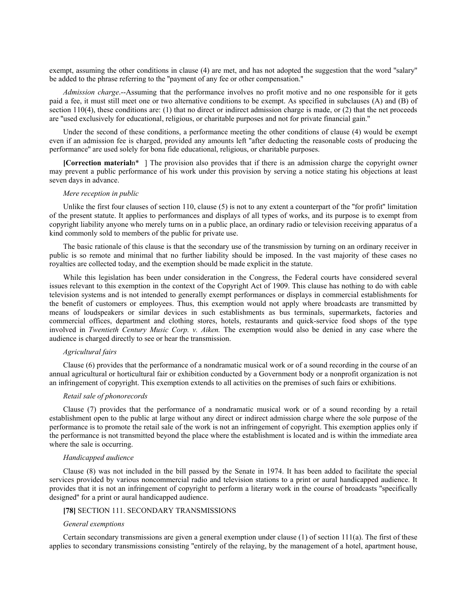exempt, assuming the other conditions in clause (4) are met, and has not adopted the suggestion that the word ''salary'' be added to the phrase referring to the ''payment of any fee or other compensation.''

*Admission charge*.--Assuming that the performance involves no profit motive and no one responsible for it gets paid a fee, it must still meet one or two alternative conditions to be exempt. As specified in subclauses (A) and (B) of section 110(4), these conditions are: (1) that no direct or indirect admission charge is made, or (2) that the net proceeds are ''used exclusively for educational, religious, or charitable purposes and not for private financial gain.''

Under the second of these conditions, a performance meeting the other conditions of clause (4) would be exempt even if an admission fee is charged, provided any amounts left ''after deducting the reasonable costs of producing the performance'' are used solely for bona fide educational, religious, or charitable purposes.

**[Correction material**n\* ] The provision also provides that if there is an admission charge the copyright owner may prevent a public performance of his work under this provision by serving a notice stating his objections at least seven days in advance.

## *Mere reception in public*

Unlike the first four clauses of section 110, clause (5) is not to any extent a counterpart of the ''for profit'' limitation of the present statute. It applies to performances and displays of all types of works, and its purpose is to exempt from copyright liability anyone who merely turns on in a public place, an ordinary radio or television receiving apparatus of a kind commonly sold to members of the public for private use.

The basic rationale of this clause is that the secondary use of the transmission by turning on an ordinary receiver in public is so remote and minimal that no further liability should be imposed. In the vast majority of these cases no royalties are collected today, and the exemption should be made explicit in the statute.

While this legislation has been under consideration in the Congress, the Federal courts have considered several issues relevant to this exemption in the context of the Copyright Act of 1909. This clause has nothing to do with cable television systems and is not intended to generally exempt performances or displays in commercial establishments for the benefit of customers or employees. Thus, this exemption would not apply where broadcasts are transmitted by means of loudspeakers or similar devices in such establishments as bus terminals, supermarkets, factories and commercial offices, department and clothing stores, hotels, restaurants and quick-service food shops of the type involved in *Twentieth Century Music Corp. v. Aiken.* The exemption would also be denied in any case where the audience is charged directly to see or hear the transmission.

### *Agricultural fairs*

Clause (6) provides that the performance of a nondramatic musical work or of a sound recording in the course of an annual agricultural or horticultural fair or exhibition conducted by a Government body or a nonprofit organization is not an infringement of copyright. This exemption extends to all activities on the premises of such fairs or exhibitions.

#### *Retail sale of phonorecords*

Clause (7) provides that the performance of a nondramatic musical work or of a sound recording by a retail establishment open to the public at large without any direct or indirect admission charge where the sole purpose of the performance is to promote the retail sale of the work is not an infringement of copyright. This exemption applies only if the performance is not transmitted beyond the place where the establishment is located and is within the immediate area where the sale is occurring.

#### *Handicapped audience*

Clause (8) was not included in the bill passed by the Senate in 1974. It has been added to facilitate the special services provided by various noncommercial radio and television stations to a print or aural handicapped audience. It provides that it is not an infringement of copyright to perform a literary work in the course of broadcasts ''specifically designed'' for a print or aural handicapped audience.

## **[78]** SECTION 111. SECONDARY TRANSMISSIONS

#### *General exemptions*

Certain secondary transmissions are given a general exemption under clause (1) of section 111(a). The first of these applies to secondary transmissions consisting ''entirely of the relaying, by the management of a hotel, apartment house,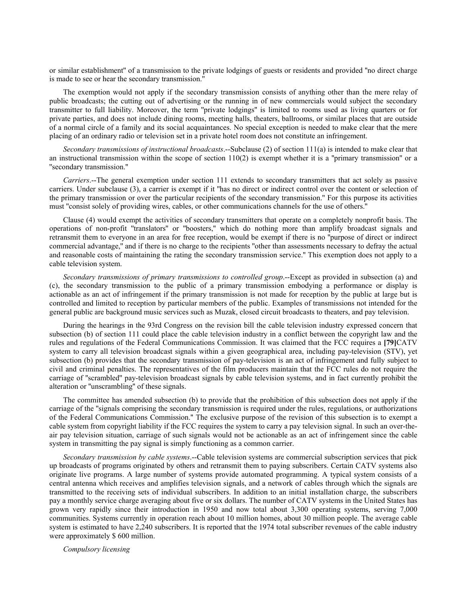or similar establishment'' of a transmission to the private lodgings of guests or residents and provided ''no direct charge is made to see or hear the secondary transmission.''

The exemption would not apply if the secondary transmission consists of anything other than the mere relay of public broadcasts; the cutting out of advertising or the running in of new commercials would subject the secondary transmitter to full liability. Moreover, the term ''private lodgings'' is limited to rooms used as living quarters or for private parties, and does not include dining rooms, meeting halls, theaters, ballrooms, or similar places that are outside of a normal circle of a family and its social acquaintances. No special exception is needed to make clear that the mere placing of an ordinary radio or television set in a private hotel room does not constitute an infringement.

*Secondary transmissions of instructional broadcasts*.--Subclause (2) of section 111(a) is intended to make clear that an instructional transmission within the scope of section  $110(2)$  is exempt whether it is a "primary transmission" or a ''secondary transmission.''

*Carriers*.--The general exemption under section 111 extends to secondary transmitters that act solely as passive carriers. Under subclause (3), a carrier is exempt if it ''has no direct or indirect control over the content or selection of the primary transmission or over the particular recipients of the secondary transmission.'' For this purpose its activities must ''consist solely of providing wires, cables, or other communications channels for the use of others.''

Clause (4) would exempt the activities of secondary transmitters that operate on a completely nonprofit basis. The operations of non-profit ''translators'' or ''boosters,'' which do nothing more than amplify broadcast signals and retransmit them to everyone in an area for free reception, would be exempt if there is no ''purpose of direct or indirect commercial advantage,'' and if there is no charge to the recipients ''other than assessments necessary to defray the actual and reasonable costs of maintaining the rating the secondary transmission service.'' This exemption does not apply to a cable television system.

*Secondary transmissions of primary transmissions to controlled group*.--Except as provided in subsection (a) and (c), the secondary transmission to the public of a primary transmission embodying a performance or display is actionable as an act of infringement if the primary transmission is not made for reception by the public at large but is controlled and limited to reception by particular members of the public. Examples of transmissions not intended for the general public are background music services such as Muzak, closed circuit broadcasts to theaters, and pay television.

During the hearings in the 93rd Congress on the revision bill the cable television industry expressed concern that subsection (b) of section 111 could place the cable television industry in a conflict between the copyright law and the rules and regulations of the Federal Communications Commission. It was claimed that the FCC requires a **[79]**CATV system to carry all television broadcast signals within a given geographical area, including pay-television (STV), yet subsection (b) provides that the secondary transmission of pay-television is an act of infringement and fully subject to civil and criminal penalties. The representatives of the film producers maintain that the FCC rules do not require the carriage of ''scrambled'' pay-television broadcast signals by cable television systems, and in fact currently prohibit the alteration or ''unscrambling'' of these signals.

The committee has amended subsection (b) to provide that the prohibition of this subsection does not apply if the carriage of the "signals comprising the secondary transmission is required under the rules, regulations, or authorizations of the Federal Communications Commission.'' The exclusive purpose of the revision of this subsection is to exempt a cable system from copyright liability if the FCC requires the system to carry a pay television signal. In such an over-theair pay television situation, carriage of such signals would not be actionable as an act of infringement since the cable system in transmitting the pay signal is simply functioning as a common carrier.

*Secondary transmission by cable systems*.--Cable television systems are commercial subscription services that pick up broadcasts of programs originated by others and retransmit them to paying subscribers. Certain CATV systems also originate live programs. A large number of systems provide automated programming. A typical system consists of a central antenna which receives and amplifies television signals, and a network of cables through which the signals are transmitted to the receiving sets of individual subscribers. In addition to an initial installation charge, the subscribers pay a monthly service charge averaging about five or six dollars. The number of CATV systems in the United States has grown very rapidly since their introduction in 1950 and now total about 3,300 operating systems, serving 7,000 communities. Systems currently in operation reach about 10 million homes, about 30 million people. The average cable system is estimated to have 2,240 subscribers. It is reported that the 1974 total subscriber revenues of the cable industry were approximately \$ 600 million.

*Compulsory licensing*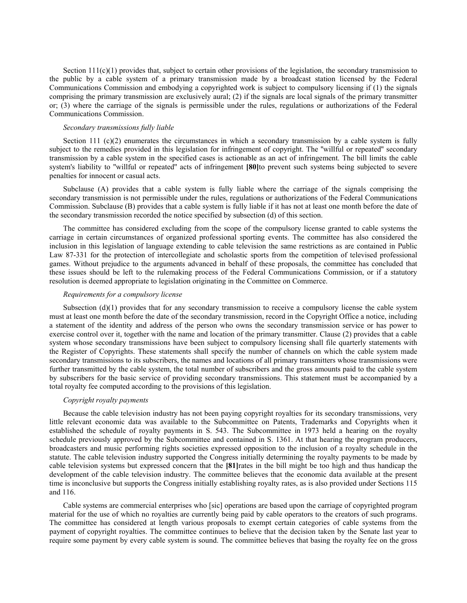Section  $11(c)(1)$  provides that, subject to certain other provisions of the legislation, the secondary transmission to the public by a cable system of a primary transmission made by a broadcast station licensed by the Federal Communications Commission and embodying a copyrighted work is subject to compulsory licensing if (1) the signals comprising the primary transmission are exclusively aural; (2) if the signals are local signals of the primary transmitter or; (3) where the carriage of the signals is permissible under the rules, regulations or authorizations of the Federal Communications Commission.

### *Secondary transmissions fully liable*

Section 111 (c)(2) enumerates the circumstances in which a secondary transmission by a cable system is fully subject to the remedies provided in this legislation for infringement of copyright. The ''willful or repeated'' secondary transmission by a cable system in the specified cases is actionable as an act of infringement. The bill limits the cable system's liability to ''willful or repeated'' acts of infringement **[80]**to prevent such systems being subjected to severe penalties for innocent or casual acts.

Subclause (A) provides that a cable system is fully liable where the carriage of the signals comprising the secondary transmission is not permissible under the rules, regulations or authorizations of the Federal Communications Commission. Subclause (B) provides that a cable system is fully liable if it has not at least one month before the date of the secondary transmission recorded the notice specified by subsection (d) of this section.

The committee has considered excluding from the scope of the compulsory license granted to cable systems the carriage in certain circumstances of organized professional sporting events. The committee has also considered the inclusion in this legislation of language extending to cable television the same restrictions as are contained in Public Law 87-331 for the protection of intercollegiate and scholastic sports from the competition of televised professional games. Without prejudice to the arguments advanced in behalf of these proposals, the committee has concluded that these issues should be left to the rulemaking process of the Federal Communications Commission, or if a statutory resolution is deemed appropriate to legislation originating in the Committee on Commerce.

### *Requirements for a compulsory license*

Subsection  $(d)(1)$  provides that for any secondary transmission to receive a compulsory license the cable system must at least one month before the date of the secondary transmission, record in the Copyright Office a notice, including a statement of the identity and address of the person who owns the secondary transmission service or has power to exercise control over it, together with the name and location of the primary transmitter. Clause (2) provides that a cable system whose secondary transmissions have been subject to compulsory licensing shall file quarterly statements with the Register of Copyrights. These statements shall specify the number of channels on which the cable system made secondary transmissions to its subscribers, the names and locations of all primary transmitters whose transmissions were further transmitted by the cable system, the total number of subscribers and the gross amounts paid to the cable system by subscribers for the basic service of providing secondary transmissions. This statement must be accompanied by a total royalty fee computed according to the provisions of this legislation.

### *Copyright royalty payments*

Because the cable television industry has not been paying copyright royalties for its secondary transmissions, very little relevant economic data was available to the Subcommittee on Patents, Trademarks and Copyrights when it established the schedule of royalty payments in S. 543. The Subcommittee in 1973 held a hearing on the royalty schedule previously approved by the Subcommittee and contained in S. 1361. At that hearing the program producers, broadcasters and music performing rights societies expressed opposition to the inclusion of a royalty schedule in the statute. The cable television industry supported the Congress initially determining the royalty payments to be made by cable television systems but expressed concern that the **[81]**rates in the bill might be too high and thus handicap the development of the cable television industry. The committee believes that the economic data available at the present time is inconclusive but supports the Congress initially establishing royalty rates, as is also provided under Sections 115 and 116.

Cable systems are commercial enterprises who [sic] operations are based upon the carriage of copyrighted program material for the use of which no royalties are currently being paid by cable operators to the creators of such programs. The committee has considered at length various proposals to exempt certain categories of cable systems from the payment of copyright royalties. The committee continues to believe that the decision taken by the Senate last year to require some payment by every cable system is sound. The committee believes that basing the royalty fee on the gross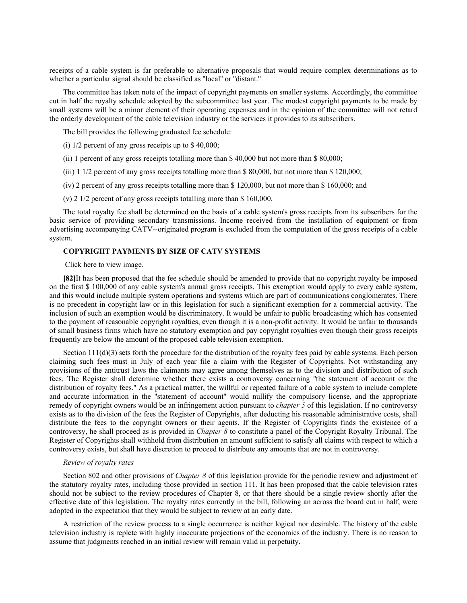receipts of a cable system is far preferable to alternative proposals that would require complex determinations as to whether a particular signal should be classified as ''local'' or ''distant.''

The committee has taken note of the impact of copyright payments on smaller systems. Accordingly, the committee cut in half the royalty schedule adopted by the subcommittee last year. The modest copyright payments to be made by small systems will be a minor element of their operating expenses and in the opinion of the committee will not retard the orderly development of the cable television industry or the services it provides to its subscribers.

The bill provides the following graduated fee schedule:

- (i) 1/2 percent of any gross receipts up to \$ 40,000;
- (ii) 1 percent of any gross receipts totalling more than \$ 40,000 but not more than \$ 80,000;
- (iii) 1 1/2 percent of any gross receipts totalling more than \$ 80,000, but not more than \$ 120,000;
- (iv) 2 percent of any gross receipts totalling more than \$ 120,000, but not more than \$ 160,000; and
- (v) 2 1/2 percent of any gross receipts totalling more than \$ 160,000.

The total royalty fee shall be determined on the basis of a cable system's gross receipts from its subscribers for the basic service of providing secondary transmissions. Income received from the installation of equipment or from advertising accompanying CATV--originated program is excluded from the computation of the gross receipts of a cable system.

## **COPYRIGHT PAYMENTS BY SIZE OF CATV SYSTEMS**

Click here to view image.

**[82]**It has been proposed that the fee schedule should be amended to provide that no copyright royalty be imposed on the first \$ 100,000 of any cable system's annual gross receipts. This exemption would apply to every cable system, and this would include multiple system operations and systems which are part of communications conglomerates. There is no precedent in copyright law or in this legislation for such a significant exemption for a commercial activity. The inclusion of such an exemption would be discriminatory. It would be unfair to public broadcasting which has consented to the payment of reasonable copyright royalties, even though it is a non-profit activity. It would be unfair to thousands of small business firms which have no statutory exemption and pay copyright royalties even though their gross receipts frequently are below the amount of the proposed cable television exemption.

Section 111(d)(3) sets forth the procedure for the distribution of the royalty fees paid by cable systems. Each person claiming such fees must in July of each year file a claim with the Register of Copyrights. Not withstanding any provisions of the antitrust laws the claimants may agree among themselves as to the division and distribution of such fees. The Register shall determine whether there exists a controversy concerning ''the statement of account or the distribution of royalty fees.'' As a practical matter, the willful or repeated failure of a cable system to include complete and accurate information in the ''statement of account'' would nullify the compulsory license, and the appropriate remedy of copyright owners would be an infringement action pursuant to *chapter 5* of this legislation. If no controversy exists as to the division of the fees the Register of Copyrights, after deducting his reasonable administrative costs, shall distribute the fees to the copyright owners or their agents. If the Register of Copyrights finds the existence of a controversy, he shall proceed as is provided in *Chapter 8* to constitute a panel of the Copyright Royalty Tribunal. The Register of Copyrights shall withhold from distribution an amount sufficient to satisfy all claims with respect to which a controversy exists, but shall have discretion to proceed to distribute any amounts that are not in controversy.

#### *Review of royalty rates*

Section 802 and other provisions of *Chapter 8* of this legislation provide for the periodic review and adjustment of the statutory royalty rates, including those provided in section 111. It has been proposed that the cable television rates should not be subject to the review procedures of Chapter 8, or that there should be a single review shortly after the effective date of this legislation. The royalty rates currently in the bill, following an across the board cut in half, were adopted in the expectation that they would be subject to review at an early date.

A restriction of the review process to a single occurrence is neither logical nor desirable. The history of the cable television industry is replete with highly inaccurate projections of the economics of the industry. There is no reason to assume that judgments reached in an initial review will remain valid in perpetuity.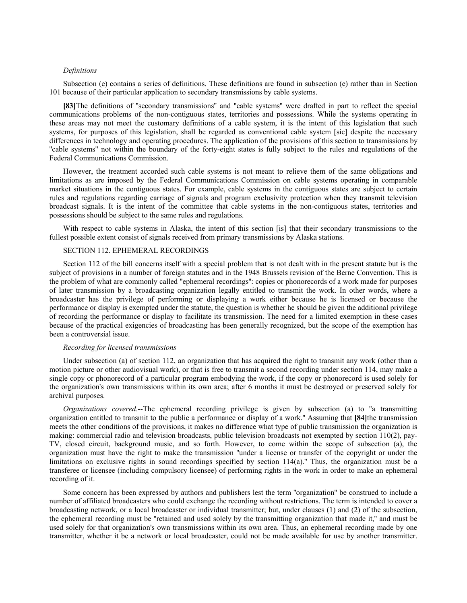### *Definitions*

Subsection (e) contains a series of definitions. These definitions are found in subsection (e) rather than in Section 101 because of their particular application to secondary transmissions by cable systems.

**[83]**The definitions of ''secondary transmissions'' and ''cable systems'' were drafted in part to reflect the special communications problems of the non-contiguous states, territories and possessions. While the systems operating in these areas may not meet the customary definitions of a cable system, it is the intent of this legislation that such systems, for purposes of this legislation, shall be regarded as conventional cable system [sic] despite the necessary differences in technology and operating procedures. The application of the provisions of this section to transmissions by ''cable systems'' not within the boundary of the forty-eight states is fully subject to the rules and regulations of the Federal Communications Commission.

However, the treatment accorded such cable systems is not meant to relieve them of the same obligations and limitations as are imposed by the Federal Communications Commission on cable systems operating in comparable market situations in the contiguous states. For example, cable systems in the contiguous states are subject to certain rules and regulations regarding carriage of signals and program exclusivity protection when they transmit television broadcast signals. It is the intent of the committee that cable systems in the non-contiguous states, territories and possessions should be subject to the same rules and regulations.

With respect to cable systems in Alaska, the intent of this section [is] that their secondary transmissions to the fullest possible extent consist of signals received from primary transmissions by Alaska stations.

### SECTION 112. EPHEMERAL RECORDINGS

Section 112 of the bill concerns itself with a special problem that is not dealt with in the present statute but is the subject of provisions in a number of foreign statutes and in the 1948 Brussels revision of the Berne Convention. This is the problem of what are commonly called ''ephemeral recordings'': copies or phonorecords of a work made for purposes of later transmission by a broadcasting organization legally entitled to transmit the work. In other words, where a broadcaster has the privilege of performing or displaying a work either because he is licensed or because the performance or display is exempted under the statute, the question is whether he should be given the additional privilege of recording the performance or display to facilitate its transmission. The need for a limited exemption in these cases because of the practical exigencies of broadcasting has been generally recognized, but the scope of the exemption has been a controversial issue.

#### *Recording for licensed transmissions*

Under subsection (a) of section 112, an organization that has acquired the right to transmit any work (other than a motion picture or other audiovisual work), or that is free to transmit a second recording under section 114, may make a single copy or phonorecord of a particular program embodying the work, if the copy or phonorecord is used solely for the organization's own transmissions within its own area; after 6 months it must be destroyed or preserved solely for archival purposes.

*Organizations covered*.--The ephemeral recording privilege is given by subsection (a) to ''a transmitting organization entitled to transmit to the public a performance or display of a work.'' Assuming that **[84]**the transmission meets the other conditions of the provisions, it makes no difference what type of public transmission the organization is making: commercial radio and television broadcasts, public television broadcasts not exempted by section 110(2), pay-TV, closed circuit, background music, and so forth. However, to come within the scope of subsection (a), the organization must have the right to make the transmission ''under a license or transfer of the copyright or under the limitations on exclusive rights in sound recordings specified by section 114(a)." Thus, the organization must be a transferee or licensee (including compulsory licensee) of performing rights in the work in order to make an ephemeral recording of it.

Some concern has been expressed by authors and publishers lest the term ''organization'' be construed to include a number of affiliated broadcasters who could exchange the recording without restrictions. The term is intended to cover a broadcasting network, or a local broadcaster or individual transmitter; but, under clauses (1) and (2) of the subsection, the ephemeral recording must be ''retained and used solely by the transmitting organization that made it,'' and must be used solely for that organization's own transmissions within its own area. Thus, an ephemeral recording made by one transmitter, whether it be a network or local broadcaster, could not be made available for use by another transmitter.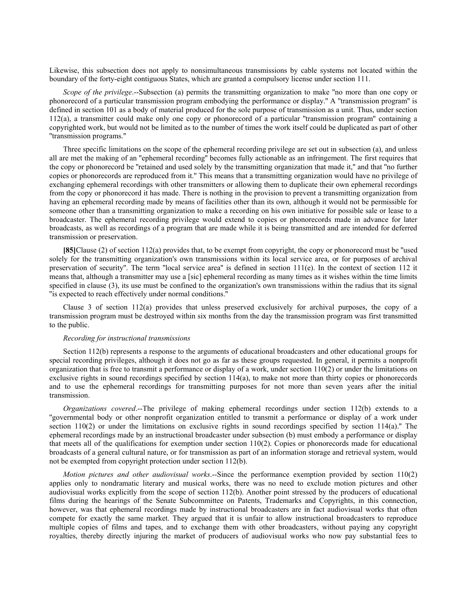Likewise, this subsection does not apply to nonsimultaneous transmissions by cable systems not located within the boundary of the forty-eight contiguous States, which are granted a compulsory license under section 111.

*Scope of the privilege*.--Subsection (a) permits the transmitting organization to make ''no more than one copy or phonorecord of a particular transmission program embodying the performance or display.'' A ''transmission program'' is defined in section 101 as a body of material produced for the sole purpose of transmission as a unit. Thus, under section 112(a), a transmitter could make only one copy or phonorecord of a particular ''transmission program'' containing a copyrighted work, but would not be limited as to the number of times the work itself could be duplicated as part of other ''transmission programs.''

Three specific limitations on the scope of the ephemeral recording privilege are set out in subsection (a), and unless all are met the making of an ''ephemeral recording'' becomes fully actionable as an infringement. The first requires that the copy or phonorecord be ''retained and used solely by the transmitting organization that made it,'' and that ''no further copies or phonorecords are reproduced from it.'' This means that a transmitting organization would have no privilege of exchanging ephemeral recordings with other transmitters or allowing them to duplicate their own ephemeral recordings from the copy or phonorecord it has made. There is nothing in the provision to prevent a transmitting organization from having an ephemeral recording made by means of facilities other than its own, although it would not be permissible for someone other than a transmitting organization to make a recording on his own initiative for possible sale or lease to a broadcaster. The ephemeral recording privilege would extend to copies or phonorecords made in advance for later broadcasts, as well as recordings of a program that are made while it is being transmitted and are intended for deferred transmission or preservation.

**[85]**Clause (2) of section 112(a) provides that, to be exempt from copyright, the copy or phonorecord must be ''used solely for the transmitting organization's own transmissions within its local service area, or for purposes of archival preservation of security''. The term ''local service area'' is defined in section 111(e). In the context of section 112 it means that, although a transmitter may use a [sic] ephemeral recording as many times as it wishes within the time limits specified in clause (3), its use must be confined to the organization's own transmissions within the radius that its signal ''is expected to reach effectively under normal conditions.''

Clause 3 of section 112(a) provides that unless preserved exclusively for archival purposes, the copy of a transmission program must be destroyed within six months from the day the transmission program was first transmitted to the public.

### *Recording for instructional transmissions*

Section 112(b) represents a response to the arguments of educational broadcasters and other educational groups for special recording privileges, although it does not go as far as these groups requested. In general, it permits a nonprofit organization that is free to transmit a performance or display of a work, under section  $110(2)$  or under the limitations on exclusive rights in sound recordings specified by section  $114(a)$ , to make not more than thirty copies or phonorecords and to use the ephemeral recordings for transmitting purposes for not more than seven years after the initial transmission.

*Organizations covered*.--The privilege of making ephemeral recordings under section 112(b) extends to a ''governmental body or other nonprofit organization entitled to transmit a performance or display of a work under section  $110(2)$  or under the limitations on exclusive rights in sound recordings specified by section  $114(a)$ ." The ephemeral recordings made by an instructional broadcaster under subsection (b) must embody a performance or display that meets all of the qualifications for exemption under section  $110(2)$ . Copies or phonorecords made for educational broadcasts of a general cultural nature, or for transmission as part of an information storage and retrieval system, would not be exempted from copyright protection under section 112(b).

*Motion pictures and other audiovisual works*.--Since the performance exemption provided by section 110(2) applies only to nondramatic literary and musical works, there was no need to exclude motion pictures and other audiovisual works explicitly from the scope of section 112(b). Another point stressed by the producers of educational films during the hearings of the Senate Subcommittee on Patents, Trademarks and Copyrights, in this connection, however, was that ephemeral recordings made by instructional broadcasters are in fact audiovisual works that often compete for exactly the same market. They argued that it is unfair to allow instructional broadcasters to reproduce multiple copies of films and tapes, and to exchange them with other broadcasters, without paying any copyright royalties, thereby directly injuring the market of producers of audiovisual works who now pay substantial fees to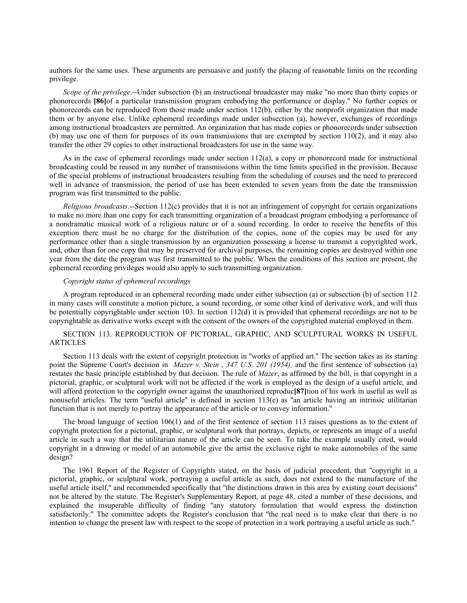authors for the same uses. These arguments are persuasive and justify the placing of reasonable limits on the recording privilege.

*Scope of the privilege*.--Under subsection (b) an instructional broadcaster may make ''no more than thirty copies or phonorecords **[86]**of a particular transmission program embodying the performance or display.'' No further copies or phonorecords can be reproduced from those made under section 112(b), either by the nonprofit organization that made them or by anyone else. Unlike ephemeral recordings made under subsection (a), however, exchanges of recordings among instructional broadcasters are permitted. An organization that has made copies or phonorecords under subsection (b) may use one of them for purposes of its own transmissions that are exempted by section 110(2), and it may also transfer the other 29 copies to other instructional broadcasters for use in the same way.

As in the case of ephemeral recordings made under section  $112(a)$ , a copy or phonorecord made for instructional broadcasting could be reused in any number of transmissions within the time limits specified in the provision. Because of the special problems of instructional broadcasters resulting from the scheduling of courses and the need to prerecord well in advance of transmission, the period of use has been extended to seven years from the date the transmission program was first transmitted to the public.

*Religious broadcasts*.--Section 112(c) provides that it is not an infringement of copyright for certain organizations to make no more than one copy for each transmitting organization of a broadcast program embodying a performance of a nondramatic musical work of a religious nature or of a sound recording. In order to receive the benefits of this exception there must be no charge for the distribution of the copies, none of the copies may be used for any performance other than a single transmission by an organization possessing a license to transmit a copyrighted work, and, other than for one copy that may be preserved for archival purposes, the remaining copies are destroyed within one year from the date the program was first transmitted to the public. When the conditions of this section are present, the ephemeral recording privileges would also apply to such transmitting organization.

### *Copyright status of ephemeral recordings*

A program reproduced in an ephemeral recording made under either subsection (a) or subsection (b) of section 112 in many cases will constitute a motion picture, a sound recording, or some other kind of derivative work, and will thus be potentially copyrightable under section 103. In section 112(d) it is provided that ephemeral recordings are not to be copyrightable as derivative works except with the consent of the owners of the copyrighted material employed in them.

## SECTION 113. REPRODUCTION OF PICTORIAL, GRAPHIC, AND SCULPTURAL WORKS IN USEFUL ARTICLES

Section 113 deals with the extent of copyright protection in ''works of applied art.'' The section takes as its starting point the Supreme Court's decision in *Mazer v. Stein , 347 U.S. 201 (1954)*, and the first sentence of subsection (a) restates the basic principle established by that decision. The rule of *Mazer*, as affirmed by the bill, is that copyright in a pictorial, graphic, or sculptural work will not be affected if the work is employed as the design of a useful article, and will afford protection to the copyright owner against the unauthorized reproduc**[87]**tion of his work in useful as well as nonuseful articles. The term ''useful article'' is defined in section 113(e) as ''an article having an intrinsic utilitarian function that is not merely to portray the appearance of the article or to convey information.''

The broad language of section 106(1) and of the first sentence of section 113 raises questions as to the extent of copyright protection for a pictorial, graphic, or sculptural work that portrays, depicts, or represents an image of a useful article in such a way that the utilitarian nature of the article can be seen. To take the example usually cited, would copyright in a drawing or model of an automobile give the artist the exclusive right to make automobiles of the same design?

The 1961 Report of the Register of Copyrights stated, on the basis of judicial precedent, that ''copyright in a pictorial, graphic, or sculptural work, portraying a useful article as such, does not extend to the manufacture of the useful article itself,'' and recommended specifically that ''the distinctions drawn in this area by existing court decisions'' not be altered by the statute. The Register's Supplementary Report, at page 48, cited a number of these decisions, and explained the insuperable difficulty of finding ''any statutory formulation that would express the distinction satisfactorily.'' The committee adopts the Register's conclusion that ''the real need is to make clear that there is no intention to change the present law with respect to the scope of protection in a work portraying a useful article as such.''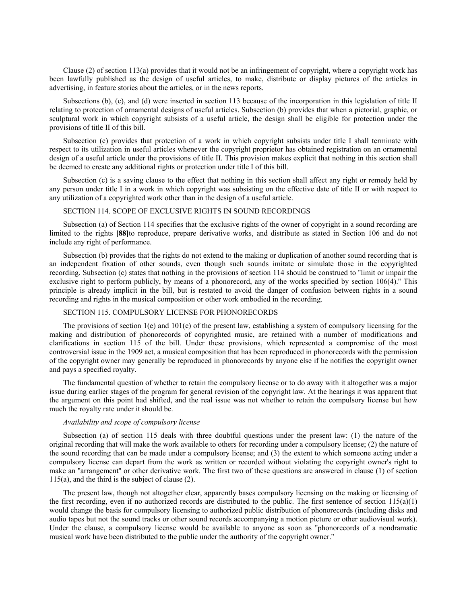Clause (2) of section 113(a) provides that it would not be an infringement of copyright, where a copyright work has been lawfully published as the design of useful articles, to make, distribute or display pictures of the articles in advertising, in feature stories about the articles, or in the news reports.

Subsections (b), (c), and (d) were inserted in section 113 because of the incorporation in this legislation of title II relating to protection of ornamental designs of useful articles. Subsection (b) provides that when a pictorial, graphic, or sculptural work in which copyright subsists of a useful article, the design shall be eligible for protection under the provisions of title II of this bill.

Subsection (c) provides that protection of a work in which copyright subsists under title I shall terminate with respect to its utilization in useful articles whenever the copyright proprietor has obtained registration on an ornamental design of a useful article under the provisions of title II. This provision makes explicit that nothing in this section shall be deemed to create any additional rights or protection under title I of this bill.

Subsection (c) is a saving clause to the effect that nothing in this section shall affect any right or remedy held by any person under title I in a work in which copyright was subsisting on the effective date of title II or with respect to any utilization of a copyrighted work other than in the design of a useful article.

## SECTION 114. SCOPE OF EXCLUSIVE RIGHTS IN SOUND RECORDINGS

Subsection (a) of Section 114 specifies that the exclusive rights of the owner of copyright in a sound recording are limited to the rights **[88]**to reproduce, prepare derivative works, and distribute as stated in Section 106 and do not include any right of performance.

Subsection (b) provides that the rights do not extend to the making or duplication of another sound recording that is an independent fixation of other sounds, even though such sounds imitate or simulate those in the copyrighted recording. Subsection (c) states that nothing in the provisions of section 114 should be construed to ''limit or impair the exclusive right to perform publicly, by means of a phonorecord, any of the works specified by section 106(4)." This principle is already implicit in the bill, but is restated to avoid the danger of confusion between rights in a sound recording and rights in the musical composition or other work embodied in the recording.

## SECTION 115. COMPULSORY LICENSE FOR PHONORECORDS

The provisions of section  $1(e)$  and  $101(e)$  of the present law, establishing a system of compulsory licensing for the making and distribution of phonorecords of copyrighted music, are retained with a number of modifications and clarifications in section 115 of the bill. Under these provisions, which represented a compromise of the most controversial issue in the 1909 act, a musical composition that has been reproduced in phonorecords with the permission of the copyright owner may generally be reproduced in phonorecords by anyone else if he notifies the copyright owner and pays a specified royalty.

The fundamental question of whether to retain the compulsory license or to do away with it altogether was a major issue during earlier stages of the program for general revision of the copyright law. At the hearings it was apparent that the argument on this point had shifted, and the real issue was not whether to retain the compulsory license but how much the royalty rate under it should be.

## *Availability and scope of compulsory license*

Subsection (a) of section 115 deals with three doubtful questions under the present law: (1) the nature of the original recording that will make the work available to others for recording under a compulsory license; (2) the nature of the sound recording that can be made under a compulsory license; and (3) the extent to which someone acting under a compulsory license can depart from the work as written or recorded without violating the copyright owner's right to make an ''arrangement'' or other derivative work. The first two of these questions are answered in clause (1) of section 115(a), and the third is the subject of clause (2).

The present law, though not altogether clear, apparently bases compulsory licensing on the making or licensing of the first recording, even if no authorized records are distributed to the public. The first sentence of section  $115(a)(1)$ would change the basis for compulsory licensing to authorized public distribution of phonorecords (including disks and audio tapes but not the sound tracks or other sound records accompanying a motion picture or other audiovisual work). Under the clause, a compulsory license would be available to anyone as soon as ''phonorecords of a nondramatic musical work have been distributed to the public under the authority of the copyright owner.''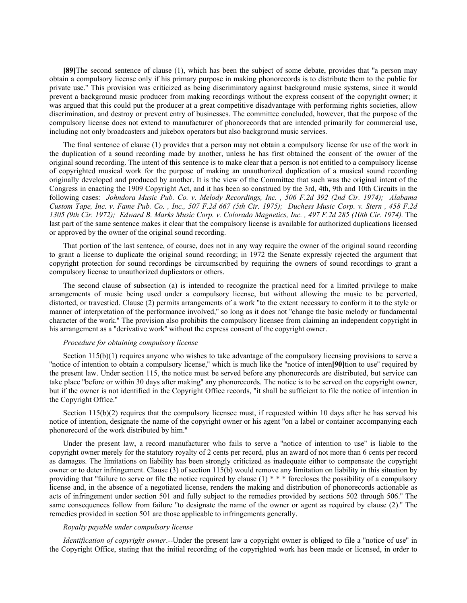**[89]**The second sentence of clause (1), which has been the subject of some debate, provides that "a person may obtain a compulsory license only if his primary purpose in making phonorecords is to distribute them to the public for private use.'' This provision was criticized as being discriminatory against background music systems, since it would prevent a background music producer from making recordings without the express consent of the copyright owner; it was argued that this could put the producer at a great competitive disadvantage with performing rights societies, allow discrimination, and destroy or prevent entry of businesses. The committee concluded, however, that the purpose of the compulsory license does not extend to manufacturer of phonorecords that are intended primarily for commercial use, including not only broadcasters and jukebox operators but also background music services.

The final sentence of clause (1) provides that a person may not obtain a compulsory license for use of the work in the duplication of a sound recording made by another, unless he has first obtained the consent of the owner of the original sound recording. The intent of this sentence is to make clear that a person is not entitled to a compulsory license of copyrighted musical work for the purpose of making an unauthorized duplication of a musical sound recording originally developed and produced by another. It is the view of the Committee that such was the original intent of the Congress in enacting the 1909 Copyright Act, and it has been so construed by the 3rd, 4th, 9th and 10th Circuits in the following cases: *Johndora Music Pub. Co. v. Melody Recordings, Inc. , 506 F.2d 392 (2nd Cir. 1974); Alabama Custom Tape, Inc. v. Fame Pub. Co. , Inc., 507 F.2d 667 (5th Cir. 1975); Duchess Music Corp. v. Stern , 458 F.2d 1305 (9th Cir. 1972); Edward B. Marks Music Corp. v. Colorado Magnetics, Inc. , 497 F.2d 285 (10th Cir. 1974).* The last part of the same sentence makes it clear that the compulsory license is available for authorized duplications licensed or approved by the owner of the original sound recording.

That portion of the last sentence, of course, does not in any way require the owner of the original sound recording to grant a license to duplicate the original sound recording; in 1972 the Senate expressly rejected the argument that copyright protection for sound recordings be circumscribed by requiring the owners of sound recordings to grant a compulsory license to unauthorized duplicators or others.

The second clause of subsection (a) is intended to recognize the practical need for a limited privilege to make arrangements of music being used under a compulsory license, but without allowing the music to be perverted, distorted, or travestied. Clause (2) permits arrangements of a work ''to the extent necessary to conform it to the style or manner of interpretation of the performance involved,'' so long as it does not ''change the basic melody or fundamental character of the work.'' The provision also prohibits the compulsory licensee from claiming an independent copyright in his arrangement as a ''derivative work'' without the express consent of the copyright owner.

## *Procedure for obtaining compulsory license*

Section 115(b)(1) requires anyone who wishes to take advantage of the compulsory licensing provisions to serve a ''notice of intention to obtain a compulsory license,'' which is much like the ''notice of inten**[90]**tion to use'' required by the present law. Under section 115, the notice must be served before any phonorecords are distributed, but service can take place ''before or within 30 days after making'' any phonorecords. The notice is to be served on the copyright owner, but if the owner is not identified in the Copyright Office records, ''it shall be sufficient to file the notice of intention in the Copyright Office.''

Section 115(b)(2) requires that the compulsory licensee must, if requested within 10 days after he has served his notice of intention, designate the name of the copyright owner or his agent ''on a label or container accompanying each phonorecord of the work distributed by him.''

Under the present law, a record manufacturer who fails to serve a "notice of intention to use" is liable to the copyright owner merely for the statutory royalty of 2 cents per record, plus an award of not more than 6 cents per record as damages. The limitations on liability has been strongly criticized as inadequate either to compensate the copyright owner or to deter infringement. Clause (3) of section 115(b) would remove any limitation on liability in this situation by providing that "failure to serve or file the notice required by clause  $(1)$  \* \* forecloses the possibility of a compulsory license and, in the absence of a negotiated license, renders the making and distribution of phonorecords actionable as acts of infringement under section 501 and fully subject to the remedies provided by sections 502 through 506.'' The same consequences follow from failure ''to designate the name of the owner or agent as required by clause (2).'' The remedies provided in section 501 are those applicable to infringements generally.

## *Royalty payable under compulsory license*

*Identification of copyright owner*.--Under the present law a copyright owner is obliged to file a ''notice of use'' in the Copyright Office, stating that the initial recording of the copyrighted work has been made or licensed, in order to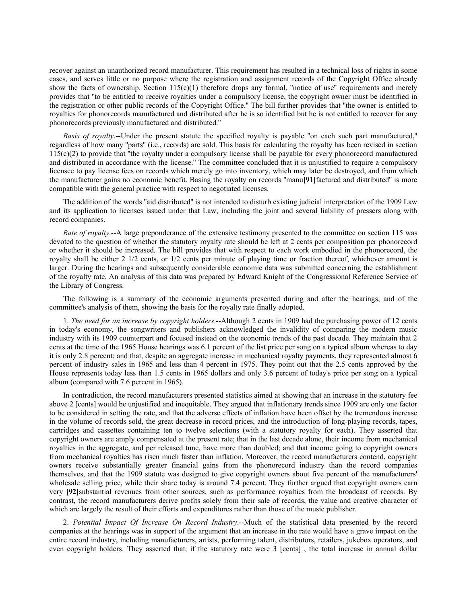recover against an unauthorized record manufacturer. This requirement has resulted in a technical loss of rights in some cases, and serves little or no purpose where the registration and assignment records of the Copyright Office already show the facts of ownership. Section 115(c)(1) therefore drops any formal, "notice of use" requirements and merely provides that ''to be entitled to receive royalties under a compulsory license, the copyright owner must be identified in the registration or other public records of the Copyright Office.'' The bill further provides that ''the owner is entitled to royalties for phonorecords manufactured and distributed after he is so identified but he is not entitled to recover for any phonorecords previously manufactured and distributed.''

*Basis of royalty*.--Under the present statute the specified royalty is payable ''on each such part manufactured,'' regardless of how many ''parts'' (i.e., records) are sold. This basis for calculating the royalty has been revised in section 115(c)(2) to provide that ''the royalty under a compulsory license shall be payable for every phonorecord manufactured and distributed in accordance with the license.'' The committee concluded that it is unjustified to require a compulsory licensee to pay license fees on records which merely go into inventory, which may later be destroyed, and from which the manufacturer gains no economic benefit. Basing the royalty on records ''manu**[91]**factured and distributed'' is more compatible with the general practice with respect to negotiated licenses.

The addition of the words ''aid distributed'' is not intended to disturb existing judicial interpretation of the 1909 Law and its application to licenses issued under that Law, including the joint and several liability of pressers along with record companies.

*Rate of royalty*.--A large preponderance of the extensive testimony presented to the committee on section 115 was devoted to the question of whether the statutory royalty rate should be left at 2 cents per composition per phonorecord or whether it should be increased. The bill provides that with respect to each work embodied in the phonorecord, the royalty shall be either 2 1/2 cents, or 1/2 cents per minute of playing time or fraction thereof, whichever amount is larger. During the hearings and subsequently considerable economic data was submitted concerning the establishment of the royalty rate. An analysis of this data was prepared by Edward Knight of the Congressional Reference Service of the Library of Congress.

The following is a summary of the economic arguments presented during and after the hearings, and of the committee's analysis of them, showing the basis for the royalty rate finally adopted.

1. *The need for an increase by copyright holders*.--Although 2 cents in 1909 had the purchasing power of 12 cents in today's economy, the songwriters and publishers acknowledged the invalidity of comparing the modern music industry with its 1909 counterpart and focused instead on the economic trends of the past decade. They maintain that 2 cents at the time of the 1965 House hearings was 6.1 percent of the list price per song on a typical album whereas to day it is only 2.8 percent; and that, despite an aggregate increase in mechanical royalty payments, they represented almost 6 percent of industry sales in 1965 and less than 4 percent in 1975. They point out that the 2.5 cents approved by the House represents today less than 1.5 cents in 1965 dollars and only 3.6 percent of today's price per song on a typical album (compared with 7.6 percent in 1965).

In contradiction, the record manufacturers presented statistics aimed at showing that an increase in the statutory fee above 2 [cents] would be unjustified and inequitable. They argued that inflationary trends since 1909 are only one factor to be considered in setting the rate, and that the adverse effects of inflation have been offset by the tremendous increase in the volume of records sold, the great decrease in record prices, and the introduction of long-playing records, tapes, cartridges and cassettes containing ten to twelve selections (with a statutory royalty for each). They asserted that copyright owners are amply compensated at the present rate; that in the last decade alone, their income from mechanical royalties in the aggregate, and per released tune, have more than doubled; and that income going to copyright owners from mechanical royalties has risen much faster than inflation. Moreover, the record manufacturers contend, copyright owners receive substantially greater financial gains from the phonorecord industry than the record companies themselves, and that the 1909 statute was designed to give copyright owners about five percent of the manufacturers' wholesale selling price, while their share today is around 7.4 percent. They further argued that copyright owners earn very **[92]**substantial revenues from other sources, such as performance royalties from the broadcast of records. By contrast, the record manufacturers derive profits solely from their sale of records, the value and creative character of which are largely the result of their efforts and expenditures rather than those of the music publisher.

2. *Potential Impact Of Increase On Record Industry*.--Much of the statistical data presented by the record companies at the hearings was in support of the argument that an increase in the rate would have a grave impact on the entire record industry, including manufacturers, artists, performing talent, distributors, retailers, jukebox operators, and even copyright holders. They asserted that, if the statutory rate were 3 [cents], the total increase in annual dollar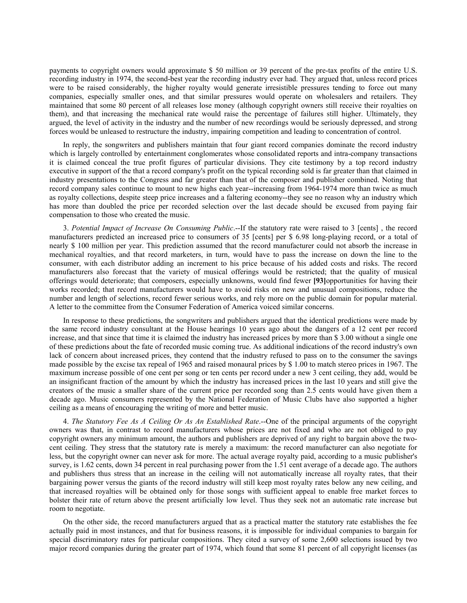payments to copyright owners would approximate \$ 50 million or 39 percent of the pre-tax profits of the entire U.S. recording industry in 1974, the second-best year the recording industry ever had. They argued that, unless record prices were to be raised considerably, the higher royalty would generate irresistible pressures tending to force out many companies, especially smaller ones, and that similar pressures would operate on wholesalers and retailers. They maintained that some 80 percent of all releases lose money (although copyright owners still receive their royalties on them), and that increasing the mechanical rate would raise the percentage of failures still higher. Ultimately, they argued, the level of activity in the industry and the number of new recordings would be seriously depressed, and strong forces would be unleased to restructure the industry, impairing competition and leading to concentration of control.

In reply, the songwriters and publishers maintain that four giant record companies dominate the record industry which is largely controlled by entertainment conglomerates whose consolidated reports and intra-company transactions it is claimed conceal the true profit figures of particular divisions. They cite testimony by a top record industry executive in support of the that a record company's profit on the typical recording sold is far greater than that claimed in industry presentations to the Congress and far greater than that of the composer and publisher combined. Noting that record company sales continue to mount to new highs each year--increasing from 1964-1974 more than twice as much as royalty collections, despite steep price increases and a faltering economy--they see no reason why an industry which has more than doubled the price per recorded selection over the last decade should be excused from paying fair compensation to those who created the music.

3. *Potential Impact of Increase On Consuming Public*.--If the statutory rate were raised to 3 [cents] , the record manufacturers predicted an increased price to consumers of 35 [cents] per \$ 6.98 long-playing record, or a total of nearly \$ 100 million per year. This prediction assumed that the record manufacturer could not absorb the increase in mechanical royalties, and that record marketers, in turn, would have to pass the increase on down the line to the consumer, with each distributor adding an increment to his price because of his added costs and risks. The record manufacturers also forecast that the variety of musical offerings would be restricted; that the quality of musical offerings would deteriorate; that composers, especially unknowns, would find fewer **[93]**opportunities for having their works recorded; that record manufacturers would have to avoid risks on new and unusual compositions, reduce the number and length of selections, record fewer serious works, and rely more on the public domain for popular material. A letter to the committee from the Consumer Federation of America voiced similar concerns.

In response to these predictions, the songwriters and publishers argued that the identical predictions were made by the same record industry consultant at the House hearings 10 years ago about the dangers of a 12 cent per record increase, and that since that time it is claimed the industry has increased prices by more than \$ 3.00 without a single one of these predictions about the fate of recorded music coming true. As additional indications of the record industry's own lack of concern about increased prices, they contend that the industry refused to pass on to the consumer the savings made possible by the excise tax repeal of 1965 and raised monaural prices by \$ 1.00 to match stereo prices in 1967. The maximum increase possible of one cent per song or ten cents per record under a new 3 cent ceiling, they add, would be an insignificant fraction of the amount by which the industry has increased prices in the last 10 years and still give the creators of the music a smaller share of the current price per recorded song than 2.5 cents would have given them a decade ago. Music consumers represented by the National Federation of Music Clubs have also supported a higher ceiling as a means of encouraging the writing of more and better music.

4. *The Statutory Fee As A Ceiling Or As An Established Rate*.--One of the principal arguments of the copyright owners was that, in contrast to record manufacturers whose prices are not fixed and who are not obliged to pay copyright owners any minimum amount, the authors and publishers are deprived of any right to bargain above the twocent ceiling. They stress that the statutory rate is merely a maximum: the record manufacturer can also negotiate for less, but the copyright owner can never ask for more. The actual average royalty paid, according to a music publisher's survey, is 1.62 cents, down 34 percent in real purchasing power from the 1.51 cent average of a decade ago. The authors and publishers thus stress that an increase in the ceiling will not automatically increase all royalty rates, that their bargaining power versus the giants of the record industry will still keep most royalty rates below any new ceiling, and that increased royalties will be obtained only for those songs with sufficient appeal to enable free market forces to bolster their rate of return above the present artificially low level. Thus they seek not an automatic rate increase but room to negotiate.

On the other side, the record manufacturers argued that as a practical matter the statutory rate establishes the fee actually paid in most instances, and that for business reasons, it is impossible for individual companies to bargain for special discriminatory rates for particular compositions. They cited a survey of some 2,600 selections issued by two major record companies during the greater part of 1974, which found that some 81 percent of all copyright licenses (as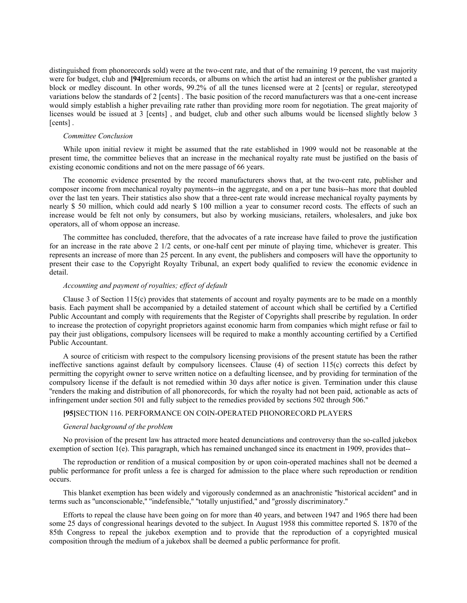distinguished from phonorecords sold) were at the two-cent rate, and that of the remaining 19 percent, the vast majority were for budget, club and **[94]**premium records, or albums on which the artist had an interest or the publisher granted a block or medley discount. In other words, 99.2% of all the tunes licensed were at 2 [cents] or regular, stereotyped variations below the standards of 2 [cents] . The basic position of the record manufacturers was that a one-cent increase would simply establish a higher prevailing rate rather than providing more room for negotiation. The great majority of licenses would be issued at 3 [cents] , and budget, club and other such albums would be licensed slightly below 3 [cents].

#### *Committee Conclusion*

While upon initial review it might be assumed that the rate established in 1909 would not be reasonable at the present time, the committee believes that an increase in the mechanical royalty rate must be justified on the basis of existing economic conditions and not on the mere passage of 66 years.

The economic evidence presented by the record manufacturers shows that, at the two-cent rate, publisher and composer income from mechanical royalty payments--in the aggregate, and on a per tune basis--has more that doubled over the last ten years. Their statistics also show that a three-cent rate would increase mechanical royalty payments by nearly \$ 50 million, which could add nearly \$ 100 million a year to consumer record costs. The effects of such an increase would be felt not only by consumers, but also by working musicians, retailers, wholesalers, and juke box operators, all of whom oppose an increase.

The committee has concluded, therefore, that the advocates of a rate increase have failed to prove the justification for an increase in the rate above 2 1/2 cents, or one-half cent per minute of playing time, whichever is greater. This represents an increase of more than 25 percent. In any event, the publishers and composers will have the opportunity to present their case to the Copyright Royalty Tribunal, an expert body qualified to review the economic evidence in detail.

## *Accounting and payment of royalties; effect of default*

Clause 3 of Section 115(c) provides that statements of account and royalty payments are to be made on a monthly basis. Each payment shall be accompanied by a detailed statement of account which shall be certified by a Certified Public Accountant and comply with requirements that the Register of Copyrights shall prescribe by regulation. In order to increase the protection of copyright proprietors against economic harm from companies which might refuse or fail to pay their just obligations, compulsory licensees will be required to make a monthly accounting certified by a Certified Public Accountant.

A source of criticism with respect to the compulsory licensing provisions of the present statute has been the rather ineffective sanctions against default by compulsory licensees. Clause (4) of section 115(c) corrects this defect by permitting the copyright owner to serve written notice on a defaulting licensee, and by providing for termination of the compulsory license if the default is not remedied within 30 days after notice is given. Termination under this clause ''renders the making and distribution of all phonorecords, for which the royalty had not been paid, actionable as acts of infringement under section 501 and fully subject to the remedies provided by sections 502 through 506.''

## **[95]**SECTION 116. PERFORMANCE ON COIN-OPERATED PHONORECORD PLAYERS

## *General background of the problem*

No provision of the present law has attracted more heated denunciations and controversy than the so-called jukebox exemption of section 1(e). This paragraph, which has remained unchanged since its enactment in 1909, provides that--

The reproduction or rendition of a musical composition by or upon coin-operated machines shall not be deemed a public performance for profit unless a fee is charged for admission to the place where such reproduction or rendition occurs.

This blanket exemption has been widely and vigorously condemned as an anachronistic ''historical accident'' and in terms such as ''unconscionable,'' ''indefensible,'' ''totally unjustified,'' and ''grossly discriminatory.''

Efforts to repeal the clause have been going on for more than 40 years, and between 1947 and 1965 there had been some 25 days of congressional hearings devoted to the subject. In August 1958 this committee reported S. 1870 of the 85th Congress to repeal the jukebox exemption and to provide that the reproduction of a copyrighted musical composition through the medium of a jukebox shall be deemed a public performance for profit.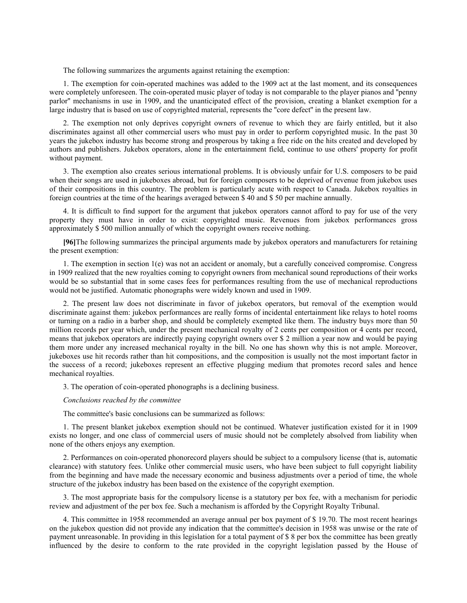The following summarizes the arguments against retaining the exemption:

1. The exemption for coin-operated machines was added to the 1909 act at the last moment, and its consequences were completely unforeseen. The coin-operated music player of today is not comparable to the player pianos and ''penny parlor'' mechanisms in use in 1909, and the unanticipated effect of the provision, creating a blanket exemption for a large industry that is based on use of copyrighted material, represents the ''core defect'' in the present law.

2. The exemption not only deprives copyright owners of revenue to which they are fairly entitled, but it also discriminates against all other commercial users who must pay in order to perform copyrighted music. In the past 30 years the jukebox industry has become strong and prosperous by taking a free ride on the hits created and developed by authors and publishers. Jukebox operators, alone in the entertainment field, continue to use others' property for profit without payment.

3. The exemption also creates serious international problems. It is obviously unfair for U.S. composers to be paid when their songs are used in jukeboxes abroad, but for foreign composers to be deprived of revenue from jukebox uses of their compositions in this country. The problem is particularly acute with respect to Canada. Jukebox royalties in foreign countries at the time of the hearings averaged between \$ 40 and \$ 50 per machine annually.

4. It is difficult to find support for the argument that jukebox operators cannot afford to pay for use of the very property they must have in order to exist: copyrighted music. Revenues from jukebox performances gross approximately \$ 500 million annually of which the copyright owners receive nothing.

**[96]**The following summarizes the principal arguments made by jukebox operators and manufacturers for retaining the present exemption:

1. The exemption in section 1(e) was not an accident or anomaly, but a carefully conceived compromise. Congress in 1909 realized that the new royalties coming to copyright owners from mechanical sound reproductions of their works would be so substantial that in some cases fees for performances resulting from the use of mechanical reproductions would not be justified. Automatic phonographs were widely known and used in 1909.

2. The present law does not discriminate in favor of jukebox operators, but removal of the exemption would discriminate against them: jukebox performances are really forms of incidental entertainment like relays to hotel rooms or turning on a radio in a barber shop, and should be completely exempted like them. The industry buys more than 50 million records per year which, under the present mechanical royalty of 2 cents per composition or 4 cents per record, means that jukebox operators are indirectly paying copyright owners over \$ 2 million a year now and would be paying them more under any increased mechanical royalty in the bill. No one has shown why this is not ample. Moreover, jukeboxes use hit records rather than hit compositions, and the composition is usually not the most important factor in the success of a record; jukeboxes represent an effective plugging medium that promotes record sales and hence mechanical royalties.

3. The operation of coin-operated phonographs is a declining business.

### *Conclusions reached by the committee*

The committee's basic conclusions can be summarized as follows:

1. The present blanket jukebox exemption should not be continued. Whatever justification existed for it in 1909 exists no longer, and one class of commercial users of music should not be completely absolved from liability when none of the others enjoys any exemption.

2. Performances on coin-operated phonorecord players should be subject to a compulsory license (that is, automatic clearance) with statutory fees. Unlike other commercial music users, who have been subject to full copyright liability from the beginning and have made the necessary economic and business adjustments over a period of time, the whole structure of the jukebox industry has been based on the existence of the copyright exemption.

3. The most appropriate basis for the compulsory license is a statutory per box fee, with a mechanism for periodic review and adjustment of the per box fee. Such a mechanism is afforded by the Copyright Royalty Tribunal.

4. This committee in 1958 recommended an average annual per box payment of \$ 19.70. The most recent hearings on the jukebox question did not provide any indication that the committee's decision in 1958 was unwise or the rate of payment unreasonable. In providing in this legislation for a total payment of \$ 8 per box the committee has been greatly influenced by the desire to conform to the rate provided in the copyright legislation passed by the House of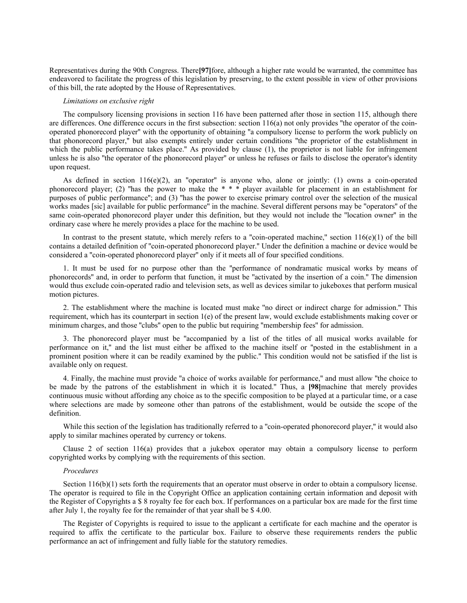Representatives during the 90th Congress. There**[97]**fore, although a higher rate would be warranted, the committee has endeavored to facilitate the progress of this legislation by preserving, to the extent possible in view of other provisions of this bill, the rate adopted by the House of Representatives.

## *Limitations on exclusive right*

The compulsory licensing provisions in section 116 have been patterned after those in section 115, although there are differences. One difference occurs in the first subsection: section 116(a) not only provides ''the operator of the coinoperated phonorecord player'' with the opportunity of obtaining ''a compulsory license to perform the work publicly on that phonorecord player,'' but also exempts entirely under certain conditions ''the proprietor of the establishment in which the public performance takes place." As provided by clause (1), the proprietor is not liable for infringement unless he is also ''the operator of the phonorecord player'' or unless he refuses or fails to disclose the operator's identity upon request.

As defined in section 116(e)(2), an "operator" is anyone who, alone or jointly: (1) owns a coin-operated phonorecord player; (2) "has the power to make the  $* * *$  player available for placement in an establishment for purposes of public performance''; and (3) ''has the power to exercise primary control over the selection of the musical works mades [sic] available for public performance'' in the machine. Several different persons may be ''operators'' of the same coin-operated phonorecord player under this definition, but they would not include the ''location owner'' in the ordinary case where he merely provides a place for the machine to be used.

In contrast to the present statute, which merely refers to a "coin-operated machine," section  $116(e)(1)$  of the bill contains a detailed definition of ''coin-operated phonorecord player.'' Under the definition a machine or device would be considered a ''coin-operated phonorecord player'' only if it meets all of four specified conditions.

1. It must be used for no purpose other than the ''performance of nondramatic musical works by means of phonorecords'' and, in order to perform that function, it must be ''activated by the insertion of a coin.'' The dimension would thus exclude coin-operated radio and television sets, as well as devices similar to jukeboxes that perform musical motion pictures.

2. The establishment where the machine is located must make ''no direct or indirect charge for admission.'' This requirement, which has its counterpart in section 1(e) of the present law, would exclude establishments making cover or minimum charges, and those "clubs" open to the public but requiring "membership fees" for admission.

3. The phonorecord player must be ''accompanied by a list of the titles of all musical works available for performance on it,'' and the list must either be affixed to the machine itself or ''posted in the establishment in a prominent position where it can be readily examined by the public.'' This condition would not be satisfied if the list is available only on request.

4. Finally, the machine must provide ''a choice of works available for performance,'' and must allow ''the choice to be made by the patrons of the establishment in which it is located.'' Thus, a **[98]**machine that merely provides continuous music without affording any choice as to the specific composition to be played at a particular time, or a case where selections are made by someone other than patrons of the establishment, would be outside the scope of the definition.

While this section of the legislation has traditionally referred to a "coin-operated phonorecord player," it would also apply to similar machines operated by currency or tokens.

Clause 2 of section 116(a) provides that a jukebox operator may obtain a compulsory license to perform copyrighted works by complying with the requirements of this section.

## *Procedures*

Section 116(b)(1) sets forth the requirements that an operator must observe in order to obtain a compulsory license. The operator is required to file in the Copyright Office an application containing certain information and deposit with the Register of Copyrights a \$ 8 royalty fee for each box. If performances on a particular box are made for the first time after July 1, the royalty fee for the remainder of that year shall be \$ 4.00.

The Register of Copyrights is required to issue to the applicant a certificate for each machine and the operator is required to affix the certificate to the particular box. Failure to observe these requirements renders the public performance an act of infringement and fully liable for the statutory remedies.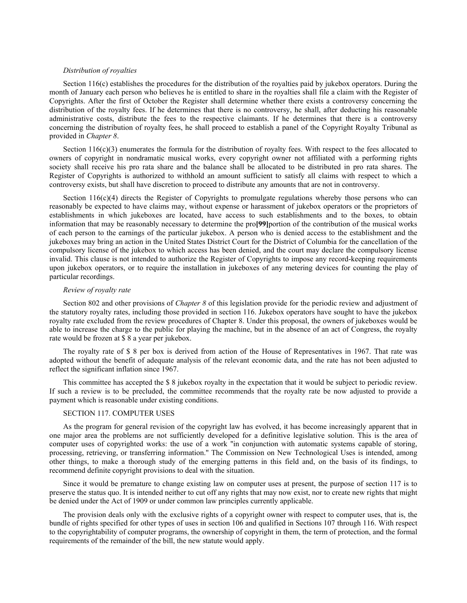## *Distribution of royalties*

Section 116(c) establishes the procedures for the distribution of the royalties paid by jukebox operators. During the month of January each person who believes he is entitled to share in the royalties shall file a claim with the Register of Copyrights. After the first of October the Register shall determine whether there exists a controversy concerning the distribution of the royalty fees. If he determines that there is no controversy, he shall, after deducting his reasonable administrative costs, distribute the fees to the respective claimants. If he determines that there is a controversy concerning the distribution of royalty fees, he shall proceed to establish a panel of the Copyright Royalty Tribunal as provided in *Chapter 8*.

Section 116(c)(3) enumerates the formula for the distribution of royalty fees. With respect to the fees allocated to owners of copyright in nondramatic musical works, every copyright owner not affiliated with a performing rights society shall receive his pro rata share and the balance shall be allocated to be distributed in pro rata shares. The Register of Copyrights is authorized to withhold an amount sufficient to satisfy all claims with respect to which a controversy exists, but shall have discretion to proceed to distribute any amounts that are not in controversy.

Section  $116(c)(4)$  directs the Register of Copyrights to promulgate regulations whereby those persons who can reasonably be expected to have claims may, without expense or harassment of jukebox operators or the proprietors of establishments in which jukeboxes are located, have access to such establishments and to the boxes, to obtain information that may be reasonably necessary to determine the pro**[99]**portion of the contribution of the musical works of each person to the earnings of the particular jukebox. A person who is denied access to the establishment and the jukeboxes may bring an action in the United States District Court for the District of Columbia for the cancellation of the compulsory license of the jukebox to which access has been denied, and the court may declare the compulsory license invalid. This clause is not intended to authorize the Register of Copyrights to impose any record-keeping requirements upon jukebox operators, or to require the installation in jukeboxes of any metering devices for counting the play of particular recordings.

## *Review of royalty rate*

Section 802 and other provisions of *Chapter 8* of this legislation provide for the periodic review and adjustment of the statutory royalty rates, including those provided in section 116. Jukebox operators have sought to have the jukebox royalty rate excluded from the review procedures of Chapter 8. Under this proposal, the owners of jukeboxes would be able to increase the charge to the public for playing the machine, but in the absence of an act of Congress, the royalty rate would be frozen at \$ 8 a year per jukebox.

The royalty rate of \$ 8 per box is derived from action of the House of Representatives in 1967. That rate was adopted without the benefit of adequate analysis of the relevant economic data, and the rate has not been adjusted to reflect the significant inflation since 1967.

This committee has accepted the \$ 8 jukebox royalty in the expectation that it would be subject to periodic review. If such a review is to be precluded, the committee recommends that the royalty rate be now adjusted to provide a payment which is reasonable under existing conditions.

## SECTION 117. COMPUTER USES

As the program for general revision of the copyright law has evolved, it has become increasingly apparent that in one major area the problems are not sufficiently developed for a definitive legislative solution. This is the area of computer uses of copyrighted works: the use of a work ''in conjunction with automatic systems capable of storing, processing, retrieving, or transferring information.'' The Commission on New Technological Uses is intended, among other things, to make a thorough study of the emerging patterns in this field and, on the basis of its findings, to recommend definite copyright provisions to deal with the situation.

Since it would be premature to change existing law on computer uses at present, the purpose of section 117 is to preserve the status quo. It is intended neither to cut off any rights that may now exist, nor to create new rights that might be denied under the Act of 1909 or under common law principles currently applicable.

The provision deals only with the exclusive rights of a copyright owner with respect to computer uses, that is, the bundle of rights specified for other types of uses in section 106 and qualified in Sections 107 through 116. With respect to the copyrightability of computer programs, the ownership of copyright in them, the term of protection, and the formal requirements of the remainder of the bill, the new statute would apply.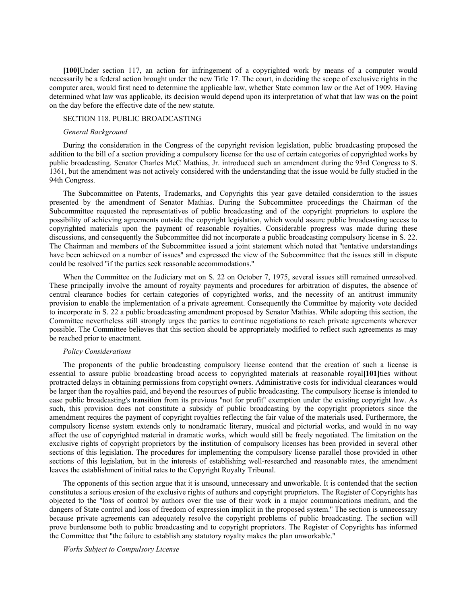**[100]**Under section 117, an action for infringement of a copyrighted work by means of a computer would necessarily be a federal action brought under the new Title 17. The court, in deciding the scope of exclusive rights in the computer area, would first need to determine the applicable law, whether State common law or the Act of 1909. Having determined what law was applicable, its decision would depend upon its interpretation of what that law was on the point on the day before the effective date of the new statute.

## SECTION 118. PUBLIC BROADCASTING

#### *General Background*

During the consideration in the Congress of the copyright revision legislation, public broadcasting proposed the addition to the bill of a section providing a compulsory license for the use of certain categories of copyrighted works by public broadcasting. Senator Charles McC Mathias, Jr. introduced such an amendment during the 93rd Congress to S. 1361, but the amendment was not actively considered with the understanding that the issue would be fully studied in the 94th Congress.

The Subcommittee on Patents, Trademarks, and Copyrights this year gave detailed consideration to the issues presented by the amendment of Senator Mathias. During the Subcommittee proceedings the Chairman of the Subcommittee requested the representatives of public broadcasting and of the copyright proprietors to explore the possibility of achieving agreements outside the copyright legislation, which would assure public broadcasting access to copyrighted materials upon the payment of reasonable royalties. Considerable progress was made during these discussions, and consequently the Subcommittee did not incorporate a public broadcasting compulsory license in S. 22. The Chairman and members of the Subcommittee issued a joint statement which noted that ''tentative understandings have been achieved on a number of issues'' and expressed the view of the Subcommittee that the issues still in dispute could be resolved ''if the parties seek reasonable accommodations.''

When the Committee on the Judiciary met on S. 22 on October 7, 1975, several issues still remained unresolved. These principally involve the amount of royalty payments and procedures for arbitration of disputes, the absence of central clearance bodies for certain categories of copyrighted works, and the necessity of an antitrust immunity provision to enable the implementation of a private agreement. Consequently the Committee by majority vote decided to incorporate in S. 22 a public broadcasting amendment proposed by Senator Mathias. While adopting this section, the Committee nevertheless still strongly urges the parties to continue negotiations to reach private agreements wherever possible. The Committee believes that this section should be appropriately modified to reflect such agreements as may be reached prior to enactment.

### *Policy Considerations*

The proponents of the public broadcasting compulsory license contend that the creation of such a license is essential to assure public broadcasting broad access to copyrighted materials at reasonable royal**[101]**ties without protracted delays in obtaining permissions from copyright owners. Administrative costs for individual clearances would be larger than the royalties paid, and beyond the resources of public broadcasting. The compulsory license is intended to ease public broadcasting's transition from its previous ''not for profit'' exemption under the existing copyright law. As such, this provision does not constitute a subsidy of public broadcasting by the copyright proprietors since the amendment requires the payment of copyright royalties reflecting the fair value of the materials used. Furthermore, the compulsory license system extends only to nondramatic literary, musical and pictorial works, and would in no way affect the use of copyrighted material in dramatic works, which would still be freely negotiated. The limitation on the exclusive rights of copyright proprietors by the institution of compulsory licenses has been provided in several other sections of this legislation. The procedures for implementing the compulsory license parallel those provided in other sections of this legislation, but in the interests of establishing well-researched and reasonable rates, the amendment leaves the establishment of initial rates to the Copyright Royalty Tribunal.

The opponents of this section argue that it is unsound, unnecessary and unworkable. It is contended that the section constitutes a serious erosion of the exclusive rights of authors and copyright proprietors. The Register of Copyrights has objected to the ''loss of control by authors over the use of their work in a major communications medium, and the dangers of State control and loss of freedom of expression implicit in the proposed system." The section is unnecessary because private agreements can adequately resolve the copyright problems of public broadcasting. The section will prove burdensome both to public broadcasting and to copyright proprietors. The Register of Copyrights has informed the Committee that ''the failure to establish any statutory royalty makes the plan unworkable.''

*Works Subject to Compulsory License*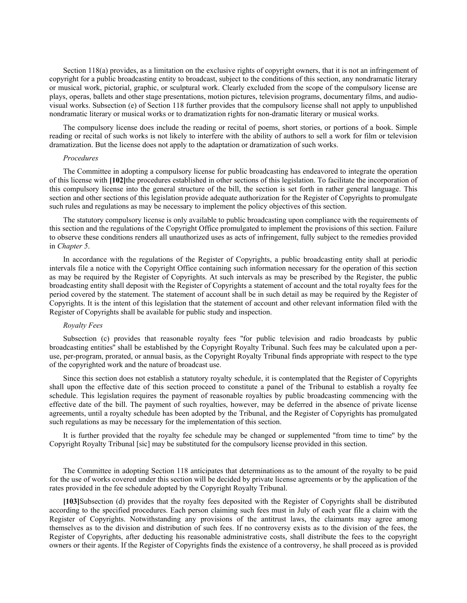Section 118(a) provides, as a limitation on the exclusive rights of copyright owners, that it is not an infringement of copyright for a public broadcasting entity to broadcast, subject to the conditions of this section, any nondramatic literary or musical work, pictorial, graphic, or sculptural work. Clearly excluded from the scope of the compulsory license are plays, operas, ballets and other stage presentations, motion pictures, television programs, documentary films, and audiovisual works. Subsection (e) of Section 118 further provides that the compulsory license shall not apply to unpublished nondramatic literary or musical works or to dramatization rights for non-dramatic literary or musical works.

The compulsory license does include the reading or recital of poems, short stories, or portions of a book. Simple reading or recital of such works is not likely to interfere with the ability of authors to sell a work for film or television dramatization. But the license does not apply to the adaptation or dramatization of such works.

### *Procedures*

The Committee in adopting a compulsory license for public broadcasting has endeavored to integrate the operation of this license with **[102]**the procedures established in other sections of this legislation. To facilitate the incorporation of this compulsory license into the general structure of the bill, the section is set forth in rather general language. This section and other sections of this legislation provide adequate authorization for the Register of Copyrights to promulgate such rules and regulations as may be necessary to implement the policy objectives of this section.

The statutory compulsory license is only available to public broadcasting upon compliance with the requirements of this section and the regulations of the Copyright Office promulgated to implement the provisions of this section. Failure to observe these conditions renders all unauthorized uses as acts of infringement, fully subject to the remedies provided in *Chapter 5*.

In accordance with the regulations of the Register of Copyrights, a public broadcasting entity shall at periodic intervals file a notice with the Copyright Office containing such information necessary for the operation of this section as may be required by the Register of Copyrights. At such intervals as may be prescribed by the Register, the public broadcasting entity shall deposit with the Register of Copyrights a statement of account and the total royalty fees for the period covered by the statement. The statement of account shall be in such detail as may be required by the Register of Copyrights. It is the intent of this legislation that the statement of account and other relevant information filed with the Register of Copyrights shall be available for public study and inspection.

## *Royalty Fees*

Subsection (c) provides that reasonable royalty fees ''for public television and radio broadcasts by public broadcasting entities'' shall be established by the Copyright Royalty Tribunal. Such fees may be calculated upon a peruse, per-program, prorated, or annual basis, as the Copyright Royalty Tribunal finds appropriate with respect to the type of the copyrighted work and the nature of broadcast use.

Since this section does not establish a statutory royalty schedule, it is contemplated that the Register of Copyrights shall upon the effective date of this section proceed to constitute a panel of the Tribunal to establish a royalty fee schedule. This legislation requires the payment of reasonable royalties by public broadcasting commencing with the effective date of the bill. The payment of such royalties, however, may be deferred in the absence of private license agreements, until a royalty schedule has been adopted by the Tribunal, and the Register of Copyrights has promulgated such regulations as may be necessary for the implementation of this section.

It is further provided that the royalty fee schedule may be changed or supplemented ''from time to time'' by the Copyright Royalty Tribunal [sic] may be substituted for the compulsory license provided in this section.

The Committee in adopting Section 118 anticipates that determinations as to the amount of the royalty to be paid for the use of works covered under this section will be decided by private license agreements or by the application of the rates provided in the fee schedule adopted by the Copyright Royalty Tribunal.

**[103]**Subsection (d) provides that the royalty fees deposited with the Register of Copyrights shall be distributed according to the specified procedures. Each person claiming such fees must in July of each year file a claim with the Register of Copyrights. Notwithstanding any provisions of the antitrust laws, the claimants may agree among themselves as to the division and distribution of such fees. If no controversy exists as to the division of the fees, the Register of Copyrights, after deducting his reasonable administrative costs, shall distribute the fees to the copyright owners or their agents. If the Register of Copyrights finds the existence of a controversy, he shall proceed as is provided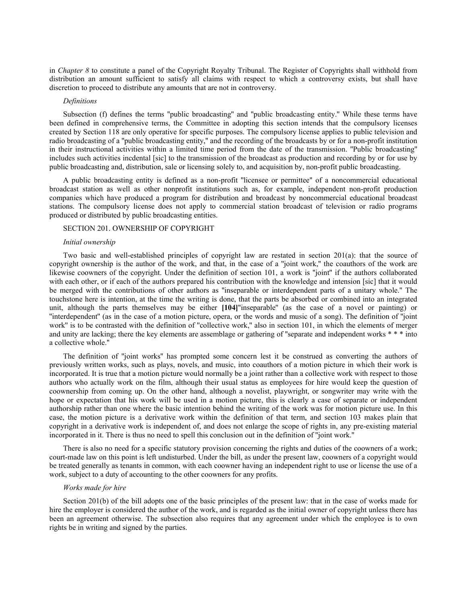in *Chapter 8* to constitute a panel of the Copyright Royalty Tribunal. The Register of Copyrights shall withhold from distribution an amount sufficient to satisfy all claims with respect to which a controversy exists, but shall have discretion to proceed to distribute any amounts that are not in controversy.

## *Definitions*

Subsection (f) defines the terms ''public broadcasting'' and ''public broadcasting entity.'' While these terms have been defined in comprehensive terms, the Committee in adopting this section intends that the compulsory licenses created by Section 118 are only operative for specific purposes. The compulsory license applies to public television and radio broadcasting of a ''public broadcasting entity,'' and the recording of the broadcasts by or for a non-profit institution in their instructional activities within a limited time period from the date of the transmission. ''Public broadcasting'' includes such activities incdental [sic] to the transmission of the broadcast as production and recording by or for use by public broadcasting and, distribution, sale or licensing solely to, and acquisition by, non-profit public broadcasting.

A public broadcasting entity is defined as a non-profit ''licensee or permittee'' of a noncommercial educational broadcast station as well as other nonprofit institutions such as, for example, independent non-profit production companies which have produced a program for distribution and broadcast by noncommercial educational broadcast stations. The compulsory license does not apply to commercial station broadcast of television or radio programs produced or distributed by public broadcasting entities.

#### SECTION 201. OWNERSHIP OF COPYRIGHT

### *Initial ownership*

Two basic and well-established principles of copyright law are restated in section 201(a): that the source of copyright ownership is the author of the work, and that, in the case of a ''joint work,'' the coauthors of the work are likewise coowners of the copyright. Under the definition of section 101, a work is ''joint'' if the authors collaborated with each other, or if each of the authors prepared his contribution with the knowledge and intension [sic] that it would be merged with the contributions of other authors as ''inseparable or interdependent parts of a unitary whole.'' The touchstone here is intention, at the time the writing is done, that the parts be absorbed or combined into an integrated unit, although the parts themselves may be either **[104]**''inseparable'' (as the case of a novel or painting) or ''interdependent'' (as in the case of a motion picture, opera, or the words and music of a song). The definition of ''joint work'' is to be contrasted with the definition of ''collective work,'' also in section 101, in which the elements of merger and unity are lacking; there the key elements are assemblage or gathering of ''separate and independent works \* \* \* into a collective whole.''

The definition of ''joint works'' has prompted some concern lest it be construed as converting the authors of previously written works, such as plays, novels, and music, into coauthors of a motion picture in which their work is incorporated. It is true that a motion picture would normally be a joint rather than a collective work with respect to those authors who actually work on the film, although their usual status as employees for hire would keep the question of coownership from coming up. On the other hand, although a novelist, playwright, or songwriter may write with the hope or expectation that his work will be used in a motion picture, this is clearly a case of separate or independent authorship rather than one where the basic intention behind the writing of the work was for motion picture use. In this case, the motion picture is a derivative work within the definition of that term, and section 103 makes plain that copyright in a derivative work is independent of, and does not enlarge the scope of rights in, any pre-existing material incorporated in it. There is thus no need to spell this conclusion out in the definition of ''joint work.''

There is also no need for a specific statutory provision concerning the rights and duties of the coowners of a work; court-made law on this point is left undisturbed. Under the bill, as under the present law, coowners of a copyright would be treated generally as tenants in common, with each coowner having an independent right to use or license the use of a work, subject to a duty of accounting to the other coowners for any profits.

#### *Works made for hire*

Section 201(b) of the bill adopts one of the basic principles of the present law: that in the case of works made for hire the employer is considered the author of the work, and is regarded as the initial owner of copyright unless there has been an agreement otherwise. The subsection also requires that any agreement under which the employee is to own rights be in writing and signed by the parties.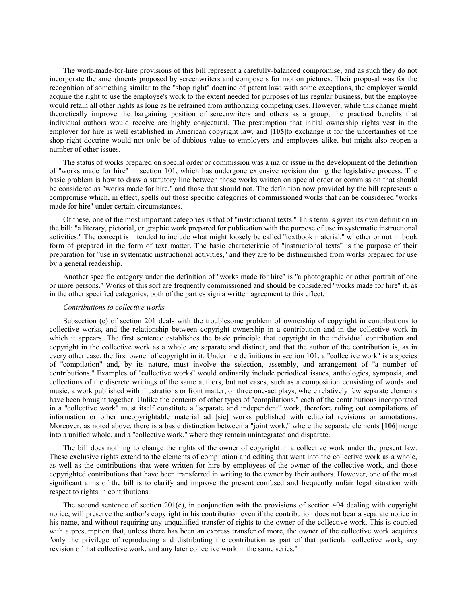The work-made-for-hire provisions of this bill represent a carefully-balanced compromise, and as such they do not incorporate the amendments proposed by screenwriters and composers for motion pictures. Their proposal was for the recognition of something similar to the ''shop right'' doctrine of patent law: with some exceptions, the employer would acquire the right to use the employee's work to the extent needed for purposes of his regular business, but the employee would retain all other rights as long as he refrained from authorizing competing uses. However, while this change might theoretically improve the bargaining position of screenwriters and others as a group, the practical benefits that individual authors would receive are highly conjectural. The presumption that initial ownership rights vest in the employer for hire is well established in American copyright law, and **[105]**to exchange it for the uncertainties of the shop right doctrine would not only be of dubious value to employers and employees alike, but might also reopen a number of other issues.

The status of works prepared on special order or commission was a major issue in the development of the definition of ''works made for hire'' in section 101, which has undergone extensive revision during the legislative process. The basic problem is how to draw a statutory line between those works written on special order or commission that should be considered as ''works made for hire,'' and those that should not. The definition now provided by the bill represents a compromise which, in effect, spells out those specific categories of commissioned works that can be considered ''works made for hire'' under certain circumstances.

Of these, one of the most important categories is that of ''instructional texts.'' This term is given its own definition in the bill: ''a literary, pictorial, or graphic work prepared for publication with the purpose of use in systematic instructional activities.'' The concept is intended to include what might loosely be called ''textbook material,'' whether or not in book form of prepared in the form of text matter. The basic characteristic of ''instructional texts'' is the purpose of their preparation for ''use in systematic instructional activities,'' and they are to be distinguished from works prepared for use by a general readership.

Another specific category under the definition of ''works made for hire'' is ''a photographic or other portrait of one or more persons.'' Works of this sort are frequently commissioned and should be considered ''works made for hire'' if, as in the other specified categories, both of the parties sign a written agreement to this effect.

### *Contributions to collective works*

Subsection (c) of section 201 deals with the troublesome problem of ownership of copyright in contributions to collective works, and the relationship between copyright ownership in a contribution and in the collective work in which it appears. The first sentence establishes the basic principle that copyright in the individual contribution and copyright in the collective work as a whole are separate and distinct, and that the author of the contribution is, as in every other case, the first owner of copyright in it. Under the definitions in section 101, a ''collective work'' is a species of ''compilation'' and, by its nature, must involve the selection, assembly, and arrangement of ''a number of contributions.'' Examples of ''collective works'' would ordinarily include periodical issues, anthologies, symposia, and collections of the discrete writings of the same authors, but not cases, such as a composition consisting of words and music, a work published with illustrations or front matter, or three one-act plays, where relatively few separate elements have been brought together. Unlike the contents of other types of ''compilations,'' each of the contributions incorporated in a ''collective work'' must itself constitute a ''separate and independent'' work, therefore ruling out compilations of information or other uncopyrightable material ad [sic] works published with editorial revisions or annotations. Moreover, as noted above, there is a basic distinction between a ''joint work,'' where the separate elements **[106]**merge into a unified whole, and a ''collective work,'' where they remain unintegrated and disparate.

The bill does nothing to change the rights of the owner of copyright in a collective work under the present law. These exclusive rights extend to the elements of compilation and editing that went into the collective work as a whole, as well as the contributions that were written for hire by employees of the owner of the collective work, and those copyrighted contributions that have been transferred in writing to the owner by their authors. However, one of the most significant aims of the bill is to clarify and improve the present confused and frequently unfair legal situation with respect to rights in contributions.

The second sentence of section  $201(c)$ , in conjunction with the provisions of section 404 dealing with copyright notice, will preserve the author's copyright in his contribution even if the contribution does not bear a separate notice in his name, and without requiring any unqualified transfer of rights to the owner of the collective work. This is coupled with a presumption that, unless there has been an express transfer of more, the owner of the collective work acquires ''only the privilege of reproducing and distributing the contribution as part of that particular collective work, any revision of that collective work, and any later collective work in the same series.''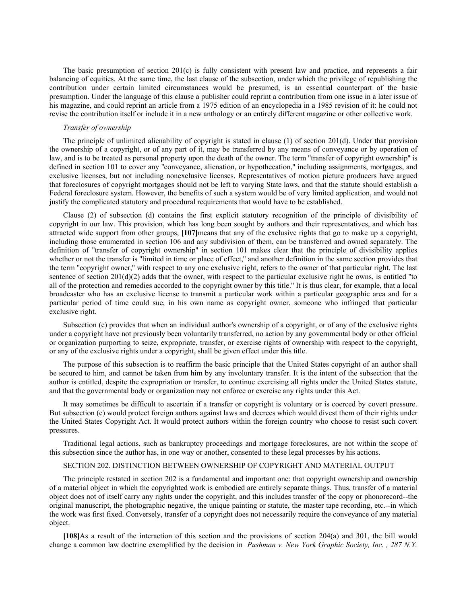The basic presumption of section 201(c) is fully consistent with present law and practice, and represents a fair balancing of equities. At the same time, the last clause of the subsection, under which the privilege of republishing the contribution under certain limited circumstances would be presumed, is an essential counterpart of the basic presumption. Under the language of this clause a publisher could reprint a contribution from one issue in a later issue of his magazine, and could reprint an article from a 1975 edition of an encyclopedia in a 1985 revision of it: he could not revise the contribution itself or include it in a new anthology or an entirely different magazine or other collective work.

### *Transfer of ownership*

The principle of unlimited alienability of copyright is stated in clause (1) of section 201(d). Under that provision the ownership of a copyright, or of any part of it, may be transferred by any means of conveyance or by operation of law, and is to be treated as personal property upon the death of the owner. The term ''transfer of copyright ownership'' is defined in section 101 to cover any ''conveyance, alienation, or hypothecation,'' including assignments, mortgages, and exclusive licenses, but not including nonexclusive licenses. Representatives of motion picture producers have argued that foreclosures of copyright mortgages should not be left to varying State laws, and that the statute should establish a Federal foreclosure system. However, the benefits of such a system would be of very limited application, and would not justify the complicated statutory and procedural requirements that would have to be established.

Clause (2) of subsection (d) contains the first explicit statutory recognition of the principle of divisibility of copyright in our law. This provision, which has long been sought by authors and their representatives, and which has attracted wide support from other groups, **[107]**means that any of the exclusive rights that go to make up a copyright, including those enumerated in section 106 and any subdivision of them, can be transferred and owned separately. The definition of ''transfer of copyright ownership'' in section 101 makes clear that the principle of divisibility applies whether or not the transfer is ''limited in time or place of effect,'' and another definition in the same section provides that the term ''copyright owner,'' with respect to any one exclusive right, refers to the owner of that particular right. The last sentence of section 201(d)(2) adds that the owner, with respect to the particular exclusive right he owns, is entitled ''to all of the protection and remedies accorded to the copyright owner by this title.'' It is thus clear, for example, that a local broadcaster who has an exclusive license to transmit a particular work within a particular geographic area and for a particular period of time could sue, in his own name as copyright owner, someone who infringed that particular exclusive right.

Subsection (e) provides that when an individual author's ownership of a copyright, or of any of the exclusive rights under a copyright have not previously been voluntarily transferred, no action by any governmental body or other official or organization purporting to seize, expropriate, transfer, or exercise rights of ownership with respect to the copyright, or any of the exclusive rights under a copyright, shall be given effect under this title.

The purpose of this subsection is to reaffirm the basic principle that the United States copyright of an author shall be secured to him, and cannot be taken from him by any involuntary transfer. It is the intent of the subsection that the author is entitled, despite the expropriation or transfer, to continue exercising all rights under the United States statute, and that the governmental body or organization may not enforce or exercise any rights under this Act.

It may sometimes be difficult to ascertain if a transfer or copyright is voluntary or is coerced by covert pressure. But subsection (e) would protect foreign authors against laws and decrees which would divest them of their rights under the United States Copyright Act. It would protect authors within the foreign country who choose to resist such covert pressures.

Traditional legal actions, such as bankruptcy proceedings and mortgage foreclosures, are not within the scope of this subsection since the author has, in one way or another, consented to these legal processes by his actions.

## SECTION 202. DISTINCTION BETWEEN OWNERSHIP OF COPYRIGHT AND MATERIAL OUTPUT

The principle restated in section 202 is a fundamental and important one: that copyright ownership and ownership of a material object in which the copyrighted work is embodied are entirely separate things. Thus, transfer of a material object does not of itself carry any rights under the copyright, and this includes transfer of the copy or phonorecord--the original manuscript, the photographic negative, the unique painting or statute, the master tape recording, etc.--in which the work was first fixed. Conversely, transfer of a copyright does not necessarily require the conveyance of any material object.

**[108]**As a result of the interaction of this section and the provisions of section 204(a) and 301, the bill would change a common law doctrine exemplified by the decision in *Pushman v. New York Graphic Society, Inc. , 287 N.Y.*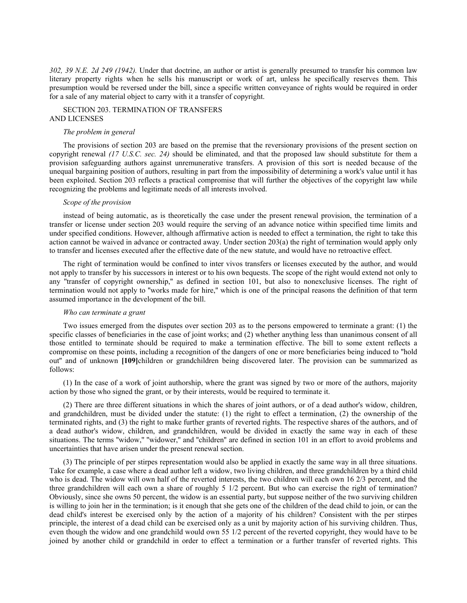*302, 39 N.E. 2d 249 (1942).* Under that doctrine, an author or artist is generally presumed to transfer his common law literary property rights when he sells his manuscript or work of art, unless he specifically reserves them. This presumption would be reversed under the bill, since a specific written conveyance of rights would be required in order for a sale of any material object to carry with it a transfer of copyright.

## SECTION 203. TERMINATION OF TRANSFERS AND LICENSES

### *The problem in general*

The provisions of section 203 are based on the premise that the reversionary provisions of the present section on copyright renewal *(17 U.S.C. sec. 24)* should be eliminated, and that the proposed law should substitute for them a provision safeguarding authors against unremunerative transfers. A provision of this sort is needed because of the unequal bargaining position of authors, resulting in part from the impossibility of determining a work's value until it has been exploited. Section 203 reflects a practical compromise that will further the objectives of the copyright law while recognizing the problems and legitimate needs of all interests involved.

## *Scope of the provision*

instead of being automatic, as is theoretically the case under the present renewal provision, the termination of a transfer or license under section 203 would require the serving of an advance notice within specified time limits and under specified conditions. However, although affirmative action is needed to effect a termination, the right to take this action cannot be waived in advance or contracted away. Under section 203(a) the right of termination would apply only to transfer and licenses executed after the effective date of the new statute, and would have no retroactive effect.

The right of termination would be confined to inter vivos transfers or licenses executed by the author, and would not apply to transfer by his successors in interest or to his own bequests. The scope of the right would extend not only to any "transfer of copyright ownership," as defined in section 101, but also to nonexclusive licenses. The right of termination would not apply to ''works made for hire,'' which is one of the principal reasons the definition of that term assumed importance in the development of the bill.

### *Who can terminate a grant*

Two issues emerged from the disputes over section 203 as to the persons empowered to terminate a grant: (1) the specific classes of beneficiaries in the case of joint works; and (2) whether anything less than unanimous consent of all those entitled to terminate should be required to make a termination effective. The bill to some extent reflects a compromise on these points, including a recognition of the dangers of one or more beneficiaries being induced to ''hold out'' and of unknown **[109]**children or grandchildren being discovered later. The provision can be summarized as follows:

(1) In the case of a work of joint authorship, where the grant was signed by two or more of the authors, majority action by those who signed the grant, or by their interests, would be required to terminate it.

(2) There are three different situations in which the shares of joint authors, or of a dead author's widow, children, and grandchildren, must be divided under the statute: (1) the right to effect a termination, (2) the ownership of the terminated rights, and (3) the right to make further grants of reverted rights. The respective shares of the authors, and of a dead author's widow, children, and grandchildren, would be divided in exactly the same way in each of these situations. The terms "widow," "widower," and "children" are defined in section 101 in an effort to avoid problems and uncertainties that have arisen under the present renewal section.

(3) The principle of per stirpes representation would also be applied in exactly the same way in all three situations. Take for example, a case where a dead author left a widow, two living children, and three grandchildren by a third child who is dead. The widow will own half of the reverted interests, the two children will each own 16 2/3 percent, and the three grandchildren will each own a share of roughly 5 1/2 percent. But who can exercise the right of termination? Obviously, since she owns 50 percent, the widow is an essential party, but suppose neither of the two surviving children is willing to join her in the termination; is it enough that she gets one of the children of the dead child to join, or can the dead child's interest be exercised only by the action of a majority of his children? Consistent with the per stirpes principle, the interest of a dead child can be exercised only as a unit by majority action of his surviving children. Thus, even though the widow and one grandchild would own 55 1/2 percent of the reverted copyright, they would have to be joined by another child or grandchild in order to effect a termination or a further transfer of reverted rights. This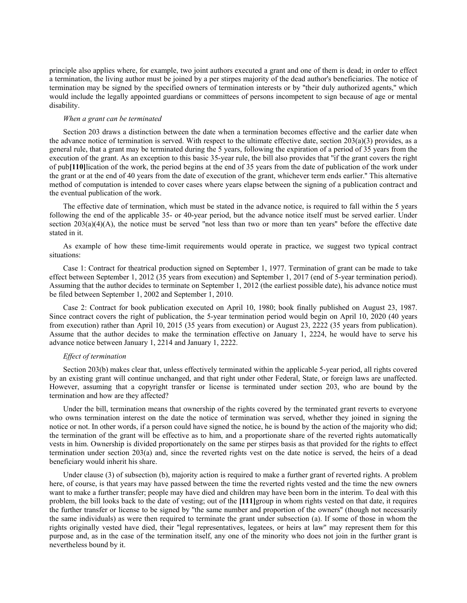principle also applies where, for example, two joint authors executed a grant and one of them is dead; in order to effect a termination, the living author must be joined by a per stirpes majority of the dead author's beneficiaries. The notice of termination may be signed by the specified owners of termination interests or by ''their duly authorized agents,'' which would include the legally appointed guardians or committees of persons incompetent to sign because of age or mental disability.

### *When a grant can be terminated*

Section 203 draws a distinction between the date when a termination becomes effective and the earlier date when the advance notice of termination is served. With respect to the ultimate effective date, section  $203(a)(3)$  provides, as a general rule, that a grant may be terminated during the 5 years, following the expiration of a period of 35 years from the execution of the grant. As an exception to this basic 35-year rule, the bill also provides that ''if the grant covers the right of pub**[110]**lication of the work, the period begins at the end of 35 years from the date of publication of the work under the grant or at the end of 40 years from the date of execution of the grant, whichever term ends earlier.'' This alternative method of computation is intended to cover cases where years elapse between the signing of a publication contract and the eventual publication of the work.

The effective date of termination, which must be stated in the advance notice, is required to fall within the 5 years following the end of the applicable 35- or 40-year period, but the advance notice itself must be served earlier. Under section  $203(a)(4)(A)$ , the notice must be served "not less than two or more than ten years" before the effective date stated in it.

As example of how these time-limit requirements would operate in practice, we suggest two typical contract situations:

Case 1: Contract for theatrical production signed on September 1, 1977. Termination of grant can be made to take effect between September 1, 2012 (35 years from execution) and September 1, 2017 (end of 5-year termination period). Assuming that the author decides to terminate on September 1, 2012 (the earliest possible date), his advance notice must be filed between September 1, 2002 and September 1, 2010.

Case 2: Contract for book publication executed on April 10, 1980; book finally published on August 23, 1987. Since contract covers the right of publication, the 5-year termination period would begin on April 10, 2020 (40 years from execution) rather than April 10, 2015 (35 years from execution) or August 23, 2222 (35 years from publication). Assume that the author decides to make the termination effective on January 1, 2224, he would have to serve his advance notice between January 1, 2214 and January 1, 2222.

## *Effect of termination*

Section 203(b) makes clear that, unless effectively terminated within the applicable 5-year period, all rights covered by an existing grant will continue unchanged, and that right under other Federal, State, or foreign laws are unaffected. However, assuming that a copyright transfer or license is terminated under section 203, who are bound by the termination and how are they affected?

Under the bill, termination means that ownership of the rights covered by the terminated grant reverts to everyone who owns termination interest on the date the notice of termination was served, whether they joined in signing the notice or not. In other words, if a person could have signed the notice, he is bound by the action of the majority who did; the termination of the grant will be effective as to him, and a proportionate share of the reverted rights automatically vests in him. Ownership is divided proportionately on the same per stirpes basis as that provided for the rights to effect termination under section 203(a) and, since the reverted rights vest on the date notice is served, the heirs of a dead beneficiary would inherit his share.

Under clause (3) of subsection (b), majority action is required to make a further grant of reverted rights. A problem here, of course, is that years may have passed between the time the reverted rights vested and the time the new owners want to make a further transfer; people may have died and children may have been born in the interim. To deal with this problem, the bill looks back to the date of vesting; out of the **[111]**group in whom rights vested on that date, it requires the further transfer or license to be signed by ''the same number and proportion of the owners'' (though not necessarily the same individuals) as were then required to terminate the grant under subsection (a). If some of those in whom the rights originally vested have died, their ''legal representatives, legatees, or heirs at law'' may represent them for this purpose and, as in the case of the termination itself, any one of the minority who does not join in the further grant is nevertheless bound by it.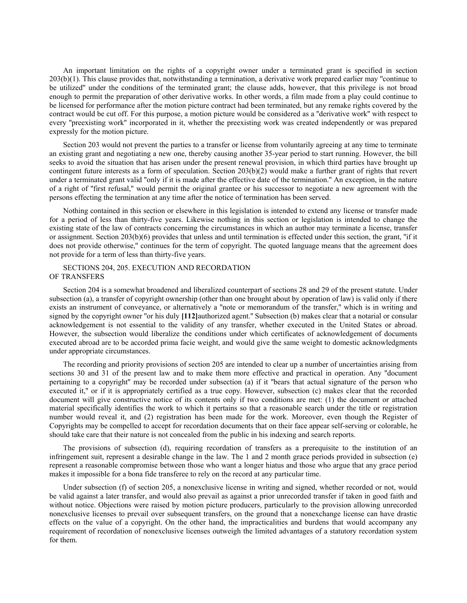An important limitation on the rights of a copyright owner under a terminated grant is specified in section 203(b)(1). This clause provides that, notwithstanding a termination, a derivative work prepared earlier may ''continue to be utilized'' under the conditions of the terminated grant; the clause adds, however, that this privilege is not broad enough to permit the preparation of other derivative works. In other words, a film made from a play could continue to be licensed for performance after the motion picture contract had been terminated, but any remake rights covered by the contract would be cut off. For this purpose, a motion picture would be considered as a ''derivative work'' with respect to every ''preexisting work'' incorporated in it, whether the preexisting work was created independently or was prepared expressly for the motion picture.

Section 203 would not prevent the parties to a transfer or license from voluntarily agreeing at any time to terminate an existing grant and negotiating a new one, thereby causing another 35-year period to start running. However, the bill seeks to avoid the situation that has arisen under the present renewal provision, in which third parties have brought up contingent future interests as a form of speculation. Section 203(b)(2) would make a further grant of rights that revert under a terminated grant valid ''only if it is made after the effective date of the termination.'' An exception, in the nature of a right of ''first refusal,'' would permit the original grantee or his successor to negotiate a new agreement with the persons effecting the termination at any time after the notice of termination has been served.

Nothing contained in this section or elsewhere in this legislation is intended to extend any license or transfer made for a period of less than thirty-five years. Likewise nothing in this section or legislation is intended to change the existing state of the law of contracts concerning the circumstances in which an author may terminate a license, transfer or assignment. Section 203(b)(6) provides that unless and until termination is effected under this section, the grant, ''if it does not provide otherwise," continues for the term of copyright. The quoted language means that the agreement does not provide for a term of less than thirty-five years.

## SECTIONS 204, 205. EXECUTION AND RECORDATION OF TRANSFERS

Section 204 is a somewhat broadened and liberalized counterpart of sections 28 and 29 of the present statute. Under subsection (a), a transfer of copyright ownership (other than one brought about by operation of law) is valid only if there exists an instrument of conveyance, or alternatively a ''note or memorandum of the transfer,'' which is in writing and signed by the copyright owner ''or his duly **[112]**authorized agent.'' Subsection (b) makes clear that a notarial or consular acknowledgement is not essential to the validity of any transfer, whether executed in the United States or abroad. However, the subsection would liberalize the conditions under which certificates of acknowledgement of documents executed abroad are to be accorded prima facie weight, and would give the same weight to domestic acknowledgments under appropriate circumstances.

The recording and priority provisions of section 205 are intended to clear up a number of uncertainties arising from sections 30 and 31 of the present law and to make them more effective and practical in operation. Any "document pertaining to a copyright'' may be recorded under subsection (a) if it ''bears that actual signature of the person who executed it," or if it is appropriately certified as a true copy. However, subsection (c) makes clear that the recorded document will give constructive notice of its contents only if two conditions are met: (1) the document or attached material specifically identifies the work to which it pertains so that a reasonable search under the title or registration number would reveal it, and (2) registration has been made for the work. Moreover, even though the Register of Copyrights may be compelled to accept for recordation documents that on their face appear self-serving or colorable, he should take care that their nature is not concealed from the public in his indexing and search reports.

The provisions of subsection (d), requiring recordation of transfers as a prerequisite to the institution of an infringement suit, represent a desirable change in the law. The 1 and 2 month grace periods provided in subsection (e) represent a reasonable compromise between those who want a longer hiatus and those who argue that any grace period makes it impossible for a bona fide transferee to rely on the record at any particular time.

Under subsection (f) of section 205, a nonexclusive license in writing and signed, whether recorded or not, would be valid against a later transfer, and would also prevail as against a prior unrecorded transfer if taken in good faith and without notice. Objections were raised by motion picture producers, particularly to the provision allowing unrecorded nonexclusive licenses to prevail over subsequent transfers, on the ground that a nonexchange license can have drastic effects on the value of a copyright. On the other hand, the impracticalities and burdens that would accompany any requirement of recordation of nonexclusive licenses outweigh the limited advantages of a statutory recordation system for them.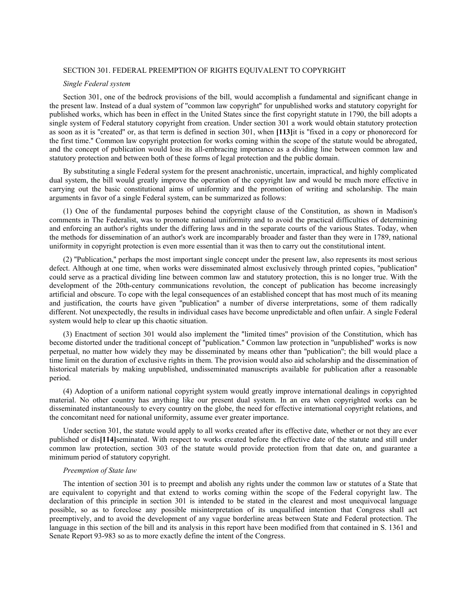### SECTION 301. FEDERAL PREEMPTION OF RIGHTS EQUIVALENT TO COPYRIGHT

### *Single Federal system*

Section 301, one of the bedrock provisions of the bill, would accomplish a fundamental and significant change in the present law. Instead of a dual system of ''common law copyright'' for unpublished works and statutory copyright for published works, which has been in effect in the United States since the first copyright statute in 1790, the bill adopts a single system of Federal statutory copyright from creation. Under section 301 a work would obtain statutory protection as soon as it is ''created'' or, as that term is defined in section 301, when **[113]**it is ''fixed in a copy or phonorecord for the first time.'' Common law copyright protection for works coming within the scope of the statute would be abrogated, and the concept of publication would lose its all-embracing importance as a dividing line between common law and statutory protection and between both of these forms of legal protection and the public domain.

By substituting a single Federal system for the present anachronistic, uncertain, impractical, and highly complicated dual system, the bill would greatly improve the operation of the copyright law and would be much more effective in carrying out the basic constitutional aims of uniformity and the promotion of writing and scholarship. The main arguments in favor of a single Federal system, can be summarized as follows:

(1) One of the fundamental purposes behind the copyright clause of the Constitution, as shown in Madison's comments in The Federalist, was to promote national uniformity and to avoid the practical difficulties of determining and enforcing an author's rights under the differing laws and in the separate courts of the various States. Today, when the methods for dissemination of an author's work are incomparably broader and faster than they were in 1789, national uniformity in copyright protection is even more essential than it was then to carry out the constitutional intent.

(2) ''Publication,'' perhaps the most important single concept under the present law, also represents its most serious defect. Although at one time, when works were disseminated almost exclusively through printed copies, ''publication'' could serve as a practical dividing line between common law and statutory protection, this is no longer true. With the development of the 20th-century communications revolution, the concept of publication has become increasingly artificial and obscure. To cope with the legal consequences of an established concept that has most much of its meaning and justification, the courts have given ''publication'' a number of diverse interpretations, some of them radically different. Not unexpectedly, the results in individual cases have become unpredictable and often unfair. A single Federal system would help to clear up this chaotic situation.

(3) Enactment of section 301 would also implement the ''limited times'' provision of the Constitution, which has become distorted under the traditional concept of ''publication.'' Common law protection in ''unpublished'' works is now perpetual, no matter how widely they may be disseminated by means other than ''publication''; the bill would place a time limit on the duration of exclusive rights in them. The provision would also aid scholarship and the dissemination of historical materials by making unpublished, undisseminated manuscripts available for publication after a reasonable period.

(4) Adoption of a uniform national copyright system would greatly improve international dealings in copyrighted material. No other country has anything like our present dual system. In an era when copyrighted works can be disseminated instantaneously to every country on the globe, the need for effective international copyright relations, and the concomitant need for national uniformity, assume ever greater importance.

Under section 301, the statute would apply to all works created after its effective date, whether or not they are ever published or dis**[114]**seminated. With respect to works created before the effective date of the statute and still under common law protection, section 303 of the statute would provide protection from that date on, and guarantee a minimum period of statutory copyright.

## *Preemption of State law*

The intention of section 301 is to preempt and abolish any rights under the common law or statutes of a State that are equivalent to copyright and that extend to works coming within the scope of the Federal copyright law. The declaration of this principle in section 301 is intended to be stated in the clearest and most unequivocal language possible, so as to foreclose any possible misinterpretation of its unqualified intention that Congress shall act preemptively, and to avoid the development of any vague borderline areas between State and Federal protection. The language in this section of the bill and its analysis in this report have been modified from that contained in S. 1361 and Senate Report 93-983 so as to more exactly define the intent of the Congress.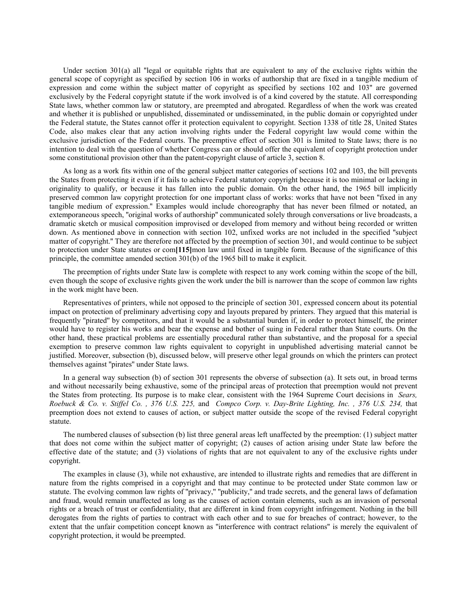Under section 301(a) all "legal or equitable rights that are equivalent to any of the exclusive rights within the general scope of copyright as specified by section 106 in works of authorship that are fixed in a tangible medium of expression and come within the subject matter of copyright as specified by sections 102 and 103'' are governed exclusively by the Federal copyright statute if the work involved is of a kind covered by the statute. All corresponding State laws, whether common law or statutory, are preempted and abrogated. Regardless of when the work was created and whether it is published or unpublished, disseminated or undisseminated, in the public domain or copyrighted under the Federal statute, the States cannot offer it protection equivalent to copyright. Section 1338 of title 28, United States Code, also makes clear that any action involving rights under the Federal copyright law would come within the exclusive jurisdiction of the Federal courts. The preemptive effect of section 301 is limited to State laws; there is no intention to deal with the question of whether Congress can or should offer the equivalent of copyright protection under some constitutional provision other than the patent-copyright clause of article 3, section 8.

As long as a work fits within one of the general subject matter categories of sections 102 and 103, the bill prevents the States from protecting it even if it fails to achieve Federal statutory copyright because it is too minimal or lacking in originality to qualify, or because it has fallen into the public domain. On the other hand, the 1965 bill implicitly preserved common law copyright protection for one important class of works: works that have not been ''fixed in any tangible medium of expression.'' Examples would include choreography that has never been filmed or notated, an extemporaneous speech, ''original works of authorship'' communicated solely through conversations or live broadcasts, a dramatic sketch or musical composition improvised or developed from memory and without being recorded or written down. As mentioned above in connection with section 102, unfixed works are not included in the specified ''subject matter of copyright.'' They are therefore not affected by the preemption of section 301, and would continue to be subject to protection under State statutes or com**[115]**mon law until fixed in tangible form. Because of the significance of this principle, the committee amended section 301(b) of the 1965 bill to make it explicit.

The preemption of rights under State law is complete with respect to any work coming within the scope of the bill, even though the scope of exclusive rights given the work under the bill is narrower than the scope of common law rights in the work might have been.

Representatives of printers, while not opposed to the principle of section 301, expressed concern about its potential impact on protection of preliminary advertising copy and layouts prepared by printers. They argued that this material is frequently ''pirated'' by competitors, and that it would be a substantial burden if, in order to protect himself, the printer would have to register his works and bear the expense and bother of suing in Federal rather than State courts. On the other hand, these practical problems are essentially procedural rather than substantive, and the proposal for a special exemption to preserve common law rights equivalent to copyright in unpublished advertising material cannot be justified. Moreover, subsection (b), discussed below, will preserve other legal grounds on which the printers can protect themselves against ''pirates'' under State laws.

In a general way subsection (b) of section 301 represents the obverse of subsection (a). It sets out, in broad terms and without necessarily being exhaustive, some of the principal areas of protection that preemption would not prevent the States from protecting. Its purpose is to make clear, consistent with the 1964 Supreme Court decisions in *Sears, Roebuck & Co. v. Stiffel Co. , 376 U.S. 225,* and *Compco Corp. v. Day-Brite Lighting, Inc. , 376 U.S. 234,* that preemption does not extend to causes of action, or subject matter outside the scope of the revised Federal copyright statute.

The numbered clauses of subsection (b) list three general areas left unaffected by the preemption: (1) subject matter that does not come within the subject matter of copyright; (2) causes of action arising under State law before the effective date of the statute; and (3) violations of rights that are not equivalent to any of the exclusive rights under copyright.

The examples in clause (3), while not exhaustive, are intended to illustrate rights and remedies that are different in nature from the rights comprised in a copyright and that may continue to be protected under State common law or statute. The evolving common law rights of ''privacy,'' ''publicity,'' and trade secrets, and the general laws of defamation and fraud, would remain unaffected as long as the causes of action contain elements, such as an invasion of personal rights or a breach of trust or confidentiality, that are different in kind from copyright infringement. Nothing in the bill derogates from the rights of parties to contract with each other and to sue for breaches of contract; however, to the extent that the unfair competition concept known as ''interference with contract relations'' is merely the equivalent of copyright protection, it would be preempted.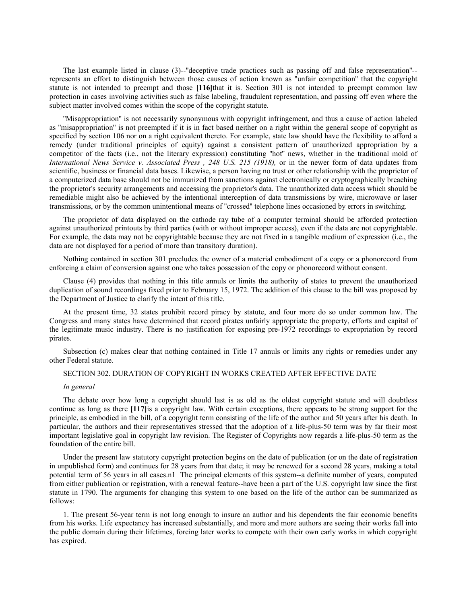The last example listed in clause (3)--''deceptive trade practices such as passing off and false representation''- represents an effort to distinguish between those causes of action known as ''unfair competition'' that the copyright statute is not intended to preempt and those **[116]**that it is. Section 301 is not intended to preempt common law protection in cases involving activities such as false labeling, fraudulent representation, and passing off even where the subject matter involved comes within the scope of the copyright statute.

''Misappropriation'' is not necessarily synonymous with copyright infringement, and thus a cause of action labeled as ''misappropriation'' is not preempted if it is in fact based neither on a right within the general scope of copyright as specified by section 106 nor on a right equivalent thereto. For example, state law should have the flexibility to afford a remedy (under traditional principles of equity) against a consistent pattern of unauthorized appropriation by a competitor of the facts (i.e., not the literary expression) constituting ''hot'' news, whether in the traditional mold of *International News Service v. Associated Press , 248 U.S. 215 (1918),* or in the newer form of data updates from scientific, business or financial data bases. Likewise, a person having no trust or other relationship with the proprietor of a computerized data base should not be immunized from sanctions against electronically or cryptographically breaching the proprietor's security arrangements and accessing the proprietor's data. The unauthorized data access which should be remediable might also be achieved by the intentional interception of data transmissions by wire, microwave or laser transmissions, or by the common unintentional means of ''crossed'' telephone lines occasioned by errors in switching.

The proprietor of data displayed on the cathode ray tube of a computer terminal should be afforded protection against unauthorized printouts by third parties (with or without improper access), even if the data are not copyrightable. For example, the data may not be copyrightable because they are not fixed in a tangible medium of expression (i.e., the data are not displayed for a period of more than transitory duration).

Nothing contained in section 301 precludes the owner of a material embodiment of a copy or a phonorecord from enforcing a claim of conversion against one who takes possession of the copy or phonorecord without consent.

Clause (4) provides that nothing in this title annuls or limits the authority of states to prevent the unauthorized duplication of sound recordings fixed prior to February 15, 1972. The addition of this clause to the bill was proposed by the Department of Justice to clarify the intent of this title.

At the present time, 32 states prohibit record piracy by statute, and four more do so under common law. The Congress and many states have determined that record pirates unfairly appropriate the property, efforts and capital of the legitimate music industry. There is no justification for exposing pre-1972 recordings to expropriation by record pirates.

Subsection (c) makes clear that nothing contained in Title 17 annuls or limits any rights or remedies under any other Federal statute.

### SECTION 302. DURATION OF COPYRIGHT IN WORKS CREATED AFTER EFFECTIVE DATE

### *In general*

The debate over how long a copyright should last is as old as the oldest copyright statute and will doubtless continue as long as there **[117]**is a copyright law. With certain exceptions, there appears to be strong support for the principle, as embodied in the bill, of a copyright term consisting of the life of the author and 50 years after his death. In particular, the authors and their representatives stressed that the adoption of a life-plus-50 term was by far their most important legislative goal in copyright law revision. The Register of Copyrights now regards a life-plus-50 term as the foundation of the entire bill.

Under the present law statutory copyright protection begins on the date of publication (or on the date of registration in unpublished form) and continues for 28 years from that date; it may be renewed for a second 28 years, making a total potential term of 56 years in all cases.n1 The principal elements of this system--a definite number of years, computed from either publication or registration, with a renewal feature--have been a part of the U.S. copyright law since the first statute in 1790. The arguments for changing this system to one based on the life of the author can be summarized as follows:

1. The present 56-year term is not long enough to insure an author and his dependents the fair economic benefits from his works. Life expectancy has increased substantially, and more and more authors are seeing their works fall into the public domain during their lifetimes, forcing later works to compete with their own early works in which copyright has expired.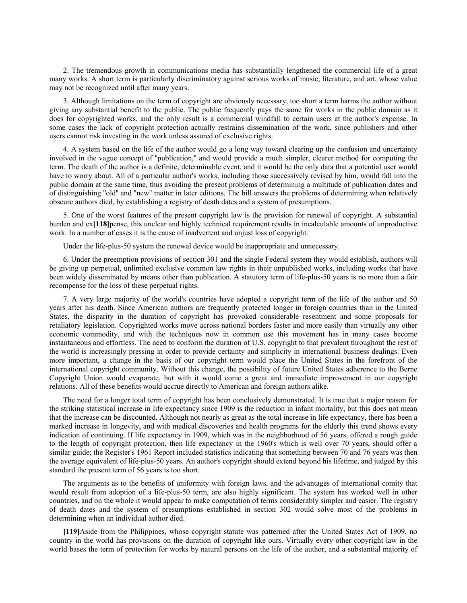2. The tremendous growth in communications media has substantially lengthened the commercial life of a great many works. A short term is particularly discriminatory against serious works of music, literature, and art, whose value may not be recognized until after many years.

3. Although limitations on the term of copyright are obviously necessary, too short a term harms the author without giving any substantial benefit to the public. The public frequently pays the same for works in the public domain as it does for copyrighted works, and the only result is a commercial windfall to certain users at the author's expense. In some cases the lack of copyright protection actually restrains dissemination of the work, since publishers and other users cannot risk investing in the work unless assured of exclusive rights.

4. A system based on the life of the author would go a long way toward clearing up the confusion and uncertainty involved in the vague concept of ''publication,'' and would provide a much simpler, clearer method for computing the term. The death of the author is a definite, determinable event, and it would be the only data that a potential user would have to worry about. All of a particular author's works, including those successively revised by him, would fall into the public domain at the same time, thus avoiding the present problems of determining a multitude of publication dates and of distinguishing ''old'' and ''new'' matter in later editions. The bill answers the problems of determining when relatively obscure authors died, by establishing a registry of death dates and a system of presumptions.

5. One of the worst features of the present copyright law is the provision for renewal of copyright. A substantial burden and ex**[118]**pense, this unclear and highly technical requirement results in incalculable amounts of unproductive work. In a number of cases it is the cause of inadvertent and unjust loss of copyright.

Under the life-plus-50 system the renewal device would be inappropriate and unnecessary.

6. Under the preemption provisions of section 301 and the single Federal system they would establish, authors will be giving up perpetual, unlimited exclusive common law rights in their unpublished works, including works that have been widely disseminated by means other than publication. A statutory term of life-plus-50 years is no more than a fair recompense for the loss of these perpetual rights.

7. A very large majority of the world's countries have adopted a copyright term of the life of the author and 50 years after his death. Since American authors are frequently protected longer in foreign countries than in the United States, the disparity in the duration of copyright has provoked considerable resentment and some proposals for retaliatory legislation. Copyrighted works move across national borders faster and more easily than virtually any other economic commodity, and with the techniques now in common use this movement has in many cases become instantaneous and effortless. The need to conform the duration of U.S. copyright to that prevalent throughout the rest of the world is increasingly pressing in order to provide certainty and simplicity in international business dealings. Even more important, a change in the basis of our copyright term would place the United States in the forefront of the international copyright community. Without this change, the possibility of future United States adherence to the Berne Copyright Union would evaporate, but with it would come a great and immediate improvement in our copyright relations. All of these benefits would accrue directly to American and foreign authors alike.

The need for a longer total term of copyright has been conclusively demonstrated. It is true that a major reason for the striking statistical increase in life expectancy since 1909 is the reduction in infant mortality, but this does not mean that the increase can be discounted. Although not nearly as great as the total increase in life expectancy, there has been a marked increase in longevity, and with medical discoveries and health programs for the elderly this trend shows every indication of continuing. If life expectancy in 1909, which was in the neighborhood of 56 years, offered a rough guide to the length of copyright protection, then life expectancy in the 1960's which is well over 70 years, should offer a similar guide; the Register's 1961 Report included statistics indicating that something between 70 and 76 years was then the average equivalent of life-plus-50 years. An author's copyright should extend beyond his lifetime, and judged by this standard the present term of 56 years is too short.

The arguments as to the benefits of uniformity with foreign laws, and the advantages of international comity that would result from adoption of a life-plus-50 term, are also highly significant. The system has worked well in other countries, and on the whole it would appear to make computation of terms considerably simpler and easier. The registry of death dates and the system of presumptions established in section 302 would solve most of the problems in determining when an individual author died.

**[119]**Aside from the Philippines, whose copyright statute was patterned after the United States Act of 1909, no country in the world has provisions on the duration of copyright like ours. Virtually every other copyright law in the world bases the term of protection for works by natural persons on the life of the author, and a substantial majority of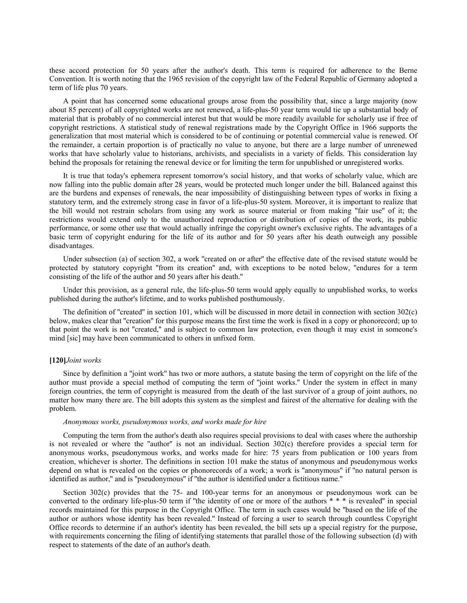these accord protection for 50 years after the author's death. This term is required for adherence to the Berne Convention. It is worth noting that the 1965 revision of the copyright law of the Federal Republic of Germany adopted a term of life plus 70 years.

A point that has concerned some educational groups arose from the possibility that, since a large majority (now about 85 percent) of all copyrighted works are not renewed, a life-plus-50 year term would tie up a substantial body of material that is probably of no commercial interest but that would be more readily available for scholarly use if free of copyright restrictions. A statistical study of renewal registrations made by the Copyright Office in 1966 supports the generalization that most material which is considered to be of continuing or potential commercial value is renewed. Of the remainder, a certain proportion is of practically no value to anyone, but there are a large number of unrenewed works that have scholarly value to historians, archivists, and specialists in a variety of fields. This consideration lay behind the proposals for retaining the renewal device or for limiting the term for unpublished or unregistered works.

It is true that today's ephemera represent tomorrow's social history, and that works of scholarly value, which are now falling into the public domain after 28 years, would be protected much longer under the bill. Balanced against this are the burdens and expenses of renewals, the near impossibility of distinguishing between types of works in fixing a statutory term, and the extremely strong case in favor of a life-plus-50 system. Moreover, it is important to realize that the bill would not restrain scholars from using any work as source material or from making ''fair use'' of it; the restrictions would extend only to the unauthorized reproduction or distribution of copies of the work, its public performance, or some other use that would actually infringe the copyright owner's exclusive rights. The advantages of a basic term of copyright enduring for the life of its author and for 50 years after his death outweigh any possible disadvantages.

Under subsection (a) of section 302, a work ''created on or after'' the effective date of the revised statute would be protected by statutory copyright ''from its creation'' and, with exceptions to be noted below, ''endures for a term consisting of the life of the author and 50 years after his death.''

Under this provision, as a general rule, the life-plus-50 term would apply equally to unpublished works, to works published during the author's lifetime, and to works published posthumously.

The definition of "created" in section 101, which will be discussed in more detail in connection with section 302(c) below, makes clear that ''creation'' for this purpose means the first time the work is fixed in a copy or phonorecord; up to that point the work is not ''created,'' and is subject to common law protection, even though it may exist in someone's mind [sic] may have been communicated to others in unfixed form.

### **[120]***Joint works*

Since by definition a ''joint work'' has two or more authors, a statute basing the term of copyright on the life of the author must provide a special method of computing the term of ''joint works.'' Under the system in effect in many foreign countries, the term of copyright is measured from the death of the last survivor of a group of joint authors, no matter how many there are. The bill adopts this system as the simplest and fairest of the alternative for dealing with the problem.

## *Anonymous works, pseudonymous works, and works made for hire*

Computing the term from the author's death also requires special provisions to deal with cases where the authorship is not revealed or where the ''author'' is not an individual. Section 302(c) therefore provides a special term for anonymous works, pseudonymous works, and works made for hire: 75 years from publication or 100 years from creation, whichever is shorter. The definitions in section 101 make the status of anonymous and pseudonymous works depend on what is revealed on the copies or phonorecords of a work; a work is ''anonymous'' if ''no natural person is identified as author,'' and is ''pseudonymous'' if ''the author is identified under a fictitious name.''

Section 302(c) provides that the 75- and 100-year terms for an anonymous or pseudonymous work can be converted to the ordinary life-plus-50 term if ''the identity of one or more of the authors \* \* \* is revealed'' in special records maintained for this purpose in the Copyright Office. The term in such cases would be ''based on the life of the author or authors whose identity has been revealed.'' Instead of forcing a user to search through countless Copyright Office records to determine if an author's identity has been revealed, the bill sets up a special registry for the purpose, with requirements concerning the filing of identifying statements that parallel those of the following subsection (d) with respect to statements of the date of an author's death.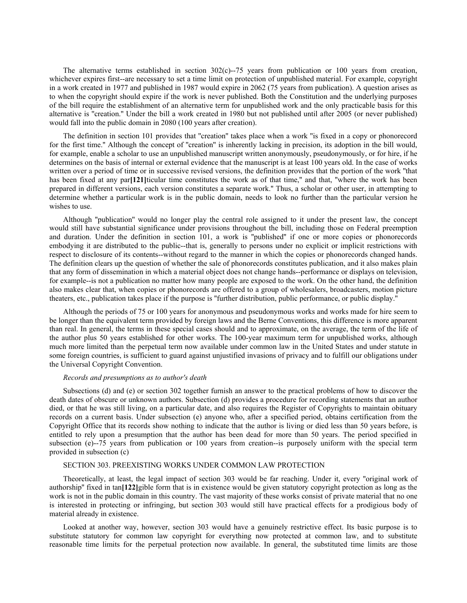The alternative terms established in section 302(c)--75 years from publication or 100 years from creation, whichever expires first--are necessary to set a time limit on protection of unpublished material. For example, copyright in a work created in 1977 and published in 1987 would expire in 2062 (75 years from publication). A question arises as to when the copyright should expire if the work is never published. Both the Constitution and the underlying purposes of the bill require the establishment of an alternative term for unpublished work and the only practicable basis for this alternative is ''creation.'' Under the bill a work created in 1980 but not published until after 2005 (or never published) would fall into the public domain in 2080 (100 years after creation).

The definition in section 101 provides that ''creation'' takes place when a work ''is fixed in a copy or phonorecord for the first time.'' Although the concept of ''creation'' is inherently lacking in precision, its adoption in the bill would, for example, enable a scholar to use an unpublished manuscript written anonymously, pseudonymously, or for hire, if he determines on the basis of internal or external evidence that the manuscript is at least 100 years old. In the case of works written over a period of time or in successive revised versions, the definition provides that the portion of the work ''that has been fixed at any par**[121]**ticular time constitutes the work as of that time,'' and that, ''where the work has been prepared in different versions, each version constitutes a separate work.'' Thus, a scholar or other user, in attempting to determine whether a particular work is in the public domain, needs to look no further than the particular version he wishes to use.

Although ''publication'' would no longer play the central role assigned to it under the present law, the concept would still have substantial significance under provisions throughout the bill, including those on Federal preemption and duration. Under the definition in section 101, a work is ''published'' if one or more copies or phonorecords embodying it are distributed to the public--that is, generally to persons under no explicit or implicit restrictions with respect to disclosure of its contents--without regard to the manner in which the copies or phonorecords changed hands. The definition clears up the question of whether the sale of phonorecords constitutes publication, and it also makes plain that any form of dissemination in which a material object does not change hands--performance or displays on television, for example--is not a publication no matter how many people are exposed to the work. On the other hand, the definition also makes clear that, when copies or phonorecords are offered to a group of wholesalers, broadcasters, motion picture theaters, etc., publication takes place if the purpose is ''further distribution, public performance, or public display.''

Although the periods of 75 or 100 years for anonymous and pseudonymous works and works made for hire seem to be longer than the equivalent term provided by foreign laws and the Berne Conventions, this difference is more apparent than real. In general, the terms in these special cases should and to approximate, on the average, the term of the life of the author plus 50 years established for other works. The 100-year maximum term for unpublished works, although much more limited than the perpetual term now available under common law in the United States and under statute in some foreign countries, is sufficient to guard against unjustified invasions of privacy and to fulfill our obligations under the Universal Copyright Convention.

### *Records and presumptions as to author's death*

Subsections (d) and (e) or section 302 together furnish an answer to the practical problems of how to discover the death dates of obscure or unknown authors. Subsection (d) provides a procedure for recording statements that an author died, or that he was still living, on a particular date, and also requires the Register of Copyrights to maintain obituary records on a current basis. Under subsection (e) anyone who, after a specified period, obtains certification from the Copyright Office that its records show nothing to indicate that the author is living or died less than 50 years before, is entitled to rely upon a presumption that the author has been dead for more than 50 years. The period specified in subsection (e)--75 years from publication or 100 years from creation--is purposely uniform with the special term provided in subsection (c)

# SECTION 303. PREEXISTING WORKS UNDER COMMON LAW PROTECTION

Theoretically, at least, the legal impact of section 303 would be far reaching. Under it, every "original work of authorship'' fixed in tan**[122]**gible form that is in existence would be given statutory copyright protection as long as the work is not in the public domain in this country. The vast majority of these works consist of private material that no one is interested in protecting or infringing, but section 303 would still have practical effects for a prodigious body of material already in existence.

Looked at another way, however, section 303 would have a genuinely restrictive effect. Its basic purpose is to substitute statutory for common law copyright for everything now protected at common law, and to substitute reasonable time limits for the perpetual protection now available. In general, the substituted time limits are those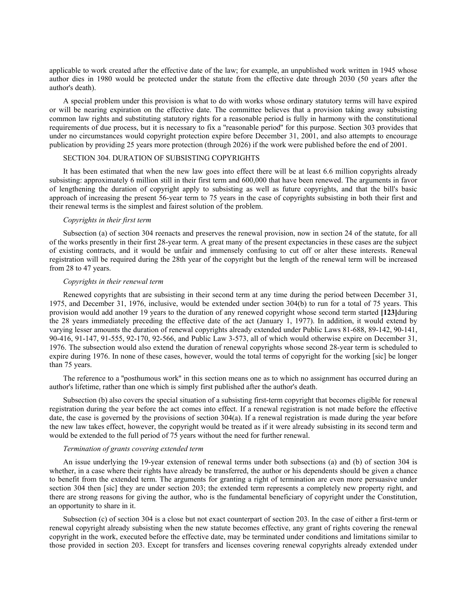applicable to work created after the effective date of the law; for example, an unpublished work written in 1945 whose author dies in 1980 would be protected under the statute from the effective date through 2030 (50 years after the author's death).

A special problem under this provision is what to do with works whose ordinary statutory terms will have expired or will be nearing expiration on the effective date. The committee believes that a provision taking away subsisting common law rights and substituting statutory rights for a reasonable period is fully in harmony with the constitutional requirements of due process, but it is necessary to fix a ''reasonable period'' for this purpose. Section 303 provides that under no circumstances would copyright protection expire before December 31, 2001, and also attempts to encourage publication by providing 25 years more protection (through 2026) if the work were published before the end of 2001.

## SECTION 304. DURATION OF SUBSISTING COPYRIGHTS

It has been estimated that when the new law goes into effect there will be at least 6.6 million copyrights already subsisting: approximately 6 million still in their first term and 600,000 that have been renewed. The arguments in favor of lengthening the duration of copyright apply to subsisting as well as future copyrights, and that the bill's basic approach of increasing the present 56-year term to 75 years in the case of copyrights subsisting in both their first and their renewal terms is the simplest and fairest solution of the problem.

### *Copyrights in their first term*

Subsection (a) of section 304 reenacts and preserves the renewal provision, now in section 24 of the statute, for all of the works presently in their first 28-year term. A great many of the present expectancies in these cases are the subject of existing contracts, and it would be unfair and immensely confusing to cut off or alter these interests. Renewal registration will be required during the 28th year of the copyright but the length of the renewal term will be increased from 28 to 47 years.

## *Copyrights in their renewal term*

Renewed copyrights that are subsisting in their second term at any time during the period between December 31, 1975, and December 31, 1976, inclusive, would be extended under section 304(b) to run for a total of 75 years. This provision would add another 19 years to the duration of any renewed copyright whose second term started **[123]**during the 28 years immediately preceding the effective date of the act (January 1, 1977). In addition, it would extend by varying lesser amounts the duration of renewal copyrights already extended under Public Laws 81-688, 89-142, 90-141, 90-416, 91-147, 91-555, 92-170, 92-566, and Public Law 3-573, all of which would otherwise expire on December 31, 1976. The subsection would also extend the duration of renewal copyrights whose second 28-year term is scheduled to expire during 1976. In none of these cases, however, would the total terms of copyright for the working [sic] be longer than 75 years.

The reference to a ''posthumous work'' in this section means one as to which no assignment has occurred during an author's lifetime, rather than one which is simply first published after the author's death.

Subsection (b) also covers the special situation of a subsisting first-term copyright that becomes eligible for renewal registration during the year before the act comes into effect. If a renewal registration is not made before the effective date, the case is governed by the provisions of section 304(a). If a renewal registration is made during the year before the new law takes effect, however, the copyright would be treated as if it were already subsisting in its second term and would be extended to the full period of 75 years without the need for further renewal.

## *Termination of grants covering extended term*

An issue underlying the 19-year extension of renewal terms under both subsections (a) and (b) of section 304 is whether, in a case where their rights have already be transferred, the author or his dependents should be given a chance to benefit from the extended term. The arguments for granting a right of termination are even more persuasive under section 304 then [sic] they are under section 203; the extended term represents a completely new property right, and there are strong reasons for giving the author, who is the fundamental beneficiary of copyright under the Constitution, an opportunity to share in it.

Subsection (c) of section 304 is a close but not exact counterpart of section 203. In the case of either a first-term or renewal copyright already subsisting when the new statute becomes effective, any grant of rights covering the renewal copyright in the work, executed before the effective date, may be terminated under conditions and limitations similar to those provided in section 203. Except for transfers and licenses covering renewal copyrights already extended under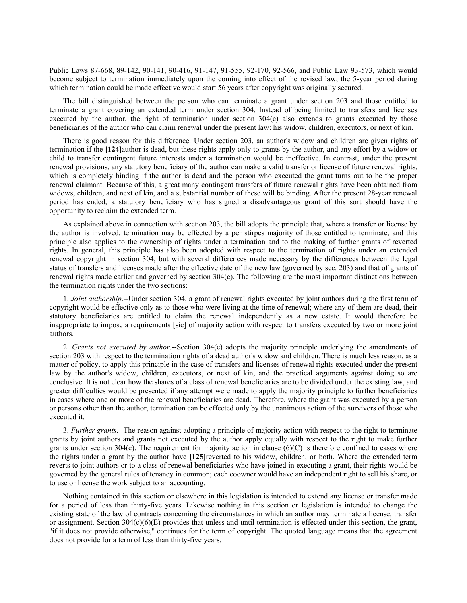Public Laws 87-668, 89-142, 90-141, 90-416, 91-147, 91-555, 92-170, 92-566, and Public Law 93-573, which would become subject to termination immediately upon the coming into effect of the revised law, the 5-year period during which termination could be made effective would start 56 years after copyright was originally secured.

The bill distinguished between the person who can terminate a grant under section 203 and those entitled to terminate a grant covering an extended term under section 304. Instead of being limited to transfers and licenses executed by the author, the right of termination under section  $304(c)$  also extends to grants executed by those beneficiaries of the author who can claim renewal under the present law: his widow, children, executors, or next of kin.

There is good reason for this difference. Under section 203, an author's widow and children are given rights of termination if the **[124]**author is dead, but these rights apply only to grants by the author, and any effort by a widow or child to transfer contingent future interests under a termination would be ineffective. In contrast, under the present renewal provisions, any statutory beneficiary of the author can make a valid transfer or license of future renewal rights, which is completely binding if the author is dead and the person who executed the grant turns out to be the proper renewal claimant. Because of this, a great many contingent transfers of future renewal rights have been obtained from widows, children, and next of kin, and a substantial number of these will be binding. After the present 28-year renewal period has ended, a statutory beneficiary who has signed a disadvantageous grant of this sort should have the opportunity to reclaim the extended term.

As explained above in connection with section 203, the bill adopts the principle that, where a transfer or license by the author is involved, termination may be effected by a per stirpes majority of those entitled to terminate, and this principle also applies to the ownership of rights under a termination and to the making of further grants of reverted rights. In general, this principle has also been adopted with respect to the termination of rights under an extended renewal copyright in section 304, but with several differences made necessary by the differences between the legal status of transfers and licenses made after the effective date of the new law (governed by sec. 203) and that of grants of renewal rights made earlier and governed by section 304(c). The following are the most important distinctions between the termination rights under the two sections:

1. *Joint authorship*.--Under section 304, a grant of renewal rights executed by joint authors during the first term of copyright would be effective only as to those who were living at the time of renewal; where any of them are dead, their statutory beneficiaries are entitled to claim the renewal independently as a new estate. It would therefore be inappropriate to impose a requirements [sic] of majority action with respect to transfers executed by two or more joint authors.

2. *Grants not executed by author*.--Section 304(c) adopts the majority principle underlying the amendments of section 203 with respect to the termination rights of a dead author's widow and children. There is much less reason, as a matter of policy, to apply this principle in the case of transfers and licenses of renewal rights executed under the present law by the author's widow, children, executors, or next of kin, and the practical arguments against doing so are conclusive. It is not clear how the shares of a class of renewal beneficiaries are to be divided under the existing law, and greater difficulties would be presented if any attempt were made to apply the majority principle to further beneficiaries in cases where one or more of the renewal beneficiaries are dead. Therefore, where the grant was executed by a person or persons other than the author, termination can be effected only by the unanimous action of the survivors of those who executed it.

3. *Further grants*.--The reason against adopting a principle of majority action with respect to the right to terminate grants by joint authors and grants not executed by the author apply equally with respect to the right to make further grants under section  $304(c)$ . The requirement for majority action in clause  $(6)(C)$  is therefore confined to cases where the rights under a grant by the author have **[125]**reverted to his widow, children, or both. Where the extended term reverts to joint authors or to a class of renewal beneficiaries who have joined in executing a grant, their rights would be governed by the general rules of tenancy in common; each coowner would have an independent right to sell his share, or to use or license the work subject to an accounting.

Nothing contained in this section or elsewhere in this legislation is intended to extend any license or transfer made for a period of less than thirty-five years. Likewise nothing in this section or legislation is intended to change the existing state of the law of contracts concerning the circumstances in which an author may terminate a license, transfer or assignment. Section  $304(c)(6)(E)$  provides that unless and until termination is effected under this section, the grant, ''if it does not provide otherwise,'' continues for the term of copyright. The quoted language means that the agreement does not provide for a term of less than thirty-five years.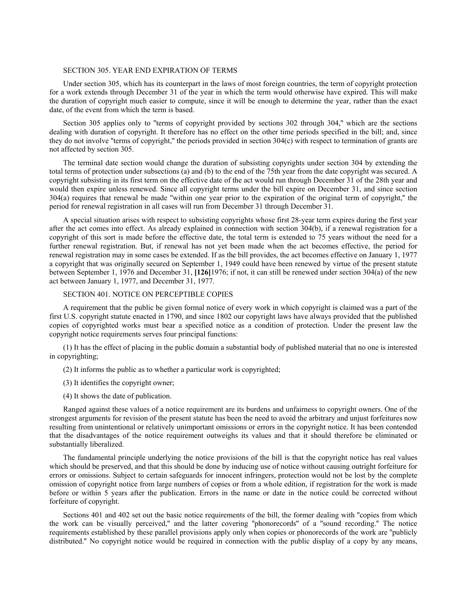### SECTION 305. YEAR END EXPIRATION OF TERMS

Under section 305, which has its counterpart in the laws of most foreign countries, the term of copyright protection for a work extends through December 31 of the year in which the term would otherwise have expired. This will make the duration of copyright much easier to compute, since it will be enough to determine the year, rather than the exact date, of the event from which the term is based.

Section 305 applies only to "terms of copyright provided by sections 302 through 304," which are the sections dealing with duration of copyright. It therefore has no effect on the other time periods specified in the bill; and, since they do not involve ''terms of copyright,'' the periods provided in section 304(c) with respect to termination of grants are not affected by section 305.

The terminal date section would change the duration of subsisting copyrights under section 304 by extending the total terms of protection under subsections (a) and (b) to the end of the 75th year from the date copyright was secured. A copyright subsisting in its first term on the effective date of the act would run through December 31 of the 28th year and would then expire unless renewed. Since all copyright terms under the bill expire on December 31, and since section 304(a) requires that renewal be made ''within one year prior to the expiration of the original term of copyright,'' the period for renewal registration in all cases will run from December 31 through December 31.

A special situation arises with respect to subsisting copyrights whose first 28-year term expires during the first year after the act comes into effect. As already explained in connection with section 304(b), if a renewal registration for a copyright of this sort is made before the effective date, the total term is extended to 75 years without the need for a further renewal registration. But, if renewal has not yet been made when the act becomes effective, the period for renewal registration may in some cases be extended. If as the bill provides, the act becomes effective on January 1, 1977 a copyright that was originally secured on September 1, 1949 could have been renewed by virtue of the present statute between September 1, 1976 and December 31, **[126]**1976; if not, it can still be renewed under section 304(a) of the new act between January 1, 1977, and December 31, 1977.

## SECTION 401. NOTICE ON PERCEPTIBLE COPIES

A requirement that the public be given formal notice of every work in which copyright is claimed was a part of the first U.S. copyright statute enacted in 1790, and since 1802 our copyright laws have always provided that the published copies of copyrighted works must bear a specified notice as a condition of protection. Under the present law the copyright notice requirements serves four principal functions:

(1) It has the effect of placing in the public domain a substantial body of published material that no one is interested in copyrighting;

- (2) It informs the public as to whether a particular work is copyrighted;
- (3) It identifies the copyright owner;
- (4) It shows the date of publication.

Ranged against these values of a notice requirement are its burdens and unfairness to copyright owners. One of the strongest arguments for revision of the present statute has been the need to avoid the arbitrary and unjust forfeitures now resulting from unintentional or relatively unimportant omissions or errors in the copyright notice. It has been contended that the disadvantages of the notice requirement outweighs its values and that it should therefore be eliminated or substantially liberalized.

The fundamental principle underlying the notice provisions of the bill is that the copyright notice has real values which should be preserved, and that this should be done by inducing use of notice without causing outright forfeiture for errors or omissions. Subject to certain safeguards for innocent infringers, protection would not be lost by the complete omission of copyright notice from large numbers of copies or from a whole edition, if registration for the work is made before or within 5 years after the publication. Errors in the name or date in the notice could be corrected without forfeiture of copyright.

Sections 401 and 402 set out the basic notice requirements of the bill, the former dealing with ''copies from which the work can be visually perceived,'' and the latter covering ''phonorecords'' of a ''sound recording.'' The notice requirements established by these parallel provisions apply only when copies or phonorecords of the work are ''publicly distributed.'' No copyright notice would be required in connection with the public display of a copy by any means,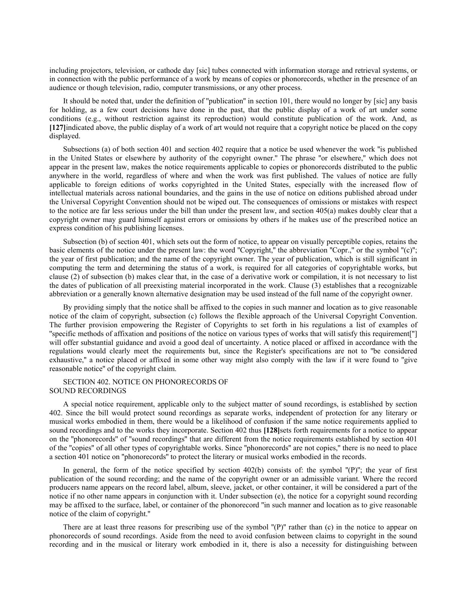including projectors, television, or cathode day [sic] tubes connected with information storage and retrieval systems, or in connection with the public performance of a work by means of copies or phonorecords, whether in the presence of an audience or though television, radio, computer transmissions, or any other process.

It should be noted that, under the definition of ''publication'' in section 101, there would no longer by [sic] any basis for holding, as a few court decisions have done in the past, that the public display of a work of art under some conditions (e.g., without restriction against its reproduction) would constitute publication of the work. And, as **[127]**indicated above, the public display of a work of art would not require that a copyright notice be placed on the copy displayed.

Subsections (a) of both section 401 and section 402 require that a notice be used whenever the work ''is published in the United States or elsewhere by authority of the copyright owner." The phrase "or elsewhere," which does not appear in the present law, makes the notice requirements applicable to copies or phonorecords distributed to the public anywhere in the world, regardless of where and when the work was first published. The values of notice are fully applicable to foreign editions of works copyrighted in the United States, especially with the increased flow of intellectual materials across national boundaries, and the gains in the use of notice on editions published abroad under the Universal Copyright Convention should not be wiped out. The consequences of omissions or mistakes with respect to the notice are far less serious under the bill than under the present law, and section 405(a) makes doubly clear that a copyright owner may guard himself against errors or omissions by others if he makes use of the prescribed notice an express condition of his publishing licenses.

Subsection (b) of section 401, which sets out the form of notice, to appear on visually perceptible copies, retains the basic elements of the notice under the present law: the word "Copyright," the abbreviation "Copr.," or the symbol "(c)"; the year of first publication; and the name of the copyright owner. The year of publication, which is still significant in computing the term and determining the status of a work, is required for all categories of copyrightable works, but clause (2) of subsection (b) makes clear that, in the case of a derivative work or compilation, it is not necessary to list the dates of publication of all preexisting material incorporated in the work. Clause (3) establishes that a recognizable abbreviation or a generally known alternative designation may be used instead of the full name of the copyright owner.

By providing simply that the notice shall be affixed to the copies in such manner and location as to give reasonable notice of the claim of copyright, subsection (c) follows the flexible approach of the Universal Copyright Convention. The further provision empowering the Register of Copyrights to set forth in his regulations a list of examples of ''specific methods of affixation and positions of the notice on various types of works that will satisfy this requirement[''] will offer substantial guidance and avoid a good deal of uncertainty. A notice placed or affixed in accordance with the regulations would clearly meet the requirements but, since the Register's specifications are not to ''be considered exhaustive," a notice placed or affixed in some other way might also comply with the law if it were found to "give reasonable notice'' of the copyright claim.

## SECTION 402. NOTICE ON PHONORECORDS OF SOUND RECORDINGS

A special notice requirement, applicable only to the subject matter of sound recordings, is established by section 402. Since the bill would protect sound recordings as separate works, independent of protection for any literary or musical works embodied in them, there would be a likelihood of confusion if the same notice requirements applied to sound recordings and to the works they incorporate. Section 402 thus **[128]**sets forth requirements for a notice to appear on the ''phonorecords'' of ''sound recordings'' that are different from the notice requirements established by section 401 of the ''copies'' of all other types of copyrightable works. Since ''phonorecords'' are not copies,'' there is no need to place a section 401 notice on ''phonorecords'' to protect the literary or musical works embodied in the records.

In general, the form of the notice specified by section  $402(b)$  consists of: the symbol "(P)"; the year of first publication of the sound recording; and the name of the copyright owner or an admissible variant. Where the record producers name appears on the record label, album, sleeve, jacket, or other container, it will be considered a part of the notice if no other name appears in conjunction with it. Under subsection (e), the notice for a copyright sound recording may be affixed to the surface, label, or container of the phonorecord ''in such manner and location as to give reasonable notice of the claim of copyright.''

There are at least three reasons for prescribing use of the symbol  $P(P)$ " rather than (c) in the notice to appear on phonorecords of sound recordings. Aside from the need to avoid confusion between claims to copyright in the sound recording and in the musical or literary work embodied in it, there is also a necessity for distinguishing between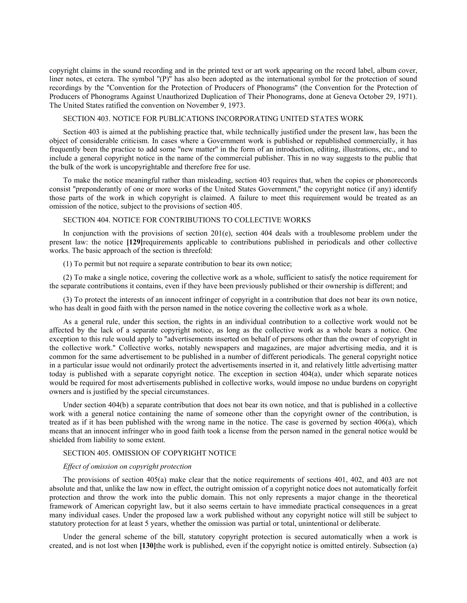copyright claims in the sound recording and in the printed text or art work appearing on the record label, album cover, liner notes, et cetera. The symbol "(P)" has also been adopted as the international symbol for the protection of sound recordings by the ''Convention for the Protection of Producers of Phonograms'' (the Convention for the Protection of Producers of Phonograms Against Unauthorized Duplication of Their Phonograms, done at Geneva October 29, 1971). The United States ratified the convention on November 9, 1973.

## SECTION 403. NOTICE FOR PUBLICATIONS INCORPORATING UNITED STATES WORK

Section 403 is aimed at the publishing practice that, while technically justified under the present law, has been the object of considerable criticism. In cases where a Government work is published or republished commercially, it has frequently been the practice to add some ''new matter'' in the form of an introduction, editing, illustrations, etc., and to include a general copyright notice in the name of the commercial publisher. This in no way suggests to the public that the bulk of the work is uncopyrightable and therefore free for use.

To make the notice meaningful rather than misleading, section 403 requires that, when the copies or phonorecords consist ''preponderantly of one or more works of the United States Government,'' the copyright notice (if any) identify those parts of the work in which copyright is claimed. A failure to meet this requirement would be treated as an omission of the notice, subject to the provisions of section 405.

## SECTION 404. NOTICE FOR CONTRIBUTIONS TO COLLECTIVE WORKS

In conjunction with the provisions of section  $201(e)$ , section 404 deals with a troublesome problem under the present law: the notice **[129]**requirements applicable to contributions published in periodicals and other collective works. The basic approach of the section is threefold:

(1) To permit but not require a separate contribution to bear its own notice;

(2) To make a single notice, covering the collective work as a whole, sufficient to satisfy the notice requirement for the separate contributions it contains, even if they have been previously published or their ownership is different; and

(3) To protect the interests of an innocent infringer of copyright in a contribution that does not bear its own notice, who has dealt in good faith with the person named in the notice covering the collective work as a whole.

As a general rule, under this section, the rights in an individual contribution to a collective work would not be affected by the lack of a separate copyright notice, as long as the collective work as a whole bears a notice. One exception to this rule would apply to ''advertisements inserted on behalf of persons other than the owner of copyright in the collective work.'' Collective works, notably newspapers and magazines, are major advertising media, and it is common for the same advertisement to be published in a number of different periodicals. The general copyright notice in a particular issue would not ordinarily protect the advertisements inserted in it, and relatively little advertising matter today is published with a separate copyright notice. The exception in section 404(a), under which separate notices would be required for most advertisements published in collective works, would impose no undue burdens on copyright owners and is justified by the special circumstances.

Under section 404(b) a separate contribution that does not bear its own notice, and that is published in a collective work with a general notice containing the name of someone other than the copyright owner of the contribution, is treated as if it has been published with the wrong name in the notice. The case is governed by section 406(a), which means that an innocent infringer who in good faith took a license from the person named in the general notice would be shielded from liability to some extent.

## SECTION 405. OMISSION OF COPYRIGHT NOTICE

#### *Effect of omission on copyright protection*

The provisions of section 405(a) make clear that the notice requirements of sections 401, 402, and 403 are not absolute and that, unlike the law now in effect, the outright omission of a copyright notice does not automatically forfeit protection and throw the work into the public domain. This not only represents a major change in the theoretical framework of American copyright law, but it also seems certain to have immediate practical consequences in a great many individual cases. Under the proposed law a work published without any copyright notice will still be subject to statutory protection for at least 5 years, whether the omission was partial or total, unintentional or deliberate.

Under the general scheme of the bill, statutory copyright protection is secured automatically when a work is created, and is not lost when **[130]**the work is published, even if the copyright notice is omitted entirely. Subsection (a)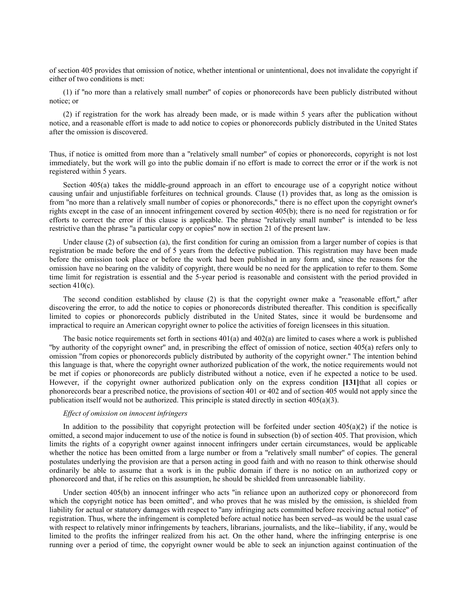of section 405 provides that omission of notice, whether intentional or unintentional, does not invalidate the copyright if either of two conditions is met:

(1) if ''no more than a relatively small number'' of copies or phonorecords have been publicly distributed without notice; or

(2) if registration for the work has already been made, or is made within 5 years after the publication without notice, and a reasonable effort is made to add notice to copies or phonorecords publicly distributed in the United States after the omission is discovered.

Thus, if notice is omitted from more than a ''relatively small number'' of copies or phonorecords, copyright is not lost immediately, but the work will go into the public domain if no effort is made to correct the error or if the work is not registered within 5 years.

Section 405(a) takes the middle-ground approach in an effort to encourage use of a copyright notice without causing unfair and unjustifiable forfeitures on technical grounds. Clause (1) provides that, as long as the omission is from ''no more than a relatively small number of copies or phonorecords,'' there is no effect upon the copyright owner's rights except in the case of an innocent infringement covered by section 405(b); there is no need for registration or for efforts to correct the error if this clause is applicable. The phrase ''relatively small number'' is intended to be less restrictive than the phrase ''a particular copy or copies'' now in section 21 of the present law.

Under clause (2) of subsection (a), the first condition for curing an omission from a larger number of copies is that registration be made before the end of 5 years from the defective publication. This registration may have been made before the omission took place or before the work had been published in any form and, since the reasons for the omission have no bearing on the validity of copyright, there would be no need for the application to refer to them. Some time limit for registration is essential and the 5-year period is reasonable and consistent with the period provided in section  $410(c)$ .

The second condition established by clause (2) is that the copyright owner make a ''reasonable effort,'' after discovering the error, to add the notice to copies or phonorecords distributed thereafter. This condition is specifically limited to copies or phonorecords publicly distributed in the United States, since it would be burdensome and impractical to require an American copyright owner to police the activities of foreign licensees in this situation.

The basic notice requirements set forth in sections  $401(a)$  and  $402(a)$  are limited to cases where a work is published ''by authority of the copyright owner'' and, in prescribing the effect of omission of notice, section 405(a) refers only to omission ''from copies or phonorecords publicly distributed by authority of the copyright owner.'' The intention behind this language is that, where the copyright owner authorized publication of the work, the notice requirements would not be met if copies or phonorecords are publicly distributed without a notice, even if he expected a notice to be used. However, if the copyright owner authorized publication only on the express condition **[131]**that all copies or phonorecords bear a prescribed notice, the provisions of section 401 or 402 and of section 405 would not apply since the publication itself would not be authorized. This principle is stated directly in section  $405(a)(3)$ .

## *Effect of omission on innocent infringers*

In addition to the possibility that copyright protection will be forfeited under section  $405(a)(2)$  if the notice is omitted, a second major inducement to use of the notice is found in subsection (b) of section 405. That provision, which limits the rights of a copyright owner against innocent infringers under certain circumstances, would be applicable whether the notice has been omitted from a large number or from a "relatively small number" of copies. The general postulates underlying the provision are that a person acting in good faith and with no reason to think otherwise should ordinarily be able to assume that a work is in the public domain if there is no notice on an authorized copy or phonorecord and that, if he relies on this assumption, he should be shielded from unreasonable liability.

Under section 405(b) an innocent infringer who acts ''in reliance upon an authorized copy or phonorecord from which the copyright notice has been omitted'', and who proves that he was misled by the omission, is shielded from liability for actual or statutory damages with respect to ''any infringing acts committed before receiving actual notice'' of registration. Thus, where the infringement is completed before actual notice has been served--as would be the usual case with respect to relatively minor infringements by teachers, librarians, journalists, and the like--liability, if any, would be limited to the profits the infringer realized from his act. On the other hand, where the infringing enterprise is one running over a period of time, the copyright owner would be able to seek an injunction against continuation of the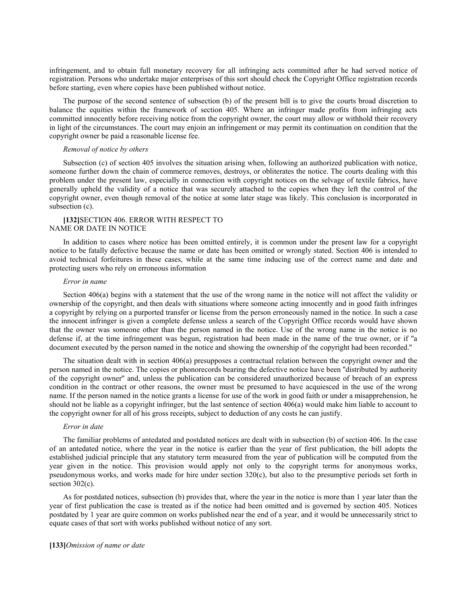infringement, and to obtain full monetary recovery for all infringing acts committed after he had served notice of registration. Persons who undertake major enterprises of this sort should check the Copyright Office registration records before starting, even where copies have been published without notice.

The purpose of the second sentence of subsection (b) of the present bill is to give the courts broad discretion to balance the equities within the framework of section 405. Where an infringer made profits from infringing acts committed innocently before receiving notice from the copyright owner, the court may allow or withhold their recovery in light of the circumstances. The court may enjoin an infringement or may permit its continuation on condition that the copyright owner be paid a reasonable license fee.

### *Removal of notice by others*

Subsection (c) of section 405 involves the situation arising when, following an authorized publication with notice, someone further down the chain of commerce removes, destroys, or obliterates the notice. The courts dealing with this problem under the present law, especially in connection with copyright notices on the selvage of textile fabrics, have generally upheld the validity of a notice that was securely attached to the copies when they left the control of the copyright owner, even though removal of the notice at some later stage was likely. This conclusion is incorporated in subsection (c).

# **[132]**SECTION 406. ERROR WITH RESPECT TO NAME OR DATE IN NOTICE

In addition to cases where notice has been omitted entirely, it is common under the present law for a copyright notice to be fatally defective because the name or date has been omitted or wrongly stated. Section 406 is intended to avoid technical forfeitures in these cases, while at the same time inducing use of the correct name and date and protecting users who rely on erroneous information

### *Error in name*

Section 406(a) begins with a statement that the use of the wrong name in the notice will not affect the validity or ownership of the copyright, and then deals with situations where someone acting innocently and in good faith infringes a copyright by relying on a purported transfer or license from the person erroneously named in the notice. In such a case the innocent infringer is given a complete defense unless a search of the Copyright Office records would have shown that the owner was someone other than the person named in the notice. Use of the wrong name in the notice is no defense if, at the time infringement was begun, registration had been made in the name of the true owner, or if ''a document executed by the person named in the notice and showing the ownership of the copyright had been recorded.''

The situation dealt with in section 406(a) presupposes a contractual relation between the copyright owner and the person named in the notice. The copies or phonorecords bearing the defective notice have been ''distributed by authority of the copyright owner'' and, unless the publication can be considered unauthorized because of breach of an express condition in the contract or other reasons, the owner must be presumed to have acquiesced in the use of the wrong name. If the person named in the notice grants a license for use of the work in good faith or under a misapprehension, he should not be liable as a copyright infringer, but the last sentence of section 406(a) would make him liable to account to the copyright owner for all of his gross receipts, subject to deduction of any costs he can justify.

## *Error in date*

The familiar problems of antedated and postdated notices are dealt with in subsection (b) of section 406. In the case of an antedated notice, where the year in the notice is earlier than the year of first publication, the bill adopts the established judicial principle that any statutory term measured from the year of publication will be computed from the year given in the notice. This provision would apply not only to the copyright terms for anonymous works, pseudonymous works, and works made for hire under section 320(c), but also to the presumptive periods set forth in section 302(c).

As for postdated notices, subsection (b) provides that, where the year in the notice is more than 1 year later than the year of first publication the case is treated as if the notice had been omitted and is governed by section 405. Notices postdated by 1 year are quire common on works published near the end of a year, and it would be unnecessarily strict to equate cases of that sort with works published without notice of any sort.

#### **[133]***Omission of name or date*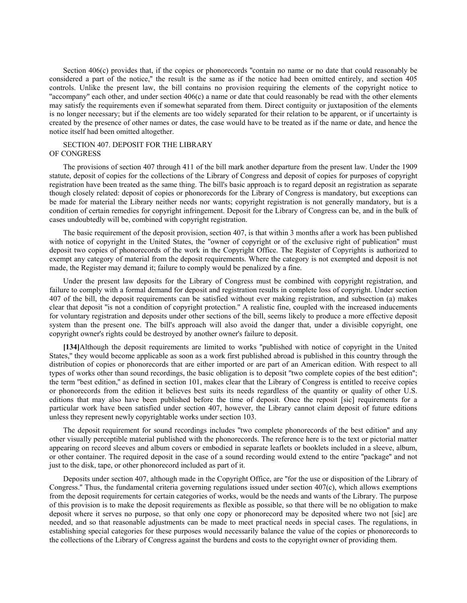Section 406(c) provides that, if the copies or phonorecords "contain no name or no date that could reasonably be considered a part of the notice,'' the result is the same as if the notice had been omitted entirely, and section 405 controls. Unlike the present law, the bill contains no provision requiring the elements of the copyright notice to "accompany" each other, and under section 406(c) a name or date that could reasonably be read with the other elements may satisfy the requirements even if somewhat separated from them. Direct contiguity or juxtaposition of the elements is no longer necessary; but if the elements are too widely separated for their relation to be apparent, or if uncertainty is created by the presence of other names or dates, the case would have to be treated as if the name or date, and hence the notice itself had been omitted altogether.

## SECTION 407. DEPOSIT FOR THE LIBRARY OF CONGRESS

The provisions of section 407 through 411 of the bill mark another departure from the present law. Under the 1909 statute, deposit of copies for the collections of the Library of Congress and deposit of copies for purposes of copyright registration have been treated as the same thing. The bill's basic approach is to regard deposit an registration as separate though closely related: deposit of copies or phonorecords for the Library of Congress is mandatory, but exceptions can be made for material the Library neither needs nor wants; copyright registration is not generally mandatory, but is a condition of certain remedies for copyright infringement. Deposit for the Library of Congress can be, and in the bulk of cases undoubtedly will be, combined with copyright registration.

The basic requirement of the deposit provision, section 407, is that within 3 months after a work has been published with notice of copyright in the United States, the "owner of copyright or of the exclusive right of publication" must deposit two copies of phonorecords of the work in the Copyright Office. The Register of Copyrights is authorized to exempt any category of material from the deposit requirements. Where the category is not exempted and deposit is not made, the Register may demand it; failure to comply would be penalized by a fine.

Under the present law deposits for the Library of Congress must be combined with copyright registration, and failure to comply with a formal demand for deposit and registration results in complete loss of copyright. Under section 407 of the bill, the deposit requirements can be satisfied without ever making registration, and subsection (a) makes clear that deposit ''is not a condition of copyright protection.'' A realistic fine, coupled with the increased inducements for voluntary registration and deposits under other sections of the bill, seems likely to produce a more effective deposit system than the present one. The bill's approach will also avoid the danger that, under a divisible copyright, one copyright owner's rights could be destroyed by another owner's failure to deposit.

**[134]**Although the deposit requirements are limited to works ''published with notice of copyright in the United States,'' they would become applicable as soon as a work first published abroad is published in this country through the distribution of copies or phonorecords that are either imported or are part of an American edition. With respect to all types of works other than sound recordings, the basic obligation is to deposit ''two complete copies of the best edition''; the term ''best edition,'' as defined in section 101, makes clear that the Library of Congress is entitled to receive copies or phonorecords from the edition it believes best suits its needs regardless of the quantity or quality of other U.S. editions that may also have been published before the time of deposit. Once the reposit [sic] requirements for a particular work have been satisfied under section 407, however, the Library cannot claim deposit of future editions unless they represent newly copyrightable works under section 103.

The deposit requirement for sound recordings includes ''two complete phonorecords of the best edition'' and any other visually perceptible material published with the phonorecords. The reference here is to the text or pictorial matter appearing on record sleeves and album covers or embodied in separate leaflets or booklets included in a sleeve, album, or other container. The required deposit in the case of a sound recording would extend to the entire ''package'' and not just to the disk, tape, or other phonorecord included as part of it.

Deposits under section 407, although made in the Copyright Office, are ''for the use or disposition of the Library of Congress.'' Thus, the fundamental criteria governing regulations issued under section 407(c), which allows exemptions from the deposit requirements for certain categories of works, would be the needs and wants of the Library. The purpose of this provision is to make the deposit requirements as flexible as possible, so that there will be no obligation to make deposit where it serves no purpose, so that only one copy or phonorecord may be deposited where two not [sic] are needed, and so that reasonable adjustments can be made to meet practical needs in special cases. The regulations, in establishing special categories for these purposes would necessarily balance the value of the copies or phonorecords to the collections of the Library of Congress against the burdens and costs to the copyright owner of providing them.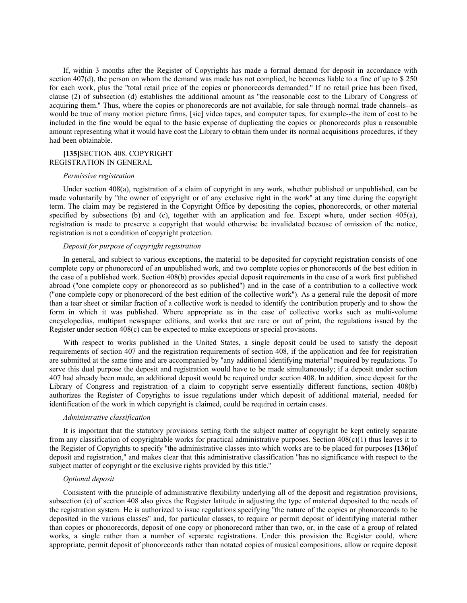If, within 3 months after the Register of Copyrights has made a formal demand for deposit in accordance with section 407(d), the person on whom the demand was made has not complied, he becomes liable to a fine of up to \$250 for each work, plus the ''total retail price of the copies or phonorecords demanded.'' If no retail price has been fixed, clause (2) of subsection (d) establishes the additional amount as ''the reasonable cost to the Library of Congress of acquiring them.'' Thus, where the copies or phonorecords are not available, for sale through normal trade channels--as would be true of many motion picture firms, [sic] video tapes, and computer tapes, for example--the item of cost to be included in the fine would be equal to the basic expense of duplicating the copies or phonorecords plus a reasonable amount representing what it would have cost the Library to obtain them under its normal acquisitions procedures, if they had been obtainable.

## **[135]**SECTION 408. COPYRIGHT REGISTRATION IN GENERAL

#### *Permissive registration*

Under section 408(a), registration of a claim of copyright in any work, whether published or unpublished, can be made voluntarily by ''the owner of copyright or of any exclusive right in the work'' at any time during the copyright term. The claim may be registered in the Copyright Office by depositing the copies, phonorecords, or other material specified by subsections (b) and (c), together with an application and fee. Except where, under section 405(a), registration is made to preserve a copyright that would otherwise be invalidated because of omission of the notice, registration is not a condition of copyright protection.

## *Deposit for purpose of copyright registration*

In general, and subject to various exceptions, the material to be deposited for copyright registration consists of one complete copy or phonorecord of an unpublished work, and two complete copies or phonorecords of the best edition in the case of a published work. Section 408(b) provides special deposit requirements in the case of a work first published abroad (''one complete copy or phonorecord as so published'') and in the case of a contribution to a collective work (''one complete copy or phonorecord of the best edition of the collective work''). As a general rule the deposit of more than a tear sheet or similar fraction of a collective work is needed to identify the contribution properly and to show the form in which it was published. Where appropriate as in the case of collective works such as multi-volume encyclopedias, multipart newspaper editions, and works that are rare or out of print, the regulations issued by the Register under section 408(c) can be expected to make exceptions or special provisions.

With respect to works published in the United States, a single deposit could be used to satisfy the deposit requirements of section 407 and the registration requirements of section 408, if the application and fee for registration are submitted at the same time and are accompanied by ''any additional identifying material'' required by regulations. To serve this dual purpose the deposit and registration would have to be made simultaneously; if a deposit under section 407 had already been made, an additional deposit would be required under section 408. In addition, since deposit for the Library of Congress and registration of a claim to copyright serve essentially different functions, section 408(b) authorizes the Register of Copyrights to issue regulations under which deposit of additional material, needed for identification of the work in which copyright is claimed, could be required in certain cases.

#### *Administrative classification*

It is important that the statutory provisions setting forth the subject matter of copyright be kept entirely separate from any classification of copyrightable works for practical administrative purposes. Section  $408(c)(1)$  thus leaves it to the Register of Copyrights to specify ''the administrative classes into which works are to be placed for purposes **[136]**of deposit and registration,'' and makes clear that this administrative classification ''has no significance with respect to the subject matter of copyright or the exclusive rights provided by this title.''

## *Optional deposit*

Consistent with the principle of administrative flexibility underlying all of the deposit and registration provisions, subsection (c) of section 408 also gives the Register latitude in adjusting the type of material deposited to the needs of the registration system. He is authorized to issue regulations specifying ''the nature of the copies or phonorecords to be deposited in the various classes'' and, for particular classes, to require or permit deposit of identifying material rather than copies or phonorecords, deposit of one copy or phonorecord rather than two, or, in the case of a group of related works, a single rather than a number of separate registrations. Under this provision the Register could, where appropriate, permit deposit of phonorecords rather than notated copies of musical compositions, allow or require deposit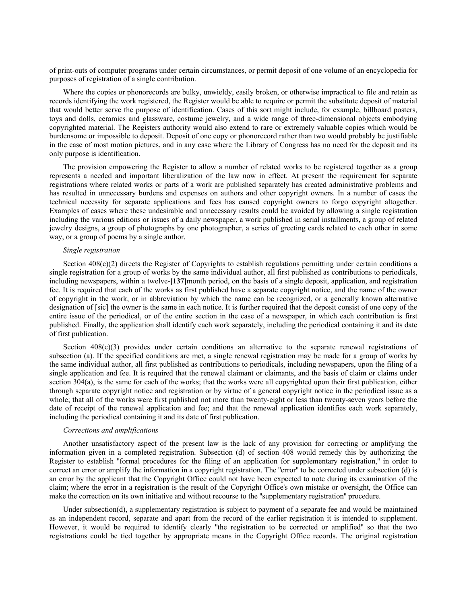of print-outs of computer programs under certain circumstances, or permit deposit of one volume of an encyclopedia for purposes of registration of a single contribution.

Where the copies or phonorecords are bulky, unwieldy, easily broken, or otherwise impractical to file and retain as records identifying the work registered, the Register would be able to require or permit the substitute deposit of material that would better serve the purpose of identification. Cases of this sort might include, for example, billboard posters, toys and dolls, ceramics and glassware, costume jewelry, and a wide range of three-dimensional objects embodying copyrighted material. The Registers authority would also extend to rare or extremely valuable copies which would be burdensome or impossible to deposit. Deposit of one copy or phonorecord rather than two would probably be justifiable in the case of most motion pictures, and in any case where the Library of Congress has no need for the deposit and its only purpose is identification.

The provision empowering the Register to allow a number of related works to be registered together as a group represents a needed and important liberalization of the law now in effect. At present the requirement for separate registrations where related works or parts of a work are published separately has created administrative problems and has resulted in unnecessary burdens and expenses on authors and other copyright owners. In a number of cases the technical necessity for separate applications and fees has caused copyright owners to forgo copyright altogether. Examples of cases where these undesirable and unnecessary results could be avoided by allowing a single registration including the various editions or issues of a daily newspaper, a work published in serial installments, a group of related jewelry designs, a group of photographs by one photographer, a series of greeting cards related to each other in some way, or a group of poems by a single author.

# *Single registration*

Section 408(c)(2) directs the Register of Copyrights to establish regulations permitting under certain conditions a single registration for a group of works by the same individual author, all first published as contributions to periodicals, including newspapers, within a twelve-**[137]**month period, on the basis of a single deposit, application, and registration fee. It is required that each of the works as first published have a separate copyright notice, and the name of the owner of copyright in the work, or in abbreviation by which the name can be recognized, or a generally known alternative designation of [sic] the owner is the same in each notice. It is further required that the deposit consist of one copy of the entire issue of the periodical, or of the entire section in the case of a newspaper, in which each contribution is first published. Finally, the application shall identify each work separately, including the periodical containing it and its date of first publication.

Section 408(c)(3) provides under certain conditions an alternative to the separate renewal registrations of subsection (a). If the specified conditions are met, a single renewal registration may be made for a group of works by the same individual author, all first published as contributions to periodicals, including newspapers, upon the filing of a single application and fee. It is required that the renewal claimant or claimants, and the basis of claim or claims under section 304(a), is the same for each of the works; that the works were all copyrighted upon their first publication, either through separate copyright notice and registration or by virtue of a general copyright notice in the periodical issue as a whole; that all of the works were first published not more than twenty-eight or less than twenty-seven years before the date of receipt of the renewal application and fee; and that the renewal application identifies each work separately, including the periodical containing it and its date of first publication.

### *Corrections and amplifications*

Another unsatisfactory aspect of the present law is the lack of any provision for correcting or amplifying the information given in a completed registration. Subsection (d) of section 408 would remedy this by authorizing the Register to establish ''formal procedures for the filing of an application for supplementary registration,'' in order to correct an error or amplify the information in a copyright registration. The "error" to be corrected under subsection (d) is an error by the applicant that the Copyright Office could not have been expected to note during its examination of the claim; where the error in a registration is the result of the Copyright Office's own mistake or oversight, the Office can make the correction on its own initiative and without recourse to the ''supplementary registration'' procedure.

Under subsection(d), a supplementary registration is subject to payment of a separate fee and would be maintained as an independent record, separate and apart from the record of the earlier registration it is intended to supplement. However, it would be required to identify clearly ''the registration to be corrected or amplified'' so that the two registrations could be tied together by appropriate means in the Copyright Office records. The original registration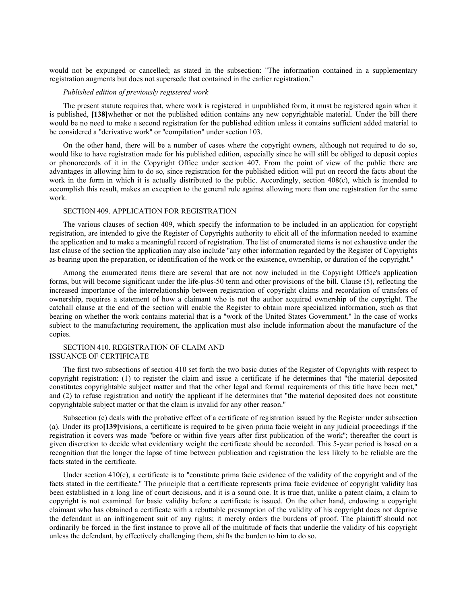would not be expunged or cancelled; as stated in the subsection: ''The information contained in a supplementary registration augments but does not supersede that contained in the earlier registration.''

## *Published edition of previously registered work*

The present statute requires that, where work is registered in unpublished form, it must be registered again when it is published, **[138]**whether or not the published edition contains any new copyrightable material. Under the bill there would be no need to make a second registration for the published edition unless it contains sufficient added material to be considered a ''derivative work'' or ''compilation'' under section 103.

On the other hand, there will be a number of cases where the copyright owners, although not required to do so, would like to have registration made for his published edition, especially since he will still be obliged to deposit copies or phonorecords of it in the Copyright Office under section 407. From the point of view of the public there are advantages in allowing him to do so, since registration for the published edition will put on record the facts about the work in the form in which it is actually distributed to the public. Accordingly, section 408(c), which is intended to accomplish this result, makes an exception to the general rule against allowing more than one registration for the same work.

### SECTION 409. APPLICATION FOR REGISTRATION

The various clauses of section 409, which specify the information to be included in an application for copyright registration, are intended to give the Register of Copyrights authority to elicit all of the information needed to examine the application and to make a meaningful record of registration. The list of enumerated items is not exhaustive under the last clause of the section the application may also include ''any other information regarded by the Register of Copyrights as bearing upon the preparation, or identification of the work or the existence, ownership, or duration of the copyright.''

Among the enumerated items there are several that are not now included in the Copyright Office's application forms, but will become significant under the life-plus-50 term and other provisions of the bill. Clause (5), reflecting the increased importance of the interrelationship between registration of copyright claims and recordation of transfers of ownership, requires a statement of how a claimant who is not the author acquired ownership of the copyright. The catchall clause at the end of the section will enable the Register to obtain more specialized information, such as that bearing on whether the work contains material that is a ''work of the United States Government.'' In the case of works subject to the manufacturing requirement, the application must also include information about the manufacture of the copies.

## SECTION 410. REGISTRATION OF CLAIM AND ISSUANCE OF CERTIFICATE

The first two subsections of section 410 set forth the two basic duties of the Register of Copyrights with respect to copyright registration: (1) to register the claim and issue a certificate if he determines that ''the material deposited constitutes copyrightable subject matter and that the other legal and formal requirements of this title have been met,'' and (2) to refuse registration and notify the applicant if he determines that ''the material deposited does not constitute copyrightable subject matter or that the claim is invalid for any other reason.''

Subsection (c) deals with the probative effect of a certificate of registration issued by the Register under subsection (a). Under its pro**[139]**visions, a certificate is required to be given prima facie weight in any judicial proceedings if the registration it covers was made ''before or within five years after first publication of the work''; thereafter the court is given discretion to decide what evidentiary weight the certificate should be accorded. This 5-year period is based on a recognition that the longer the lapse of time between publication and registration the less likely to be reliable are the facts stated in the certificate.

Under section  $410(c)$ , a certificate is to "constitute prima facie evidence of the validity of the copyright and of the facts stated in the certificate.'' The principle that a certificate represents prima facie evidence of copyright validity has been established in a long line of court decisions, and it is a sound one. It is true that, unlike a patent claim, a claim to copyright is not examined for basic validity before a certificate is issued. On the other hand, endowing a copyright claimant who has obtained a certificate with a rebuttable presumption of the validity of his copyright does not deprive the defendant in an infringement suit of any rights; it merely orders the burdens of proof. The plaintiff should not ordinarily be forced in the first instance to prove all of the multitude of facts that underlie the validity of his copyright unless the defendant, by effectively challenging them, shifts the burden to him to do so.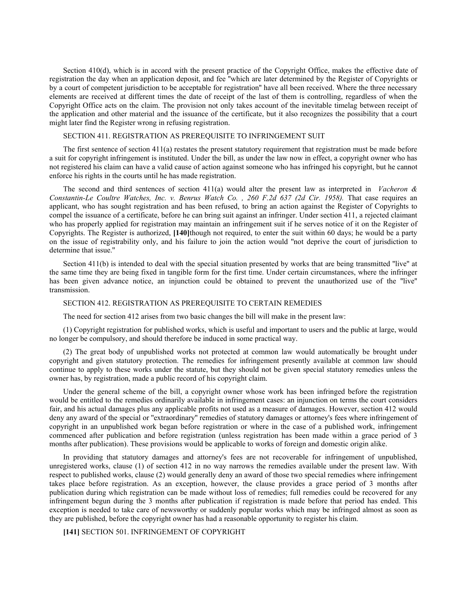Section 410(d), which is in accord with the present practice of the Copyright Office, makes the effective date of registration the day when an application deposit, and fee ''which are later determined by the Register of Copyrights or by a court of competent jurisdiction to be acceptable for registration'' have all been received. Where the three necessary elements are received at different times the date of receipt of the last of them is controlling, regardless of when the Copyright Office acts on the claim. The provision not only takes account of the inevitable timelag between receipt of the application and other material and the issuance of the certificate, but it also recognizes the possibility that a court might later find the Register wrong in refusing registration.

## SECTION 411. REGISTRATION AS PREREQUISITE TO INFRINGEMENT SUIT

The first sentence of section 411(a) restates the present statutory requirement that registration must be made before a suit for copyright infringement is instituted. Under the bill, as under the law now in effect, a copyright owner who has not registered his claim can have a valid cause of action against someone who has infringed his copyright, but he cannot enforce his rights in the courts until he has made registration.

The second and third sentences of section  $411(a)$  would alter the present law as interpreted in *Vacheron & Constantin-Le Coultre Watches, Inc. v. Benrus Watch Co. , 260 F.2d 637 (2d Cir. 1958).* That case requires an applicant, who has sought registration and has been refused, to bring an action against the Register of Copyrights to compel the issuance of a certificate, before he can bring suit against an infringer. Under section 411, a rejected claimant who has properly applied for registration may maintain an infringement suit if he serves notice of it on the Register of Copyrights. The Register is authorized, **[140]**though not required, to enter the suit within 60 days; he would be a party on the issue of registrability only, and his failure to join the action would ''not deprive the court of jurisdiction to determine that issue.''

Section 411(b) is intended to deal with the special situation presented by works that are being transmitted ''live'' at the same time they are being fixed in tangible form for the first time. Under certain circumstances, where the infringer has been given advance notice, an injunction could be obtained to prevent the unauthorized use of the "live" transmission.

## SECTION 412. REGISTRATION AS PREREQUISITE TO CERTAIN REMEDIES

The need for section 412 arises from two basic changes the bill will make in the present law:

(1) Copyright registration for published works, which is useful and important to users and the public at large, would no longer be compulsory, and should therefore be induced in some practical way.

(2) The great body of unpublished works not protected at common law would automatically be brought under copyright and given statutory protection. The remedies for infringement presently available at common law should continue to apply to these works under the statute, but they should not be given special statutory remedies unless the owner has, by registration, made a public record of his copyright claim.

Under the general scheme of the bill, a copyright owner whose work has been infringed before the registration would be entitled to the remedies ordinarily available in infringement cases: an injunction on terms the court considers fair, and his actual damages plus any applicable profits not used as a measure of damages. However, section 412 would deny any award of the special or ''extraordinary'' remedies of statutory damages or attorney's fees where infringement of copyright in an unpublished work began before registration or where in the case of a published work, infringement commenced after publication and before registration (unless registration has been made within a grace period of 3 months after publication). These provisions would be applicable to works of foreign and domestic origin alike.

In providing that statutory damages and attorney's fees are not recoverable for infringement of unpublished, unregistered works, clause (1) of section 412 in no way narrows the remedies available under the present law. With respect to published works, clause (2) would generally deny an award of those two special remedies where infringement takes place before registration. As an exception, however, the clause provides a grace period of 3 months after publication during which registration can be made without loss of remedies; full remedies could be recovered for any infringement begun during the 3 months after publication if registration is made before that period has ended. This exception is needed to take care of newsworthy or suddenly popular works which may be infringed almost as soon as they are published, before the copyright owner has had a reasonable opportunity to register his claim.

**[141]** SECTION 501. INFRINGEMENT OF COPYRIGHT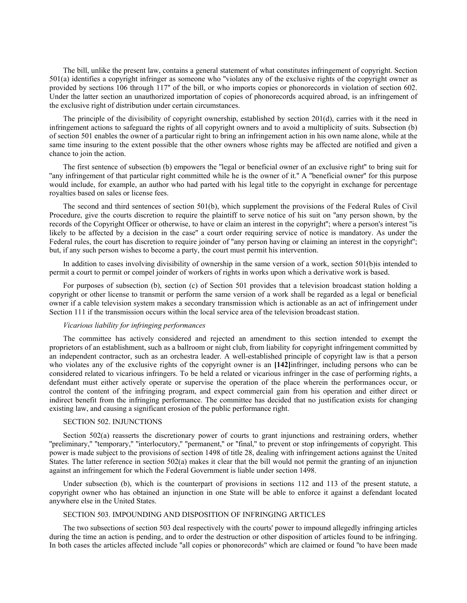The bill, unlike the present law, contains a general statement of what constitutes infringement of copyright. Section 501(a) identifies a copyright infringer as someone who ''violates any of the exclusive rights of the copyright owner as provided by sections 106 through 117'' of the bill, or who imports copies or phonorecords in violation of section 602. Under the latter section an unauthorized importation of copies of phonorecords acquired abroad, is an infringement of the exclusive right of distribution under certain circumstances.

The principle of the divisibility of copyright ownership, established by section 201(d), carries with it the need in infringement actions to safeguard the rights of all copyright owners and to avoid a multiplicity of suits. Subsection (b) of section 501 enables the owner of a particular right to bring an infringement action in his own name alone, while at the same time insuring to the extent possible that the other owners whose rights may be affected are notified and given a chance to join the action.

The first sentence of subsection (b) empowers the ''legal or beneficial owner of an exclusive right'' to bring suit for "any infringement of that particular right committed while he is the owner of it." A "beneficial owner" for this purpose would include, for example, an author who had parted with his legal title to the copyright in exchange for percentage royalties based on sales or license fees.

The second and third sentences of section 501(b), which supplement the provisions of the Federal Rules of Civil Procedure, give the courts discretion to require the plaintiff to serve notice of his suit on "any person shown, by the records of the Copyright Officer or otherwise, to have or claim an interest in the copyright''; where a person's interest ''is likely to be affected by a decision in the case'' a court order requiring service of notice is mandatory. As under the Federal rules, the court has discretion to require joinder of ''any person having or claiming an interest in the copyright''; but, if any such person wishes to become a party, the court must permit his intervention.

In addition to cases involving divisibility of ownership in the same version of a work, section 501(b)is intended to permit a court to permit or compel joinder of workers of rights in works upon which a derivative work is based.

For purposes of subsection (b), section (c) of Section 501 provides that a television broadcast station holding a copyright or other license to transmit or perform the same version of a work shall be regarded as a legal or beneficial owner if a cable television system makes a secondary transmission which is actionable as an act of infringement under Section 111 if the transmission occurs within the local service area of the television broadcast station.

### *Vicarious liability for infringing performances*

The committee has actively considered and rejected an amendment to this section intended to exempt the proprietors of an establishment, such as a ballroom or night club, from liability for copyright infringement committed by an independent contractor, such as an orchestra leader. A well-established principle of copyright law is that a person who violates any of the exclusive rights of the copyright owner is an **[142]**infringer, including persons who can be considered related to vicarious infringers. To be held a related or vicarious infringer in the case of performing rights, a defendant must either actively operate or supervise the operation of the place wherein the performances occur, or control the content of the infringing program, and expect commercial gain from his operation and either direct or indirect benefit from the infringing performance. The committee has decided that no justification exists for changing existing law, and causing a significant erosion of the public performance right.

### SECTION 502. INJUNCTIONS

Section 502(a) reasserts the discretionary power of courts to grant injunctions and restraining orders, whether "preliminary," "temporary," "interlocutory," "permanent," or "final," to prevent or stop infringements of copyright. This power is made subject to the provisions of section 1498 of title 28, dealing with infringement actions against the United States. The latter reference in section 502(a) makes it clear that the bill would not permit the granting of an injunction against an infringement for which the Federal Government is liable under section 1498.

Under subsection (b), which is the counterpart of provisions in sections 112 and 113 of the present statute, a copyright owner who has obtained an injunction in one State will be able to enforce it against a defendant located anywhere else in the United States.

## SECTION 503. IMPOUNDING AND DISPOSITION OF INFRINGING ARTICLES

The two subsections of section 503 deal respectively with the courts' power to impound allegedly infringing articles during the time an action is pending, and to order the destruction or other disposition of articles found to be infringing. In both cases the articles affected include ''all copies or phonorecords'' which are claimed or found ''to have been made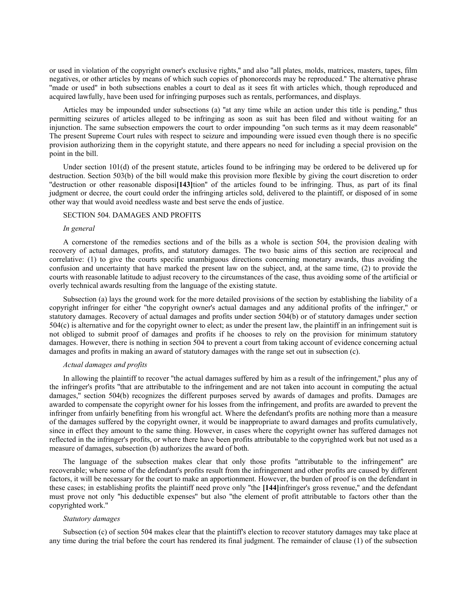or used in violation of the copyright owner's exclusive rights,'' and also ''all plates, molds, matrices, masters, tapes, film negatives, or other articles by means of which such copies of phonorecords may be reproduced.'' The alternative phrase ''made or used'' in both subsections enables a court to deal as it sees fit with articles which, though reproduced and acquired lawfully, have been used for infringing purposes such as rentals, performances, and displays.

Articles may be impounded under subsections (a) ''at any time while an action under this title is pending,'' thus permitting seizures of articles alleged to be infringing as soon as suit has been filed and without waiting for an injunction. The same subsection empowers the court to order impounding ''on such terms as it may deem reasonable'' The present Supreme Court rules with respect to seizure and impounding were issued even though there is no specific provision authorizing them in the copyright statute, and there appears no need for including a special provision on the point in the bill.

Under section 101(d) of the present statute, articles found to be infringing may be ordered to be delivered up for destruction. Section 503(b) of the bill would make this provision more flexible by giving the court discretion to order ''destruction or other reasonable disposi**[143]**tion'' of the articles found to be infringing. Thus, as part of its final judgment or decree, the court could order the infringing articles sold, delivered to the plaintiff, or disposed of in some other way that would avoid needless waste and best serve the ends of justice.

#### SECTION 504. DAMAGES AND PROFITS

#### *In general*

A cornerstone of the remedies sections and of the bills as a whole is section 504, the provision dealing with recovery of actual damages, profits, and statutory damages. The two basic aims of this section are reciprocal and correlative: (1) to give the courts specific unambiguous directions concerning monetary awards, thus avoiding the confusion and uncertainty that have marked the present law on the subject, and, at the same time, (2) to provide the courts with reasonable latitude to adjust recovery to the circumstances of the case, thus avoiding some of the artificial or overly technical awards resulting from the language of the existing statute.

Subsection (a) lays the ground work for the more detailed provisions of the section by establishing the liability of a copyright infringer for either ''the copyright owner's actual damages and any additional profits of the infringer,'' or statutory damages. Recovery of actual damages and profits under section 504(b) or of statutory damages under section 504(c) is alternative and for the copyright owner to elect; as under the present law, the plaintiff in an infringement suit is not obliged to submit proof of damages and profits if he chooses to rely on the provision for minimum statutory damages. However, there is nothing in section 504 to prevent a court from taking account of evidence concerning actual damages and profits in making an award of statutory damages with the range set out in subsection (c).

## *Actual damages and profits*

In allowing the plaintiff to recover ''the actual damages suffered by him as a result of the infringement,'' plus any of the infringer's profits ''that are attributable to the infringement and are not taken into account in computing the actual damages,'' section 504(b) recognizes the different purposes served by awards of damages and profits. Damages are awarded to compensate the copyright owner for his losses from the infringement, and profits are awarded to prevent the infringer from unfairly benefiting from his wrongful act. Where the defendant's profits are nothing more than a measure of the damages suffered by the copyright owner, it would be inappropriate to award damages and profits cumulatively, since in effect they amount to the same thing. However, in cases where the copyright owner has suffered damages not reflected in the infringer's profits, or where there have been profits attributable to the copyrighted work but not used as a measure of damages, subsection (b) authorizes the award of both.

The language of the subsection makes clear that only those profits ''attributable to the infringement'' are recoverable; where some of the defendant's profits result from the infringement and other profits are caused by different factors, it will be necessary for the court to make an apportionment. However, the burden of proof is on the defendant in these cases; in establishing profits the plaintiff need prove only ''the **[144]**infringer's gross revenue,'' and the defendant must prove not only ''his deductible expenses'' but also ''the element of profit attributable to factors other than the copyrighted work.''

## *Statutory damages*

Subsection (c) of section 504 makes clear that the plaintiff's election to recover statutory damages may take place at any time during the trial before the court has rendered its final judgment. The remainder of clause (1) of the subsection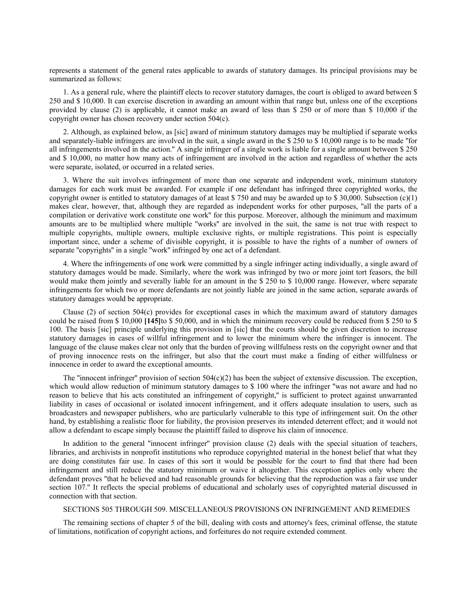represents a statement of the general rates applicable to awards of statutory damages. Its principal provisions may be summarized as follows:

1. As a general rule, where the plaintiff elects to recover statutory damages, the court is obliged to award between \$ 250 and \$ 10,000. It can exercise discretion in awarding an amount within that range but, unless one of the exceptions provided by clause (2) is applicable, it cannot make an award of less than \$ 250 or of more than \$ 10,000 if the copyright owner has chosen recovery under section 504(c).

2. Although, as explained below, as [sic] award of minimum statutory damages may be multiplied if separate works and separately-liable infringers are involved in the suit, a single award in the \$ 250 to \$ 10,000 range is to be made ''for all infringements involved in the action.'' A single infringer of a single work is liable for a single amount between \$ 250 and \$ 10,000, no matter how many acts of infringement are involved in the action and regardless of whether the acts were separate, isolated, or occurred in a related series.

3. Where the suit involves infringement of more than one separate and independent work, minimum statutory damages for each work must be awarded. For example if one defendant has infringed three copyrighted works, the copyright owner is entitled to statutory damages of at least \$750 and may be awarded up to \$30,000. Subsection  $(c)(1)$ makes clear, however, that, although they are regarded as independent works for other purposes, ''all the parts of a compilation or derivative work constitute one work'' for this purpose. Moreover, although the minimum and maximum amounts are to be multiplied where multiple ''works'' are involved in the suit, the same is not true with respect to multiple copyrights, multiple owners, multiple exclusive rights, or multiple registrations. This point is especially important since, under a scheme of divisible copyright, it is possible to have the rights of a number of owners of separate ''copyrights'' in a single ''work'' infringed by one act of a defendant.

4. Where the infringements of one work were committed by a single infringer acting individually, a single award of statutory damages would be made. Similarly, where the work was infringed by two or more joint tort feasors, the bill would make them jointly and severally liable for an amount in the \$ 250 to \$ 10,000 range. However, where separate infringements for which two or more defendants are not jointly liable are joined in the same action, separate awards of statutory damages would be appropriate.

Clause (2) of section 504(c) provides for exceptional cases in which the maximum award of statutory damages could be raised from \$ 10,000 **[145]**to \$ 50,000, and in which the minimum recovery could be reduced from \$ 250 to \$ 100. The basis [sic] principle underlying this provision in [sic] that the courts should be given discretion to increase statutory damages in cases of willful infringement and to lower the minimum where the infringer is innocent. The language of the clause makes clear not only that the burden of proving willfulness rests on the copyright owner and that of proving innocence rests on the infringer, but also that the court must make a finding of either willfulness or innocence in order to award the exceptional amounts.

The "innocent infringer" provision of section  $504(c)(2)$  has been the subject of extensive discussion. The exception, which would allow reduction of minimum statutory damages to \$100 where the infringer "was not aware and had no reason to believe that his acts constituted an infringement of copyright,'' is sufficient to protect against unwarranted liability in cases of occasional or isolated innocent infringement, and it offers adequate insulation to users, such as broadcasters and newspaper publishers, who are particularly vulnerable to this type of infringement suit. On the other hand, by establishing a realistic floor for liability, the provision preserves its intended deterrent effect; and it would not allow a defendant to escape simply because the plaintiff failed to disprove his claim of innocence.

In addition to the general ''innocent infringer'' provision clause (2) deals with the special situation of teachers, libraries, and archivists in nonprofit institutions who reproduce copyrighted material in the honest belief that what they are doing constitutes fair use. In cases of this sort it would be possible for the court to find that there had been infringement and still reduce the statutory minimum or waive it altogether. This exception applies only where the defendant proves ''that he believed and had reasonable grounds for believing that the reproduction was a fair use under section 107.'' It reflects the special problems of educational and scholarly uses of copyrighted material discussed in connection with that section.

## SECTIONS 505 THROUGH 509. MISCELLANEOUS PROVISIONS ON INFRINGEMENT AND REMEDIES

The remaining sections of chapter 5 of the bill, dealing with costs and attorney's fees, criminal offense, the statute of limitations, notification of copyright actions, and forfeitures do not require extended comment.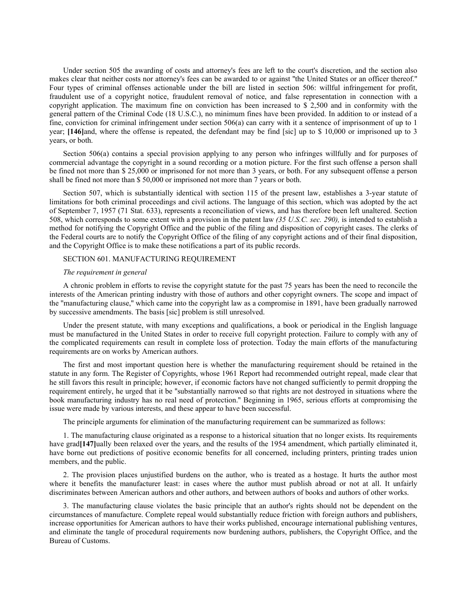Under section 505 the awarding of costs and attorney's fees are left to the court's discretion, and the section also makes clear that neither costs nor attorney's fees can be awarded to or against ''the United States or an officer thereof.'' Four types of criminal offenses actionable under the bill are listed in section 506: willful infringement for profit, fraudulent use of a copyright notice, fraudulent removal of notice, and false representation in connection with a copyright application. The maximum fine on conviction has been increased to \$ 2,500 and in conformity with the general pattern of the Criminal Code (18 U.S.C.), no minimum fines have been provided. In addition to or instead of a fine, conviction for criminal infringement under section 506(a) can carry with it a sentence of imprisonment of up to 1 year; **[146]**and, where the offense is repeated, the defendant may be find [sic] up to \$ 10,000 or imprisoned up to 3 years, or both.

Section 506(a) contains a special provision applying to any person who infringes willfully and for purposes of commercial advantage the copyright in a sound recording or a motion picture. For the first such offense a person shall be fined not more than \$ 25,000 or imprisoned for not more than 3 years, or both. For any subsequent offense a person shall be fined not more than \$ 50,000 or imprisoned not more than 7 years or both.

Section 507, which is substantially identical with section 115 of the present law, establishes a 3-year statute of limitations for both criminal proceedings and civil actions. The language of this section, which was adopted by the act of September 7, 1957 (71 Stat. 633), represents a reconciliation of views, and has therefore been left unaltered. Section 508, which corresponds to some extent with a provision in the patent law *(35 U.S.C. sec. 290),* is intended to establish a method for notifying the Copyright Office and the public of the filing and disposition of copyright cases. The clerks of the Federal courts are to notify the Copyright Office of the filing of any copyright actions and of their final disposition, and the Copyright Office is to make these notifications a part of its public records.

## SECTION 601. MANUFACTURING REQUIREMENT

### *The requirement in general*

A chronic problem in efforts to revise the copyright statute for the past 75 years has been the need to reconcile the interests of the American printing industry with those of authors and other copyright owners. The scope and impact of the ''manufacturing clause,'' which came into the copyright law as a compromise in 1891, have been gradually narrowed by successive amendments. The basis [sic] problem is still unresolved.

Under the present statute, with many exceptions and qualifications, a book or periodical in the English language must be manufactured in the United States in order to receive full copyright protection. Failure to comply with any of the complicated requirements can result in complete loss of protection. Today the main efforts of the manufacturing requirements are on works by American authors.

The first and most important question here is whether the manufacturing requirement should be retained in the statute in any form. The Register of Copyrights, whose 1961 Report had recommended outright repeal, made clear that he still favors this result in principle; however, if economic factors have not changed sufficiently to permit dropping the requirement entirely, he urged that it be ''substantially narrowed so that rights are not destroyed in situations where the book manufacturing industry has no real need of protection.'' Beginning in 1965, serious efforts at compromising the issue were made by various interests, and these appear to have been successful.

The principle arguments for elimination of the manufacturing requirement can be summarized as follows:

1. The manufacturing clause originated as a response to a historical situation that no longer exists. Its requirements have grad<sup>[147]</sup>ually been relaxed over the years, and the results of the 1954 amendment, which partially eliminated it, have borne out predictions of positive economic benefits for all concerned, including printers, printing trades union members, and the public.

2. The provision places unjustified burdens on the author, who is treated as a hostage. It hurts the author most where it benefits the manufacturer least: in cases where the author must publish abroad or not at all. It unfairly discriminates between American authors and other authors, and between authors of books and authors of other works.

3. The manufacturing clause violates the basic principle that an author's rights should not be dependent on the circumstances of manufacture. Complete repeal would substantially reduce friction with foreign authors and publishers, increase opportunities for American authors to have their works published, encourage international publishing ventures, and eliminate the tangle of procedural requirements now burdening authors, publishers, the Copyright Office, and the Bureau of Customs.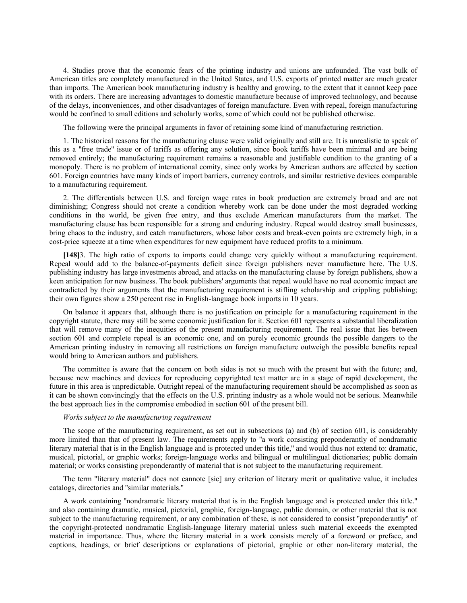4. Studies prove that the economic fears of the printing industry and unions are unfounded. The vast bulk of American titles are completely manufactured in the United States, and U.S. exports of printed matter are much greater than imports. The American book manufacturing industry is healthy and growing, to the extent that it cannot keep pace with its orders. There are increasing advantages to domestic manufacture because of improved technology, and because of the delays, inconveniences, and other disadvantages of foreign manufacture. Even with repeal, foreign manufacturing would be confined to small editions and scholarly works, some of which could not be published otherwise.

The following were the principal arguments in favor of retaining some kind of manufacturing restriction.

1. The historical reasons for the manufacturing clause were valid originally and still are. It is unrealistic to speak of this as a ''free trade'' issue or of tariffs as offering any solution, since book tariffs have been minimal and are being removed entirely; the manufacturing requirement remains a reasonable and justifiable condition to the granting of a monopoly. There is no problem of international comity, since only works by American authors are affected by section 601. Foreign countries have many kinds of import barriers, currency controls, and similar restrictive devices comparable to a manufacturing requirement.

2. The differentials between U.S. and foreign wage rates in book production are extremely broad and are not diminishing; Congress should not create a condition whereby work can be done under the most degraded working conditions in the world, be given free entry, and thus exclude American manufacturers from the market. The manufacturing clause has been responsible for a strong and enduring industry. Repeal would destroy small businesses, bring chaos to the industry, and catch manufacturers, whose labor costs and break-even points are extremely high, in a cost-price squeeze at a time when expenditures for new equipment have reduced profits to a minimum.

**[148]**3. The high ratio of exports to imports could change very quickly without a manufacturing requirement. Repeal would add to the balance-of-payments deficit since foreign publishers never manufacture here. The U.S. publishing industry has large investments abroad, and attacks on the manufacturing clause by foreign publishers, show a keen anticipation for new business. The book publishers' arguments that repeal would have no real economic impact are contradicted by their arguments that the manufacturing requirement is stifling scholarship and crippling publishing; their own figures show a 250 percent rise in English-language book imports in 10 years.

On balance it appears that, although there is no justification on principle for a manufacturing requirement in the copyright statute, there may still be some economic justification for it. Section 601 represents a substantial liberalization that will remove many of the inequities of the present manufacturing requirement. The real issue that lies between section 601 and complete repeal is an economic one, and on purely economic grounds the possible dangers to the American printing industry in removing all restrictions on foreign manufacture outweigh the possible benefits repeal would bring to American authors and publishers.

The committee is aware that the concern on both sides is not so much with the present but with the future; and, because new machines and devices for reproducing copyrighted text matter are in a stage of rapid development, the future in this area is unpredictable. Outright repeal of the manufacturing requirement should be accomplished as soon as it can be shown convincingly that the effects on the U.S. printing industry as a whole would not be serious. Meanwhile the best approach lies in the compromise embodied in section 601 of the present bill.

#### *Works subject to the manufacturing requirement*

The scope of the manufacturing requirement, as set out in subsections (a) and (b) of section 601, is considerably more limited than that of present law. The requirements apply to ''a work consisting preponderantly of nondramatic literary material that is in the English language and is protected under this title," and would thus not extend to: dramatic, musical, pictorial, or graphic works; foreign-language works and bilingual or multilingual dictionaries; public domain material; or works consisting preponderantly of material that is not subject to the manufacturing requirement.

The term ''literary material'' does not cannote [sic] any criterion of literary merit or qualitative value, it includes catalogs, directories and ''similar materials.''

A work containing ''nondramatic literary material that is in the English language and is protected under this title.'' and also containing dramatic, musical, pictorial, graphic, foreign-language, public domain, or other material that is not subject to the manufacturing requirement, or any combination of these, is not considered to consist ''preponderantly'' of the copyright-protected nondramatic English-language literary material unless such material exceeds the exempted material in importance. Thus, where the literary material in a work consists merely of a foreword or preface, and captions, headings, or brief descriptions or explanations of pictorial, graphic or other non-literary material, the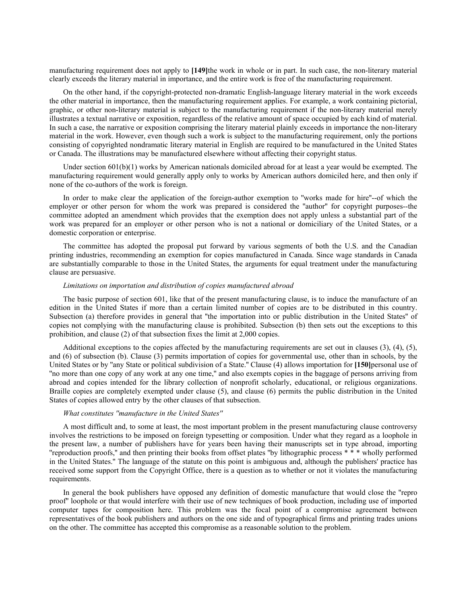manufacturing requirement does not apply to **[149]**the work in whole or in part. In such case, the non-literary material clearly exceeds the literary material in importance, and the entire work is free of the manufacturing requirement.

On the other hand, if the copyright-protected non-dramatic English-language literary material in the work exceeds the other material in importance, then the manufacturing requirement applies. For example, a work containing pictorial, graphic, or other non-literary material is subject to the manufacturing requirement if the non-literary material merely illustrates a textual narrative or exposition, regardless of the relative amount of space occupied by each kind of material. In such a case, the narrative or exposition comprising the literary material plainly exceeds in importance the non-literary material in the work. However, even though such a work is subject to the manufacturing requirement, only the portions consisting of copyrighted nondramatic literary material in English are required to be manufactured in the United States or Canada. The illustrations may be manufactured elsewhere without affecting their copyright status.

Under section 601(b)(1) works by American nationals domiciled abroad for at least a year would be exempted. The manufacturing requirement would generally apply only to works by American authors domiciled here, and then only if none of the co-authors of the work is foreign.

In order to make clear the application of the foreign-author exemption to ''works made for hire''--of which the employer or other person for whom the work was prepared is considered the ''author'' for copyright purposes--the committee adopted an amendment which provides that the exemption does not apply unless a substantial part of the work was prepared for an employer or other person who is not a national or domiciliary of the United States, or a domestic corporation or enterprise.

The committee has adopted the proposal put forward by various segments of both the U.S. and the Canadian printing industries, recommending an exemption for copies manufactured in Canada. Since wage standards in Canada are substantially comparable to those in the United States, the arguments for equal treatment under the manufacturing clause are persuasive.

### *Limitations on importation and distribution of copies manufactured abroad*

The basic purpose of section 601, like that of the present manufacturing clause, is to induce the manufacture of an edition in the United States if more than a certain limited number of copies are to be distributed in this country. Subsection (a) therefore provides in general that ''the importation into or public distribution in the United States'' of copies not complying with the manufacturing clause is prohibited. Subsection (b) then sets out the exceptions to this prohibition, and clause (2) of that subsection fixes the limit at 2,000 copies.

Additional exceptions to the copies affected by the manufacturing requirements are set out in clauses (3), (4), (5), and (6) of subsection (b). Clause (3) permits importation of copies for governmental use, other than in schools, by the United States or by ''any State or political subdivision of a State.'' Clause (4) allows importation for **[150]**personal use of ''no more than one copy of any work at any one time,'' and also exempts copies in the baggage of persons arriving from abroad and copies intended for the library collection of nonprofit scholarly, educational, or religious organizations. Braille copies are completely exempted under clause (5), and clause (6) permits the public distribution in the United States of copies allowed entry by the other clauses of that subsection.

### *What constitutes ''manufacture in the United States''*

A most difficult and, to some at least, the most important problem in the present manufacturing clause controversy involves the restrictions to be imposed on foreign typesetting or composition. Under what they regard as a loophole in the present law, a number of publishers have for years been having their manuscripts set in type abroad, importing ''reproduction proofs,'' and then printing their books from offset plates ''by lithographic process \* \* \* wholly performed in the United States.'' The language of the statute on this point is ambiguous and, although the publishers' practice has received some support from the Copyright Office, there is a question as to whether or not it violates the manufacturing requirements.

In general the book publishers have opposed any definition of domestic manufacture that would close the ''repro proof'' loophole or that would interfere with their use of new techniques of book production, including use of imported computer tapes for composition here. This problem was the focal point of a compromise agreement between representatives of the book publishers and authors on the one side and of typographical firms and printing trades unions on the other. The committee has accepted this compromise as a reasonable solution to the problem.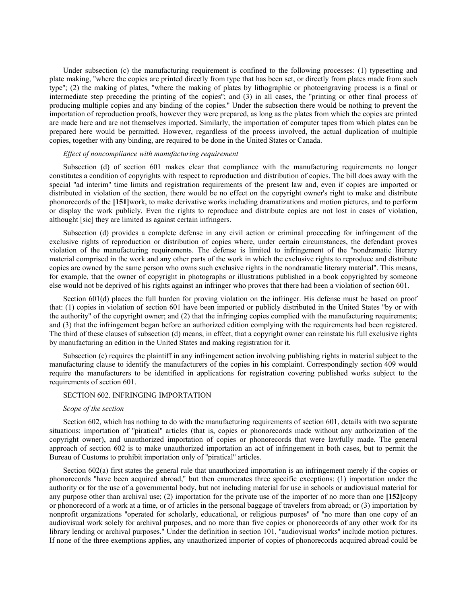Under subsection (c) the manufacturing requirement is confined to the following processes: (1) typesetting and plate making, ''where the copies are printed directly from type that has been set, or directly from plates made from such type''; (2) the making of plates, ''where the making of plates by lithographic or photoengraving process is a final or intermediate step preceding the printing of the copies''; and (3) in all cases, the ''printing or other final process of producing multiple copies and any binding of the copies.'' Under the subsection there would be nothing to prevent the importation of reproduction proofs, however they were prepared, as long as the plates from which the copies are printed are made here and are not themselves imported. Similarly, the importation of computer tapes from which plates can be prepared here would be permitted. However, regardless of the process involved, the actual duplication of multiple copies, together with any binding, are required to be done in the United States or Canada.

### *Effect of noncompliance with manufacturing requirement*

Subsection (d) of section 601 makes clear that compliance with the manufacturing requirements no longer constitutes a condition of copyrights with respect to reproduction and distribution of copies. The bill does away with the special "ad interim" time limits and registration requirements of the present law and, even if copies are imported or distributed in violation of the section, there would be no effect on the copyright owner's right to make and distribute phonorecords of the **[151]**work, to make derivative works including dramatizations and motion pictures, and to perform or display the work publicly. Even the rights to reproduce and distribute copies are not lost in cases of violation, althought [sic] they are limited as against certain infringers.

Subsection (d) provides a complete defense in any civil action or criminal proceeding for infringement of the exclusive rights of reproduction or distribution of copies where, under certain circumstances, the defendant proves violation of the manufacturing requirements. The defense is limited to infringement of the ''nondramatic literary material comprised in the work and any other parts of the work in which the exclusive rights to reproduce and distribute copies are owned by the same person who owns such exclusive rights in the nondramatic literary material''. This means, for example, that the owner of copyright in photographs or illustrations published in a book copyrighted by someone else would not be deprived of his rights against an infringer who proves that there had been a violation of section 601.

Section 601(d) places the full burden for proving violation on the infringer. His defense must be based on proof that: (1) copies in violation of section 601 have been imported or publicly distributed in the United States ''by or with the authority'' of the copyright owner; and (2) that the infringing copies complied with the manufacturing requirements; and (3) that the infringement began before an authorized edition complying with the requirements had been registered. The third of these clauses of subsection (d) means, in effect, that a copyright owner can reinstate his full exclusive rights by manufacturing an edition in the United States and making registration for it.

Subsection (e) requires the plaintiff in any infringement action involving publishing rights in material subject to the manufacturing clause to identify the manufacturers of the copies in his complaint. Correspondingly section 409 would require the manufacturers to be identified in applications for registration covering published works subject to the requirements of section 601.

### SECTION 602. INFRINGING IMPORTATION

### *Scope of the section*

Section 602, which has nothing to do with the manufacturing requirements of section 601, details with two separate situations: importation of ''piratical'' articles (that is, copies or phonorecords made without any authorization of the copyright owner), and unauthorized importation of copies or phonorecords that were lawfully made. The general approach of section 602 is to make unauthorized importation an act of infringement in both cases, but to permit the Bureau of Customs to prohibit importation only of ''piratical'' articles.

Section 602(a) first states the general rule that unauthorized importation is an infringement merely if the copies or phonorecords ''have been acquired abroad,'' but then enumerates three specific exceptions: (1) importation under the authority or for the use of a governmental body, but not including material for use in schools or audiovisual material for any purpose other than archival use; (2) importation for the private use of the importer of no more than one **[152]**copy or phonorecord of a work at a time, or of articles in the personal baggage of travelers from abroad; or (3) importation by nonprofit organizations ''operated for scholarly, educational, or religious purposes'' of ''no more than one copy of an audiovisual work solely for archival purposes, and no more than five copies or phonorecords of any other work for its library lending or archival purposes.'' Under the definition in section 101, ''audiovisual works'' include motion pictures. If none of the three exemptions applies, any unauthorized importer of copies of phonorecords acquired abroad could be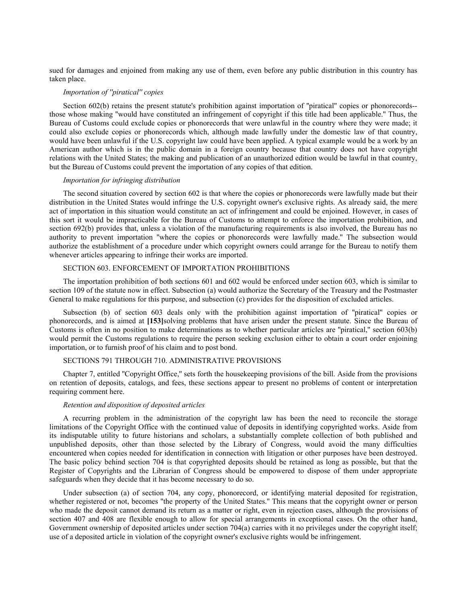sued for damages and enjoined from making any use of them, even before any public distribution in this country has taken place.

## *Importation of ''piratical'' copies*

Section 602(b) retains the present statute's prohibition against importation of "piratical" copies or phonorecords-those whose making ''would have constituted an infringement of copyright if this title had been applicable.'' Thus, the Bureau of Customs could exclude copies or phonorecords that were unlawful in the country where they were made; it could also exclude copies or phonorecords which, although made lawfully under the domestic law of that country, would have been unlawful if the U.S. copyright law could have been applied. A typical example would be a work by an American author which is in the public domain in a foreign country because that country does not have copyright relations with the United States; the making and publication of an unauthorized edition would be lawful in that country, but the Bureau of Customs could prevent the importation of any copies of that edition.

#### *Importation for infringing distribution*

The second situation covered by section 602 is that where the copies or phonorecords were lawfully made but their distribution in the United States would infringe the U.S. copyright owner's exclusive rights. As already said, the mere act of importation in this situation would constitute an act of infringement and could be enjoined. However, in cases of this sort it would be impracticable for the Bureau of Customs to attempt to enforce the importation prohibition, and section 692(b) provides that, unless a violation of the manufacturing requirements is also involved, the Bureau has no authority to prevent importation ''where the copies or phonorecords were lawfully made.'' The subsection would authorize the establishment of a procedure under which copyright owners could arrange for the Bureau to notify them whenever articles appearing to infringe their works are imported.

# SECTION 603. ENFORCEMENT OF IMPORTATION PROHIBITIONS

The importation prohibition of both sections 601 and 602 would be enforced under section 603, which is similar to section 109 of the statute now in effect. Subsection (a) would authorize the Secretary of the Treasury and the Postmaster General to make regulations for this purpose, and subsection (c) provides for the disposition of excluded articles.

Subsection (b) of section 603 deals only with the prohibition against importation of "piratical" copies or phonorecords, and is aimed at **[153]**solving problems that have arisen under the present statute. Since the Bureau of Customs is often in no position to make determinations as to whether particular articles are ''piratical,'' section 603(b) would permit the Customs regulations to require the person seeking exclusion either to obtain a court order enjoining importation, or to furnish proof of his claim and to post bond.

## SECTIONS 791 THROUGH 710. ADMINISTRATIVE PROVISIONS

Chapter 7, entitled ''Copyright Office,'' sets forth the housekeeping provisions of the bill. Aside from the provisions on retention of deposits, catalogs, and fees, these sections appear to present no problems of content or interpretation requiring comment here.

#### *Retention and disposition of deposited articles*

A recurring problem in the administration of the copyright law has been the need to reconcile the storage limitations of the Copyright Office with the continued value of deposits in identifying copyrighted works. Aside from its indisputable utility to future historians and scholars, a substantially complete collection of both published and unpublished deposits, other than those selected by the Library of Congress, would avoid the many difficulties encountered when copies needed for identification in connection with litigation or other purposes have been destroyed. The basic policy behind section 704 is that copyrighted deposits should be retained as long as possible, but that the Register of Copyrights and the Librarian of Congress should be empowered to dispose of them under appropriate safeguards when they decide that it has become necessary to do so.

Under subsection (a) of section 704, any copy, phonorecord, or identifying material deposited for registration, whether registered or not, becomes "the property of the United States." This means that the copyright owner or person who made the deposit cannot demand its return as a matter or right, even in rejection cases, although the provisions of section 407 and 408 are flexible enough to allow for special arrangements in exceptional cases. On the other hand, Government ownership of deposited articles under section 704(a) carries with it no privileges under the copyright itself; use of a deposited article in violation of the copyright owner's exclusive rights would be infringement.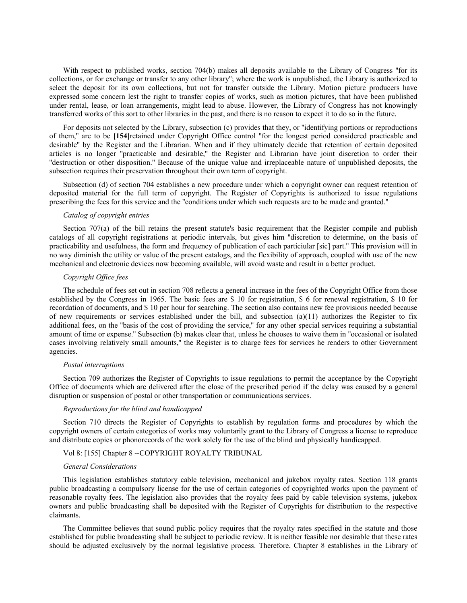With respect to published works, section 704(b) makes all deposits available to the Library of Congress "for its collections, or for exchange or transfer to any other library''; where the work is unpublished, the Library is authorized to select the deposit for its own collections, but not for transfer outside the Library. Motion picture producers have expressed some concern lest the right to transfer copies of works, such as motion pictures, that have been published under rental, lease, or loan arrangements, might lead to abuse. However, the Library of Congress has not knowingly transferred works of this sort to other libraries in the past, and there is no reason to expect it to do so in the future.

For deposits not selected by the Library, subsection (c) provides that they, or ''identifying portions or reproductions of them,'' are to be **[154]**retained under Copyright Office control ''for the longest period considered practicable and desirable'' by the Register and the Librarian. When and if they ultimately decide that retention of certain deposited articles is no longer ''practicable and desirable,'' the Register and Librarian have joint discretion to order their ''destruction or other disposition.'' Because of the unique value and irreplaceable nature of unpublished deposits, the subsection requires their preservation throughout their own term of copyright.

Subsection (d) of section 704 establishes a new procedure under which a copyright owner can request retention of deposited material for the full term of copyright. The Register of Copyrights is authorized to issue regulations prescribing the fees for this service and the ''conditions under which such requests are to be made and granted.''

### *Catalog of copyright entries*

Section 707(a) of the bill retains the present statute's basic requirement that the Register compile and publish catalogs of all copyright registrations at periodic intervals, but gives him ''discretion to determine, on the basis of practicability and usefulness, the form and frequency of publication of each particiular [sic] part.'' This provision will in no way diminish the utility or value of the present catalogs, and the flexibility of approach, coupled with use of the new mechanical and electronic devices now becoming available, will avoid waste and result in a better product.

## *Copyright Office fees*

The schedule of fees set out in section 708 reflects a general increase in the fees of the Copyright Office from those established by the Congress in 1965. The basic fees are \$ 10 for registration, \$ 6 for renewal registration, \$ 10 for recordation of documents, and \$ 10 per hour for searching. The section also contains new fee provisions needed because of new requirements or services established under the bill, and subsection  $(a)(11)$  authorizes the Register to fix additional fees, on the ''basis of the cost of providing the service,'' for any other special services requiring a substantial amount of time or expense.'' Subsection (b) makes clear that, unless he chooses to waive them in ''occasional or isolated cases involving relatively small amounts,'' the Register is to charge fees for services he renders to other Government agencies.

### *Postal interruptions*

Section 709 authorizes the Register of Copyrights to issue regulations to permit the acceptance by the Copyright Office of documents which are delivered after the close of the prescribed period if the delay was caused by a general disruption or suspension of postal or other transportation or communications services.

### *Reproductions for the blind and handicapped*

Section 710 directs the Register of Copyrights to establish by regulation forms and procedures by which the copyright owners of certain categories of works may voluntarily grant to the Library of Congress a license to reproduce and distribute copies or phonorecords of the work solely for the use of the blind and physically handicapped.

# Vol 8: [155] Chapter 8 --COPYRIGHT ROYALTY TRIBUNAL

### *General Considerations*

This legislation establishes statutory cable television, mechanical and jukebox royalty rates. Section 118 grants public broadcasting a compulsory license for the use of certain categories of copyrighted works upon the payment of reasonable royalty fees. The legislation also provides that the royalty fees paid by cable television systems, jukebox owners and public broadcasting shall be deposited with the Register of Copyrights for distribution to the respective claimants.

The Committee believes that sound public policy requires that the royalty rates specified in the statute and those established for public broadcasting shall be subject to periodic review. It is neither feasible nor desirable that these rates should be adjusted exclusively by the normal legislative process. Therefore, Chapter 8 establishes in the Library of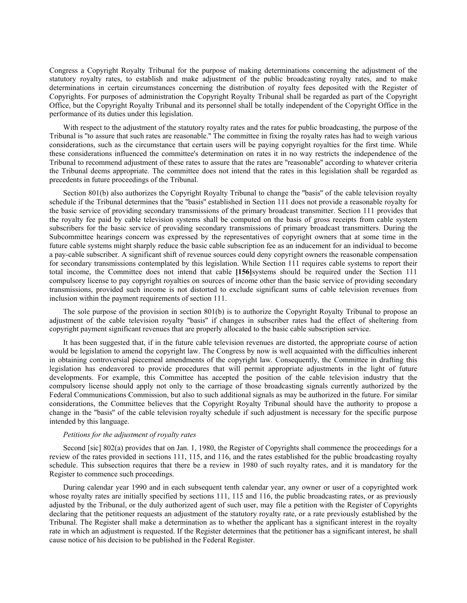Congress a Copyright Royalty Tribunal for the purpose of making determinations concerning the adjustment of the statutory royalty rates, to establish and make adjustment of the public broadcasting royalty rates, and to make determinations in certain circumstances concerning the distribution of royalty fees deposited with the Register of Copyrights. For purposes of administration the Copyright Royalty Tribunal shall be regarded as part of the Copyright Office, but the Copyright Royalty Tribunal and its personnel shall be totally independent of the Copyright Office in the performance of its duties under this legislation.

With respect to the adjustment of the statutory royalty rates and the rates for public broadcasting, the purpose of the Tribunal is ''to assure that such rates are reasonable.'' The committee in fixing the royalty rates has had to weigh various considerations, such as the circumstance that certain users will be paying copyright royalties for the first time. While these considerations influenced the committee's determination on rates it in no way restricts the independence of the Tribunal to recommend adjustment of these rates to assure that the rates are ''reasonable'' according to whatever criteria the Tribunal deems appropriate. The committee does not intend that the rates in this legislation shall be regarded as precedents in future proceedings of the Tribunal.

Section 801(b) also authorizes the Copyright Royalty Tribunal to change the "basis" of the cable television royalty schedule if the Tribunal determines that the ''basis'' established in Section 111 does not provide a reasonable royalty for the basic service of providing secondary transmissions of the primary broadcast transmitter. Section 111 provides that the royalty fee paid by cable television systems shall be computed on the basis of gross receipts from cable system subscribers for the basic service of providing secondary transmissions of primary broadcast transmitters. During the Subcommittee hearings concern was expressed by the representatives of copyright owners that at some time in the future cable systems might sharply reduce the basic cable subscription fee as an inducement for an individual to become a pay-cable subscriber. A significant shift of revenue sources could deny copyright owners the reasonable compensation for secondary transmissions contemplated by this legislation. While Section 111 requires cable systems to report their total income, the Committee does not intend that cable **[156]**systems should be required under the Section 111 compulsory license to pay copyright royalties on sources of income other than the basic service of providing secondary transmissions, provided such income is not distorted to exclude significant sums of cable television revenues from inclusion within the payment requirements of section 111.

The sole purpose of the provision in section 801(b) is to authorize the Copyright Royalty Tribunal to propose an adjustment of the cable television royalty ''basis'' if changes in subscriber rates had the effect of sheltering from copyright payment significant revenues that are properly allocated to the basic cable subscription service.

It has been suggested that, if in the future cable television revenues are distorted, the appropriate course of action would be legislation to amend the copyright law. The Congress by now is well acquainted with the difficulties inherent in obtaining controversial piecemeal amendments of the copyright law. Consequently, the Committee in drafting this legislation has endeavored to provide procedures that will permit appropriate adjustments in the light of future developments. For example, this Committee has accepted the position of the cable television industry that the compulsory license should apply not only to the carriage of those broadcasting signals currently authorized by the Federal Communications Commission, but also to such additional signals as may be authorized in the future. For similar considerations, the Committee believes that the Copyright Royalty Tribunal should have the authority to propose a change in the ''basis'' of the cable television royalty schedule if such adjustment is necessary for the specific purpose intended by this language.

## *Petitions for the adjustment of royalty rates*

Second [sic] 802(a) provides that on Jan. 1, 1980, the Register of Copyrights shall commence the proceedings for a review of the rates provided in sections 111, 115, and 116, and the rates established for the public broadcasting royalty schedule. This subsection requires that there be a review in 1980 of such royalty rates, and it is mandatory for the Register to commence such proceedings.

During calendar year 1990 and in each subsequent tenth calendar year, any owner or user of a copyrighted work whose royalty rates are initially specified by sections 111, 115 and 116, the public broadcasting rates, or as previously adjusted by the Tribunal, or the duly authorized agent of such user, may file a petition with the Register of Copyrights declaring that the petitioner requests an adjustment of the statutory royalty rate, or a rate previously established by the Tribunal. The Register shall make a determination as to whether the applicant has a significant interest in the royalty rate in which an adjustment is requested. If the Register determines that the petitioner has a significant interest, he shall cause notice of his decision to be published in the Federal Register.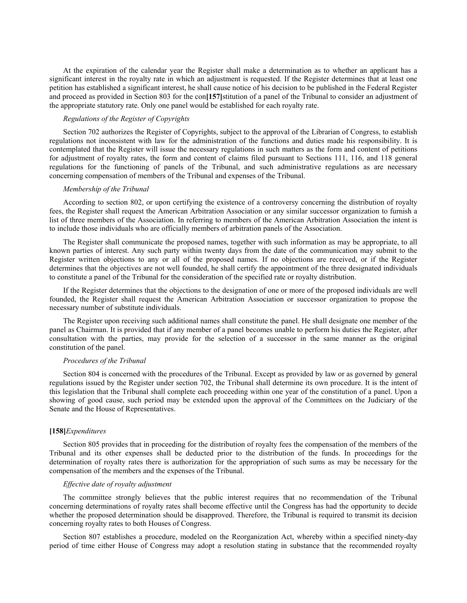At the expiration of the calendar year the Register shall make a determination as to whether an applicant has a significant interest in the royalty rate in which an adjustment is requested. If the Register determines that at least one petition has established a significant interest, he shall cause notice of his decision to be published in the Federal Register and proceed as provided in Section 803 for the con**[157]**stitution of a panel of the Tribunal to consider an adjustment of the appropriate statutory rate. Only one panel would be established for each royalty rate.

## *Regulations of the Register of Copyrights*

Section 702 authorizes the Register of Copyrights, subject to the approval of the Librarian of Congress, to establish regulations not inconsistent with law for the administration of the functions and duties made his responsibility. It is contemplated that the Register will issue the necessary regulations in such matters as the form and content of petitions for adjustment of royalty rates, the form and content of claims filed pursuant to Sections 111, 116, and 118 general regulations for the functioning of panels of the Tribunal, and such administrative regulations as are necessary concerning compensation of members of the Tribunal and expenses of the Tribunal.

# *Membership of the Tribunal*

According to section 802, or upon certifying the existence of a controversy concerning the distribution of royalty fees, the Register shall request the American Arbitration Association or any similar successor organization to furnish a list of three members of the Association. In referring to members of the American Arbitration Association the intent is to include those individuals who are officially members of arbitration panels of the Association.

The Register shall communicate the proposed names, together with such information as may be appropriate, to all known parties of interest. Any such party within twenty days from the date of the communication may submit to the Register written objections to any or all of the proposed names. If no objections are received, or if the Register determines that the objectives are not well founded, he shall certify the appointment of the three designated individuals to constitute a panel of the Tribunal for the consideration of the specified rate or royalty distribution.

If the Register determines that the objections to the designation of one or more of the proposed individuals are well founded, the Register shall request the American Arbitration Association or successor organization to propose the necessary number of substitute individuals.

The Register upon receiving such additional names shall constitute the panel. He shall designate one member of the panel as Chairman. It is provided that if any member of a panel becomes unable to perform his duties the Register, after consultation with the parties, may provide for the selection of a successor in the same manner as the original constitution of the panel.

# *Procedures of the Tribunal*

Section 804 is concerned with the procedures of the Tribunal. Except as provided by law or as governed by general regulations issued by the Register under section 702, the Tribunal shall determine its own procedure. It is the intent of this legislation that the Tribunal shall complete each proceeding within one year of the constitution of a panel. Upon a showing of good cause, such period may be extended upon the approval of the Committees on the Judiciary of the Senate and the House of Representatives.

## **[158]***Expenditures*

Section 805 provides that in proceeding for the distribution of royalty fees the compensation of the members of the Tribunal and its other expenses shall be deducted prior to the distribution of the funds. In proceedings for the determination of royalty rates there is authorization for the appropriation of such sums as may be necessary for the compensation of the members and the expenses of the Tribunal.

#### *Effective date of royalty adjustment*

The committee strongly believes that the public interest requires that no recommendation of the Tribunal concerning determinations of royalty rates shall become effective until the Congress has had the opportunity to decide whether the proposed determination should be disapproved. Therefore, the Tribunal is required to transmit its decision concerning royalty rates to both Houses of Congress.

Section 807 establishes a procedure, modeled on the Reorganization Act, whereby within a specified ninety-day period of time either House of Congress may adopt a resolution stating in substance that the recommended royalty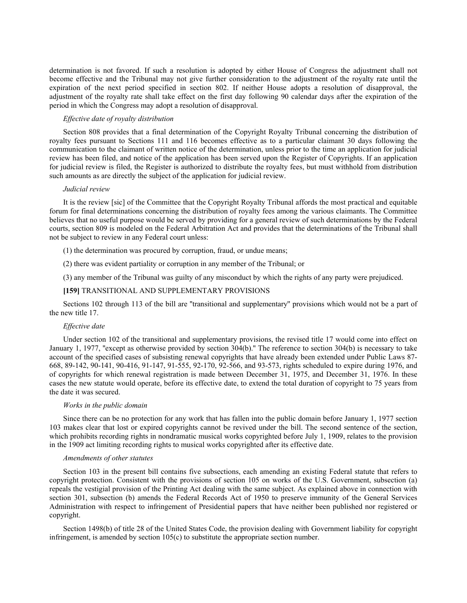determination is not favored. If such a resolution is adopted by either House of Congress the adjustment shall not become effective and the Tribunal may not give further consideration to the adjustment of the royalty rate until the expiration of the next period specified in section 802. If neither House adopts a resolution of disapproval, the adjustment of the royalty rate shall take effect on the first day following 90 calendar days after the expiration of the period in which the Congress may adopt a resolution of disapproval.

## *Effective date of royalty distribution*

Section 808 provides that a final determination of the Copyright Royalty Tribunal concerning the distribution of royalty fees pursuant to Sections 111 and 116 becomes effective as to a particular claimant 30 days following the communication to the claimant of written notice of the determination, unless prior to the time an application for judicial review has been filed, and notice of the application has been served upon the Register of Copyrights. If an application for judicial review is filed, the Register is authorized to distribute the royalty fees, but must withhold from distribution such amounts as are directly the subject of the application for judicial review.

### *Judicial review*

It is the review [sic] of the Committee that the Copyright Royalty Tribunal affords the most practical and equitable forum for final determinations concerning the distribution of royalty fees among the various claimants. The Committee believes that no useful purpose would be served by providing for a general review of such determinations by the Federal courts, section 809 is modeled on the Federal Arbitration Act and provides that the determinations of the Tribunal shall not be subject to review in any Federal court unless:

(1) the determination was procured by corruption, fraud, or undue means;

(2) there was evident partiality or corruption in any member of the Tribunal; or

(3) any member of the Tribunal was guilty of any misconduct by which the rights of any party were prejudiced.

## **[159]** TRANSITIONAL AND SUPPLEMENTARY PROVISIONS

Sections 102 through 113 of the bill are ''transitional and supplementary'' provisions which would not be a part of the new title 17.

## *Effective date*

Under section 102 of the transitional and supplementary provisions, the revised title 17 would come into effect on January 1, 1977, "except as otherwise provided by section 304(b)." The reference to section 304(b) is necessary to take account of the specified cases of subsisting renewal copyrights that have already been extended under Public Laws 87- 668, 89-142, 90-141, 90-416, 91-147, 91-555, 92-170, 92-566, and 93-573, rights scheduled to expire during 1976, and of copyrights for which renewal registration is made between December 31, 1975, and December 31, 1976. In these cases the new statute would operate, before its effective date, to extend the total duration of copyright to 75 years from the date it was secured.

### *Works in the public domain*

Since there can be no protection for any work that has fallen into the public domain before January 1, 1977 section 103 makes clear that lost or expired copyrights cannot be revived under the bill. The second sentence of the section, which prohibits recording rights in nondramatic musical works copyrighted before July 1, 1909, relates to the provision in the 1909 act limiting recording rights to musical works copyrighted after its effective date.

### *Amendments of other statutes*

Section 103 in the present bill contains five subsections, each amending an existing Federal statute that refers to copyright protection. Consistent with the provisions of section 105 on works of the U.S. Government, subsection (a) repeals the vestigial provision of the Printing Act dealing with the same subject. As explained above in connection with section 301, subsection (b) amends the Federal Records Act of 1950 to preserve immunity of the General Services Administration with respect to infringement of Presidential papers that have neither been published nor registered or copyright.

Section 1498(b) of title 28 of the United States Code, the provision dealing with Government liability for copyright infringement, is amended by section 105(c) to substitute the appropriate section number.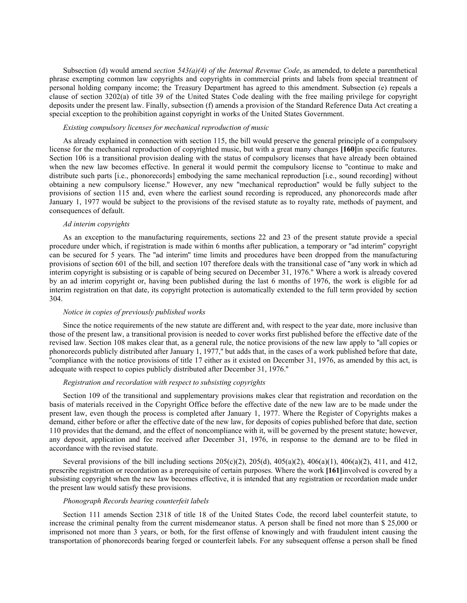Subsection (d) would amend *section 543(a)(4) of the Internal Revenue Code*, as amended, to delete a parenthetical phrase exempting common law copyrights and copyrights in commercial prints and labels from special treatment of personal holding company income; the Treasury Department has agreed to this amendment. Subsection (e) repeals a clause of section 3202(a) of title 39 of the United States Code dealing with the free mailing privilege for copyright deposits under the present law. Finally, subsection (f) amends a provision of the Standard Reference Data Act creating a special exception to the prohibition against copyright in works of the United States Government.

## *Existing compulsory licenses for mechanical reproduction of music*

As already explained in connection with section 115, the bill would preserve the general principle of a compulsory license for the mechanical reproduction of copyrighted music, but with a great many changes **[160]**in specific features. Section 106 is a transitional provision dealing with the status of compulsory licenses that have already been obtained when the new law becomes effective. In general it would permit the compulsory license to ''continue to make and distribute such parts [i.e., phonorecords] embodying the same mechanical reproduction [i.e., sound recording] without obtaining a new compulsory license.'' However, any new ''mechanical reproduction'' would be fully subject to the provisions of section 115 and, even where the earliest sound recording is reproduced, any phonorecords made after January 1, 1977 would be subject to the provisions of the revised statute as to royalty rate, methods of payment, and consequences of default.

# *Ad interim copyrights*

As an exception to the manufacturing requirements, sections 22 and 23 of the present statute provide a special procedure under which, if registration is made within 6 months after publication, a temporary or ''ad interim'' copyright can be secured for 5 years. The ''ad interim'' time limits and procedures have been dropped from the manufacturing provisions of section 601 of the bill, and section 107 therefore deals with the transitional case of ''any work in which ad interim copyright is subsisting or is capable of being secured on December 31, 1976.'' Where a work is already covered by an ad interim copyright or, having been published during the last 6 months of 1976, the work is eligible for ad interim registration on that date, its copyright protection is automatically extended to the full term provided by section 304.

### *Notice in copies of previously published works*

Since the notice requirements of the new statute are different and, with respect to the year date, more inclusive than those of the present law, a transitional provision is needed to cover works first published before the effective date of the revised law. Section 108 makes clear that, as a general rule, the notice provisions of the new law apply to ''all copies or phonorecords publicly distributed after January 1, 1977,'' but adds that, in the cases of a work published before that date, ''compliance with the notice provisions of title 17 either as it existed on December 31, 1976, as amended by this act, is adequate with respect to copies publicly distributed after December 31, 1976.''

# *Registration and recordation with respect to subsisting copyrights*

Section 109 of the transitional and supplementary provisions makes clear that registration and recordation on the basis of materials received in the Copyright Office before the effective date of the new law are to be made under the present law, even though the process is completed after January 1, 1977. Where the Register of Copyrights makes a demand, either before or after the effective date of the new law, for deposits of copies published before that date, section 110 provides that the demand, and the effect of noncompliance with it, will be governed by the present statute; however, any deposit, application and fee received after December 31, 1976, in response to the demand are to be filed in accordance with the revised statute.

Several provisions of the bill including sections  $205(c)(2)$ ,  $205(d)$ ,  $405(a)(2)$ ,  $406(a)(1)$ ,  $406(a)(2)$ ,  $411$ , and  $412$ , prescribe registration or recordation as a prerequisite of certain purposes. Where the work **[161]**involved is covered by a subsisting copyright when the new law becomes effective, it is intended that any registration or recordation made under the present law would satisfy these provisions.

#### *Phonograph Records bearing counterfeit labels*

Section 111 amends Section 2318 of title 18 of the United States Code, the record label counterfeit statute, to increase the criminal penalty from the current misdemeanor status. A person shall be fined not more than \$ 25,000 or imprisoned not more than 3 years, or both, for the first offense of knowingly and with fraudulent intent causing the transportation of phonorecords bearing forged or counterfeit labels. For any subsequent offense a person shall be fined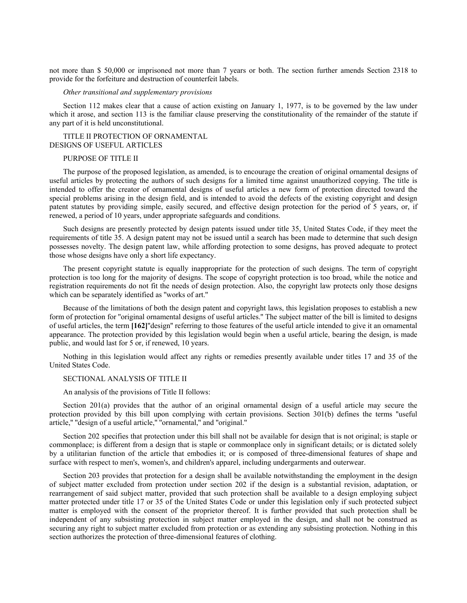not more than \$ 50,000 or imprisoned not more than 7 years or both. The section further amends Section 2318 to provide for the forfeiture and destruction of counterfeit labels.

### *Other transitional and supplementary provisions*

Section 112 makes clear that a cause of action existing on January 1, 1977, is to be governed by the law under which it arose, and section 113 is the familiar clause preserving the constitutionality of the remainder of the statute if any part of it is held unconstitutional.

# TITLE II PROTECTION OF ORNAMENTAL DESIGNS OF USEFUL ARTICLES

### PURPOSE OF TITLE II

The purpose of the proposed legislation, as amended, is to encourage the creation of original ornamental designs of useful articles by protecting the authors of such designs for a limited time against unauthorized copying. The title is intended to offer the creator of ornamental designs of useful articles a new form of protection directed toward the special problems arising in the design field, and is intended to avoid the defects of the existing copyright and design patent statutes by providing simple, easily secured, and effective design protection for the period of 5 years, or, if renewed, a period of 10 years, under appropriate safeguards and conditions.

Such designs are presently protected by design patents issued under title 35, United States Code, if they meet the requirements of title 35. A design patent may not be issued until a search has been made to determine that such design possesses novelty. The design patent law, while affording protection to some designs, has proved adequate to protect those whose designs have only a short life expectancy.

The present copyright statute is equally inappropriate for the protection of such designs. The term of copyright protection is too long for the majority of designs. The scope of copyright protection is too broad, while the notice and registration requirements do not fit the needs of design protection. Also, the copyright law protects only those designs which can be separately identified as ''works of art.''

Because of the limitations of both the design patent and copyright laws, this legislation proposes to establish a new form of protection for ''original ornamental designs of useful articles.'' The subject matter of the bill is limited to designs of useful articles, the term **[162]**''design'' referring to those features of the useful article intended to give it an ornamental appearance. The protection provided by this legislation would begin when a useful article, bearing the design, is made public, and would last for 5 or, if renewed, 10 years.

Nothing in this legislation would affect any rights or remedies presently available under titles 17 and 35 of the United States Code.

## SECTIONAL ANALYSIS OF TITLE II

An analysis of the provisions of Title II follows:

Section 201(a) provides that the author of an original ornamental design of a useful article may secure the protection provided by this bill upon complying with certain provisions. Section 301(b) defines the terms ''useful article,'' ''design of a useful article,'' ''ornamental,'' and ''original.''

Section 202 specifies that protection under this bill shall not be available for design that is not original; is staple or commonplace; is different from a design that is staple or commonplace only in significant details; or is dictated solely by a utilitarian function of the article that embodies it; or is composed of three-dimensional features of shape and surface with respect to men's, women's, and children's apparel, including undergarments and outerwear.

Section 203 provides that protection for a design shall be available notwithstanding the employment in the design of subject matter excluded from protection under section 202 if the design is a substantial revision, adaptation, or rearrangement of said subject matter, provided that such protection shall be available to a design employing subject matter protected under title 17 or 35 of the United States Code or under this legislation only if such protected subject matter is employed with the consent of the proprietor thereof. It is further provided that such protection shall be independent of any subsisting protection in subject matter employed in the design, and shall not be construed as securing any right to subject matter excluded from protection or as extending any subsisting protection. Nothing in this section authorizes the protection of three-dimensional features of clothing.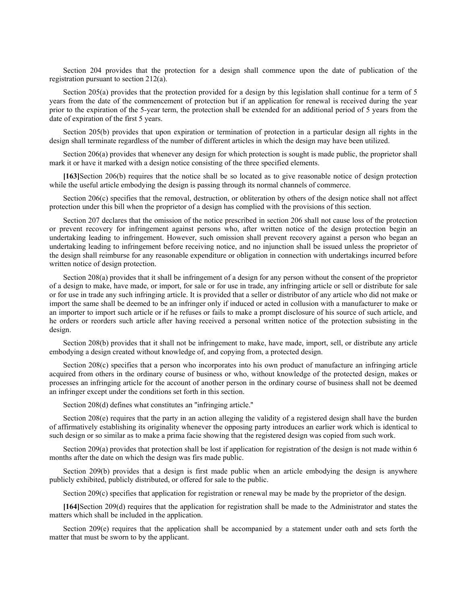Section 204 provides that the protection for a design shall commence upon the date of publication of the registration pursuant to section 212(a).

Section 205(a) provides that the protection provided for a design by this legislation shall continue for a term of 5 years from the date of the commencement of protection but if an application for renewal is received during the year prior to the expiration of the 5-year term, the protection shall be extended for an additional period of 5 years from the date of expiration of the first 5 years.

Section 205(b) provides that upon expiration or termination of protection in a particular design all rights in the design shall terminate regardless of the number of different articles in which the design may have been utilized.

Section 206(a) provides that whenever any design for which protection is sought is made public, the proprietor shall mark it or have it marked with a design notice consisting of the three specified elements.

**[163]**Section 206(b) requires that the notice shall be so located as to give reasonable notice of design protection while the useful article embodying the design is passing through its normal channels of commerce.

Section 206(c) specifies that the removal, destruction, or obliteration by others of the design notice shall not affect protection under this bill when the proprietor of a design has complied with the provisions of this section.

Section 207 declares that the omission of the notice prescribed in section 206 shall not cause loss of the protection or prevent recovery for infringement against persons who, after written notice of the design protection begin an undertaking leading to infringement. However, such omission shall prevent recovery against a person who began an undertaking leading to infringement before receiving notice, and no injunction shall be issued unless the proprietor of the design shall reimburse for any reasonable expenditure or obligation in connection with undertakings incurred before written notice of design protection.

Section 208(a) provides that it shall be infringement of a design for any person without the consent of the proprietor of a design to make, have made, or import, for sale or for use in trade, any infringing article or sell or distribute for sale or for use in trade any such infringing article. It is provided that a seller or distributor of any article who did not make or import the same shall be deemed to be an infringer only if induced or acted in collusion with a manufacturer to make or an importer to import such article or if he refuses or fails to make a prompt disclosure of his source of such article, and he orders or reorders such article after having received a personal written notice of the protection subsisting in the design.

Section 208(b) provides that it shall not be infringement to make, have made, import, sell, or distribute any article embodying a design created without knowledge of, and copying from, a protected design.

Section 208(c) specifies that a person who incorporates into his own product of manufacture an infringing article acquired from others in the ordinary course of business or who, without knowledge of the protected design, makes or processes an infringing article for the account of another person in the ordinary course of business shall not be deemed an infringer except under the conditions set forth in this section.

Section 208(d) defines what constitutes an ''infringing article.''

Section 208(e) requires that the party in an action alleging the validity of a registered design shall have the burden of affirmatively establishing its originality whenever the opposing party introduces an earlier work which is identical to such design or so similar as to make a prima facie showing that the registered design was copied from such work.

Section 209(a) provides that protection shall be lost if application for registration of the design is not made within 6 months after the date on which the design was firs made public.

Section 209(b) provides that a design is first made public when an article embodying the design is anywhere publicly exhibited, publicly distributed, or offered for sale to the public.

Section 209(c) specifies that application for registration or renewal may be made by the proprietor of the design.

**[164]**Section 209(d) requires that the application for registration shall be made to the Administrator and states the matters which shall be included in the application.

Section 209(e) requires that the application shall be accompanied by a statement under oath and sets forth the matter that must be sworn to by the applicant.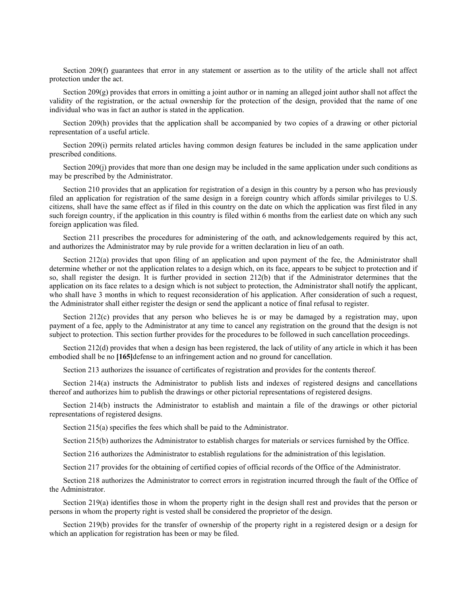Section 209(f) guarantees that error in any statement or assertion as to the utility of the article shall not affect protection under the act.

Section 209(g) provides that errors in omitting a joint author or in naming an alleged joint author shall not affect the validity of the registration, or the actual ownership for the protection of the design, provided that the name of one individual who was in fact an author is stated in the application.

Section 209(h) provides that the application shall be accompanied by two copies of a drawing or other pictorial representation of a useful article.

Section 209(i) permits related articles having common design features be included in the same application under prescribed conditions.

Section 209(j) provides that more than one design may be included in the same application under such conditions as may be prescribed by the Administrator.

Section 210 provides that an application for registration of a design in this country by a person who has previously filed an application for registration of the same design in a foreign country which affords similar privileges to U.S. citizens, shall have the same effect as if filed in this country on the date on which the application was first filed in any such foreign country, if the application in this country is filed within 6 months from the earliest date on which any such foreign application was filed.

Section 211 prescribes the procedures for administering of the oath, and acknowledgements required by this act, and authorizes the Administrator may by rule provide for a written declaration in lieu of an oath.

Section 212(a) provides that upon filing of an application and upon payment of the fee, the Administrator shall determine whether or not the application relates to a design which, on its face, appears to be subject to protection and if so, shall register the design. It is further provided in section 212(b) that if the Administrator determines that the application on its face relates to a design which is not subject to protection, the Administrator shall notify the applicant, who shall have 3 months in which to request reconsideration of his application. After consideration of such a request, the Administrator shall either register the design or send the applicant a notice of final refusal to register.

Section 212(c) provides that any person who believes he is or may be damaged by a registration may, upon payment of a fee, apply to the Administrator at any time to cancel any registration on the ground that the design is not subject to protection. This section further provides for the procedures to be followed in such cancellation proceedings.

Section 212(d) provides that when a design has been registered, the lack of utility of any article in which it has been embodied shall be no **[165]**defense to an infringement action and no ground for cancellation.

Section 213 authorizes the issuance of certificates of registration and provides for the contents thereof.

Section 214(a) instructs the Administrator to publish lists and indexes of registered designs and cancellations thereof and authorizes him to publish the drawings or other pictorial representations of registered designs.

Section 214(b) instructs the Administrator to establish and maintain a file of the drawings or other pictorial representations of registered designs.

Section 215(a) specifies the fees which shall be paid to the Administrator.

Section 215(b) authorizes the Administrator to establish charges for materials or services furnished by the Office.

Section 216 authorizes the Administrator to establish regulations for the administration of this legislation.

Section 217 provides for the obtaining of certified copies of official records of the Office of the Administrator.

Section 218 authorizes the Administrator to correct errors in registration incurred through the fault of the Office of the Administrator.

Section 219(a) identifies those in whom the property right in the design shall rest and provides that the person or persons in whom the property right is vested shall be considered the proprietor of the design.

Section 219(b) provides for the transfer of ownership of the property right in a registered design or a design for which an application for registration has been or may be filed.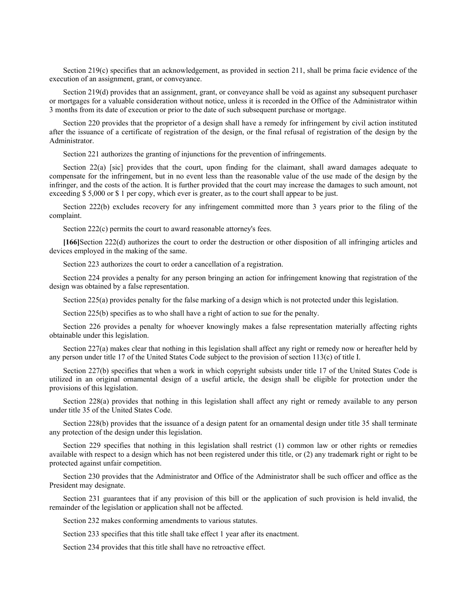Section 219(c) specifies that an acknowledgement, as provided in section 211, shall be prima facie evidence of the execution of an assignment, grant, or conveyance.

Section 219(d) provides that an assignment, grant, or conveyance shall be void as against any subsequent purchaser or mortgages for a valuable consideration without notice, unless it is recorded in the Office of the Administrator within 3 months from its date of execution or prior to the date of such subsequent purchase or mortgage.

Section 220 provides that the proprietor of a design shall have a remedy for infringement by civil action instituted after the issuance of a certificate of registration of the design, or the final refusal of registration of the design by the Administrator.

Section 221 authorizes the granting of injunctions for the prevention of infringements.

Section 22(a) [sic] provides that the court, upon finding for the claimant, shall award damages adequate to compensate for the infringement, but in no event less than the reasonable value of the use made of the design by the infringer, and the costs of the action. It is further provided that the court may increase the damages to such amount, not exceeding \$ 5,000 or \$ 1 per copy, which ever is greater, as to the court shall appear to be just.

Section 222(b) excludes recovery for any infringement committed more than 3 years prior to the filing of the complaint.

Section 222(c) permits the court to award reasonable attorney's fees.

**[166]**Section 222(d) authorizes the court to order the destruction or other disposition of all infringing articles and devices employed in the making of the same.

Section 223 authorizes the court to order a cancellation of a registration.

Section 224 provides a penalty for any person bringing an action for infringement knowing that registration of the design was obtained by a false representation.

Section 225(a) provides penalty for the false marking of a design which is not protected under this legislation.

Section 225(b) specifies as to who shall have a right of action to sue for the penalty.

Section 226 provides a penalty for whoever knowingly makes a false representation materially affecting rights obtainable under this legislation.

Section 227(a) makes clear that nothing in this legislation shall affect any right or remedy now or hereafter held by any person under title 17 of the United States Code subject to the provision of section 113(c) of title I.

Section 227(b) specifies that when a work in which copyright subsists under title 17 of the United States Code is utilized in an original ornamental design of a useful article, the design shall be eligible for protection under the provisions of this legislation.

Section 228(a) provides that nothing in this legislation shall affect any right or remedy available to any person under title 35 of the United States Code.

Section 228(b) provides that the issuance of a design patent for an ornamental design under title 35 shall terminate any protection of the design under this legislation.

Section 229 specifies that nothing in this legislation shall restrict (1) common law or other rights or remedies available with respect to a design which has not been registered under this title, or (2) any trademark right or right to be protected against unfair competition.

Section 230 provides that the Administrator and Office of the Administrator shall be such officer and office as the President may designate.

Section 231 guarantees that if any provision of this bill or the application of such provision is held invalid, the remainder of the legislation or application shall not be affected.

Section 232 makes conforming amendments to various statutes.

Section 233 specifies that this title shall take effect 1 year after its enactment.

Section 234 provides that this title shall have no retroactive effect.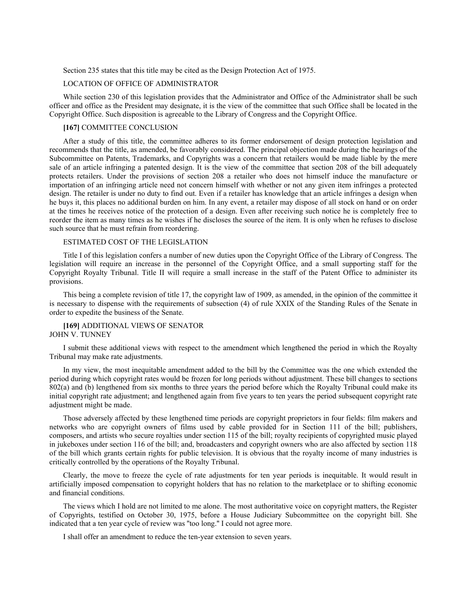Section 235 states that this title may be cited as the Design Protection Act of 1975.

## LOCATION OF OFFICE OF ADMINISTRATOR

While section 230 of this legislation provides that the Administrator and Office of the Administrator shall be such officer and office as the President may designate, it is the view of the committee that such Office shall be located in the Copyright Office. Such disposition is agreeable to the Library of Congress and the Copyright Office.

# **[167]** COMMITTEE CONCLUSION

After a study of this title, the committee adheres to its former endorsement of design protection legislation and recommends that the title, as amended, be favorably considered. The principal objection made during the hearings of the Subcommittee on Patents, Trademarks, and Copyrights was a concern that retailers would be made liable by the mere sale of an article infringing a patented design. It is the view of the committee that section 208 of the bill adequately protects retailers. Under the provisions of section 208 a retailer who does not himself induce the manufacture or importation of an infringing article need not concern himself with whether or not any given item infringes a protected design. The retailer is under no duty to find out. Even if a retailer has knowledge that an article infringes a design when he buys it, this places no additional burden on him. In any event, a retailer may dispose of all stock on hand or on order at the times he receives notice of the protection of a design. Even after receiving such notice he is completely free to reorder the item as many times as he wishes if he discloses the source of the item. It is only when he refuses to disclose such source that he must refrain from reordering.

# ESTIMATED COST OF THE LEGISLATION

Title I of this legislation confers a number of new duties upon the Copyright Office of the Library of Congress. The legislation will require an increase in the personnel of the Copyright Office, and a small supporting staff for the Copyright Royalty Tribunal. Title II will require a small increase in the staff of the Patent Office to administer its provisions.

This being a complete revision of title 17, the copyright law of 1909, as amended, in the opinion of the committee it is necessary to dispense with the requirements of subsection (4) of rule XXIX of the Standing Rules of the Senate in order to expedite the business of the Senate.

### **[169]** ADDITIONAL VIEWS OF SENATOR JOHN V. TUNNEY

I submit these additional views with respect to the amendment which lengthened the period in which the Royalty Tribunal may make rate adjustments.

In my view, the most inequitable amendment added to the bill by the Committee was the one which extended the period during which copyright rates would be frozen for long periods without adjustment. These bill changes to sections 802(a) and (b) lengthened from six months to three years the period before which the Royalty Tribunal could make its initial copyright rate adjustment; and lengthened again from five years to ten years the period subsequent copyright rate adjustment might be made.

Those adversely affected by these lengthened time periods are copyright proprietors in four fields: film makers and networks who are copyright owners of films used by cable provided for in Section 111 of the bill; publishers, composers, and artists who secure royalties under section 115 of the bill; royalty recipients of copyrighted music played in jukeboxes under section 116 of the bill; and, broadcasters and copyright owners who are also affected by section 118 of the bill which grants certain rights for public television. It is obvious that the royalty income of many industries is critically controlled by the operations of the Royalty Tribunal.

Clearly, the move to freeze the cycle of rate adjustments for ten year periods is inequitable. It would result in artificially imposed compensation to copyright holders that has no relation to the marketplace or to shifting economic and financial conditions.

The views which I hold are not limited to me alone. The most authoritative voice on copyright matters, the Register of Copyrights, testified on October 30, 1975, before a House Judiciary Subcommittee on the copyright bill. She indicated that a ten year cycle of review was ''too long.'' I could not agree more.

I shall offer an amendment to reduce the ten-year extension to seven years.